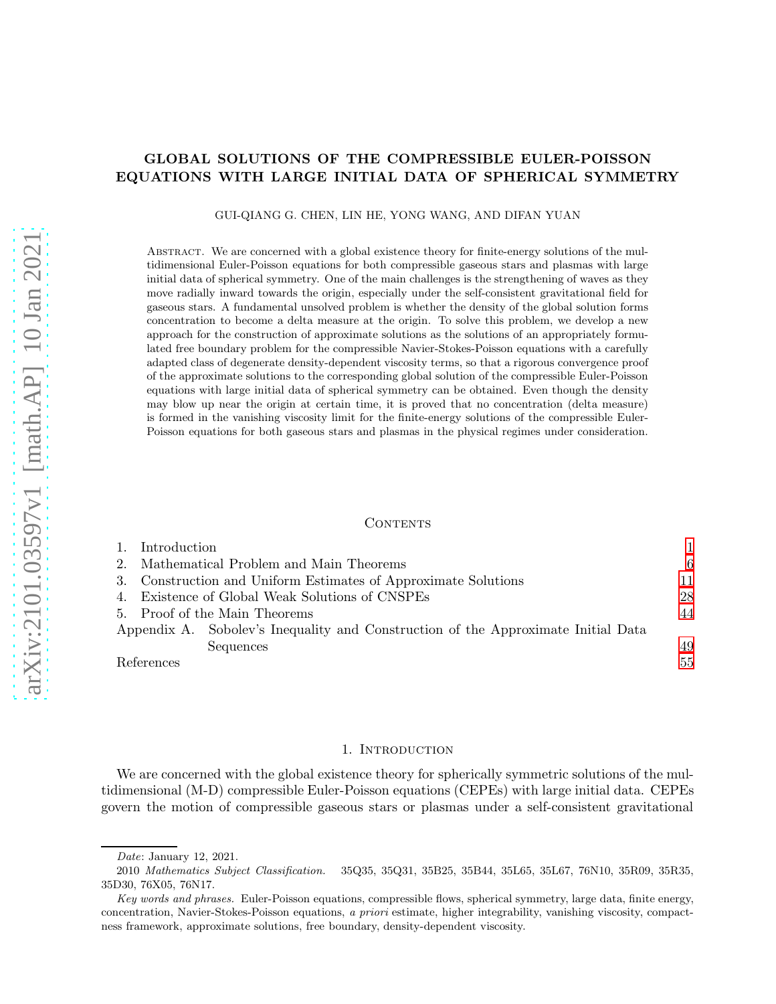## GLOBAL SOLUTIONS OF THE COMPRESSIBLE EULER-POISSON EQUATIONS WITH LARGE INITIAL DATA OF SPHERICAL SYMMETRY

GUI-QIANG G. CHEN, LIN HE, YONG WANG, AND DIFAN YUAN

ABSTRACT. We are concerned with a global existence theory for finite-energy solutions of the multidimensional Euler-Poisson equations for both compressible gaseous stars and plasmas with large initial data of spherical symmetry. One of the main challenges is the strengthening of waves as they move radially inward towards the origin, especially under the self-consistent gravitational field for gaseous stars. A fundamental unsolved problem is whether the density of the global solution forms concentration to become a delta measure at the origin. To solve this problem, we develop a new approach for the construction of approximate solutions as the solutions of an appropriately formulated free boundary problem for the compressible Navier-Stokes-Poisson equations with a carefully adapted class of degenerate density-dependent viscosity terms, so that a rigorous convergence proof of the approximate solutions to the corresponding global solution of the compressible Euler-Poisson equations with large initial data of spherical symmetry can be obtained. Even though the density may blow up near the origin at certain time, it is proved that no concentration (delta measure) is formed in the vanishing viscosity limit for the finite-energy solutions of the compressible Euler-Poisson equations for both gaseous stars and plasmas in the physical regimes under consideration.

#### CONTENTS

| Introduction                                                                      |    |
|-----------------------------------------------------------------------------------|----|
| Mathematical Problem and Main Theorems<br>2.                                      | 6  |
| 3. Construction and Uniform Estimates of Approximate Solutions                    | 11 |
| Existence of Global Weak Solutions of CNSPEs<br>4.                                | 28 |
| 5. Proof of the Main Theorems                                                     | 44 |
| Appendix A. Sobolev's Inequality and Construction of the Approximate Initial Data |    |
| Sequences                                                                         | 49 |
| References                                                                        | 55 |

#### 1. INTRODUCTION

<span id="page-0-0"></span>We are concerned with the global existence theory for spherically symmetric solutions of the multidimensional (M-D) compressible Euler-Poisson equations (CEPEs) with large initial data. CEPEs govern the motion of compressible gaseous stars or plasmas under a self-consistent gravitational

Date: January 12, 2021.

<sup>2010</sup> Mathematics Subject Classification. 35Q35, 35Q31, 35B25, 35B44, 35L65, 35L67, 76N10, 35R09, 35R35, 35D30, 76X05, 76N17.

Key words and phrases. Euler-Poisson equations, compressible flows, spherical symmetry, large data, finite energy, concentration, Navier-Stokes-Poisson equations, a priori estimate, higher integrability, vanishing viscosity, compactness framework, approximate solutions, free boundary, density-dependent viscosity.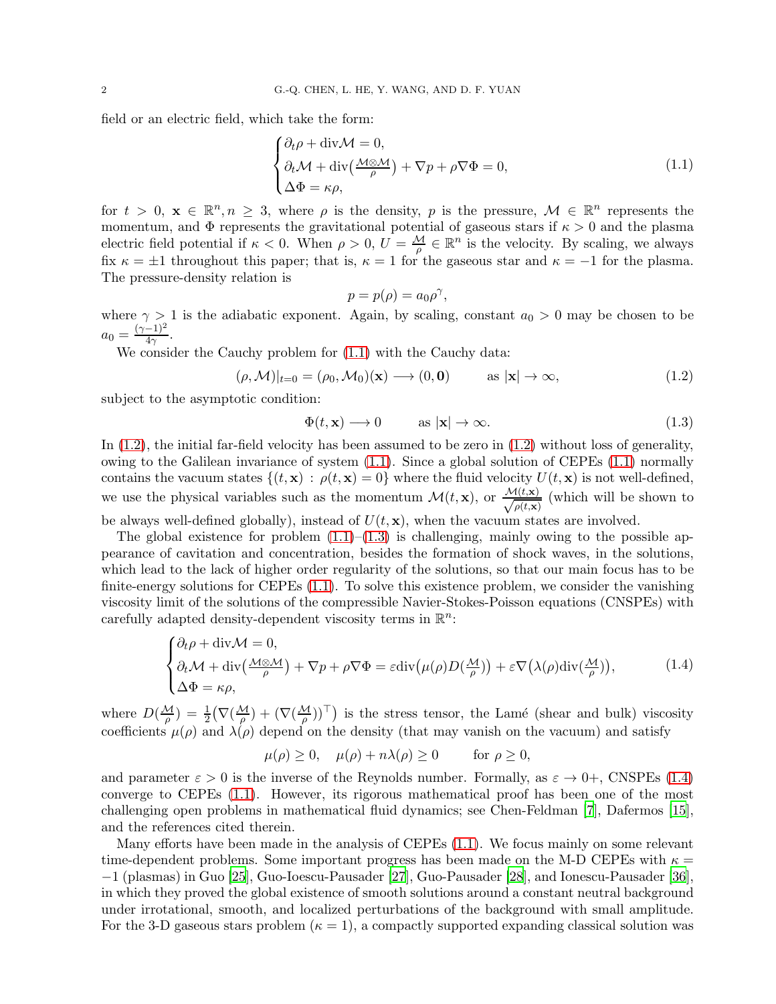field or an electric field, which take the form:

$$
\begin{cases} \partial_t \rho + \text{div}\mathcal{M} = 0, \\ \partial_t \mathcal{M} + \text{div}\left(\frac{\mathcal{M} \otimes \mathcal{M}}{\rho}\right) + \nabla p + \rho \nabla \Phi = 0, \\ \Delta \Phi = \kappa \rho, \end{cases}
$$
 (1.1)

for  $t > 0$ ,  $\mathbf{x} \in \mathbb{R}^n, n \geq 3$ , where  $\rho$  is the density, p is the pressure,  $\mathcal{M} \in \mathbb{R}^n$  represents the momentum, and  $\Phi$  represents the gravitational potential of gaseous stars if  $\kappa > 0$  and the plasma electric field potential if  $\kappa < 0$ . When  $\rho > 0$ ,  $U = \frac{M}{\rho} \in \mathbb{R}^n$  is the velocity. By scaling, we always fix  $\kappa = \pm 1$  throughout this paper; that is,  $\kappa = 1$  for the gaseous star and  $\kappa = -1$  for the plasma. The pressure-density relation is

<span id="page-1-0"></span>
$$
p = p(\rho) = a_0 \rho^\gamma,
$$

where  $\gamma > 1$  is the adiabatic exponent. Again, by scaling, constant  $a_0 > 0$  may be chosen to be  $a_0 = \frac{(\gamma - 1)^2}{4\gamma}.$ 

We consider the Cauchy problem for [\(1.1\)](#page-1-0) with the Cauchy data:

<span id="page-1-1"></span>
$$
(\rho, \mathcal{M})|_{t=0} = (\rho_0, \mathcal{M}_0)(\mathbf{x}) \longrightarrow (0, \mathbf{0}) \quad \text{as } |\mathbf{x}| \to \infty,
$$
 (1.2)

subject to the asymptotic condition:

<span id="page-1-2"></span>
$$
\Phi(t, \mathbf{x}) \longrightarrow 0 \qquad \text{as } |\mathbf{x}| \to \infty. \tag{1.3}
$$

In  $(1.2)$ , the initial far-field velocity has been assumed to be zero in  $(1.2)$  without loss of generality, owing to the Galilean invariance of system  $(1.1)$ . Since a global solution of CEPEs  $(1.1)$  normally contains the vacuum states  $\{(t, \mathbf{x}) : \rho(t, \mathbf{x}) = 0\}$  where the fluid velocity  $U(t, \mathbf{x})$  is not well-defined, we use the physical variables such as the momentum  $\mathcal{M}(t, \mathbf{x})$ , or  $\frac{\mathcal{M}(t, \mathbf{x})}{\sqrt{\rho(t, \mathbf{x})}}$  $\frac{f(t, x)}{\rho(t, x)}$  (which will be shown to be always well-defined globally), instead of  $U(t, \mathbf{x})$ , when the vacuum states are involved.

The global existence for problem  $(1.1)$ – $(1.3)$  is challenging, mainly owing to the possible appearance of cavitation and concentration, besides the formation of shock waves, in the solutions, which lead to the lack of higher order regularity of the solutions, so that our main focus has to be finite-energy solutions for CEPEs [\(1.1\)](#page-1-0). To solve this existence problem, we consider the vanishing viscosity limit of the solutions of the compressible Navier-Stokes-Poisson equations (CNSPEs) with carefully adapted density-dependent viscosity terms in  $\mathbb{R}^n$ :

$$
\begin{cases} \partial_t \rho + \operatorname{div} \mathcal{M} = 0, \\ \partial_t \mathcal{M} + \operatorname{div} \left( \frac{\mathcal{M} \otimes \mathcal{M}}{\rho} \right) + \nabla p + \rho \nabla \Phi = \varepsilon \operatorname{div} \left( \mu(\rho) D \left( \frac{\mathcal{M}}{\rho} \right) \right) + \varepsilon \nabla \left( \lambda(\rho) \operatorname{div} \left( \frac{\mathcal{M}}{\rho} \right) \right), \end{cases} (1.4)
$$

where  $D(\frac{\mathcal{M}}{\rho}) = \frac{1}{2} (\nabla(\frac{\mathcal{M}}{\rho}) + (\nabla(\frac{\mathcal{M}}{\rho}))^T)$  is the stress tensor, the Lamé (shear and bulk) viscosity coefficients  $\mu(\rho)$  and  $\lambda(\rho)$  depend on the density (that may vanish on the vacuum) and satisfy

<span id="page-1-3"></span>
$$
\mu(\rho) \ge 0, \quad \mu(\rho) + n\lambda(\rho) \ge 0 \qquad \text{for } \rho \ge 0,
$$

and parameter  $\varepsilon > 0$  is the inverse of the Reynolds number. Formally, as  $\varepsilon \to 0^+$ , CNSPEs [\(1.4\)](#page-1-3) converge to CEPEs [\(1.1\)](#page-1-0). However, its rigorous mathematical proof has been one of the most challenging open problems in mathematical fluid dynamics; see Chen-Feldman [\[7](#page-54-1)], Dafermos [\[15](#page-54-2)], and the references cited therein.

Many efforts have been made in the analysis of CEPEs [\(1.1\)](#page-1-0). We focus mainly on some relevant time-dependent problems. Some important progress has been made on the M-D CEPEs with  $\kappa =$ −1 (plasmas) in Guo [\[25\]](#page-55-0), Guo-Ioescu-Pausader [\[27](#page-55-1)], Guo-Pausader [\[28](#page-55-2)], and Ionescu-Pausader [\[36](#page-55-3)], in which they proved the global existence of smooth solutions around a constant neutral background under irrotational, smooth, and localized perturbations of the background with small amplitude. For the 3-D gaseous stars problem ( $\kappa = 1$ ), a compactly supported expanding classical solution was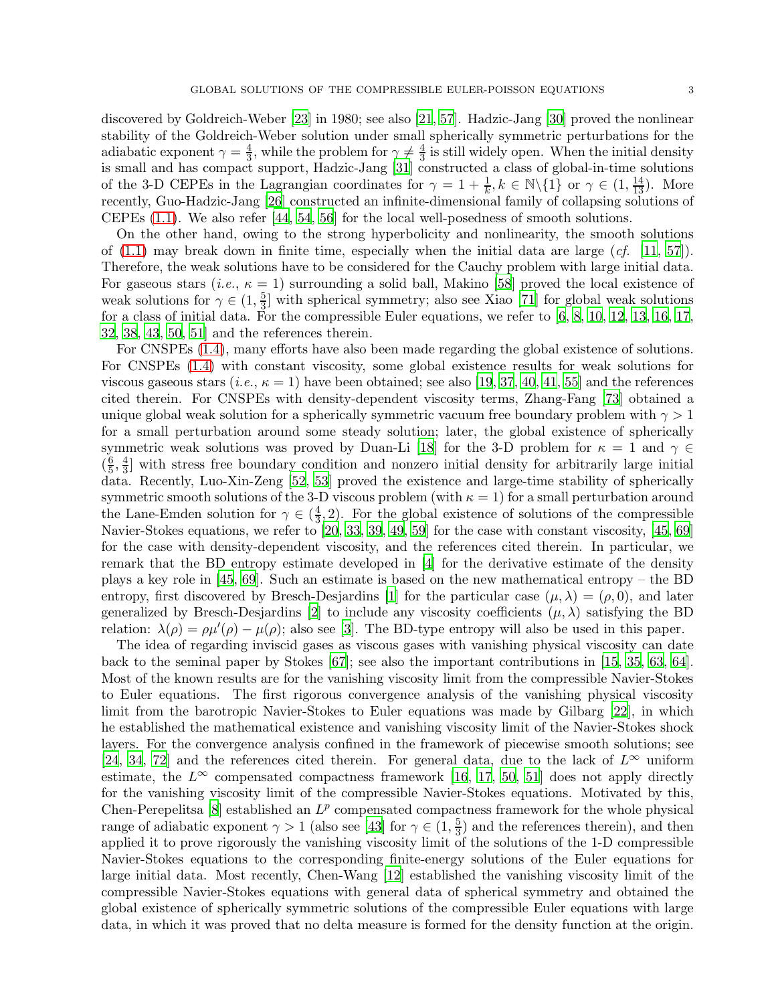discovered by Goldreich-Weber [\[23](#page-55-4)] in 1980; see also [\[21](#page-55-5), [57](#page-56-0)]. Hadzic-Jang [\[30](#page-55-6)] proved the nonlinear stability of the Goldreich-Weber solution under small spherically symmetric perturbations for the adiabatic exponent  $\gamma = \frac{4}{3}$  $\frac{4}{3}$ , while the problem for  $\gamma \neq \frac{4}{3}$  $\frac{4}{3}$  is still widely open. When the initial density is small and has compact support, Hadzic-Jang [\[31](#page-55-7)] constructed a class of global-in-time solutions of the 3-D CEPEs in the Lagrangian coordinates for  $\gamma = 1 + \frac{1}{k}$ ,  $k \in \mathbb{N} \setminus \{1\}$  or  $\gamma \in (1, \frac{14}{13})$ . More recently, Guo-Hadzic-Jang [\[26](#page-55-8)] constructed an infinite-dimensional family of collapsing solutions of CEPEs [\(1.1\)](#page-1-0). We also refer [\[44](#page-56-1), [54,](#page-56-2) [56](#page-56-3)] for the local well-posedness of smooth solutions.

On the other hand, owing to the strong hyperbolicity and nonlinearity, the smooth solutions of  $(1.1)$  may break down in finite time, especially when the initial data are large  $(cf. [11, 57])$  $(cf. [11, 57])$  $(cf. [11, 57])$  $(cf. [11, 57])$ . Therefore, the weak solutions have to be considered for the Cauchy problem with large initial data. For gaseous stars (*i.e.*,  $\kappa = 1$ ) surrounding a solid ball, Makino [\[58\]](#page-56-4) proved the local existence of weak solutions for  $\gamma \in (1, \frac{5}{3})$  $\frac{5}{3}$  with spherical symmetry; also see Xiao [\[71](#page-57-0)] for global weak solutions for a class of initial data. For the compressible Euler equations, we refer to  $[6, 8, 10, 12, 13, 16, 17,$  $[6, 8, 10, 12, 13, 16, 17,$  $[6, 8, 10, 12, 13, 16, 17,$  $[6, 8, 10, 12, 13, 16, 17,$  $[6, 8, 10, 12, 13, 16, 17,$  $[6, 8, 10, 12, 13, 16, 17,$  $[6, 8, 10, 12, 13, 16, 17,$  $[6, 8, 10, 12, 13, 16, 17,$  $[6, 8, 10, 12, 13, 16, 17,$  $[6, 8, 10, 12, 13, 16, 17,$  $[6, 8, 10, 12, 13, 16, 17,$  $[6, 8, 10, 12, 13, 16, 17,$ [32,](#page-55-10) [38](#page-55-11), 43, 50, 51] and the references therein.

For CNSPEs [\(1.4\)](#page-1-3), many efforts have also been made regarding the global existence of solutions. For CNSPEs [\(1.4\)](#page-1-3) with constant viscosity, some global existence results for weak solutions for viscous gaseous stars  $(i.e., \kappa = 1)$  have been obtained; see also [\[19,](#page-55-12) [37,](#page-55-13) [40,](#page-56-5) [41,](#page-56-6) [55](#page-56-7)] and the references cited therein. For CNSPEs with density-dependent viscosity terms, Zhang-Fang [\[73\]](#page-57-1) obtained a unique global weak solution for a spherically symmetric vacuum free boundary problem with  $\gamma > 1$ for a small perturbation around some steady solution; later, the global existence of spherically symmetric weak solutions was proved by Duan-Li [\[18](#page-55-14)] for the 3-D problem for  $\kappa = 1$  and  $\gamma \in$  $(\frac{6}{5})$  $\frac{6}{5}, \frac{4}{3}$  $\frac{4}{3}$  with stress free boundary condition and nonzero initial density for arbitrarily large initial data. Recently, Luo-Xin-Zeng [\[52](#page-56-8), [53](#page-56-9)] proved the existence and large-time stability of spherically symmetric smooth solutions of the 3-D viscous problem (with  $\kappa = 1$ ) for a small perturbation around the Lane-Emden solution for  $\gamma \in (\frac{4}{3})$  $\frac{4}{3}$ , 2). For the global existence of solutions of the compressible Navier-Stokes equations, we refer to [\[20](#page-55-15), [33](#page-55-16), [39,](#page-56-10) [49,](#page-56-11) [59](#page-56-12)] for the case with constant viscosity, [\[45](#page-56-13), [69](#page-57-2)] for the case with density-dependent viscosity, and the references cited therein. In particular, we remark that the BD entropy estimate developed in [\[4\]](#page-54-10) for the derivative estimate of the density plays a key role in [\[45](#page-56-13), [69\]](#page-57-2). Such an estimate is based on the new mathematical entropy – the BD entropy, first discovered by Bresch-Desjardins [\[1](#page-54-11)] for the particular case  $(\mu, \lambda) = (\rho, 0)$ , and later generalized by Bresch-Desjardins [\[2\]](#page-54-12) to include any viscosity coefficients  $(\mu, \lambda)$  satisfying the BD relation:  $\lambda(\rho) = \rho \mu'(\rho) - \mu(\rho)$ ; also see [\[3](#page-54-13)]. The BD-type entropy will also be used in this paper.

The idea of regarding inviscid gases as viscous gases with vanishing physical viscosity can date back to the seminal paper by Stokes [\[67\]](#page-57-3); see also the important contributions in [\[15,](#page-54-2) [35,](#page-55-17) [63,](#page-57-4) 64]. Most of the known results are for the vanishing viscosity limit from the compressible Navier-Stokes to Euler equations. The first rigorous convergence analysis of the vanishing physical viscosity limit from the barotropic Navier-Stokes to Euler equations was made by Gilbarg [22], in which he established the mathematical existence and vanishing viscosity limit of the Navier-Stokes shock layers. For the convergence analysis confined in the framework of piecewise smooth solutions; see [\[24,](#page-55-18) 34, [72](#page-57-5)] and the references cited therein. For general data, due to the lack of  $L^{\infty}$  uniform estimate, the  $L^{\infty}$  compensated compactness framework [\[16](#page-54-9), [17](#page-55-9), 50, 51] does not apply directly for the vanishing viscosity limit of the compressible Navier-Stokes equations. Motivated by this, Chen-Perepelitsa [\[8](#page-54-5)] established an  $L^p$  compensated compactness framework for the whole physical range of adiabatic exponent  $\gamma > 1$  (also see [43] for  $\gamma \in (1, \frac{5}{3})$  $\frac{5}{3}$ ) and the references therein), and then applied it to prove rigorously the vanishing viscosity limit of the solutions of the 1-D compressible Navier-Stokes equations to the corresponding finite-energy solutions of the Euler equations for large initial data. Most recently, Chen-Wang [\[12](#page-54-7)] established the vanishing viscosity limit of the compressible Navier-Stokes equations with general data of spherical symmetry and obtained the global existence of spherically symmetric solutions of the compressible Euler equations with large data, in which it was proved that no delta measure is formed for the density function at the origin.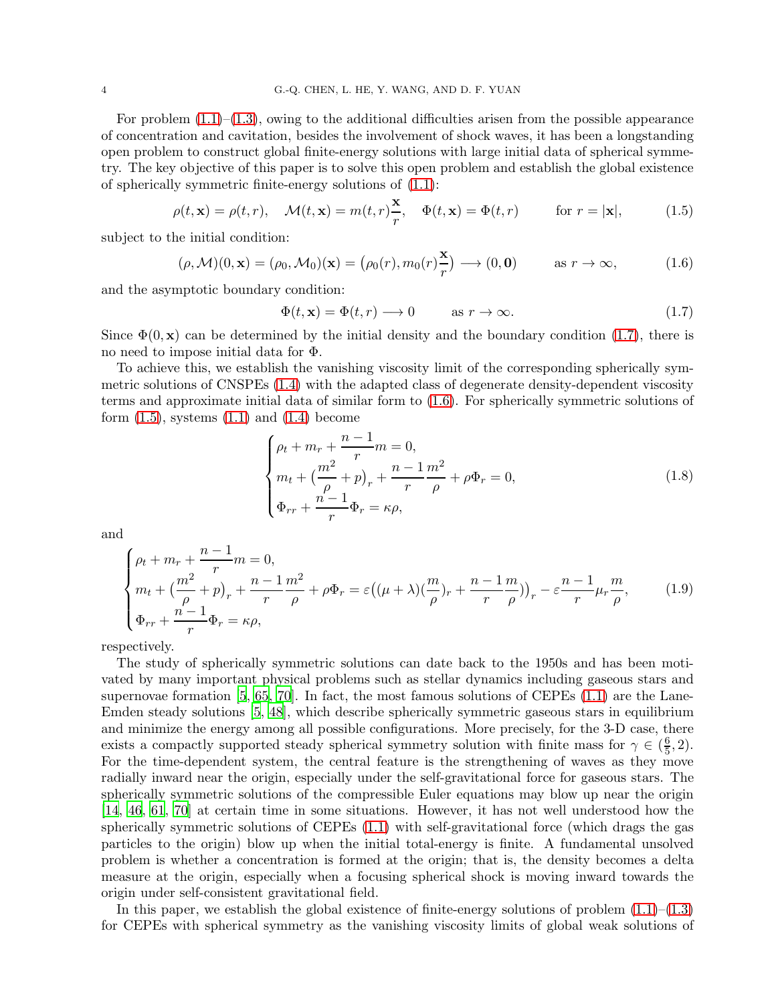For problem  $(1.1)$ – $(1.3)$ , owing to the additional difficulties arisen from the possible appearance of concentration and cavitation, besides the involvement of shock waves, it has been a longstanding open problem to construct global finite-energy solutions with large initial data of spherical symmetry. The key objective of this paper is to solve this open problem and establish the global existence of spherically symmetric finite-energy solutions of [\(1.1\)](#page-1-0):

$$
\rho(t, \mathbf{x}) = \rho(t, r), \quad \mathcal{M}(t, \mathbf{x}) = m(t, r)\frac{\mathbf{x}}{r}, \quad \Phi(t, \mathbf{x}) = \Phi(t, r) \quad \text{for } r = |\mathbf{x}|,
$$
\n(1.5)

subject to the initial condition:

$$
(\rho, \mathcal{M})(0, \mathbf{x}) = (\rho_0, \mathcal{M}_0)(\mathbf{x}) = (\rho_0(r), m_0(r)\frac{\mathbf{x}}{r}) \longrightarrow (0, \mathbf{0}) \quad \text{as } r \to \infty,
$$
 (1.6)

and the asymptotic boundary condition:

<span id="page-3-2"></span><span id="page-3-1"></span><span id="page-3-0"></span>
$$
\Phi(t, \mathbf{x}) = \Phi(t, r) \longrightarrow 0 \quad \text{as } r \to \infty. \tag{1.7}
$$

Since  $\Phi(0, x)$  can be determined by the initial density and the boundary condition [\(1.7\)](#page-3-0), there is no need to impose initial data for Φ.

To achieve this, we establish the vanishing viscosity limit of the corresponding spherically symmetric solutions of CNSPEs [\(1.4\)](#page-1-3) with the adapted class of degenerate density-dependent viscosity terms and approximate initial data of similar form to [\(1.6\)](#page-3-1). For spherically symmetric solutions of form  $(1.5)$ , systems  $(1.1)$  and  $(1.4)$  become

<span id="page-3-4"></span><span id="page-3-3"></span>
$$
\begin{cases}\n\rho_t + m_r + \frac{n-1}{r}m = 0, \\
m_t + \left(\frac{m^2}{\rho} + p\right)_r + \frac{n-1}{r}\frac{m^2}{\rho} + \rho \Phi_r = 0, \\
\Phi_{rr} + \frac{n-1}{r}\Phi_r = \kappa \rho,\n\end{cases} \tag{1.8}
$$

and

$$
\begin{cases}\n\rho_t + m_r + \frac{n-1}{r} m = 0, \\
m_t + \left(\frac{m^2}{\rho} + p\right)_r + \frac{n-1}{r} \frac{m^2}{\rho} + \rho \Phi_r = \varepsilon \left((\mu + \lambda)\left(\frac{m}{\rho}\right)_r + \frac{n-1}{r} \frac{m}{\rho}\right)\right)_r - \varepsilon \frac{n-1}{r} \mu_r \frac{m}{\rho},\n\end{cases} (1.9)
$$
\n
$$
\Phi_{rr} + \frac{n-1}{r} \Phi_r = \kappa \rho,
$$

respectively.

The study of spherically symmetric solutions can date back to the 1950s and has been motivated by many important physical problems such as stellar dynamics including gaseous stars and supernovae formation  $[5, 65, 70]$  $[5, 65, 70]$  $[5, 65, 70]$  $[5, 65, 70]$ . In fact, the most famous solutions of CEPEs  $(1.1)$  are the Lane-Emden steady solutions [\[5,](#page-54-14) [48](#page-56-14)], which describe spherically symmetric gaseous stars in equilibrium and minimize the energy among all possible configurations. More precisely, for the 3-D case, there exists a compactly supported steady spherical symmetry solution with finite mass for  $\gamma \in (\frac{6}{5})$  $\frac{6}{5}$ , 2). For the time-dependent system, the central feature is the strengthening of waves as they move radially inward near the origin, especially under the self-gravitational force for gaseous stars. The spherically symmetric solutions of the compressible Euler equations may blow up near the origin [\[14,](#page-54-15) [46](#page-56-15), [61](#page-56-16), [70](#page-57-7)] at certain time in some situations. However, it has not well understood how the spherically symmetric solutions of CEPEs [\(1.1\)](#page-1-0) with self-gravitational force (which drags the gas particles to the origin) blow up when the initial total-energy is finite. A fundamental unsolved problem is whether a concentration is formed at the origin; that is, the density becomes a delta measure at the origin, especially when a focusing spherical shock is moving inward towards the origin under self-consistent gravitational field.

In this paper, we establish the global existence of finite-energy solutions of problem  $(1.1)$ – $(1.3)$ for CEPEs with spherical symmetry as the vanishing viscosity limits of global weak solutions of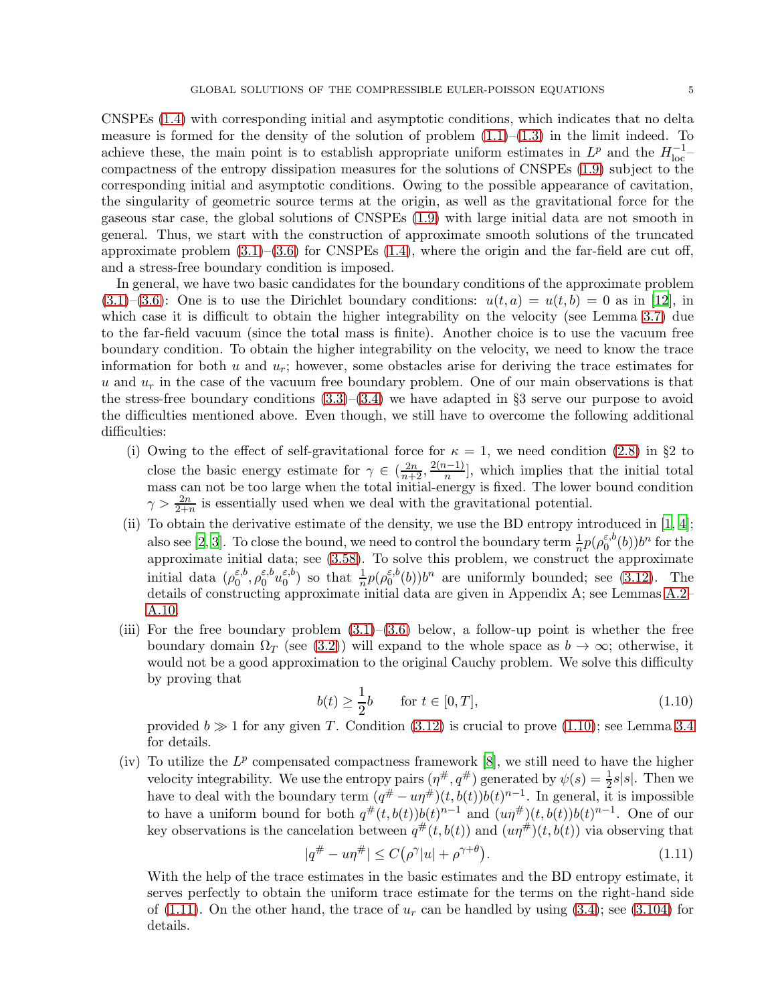CNSPEs [\(1.4\)](#page-1-3) with corresponding initial and asymptotic conditions, which indicates that no delta measure is formed for the density of the solution of problem  $(1.1)$ – $(1.3)$  in the limit indeed. To achieve these, the main point is to establish appropriate uniform estimates in  $L^p$  and the  $H_{\text{loc}}^{-1}$ compactness of the entropy dissipation measures for the solutions of CNSPEs [\(1.9\)](#page-3-3) subject to the corresponding initial and asymptotic conditions. Owing to the possible appearance of cavitation, the singularity of geometric source terms at the origin, as well as the gravitational force for the gaseous star case, the global solutions of CNSPEs [\(1.9\)](#page-3-3) with large initial data are not smooth in general. Thus, we start with the construction of approximate smooth solutions of the truncated approximate problem  $(3.1)$ – $(3.6)$  for CNSPEs  $(1.4)$ , where the origin and the far-field are cut off, and a stress-free boundary condition is imposed.

In general, we have two basic candidates for the boundary conditions of the approximate problem  $(3.1)$ – $(3.6)$ : One is to use the Dirichlet boundary conditions:  $u(t, a) = u(t, b) = 0$  as in [\[12\]](#page-54-7), in which case it is difficult to obtain the higher integrability on the velocity (see Lemma [3.7\)](#page-25-0) due to the far-field vacuum (since the total mass is finite). Another choice is to use the vacuum free boundary condition. To obtain the higher integrability on the velocity, we need to know the trace information for both  $u$  and  $u_r$ ; however, some obstacles arise for deriving the trace estimates for u and  $u_r$  in the case of the vacuum free boundary problem. One of our main observations is that the stress-free boundary conditions  $(3.3)$ – $(3.4)$  we have adapted in §3 serve our purpose to avoid the difficulties mentioned above. Even though, we still have to overcome the following additional difficulties:

- (i) Owing to the effect of self-gravitational force for  $\kappa = 1$ , we need condition [\(2.8\)](#page-6-0) in §2 to close the basic energy estimate for  $\gamma \in (\frac{2n}{n+2}, \frac{2(n-1)}{n}]$ , which implies that the initial total mass can not be too large when the total initial-energy is fixed. The lower bound condition  $\gamma > \frac{2n}{2+n}$  is essentially used when we deal with the gravitational potential.
- (ii) To obtain the derivative estimate of the density, we use the BD entropy introduced in [\[1](#page-54-11), [4\]](#page-54-10); also see [\[2,](#page-54-12) [3\]](#page-54-13). To close the bound, we need to control the boundary term  $\frac{1}{n}p(\rho_0^{\varepsilon,b})$  $_{0}^{\varepsilon,b}(b))b^{n}$  for the approximate initial data; see  $(3.58)$ . To solve this problem, we construct the approximate initial data  $(\rho_0^{\varepsilon,b})$  $_0^{\varepsilon,b},$   $\rho_0^{\varepsilon,b}u_0^{\varepsilon,b}$  $\binom{\varepsilon,b}{0}$  so that  $\frac{1}{n}p(\rho_0^{\varepsilon,b})$  $\binom{\varepsilon, b}{0}$  $b^n$  are uniformly bounded; see [\(3.12\)](#page-11-0). The details of constructing approximate initial data are given in Appendix A; see Lemmas [A.2–](#page-49-0) [A.10.](#page-53-0)
- (iii) For the free boundary problem  $(3.1)$ – $(3.6)$  below, a follow-up point is whether the free boundary domain  $\Omega_T$  (see [\(3.2\)](#page-10-5)) will expand to the whole space as  $b \to \infty$ ; otherwise, it would not be a good approximation to the original Cauchy problem. We solve this difficulty by proving that

<span id="page-4-0"></span>
$$
b(t) \ge \frac{1}{2}b \qquad \text{for } t \in [0, T],
$$
\n(1.10)

provided  $b \gg 1$  for any given T. Condition [\(3.12\)](#page-11-0) is crucial to prove [\(1.10\)](#page-4-0); see Lemma [3.4](#page-20-0) for details.

(iv) To utilize the  $L^p$  compensated compactness framework [\[8](#page-54-5)], we still need to have the higher velocity integrability. We use the entropy pairs  $(\eta^{\#}, q^{\#})$  generated by  $\psi(s) = \frac{1}{2}s|s|$ . Then we 2 have to deal with the boundary term  $(q^{\#} - u\eta^{\#})(t, b(t))b(t)^{n-1}$ . In general, it is impossible to have a uniform bound for both  $q^{\#}(t,b(t))b(t)^{n-1}$  and  $(u\eta^{\#})(t,b(t))b(t)^{n-1}$ . One of our key observations is the cancelation between  $q^{\#}(t, b(t))$  and  $(u\eta^{\#})(t, b(t))$  via observing that

<span id="page-4-1"></span>
$$
|q^{\#} - u\eta^{\#}| \le C(\rho^{\gamma}|u| + \rho^{\gamma+\theta}). \tag{1.11}
$$

With the help of the trace estimates in the basic estimates and the BD entropy estimate, it serves perfectly to obtain the uniform trace estimate for the terms on the right-hand side of [\(1.11\)](#page-4-1). On the other hand, the trace of  $u_r$  can be handled by using [\(3.4\)](#page-10-4); see [\(3.104\)](#page-26-0) for details.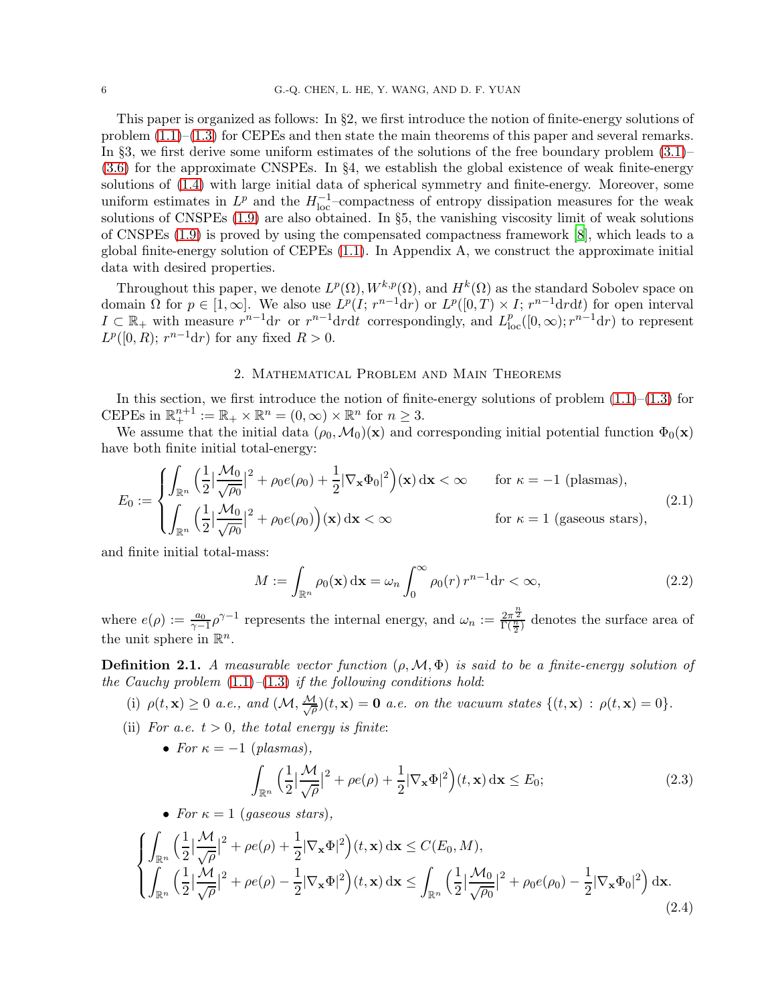This paper is organized as follows: In §2, we first introduce the notion of finite-energy solutions of problem [\(1.1\)](#page-1-0)–[\(1.3\)](#page-1-2) for CEPEs and then state the main theorems of this paper and several remarks. In §3, we first derive some uniform estimates of the solutions of the free boundary problem [\(3.1\)](#page-10-1)– [\(3.6\)](#page-10-2) for the approximate CNSPEs. In §4, we establish the global existence of weak finite-energy solutions of [\(1.4\)](#page-1-3) with large initial data of spherical symmetry and finite-energy. Moreover, some uniform estimates in  $L^p$  and the  $H_{\text{loc}}^{-1}$ -compactness of entropy dissipation measures for the weak solutions of CNSPEs [\(1.9\)](#page-3-3) are also obtained. In §5, the vanishing viscosity limit of weak solutions of CNSPEs [\(1.9\)](#page-3-3) is proved by using the compensated compactness framework [\[8](#page-54-5)], which leads to a global finite-energy solution of CEPEs [\(1.1\)](#page-1-0). In Appendix A, we construct the approximate initial data with desired properties.

Throughout this paper, we denote  $L^p(\Omega), W^{k,p}(\Omega)$ , and  $H^k(\Omega)$  as the standard Sobolev space on domain  $\Omega$  for  $p \in [1,\infty]$ . We also use  $L^p(I; r^{n-1}dr)$  or  $L^p([0,T) \times I; r^{n-1}drdt)$  for open interval  $I \subset \mathbb{R}_+$  with measure  $r^{n-1}dr$  or  $r^{n-1}drdt$  correspondingly, and  $L_{loc}^p([0,\infty); r^{n-1}dr)$  to represent  $L^p([0, R); r^{n-1}dr)$  for any fixed  $R > 0$ .

### 2. Mathematical Problem and Main Theorems

<span id="page-5-0"></span>In this section, we first introduce the notion of finite-energy solutions of problem  $(1.1)$ – $(1.3)$  for CEPEs in  $\mathbb{R}^{n+1}_+ := \mathbb{R}_+ \times \mathbb{R}^n = (0, \infty) \times \mathbb{R}^n$  for  $n \geq 3$ .

We assume that the initial data  $(\rho_0, \mathcal{M}_0)(\mathbf{x})$  and corresponding initial potential function  $\Phi_0(\mathbf{x})$ have both finite initial total-energy:

$$
E_0 := \begin{cases} \int_{\mathbb{R}^n} \left( \frac{1}{2} \left| \frac{\mathcal{M}_0}{\sqrt{\rho_0}} \right|^2 + \rho_0 e(\rho_0) + \frac{1}{2} |\nabla_{\mathbf{x}} \Phi_0|^2 \right) (\mathbf{x}) \, d\mathbf{x} < \infty & \text{for } \kappa = -1 \text{ (plasmas)},\\ \int_{\mathbb{R}^n} \left( \frac{1}{2} \left| \frac{\mathcal{M}_0}{\sqrt{\rho_0}} \right|^2 + \rho_0 e(\rho_0) \right) (\mathbf{x}) \, d\mathbf{x} < \infty & \text{for } \kappa = 1 \text{ (gaseous stars)}, \end{cases} \tag{2.1}
$$

and finite initial total-mass:

<span id="page-5-2"></span><span id="page-5-1"></span>
$$
M := \int_{\mathbb{R}^n} \rho_0(\mathbf{x}) \, \mathrm{d}\mathbf{x} = \omega_n \int_0^\infty \rho_0(r) \, r^{n-1} \mathrm{d}r < \infty,\tag{2.2}
$$

where  $e(\rho) := \frac{a_0}{\gamma - 1} \rho^{\gamma - 1}$  represents the internal energy, and  $\omega_n := \frac{2\pi^{\frac{n}{2}}}{\Gamma(\frac{n}{2})}$  denotes the surface area of the unit sphere in  $\mathbb{R}^n$ .

<span id="page-5-3"></span>**Definition 2.1.** A measurable vector function  $(\rho, \mathcal{M}, \Phi)$  is said to be a finite-energy solution of the Cauchy problem  $(1.1)$ – $(1.3)$  if the following conditions hold:

(i) 
$$
\rho(t, \mathbf{x}) \ge 0
$$
 a.e., and  $(\mathcal{M}, \frac{\mathcal{M}}{\sqrt{\rho}})(t, \mathbf{x}) = \mathbf{0}$  a.e. on the vacuum states  $\{(t, \mathbf{x}) : \rho(t, \mathbf{x}) = 0\}$ .

- (ii) For a.e.  $t > 0$ , the total energy is finite:
	- For  $\kappa = -1$  (plasmas),

<span id="page-5-5"></span><span id="page-5-4"></span>
$$
\int_{\mathbb{R}^n} \left(\frac{1}{2} \left|\frac{\mathcal{M}}{\sqrt{\rho}}\right|^2 + \rho e(\rho) + \frac{1}{2} |\nabla_{\mathbf{x}} \Phi|^2\right) (t, \mathbf{x}) \, \mathrm{d}\mathbf{x} \le E_0; \tag{2.3}
$$

• For  $\kappa = 1$  (gaseous stars),

$$
\begin{cases}\n\int_{\mathbb{R}^n} \left(\frac{1}{2} \left|\frac{\mathcal{M}}{\sqrt{\rho}}\right|^2 + \rho e(\rho) + \frac{1}{2} |\nabla_{\mathbf{x}} \Phi|^2\right)(t, \mathbf{x}) d\mathbf{x} \le C(E_0, M), \\
\int_{\mathbb{R}^n} \left(\frac{1}{2} \left|\frac{\mathcal{M}}{\sqrt{\rho}}\right|^2 + \rho e(\rho) - \frac{1}{2} |\nabla_{\mathbf{x}} \Phi|^2\right)(t, \mathbf{x}) d\mathbf{x} \le \int_{\mathbb{R}^n} \left(\frac{1}{2} \left|\frac{\mathcal{M}_0}{\sqrt{\rho_0}}\right|^2 + \rho_0 e(\rho_0) - \frac{1}{2} |\nabla_{\mathbf{x}} \Phi_0|^2\right) d\mathbf{x}.\n\end{cases}
$$
\n(2.4)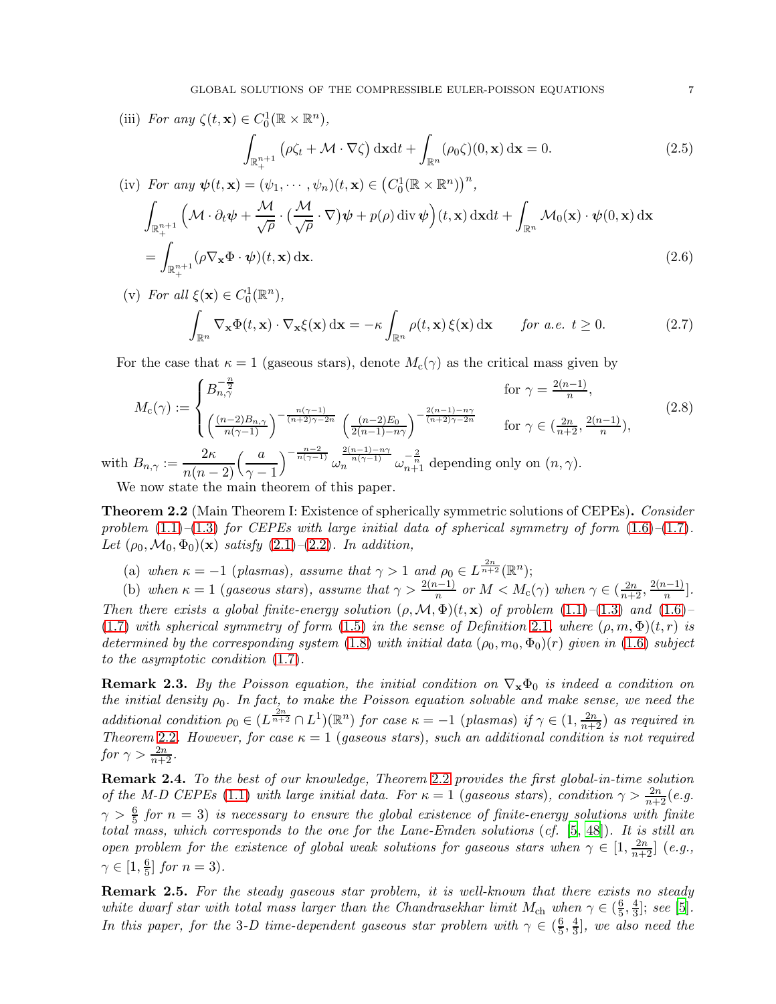(iii) For any 
$$
\zeta(t, \mathbf{x}) \in C_0^1(\mathbb{R} \times \mathbb{R}^n)
$$
,  
\n
$$
\int_{\mathbb{R}^{n+1}_+} (\rho \zeta_t + \mathcal{M} \cdot \nabla \zeta) \, d\mathbf{x} dt + \int_{\mathbb{R}^n} (\rho_0 \zeta)(0, \mathbf{x}) \, d\mathbf{x} = 0.
$$
\n(2.5)\n(iv) For any  $\psi(t, \mathbf{x}) = (\psi_1, \dots, \psi_n)(t, \mathbf{x}) \in (C_0^1(\mathbb{R} \times \mathbb{R}^n))^n$ ,

<span id="page-6-4"></span><span id="page-6-3"></span><span id="page-6-2"></span>
$$
\int_{\mathbb{R}_{+}^{n+1}} \left( \mathcal{M} \cdot \partial_t \psi + \frac{\mathcal{M}}{\sqrt{\rho}} \cdot \left( \frac{\mathcal{M}}{\sqrt{\rho}} \cdot \nabla \right) \psi + p(\rho) \operatorname{div} \psi \right) (t, \mathbf{x}) \, \mathrm{d} \mathbf{x} \mathrm{d}t + \int_{\mathbb{R}^n} \mathcal{M}_0(\mathbf{x}) \cdot \psi(0, \mathbf{x}) \, \mathrm{d} \mathbf{x} \n= \int_{\mathbb{R}_{+}^{n+1}} (\rho \nabla_{\mathbf{x}} \Phi \cdot \psi)(t, \mathbf{x}) \, \mathrm{d} \mathbf{x}.
$$
\n(2.6)

(v) For all  $\xi(\mathbf{x}) \in C_0^1(\mathbb{R}^n)$ , Z  $\int_{\mathbb{R}^n}\nabla_{\mathbf{x}}\Phi(t,\mathbf{x})\cdot\nabla_{\mathbf{x}}\xi(\mathbf{x})\,\mathrm{d}\mathbf{x}=-\kappa\int_{\mathbb{R}^n}$  $\int_{\mathbb{R}^n} \rho(t, \mathbf{x}) \, \xi(\mathbf{x}) \, \mathrm{d}\mathbf{x}$  for a.e.  $t \geq 0$ . (2.7)

<span id="page-6-0"></span>For the case that  $\kappa = 1$  (gaseous stars), denote  $M_c(\gamma)$  as the critical mass given by

$$
M_{\rm c}(\gamma) := \begin{cases} B_{n,\gamma}^{-\frac{n}{2}} & \text{for } \gamma = \frac{2(n-1)}{n}, \\ \left(\frac{(n-2)B_{n,\gamma}}{n(\gamma-1)}\right)^{-\frac{n(\gamma-1)}{(n+2)\gamma-2n}} \left(\frac{(n-2)E_0}{2(n-1)-n\gamma}\right)^{-\frac{2(n-1)-n\gamma}{(n+2)\gamma-2n}} & \text{for } \gamma \in (\frac{2n}{n+2}, \frac{2(n-1)}{n}), \end{cases} (2.8)
$$
  
with  $B_{n,\gamma} := \frac{2\kappa}{n(n-2)} \left(\frac{a}{\gamma-1}\right)^{-\frac{n-2}{n(\gamma-1)}} \omega_n^{\frac{2(n-1)-n\gamma}{n(\gamma-1)}} \omega_{n+1}^{-\frac{2}{n}}$  depending only on  $(n, \gamma)$ .

 $n(n-2) \ ( \gamma - 1)$ We now state the main theorem of this paper.

<span id="page-6-1"></span>**Theorem 2.2** (Main Theorem I: Existence of spherically symmetric solutions of CEPEs). Consider problem  $(1.1)$ – $(1.3)$  for CEPEs with large initial data of spherical symmetry of form  $(1.6)$ – $(1.7)$ . Let  $(\rho_0, \mathcal{M}_0, \Phi_0)(\mathbf{x})$  satisfy  $(2.1)$ – $(2.2)$ . In addition,

- (a) when  $\kappa = -1$  (plasmas), assume that  $\gamma > 1$  and  $\rho_0 \in L^{\frac{2n}{n+2}}(\mathbb{R}^n);$
- (b) when  $\kappa = 1$  (gaseous stars), assume that  $\gamma > \frac{2(n-1)}{n}$  or  $M < M_c(\gamma)$  when  $\gamma \in (\frac{2n}{n+2}, \frac{2(n-1)}{n}]$ . Then there exists a global finite-energy solution  $(\rho, \mathcal{M}, \Phi)(t, \mathbf{x})$  of problem  $(1.1)$ – $(1.3)$  and  $(1.6)$ – [\(1.7\)](#page-3-0) with spherical symmetry of form [\(1.5\)](#page-3-2) in the sense of Definition [2.1](#page-5-3), where  $(\rho, m, \Phi)(t, r)$  is determined by the corresponding system [\(1.8\)](#page-3-4) with initial data  $(\rho_0, m_0, \Phi_0)(r)$  given in [\(1.6\)](#page-3-1) subject to the asymptotic condition [\(1.7\)](#page-3-0).

**Remark 2.3.** By the Poisson equation, the initial condition on  $\nabla_{\mathbf{x}}\Phi_0$  is indeed a condition on the initial density  $\rho_0$ . In fact, to make the Poisson equation solvable and make sense, we need the additional condition  $\rho_0 \in (L^{\frac{2n}{n+2}} \cap L^1)(\mathbb{R}^n)$  for case  $\kappa = -1$  (plasmas) if  $\gamma \in (1, \frac{2n}{n+2})$  as required in Theorem [2.2](#page-6-1). However, for case  $\kappa = 1$  (gaseous stars), such an additional condition is not required for  $\gamma > \frac{2n}{n+2}$ .

Remark 2.4. To the best of our knowledge, Theorem [2.2](#page-6-1) provides the first global-in-time solution of the M-D CEPEs [\(1.1\)](#page-1-0) with large initial data. For  $\kappa = 1$  (gaseous stars), condition  $\gamma > \frac{2n}{n+2}(e.g.$  $\gamma > \frac{6}{5}$  for  $n = 3$ ) is necessary to ensure the global existence of finite-energy solutions with finite total mass, which corresponds to the one for the Lane-Emden solutions (cf. [\[5,](#page-54-14) [48\]](#page-56-14)). It is still an open problem for the existence of global weak solutions for gaseous stars when  $\gamma \in [1, \frac{2n}{n+2}]$  (e.g.,  $\gamma \in [1, \frac{6}{5}]$  $\frac{6}{5}$  for  $n = 3$ ).

**Remark 2.5.** For the steady gaseous star problem, it is well-known that there exists no steady white dwarf star with total mass larger than the Chandrasekhar limit  $M_{ch}$  when  $\gamma \in (\frac{6}{5})$  $\frac{6}{5}, \frac{4}{3}$  $\frac{4}{3}$ ; see [\[5](#page-54-14)]. In this paper, for the 3-D time-dependent gaseous star problem with  $\gamma \in (\frac{6}{5})$  $\frac{6}{5}, \frac{4}{3}$  $\frac{4}{3}$ , we also need the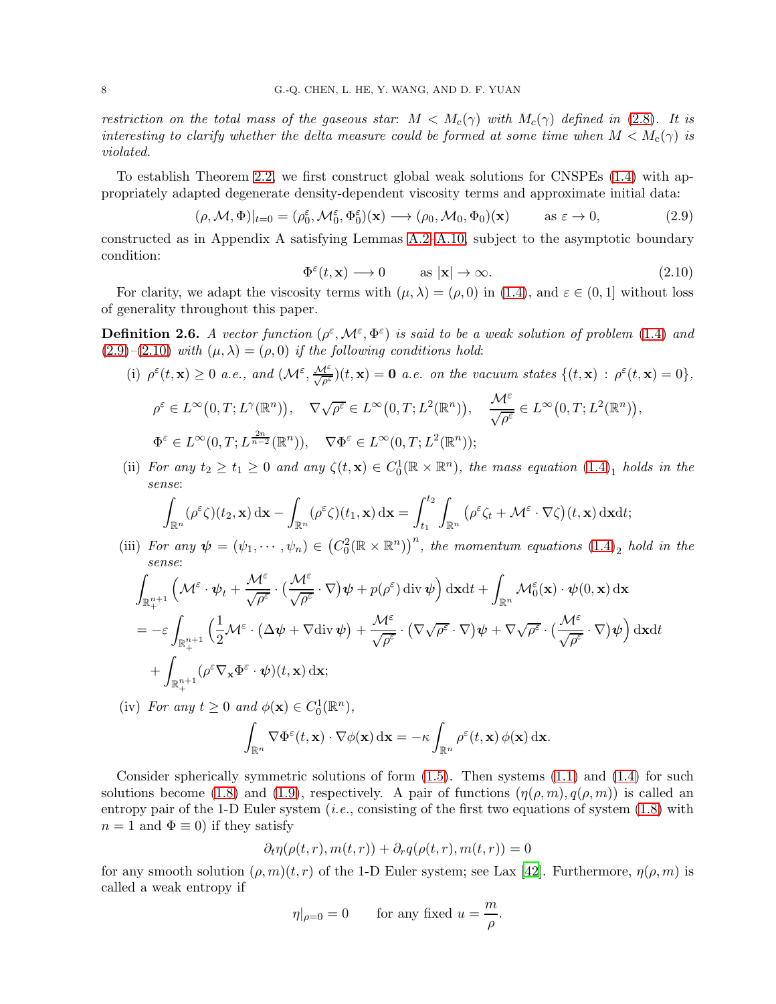restriction on the total mass of the gaseous star:  $M < M_c(\gamma)$  with  $M_c(\gamma)$  defined in [\(2.8\)](#page-6-0). It is interesting to clarify whether the delta measure could be formed at some time when  $M < M_c(\gamma)$  is violated.

To establish Theorem [2.2,](#page-6-1) we first construct global weak solutions for CNSPEs [\(1.4\)](#page-1-3) with appropriately adapted degenerate density-dependent viscosity terms and approximate initial data:

<span id="page-7-0"></span>
$$
(\rho, \mathcal{M}, \Phi)|_{t=0} = (\rho_0^{\varepsilon}, \mathcal{M}_0^{\varepsilon}, \Phi_0^{\varepsilon})(\mathbf{x}) \longrightarrow (\rho_0, \mathcal{M}_0, \Phi_0)(\mathbf{x}) \quad \text{as } \varepsilon \to 0,
$$
 (2.9)

constructed as in Appendix A satisfying Lemmas [A.2](#page-49-0)[–A.10,](#page-53-0) subject to the asymptotic boundary condition:

<span id="page-7-1"></span>
$$
\Phi^{\varepsilon}(t, \mathbf{x}) \longrightarrow 0 \quad \text{as } |\mathbf{x}| \to \infty. \tag{2.10}
$$

For clarity, we adapt the viscosity terms with  $(\mu, \lambda) = (\rho, 0)$  in [\(1.4\)](#page-1-3), and  $\varepsilon \in (0, 1]$  without loss of generality throughout this paper.

<span id="page-7-2"></span>**Definition 2.6.** A vector function  $(\rho^{\varepsilon}, \mathcal{M}^{\varepsilon}, \Phi^{\varepsilon})$  is said to be a weak solution of problem [\(1.4\)](#page-1-3) and  $(2.9)$ – $(2.10)$  with  $(\mu, \lambda) = (\rho, 0)$  if the following conditions hold:

(i) 
$$
\rho^{\varepsilon}(t, \mathbf{x}) \ge 0
$$
 a.e., and  $(\mathcal{M}^{\varepsilon}, \frac{\mathcal{M}^{\varepsilon}}{\sqrt{\rho^{\varepsilon}}})(t, \mathbf{x}) = \mathbf{0}$  a.e. on the vacuum states  $\{(t, \mathbf{x}) : \rho^{\varepsilon}(t, \mathbf{x}) = 0\}$ ,  
\n $\rho^{\varepsilon} \in L^{\infty}(0, T; L^{\gamma}(\mathbb{R}^n)), \quad \nabla \sqrt{\rho^{\varepsilon}} \in L^{\infty}(0, T; L^2(\mathbb{R}^n)), \quad \frac{\mathcal{M}^{\varepsilon}}{\sqrt{\rho^{\varepsilon}}} \in L^{\infty}(0, T; L^2(\mathbb{R}^n)),$   
\n $\Phi^{\varepsilon} \in L^{\infty}(0, T; L^{\frac{2n}{n-2}}(\mathbb{R}^n)), \quad \nabla \Phi^{\varepsilon} \in L^{\infty}(0, T; L^2(\mathbb{R}^n));$ 

(ii) For any  $t_2 \ge t_1 \ge 0$  and any  $\zeta(t, \mathbf{x}) \in C_0^1(\mathbb{R} \times \mathbb{R}^n)$ , the mass equation  $(1.4)_1$  $(1.4)_1$  holds in the sense:

$$
\int_{\mathbb{R}^n} (\rho^{\varepsilon} \zeta)(t_2, \mathbf{x}) d\mathbf{x} - \int_{\mathbb{R}^n} (\rho^{\varepsilon} \zeta)(t_1, \mathbf{x}) d\mathbf{x} = \int_{t_1}^{t_2} \int_{\mathbb{R}^n} (\rho^{\varepsilon} \zeta_t + \mathcal{M}^{\varepsilon} \cdot \nabla \zeta)(t, \mathbf{x}) d\mathbf{x} dt;
$$

(iii) For any  $\psi = (\psi_1, \dots, \psi_n) \in (C_0^2(\mathbb{R} \times \mathbb{R}^n))^n$ , the momentum equations  $(1.4)_2$  $(1.4)_2$  hold in the sense:

$$
\int_{\mathbb{R}_{+}^{n+1}} \left( \mathcal{M}^{\varepsilon} \cdot \psi_{t} + \frac{\mathcal{M}^{\varepsilon}}{\sqrt{\rho^{\varepsilon}}} \cdot \left( \frac{\mathcal{M}^{\varepsilon}}{\sqrt{\rho^{\varepsilon}}} \cdot \nabla \right) \psi + p(\rho^{\varepsilon}) \operatorname{div} \psi \right) \operatorname{dx} \operatorname{dt} + \int_{\mathbb{R}^{n}} \mathcal{M}_{0}^{\varepsilon}(\mathbf{x}) \cdot \psi(0, \mathbf{x}) \operatorname{dx}
$$
\n
$$
= -\varepsilon \int_{\mathbb{R}_{+}^{n+1}} \left( \frac{1}{2} \mathcal{M}^{\varepsilon} \cdot \left( \Delta \psi + \nabla \operatorname{div} \psi \right) + \frac{\mathcal{M}^{\varepsilon}}{\sqrt{\rho^{\varepsilon}}} \cdot \left( \nabla \sqrt{\rho^{\varepsilon}} \cdot \nabla \right) \psi + \nabla \sqrt{\rho^{\varepsilon}} \cdot \left( \frac{\mathcal{M}^{\varepsilon}}{\sqrt{\rho^{\varepsilon}}} \cdot \nabla \right) \psi \right) \operatorname{dx} \operatorname{dt}
$$
\n
$$
+ \int_{\mathbb{R}_{+}^{n+1}} (\rho^{\varepsilon} \nabla_{\mathbf{x}} \Phi^{\varepsilon} \cdot \psi)(t, \mathbf{x}) \operatorname{dx};
$$

(iv) For any  $t \geq 0$  and  $\phi(\mathbf{x}) \in C_0^1(\mathbb{R}^n)$ ,

$$
\int_{\mathbb{R}^n} \nabla \Phi^{\varepsilon}(t, \mathbf{x}) \cdot \nabla \phi(\mathbf{x}) \, \mathrm{d}\mathbf{x} = -\kappa \int_{\mathbb{R}^n} \rho^{\varepsilon}(t, \mathbf{x}) \, \phi(\mathbf{x}) \, \mathrm{d}\mathbf{x}.
$$

Consider spherically symmetric solutions of form  $(1.5)$ . Then systems  $(1.1)$  and  $(1.4)$  for such solutions become [\(1.8\)](#page-3-4) and [\(1.9\)](#page-3-3), respectively. A pair of functions  $(\eta(\rho, m), q(\rho, m))$  is called an entropy pair of the 1-D Euler system  $(i.e.,$  consisting of the first two equations of system  $(1.8)$  with  $n = 1$  and  $\Phi \equiv 0$ ) if they satisfy

$$
\partial_t \eta(\rho(t,r), m(t,r)) + \partial_r q(\rho(t,r), m(t,r)) = 0
$$

for any smooth solution  $(\rho, m)(t, r)$  of the 1-D Euler system; see Lax [42]. Furthermore,  $\eta(\rho, m)$  is called a weak entropy if

$$
\eta|_{\rho=0}=0\qquad\text{for any fixed }u=\frac{m}{\rho}.
$$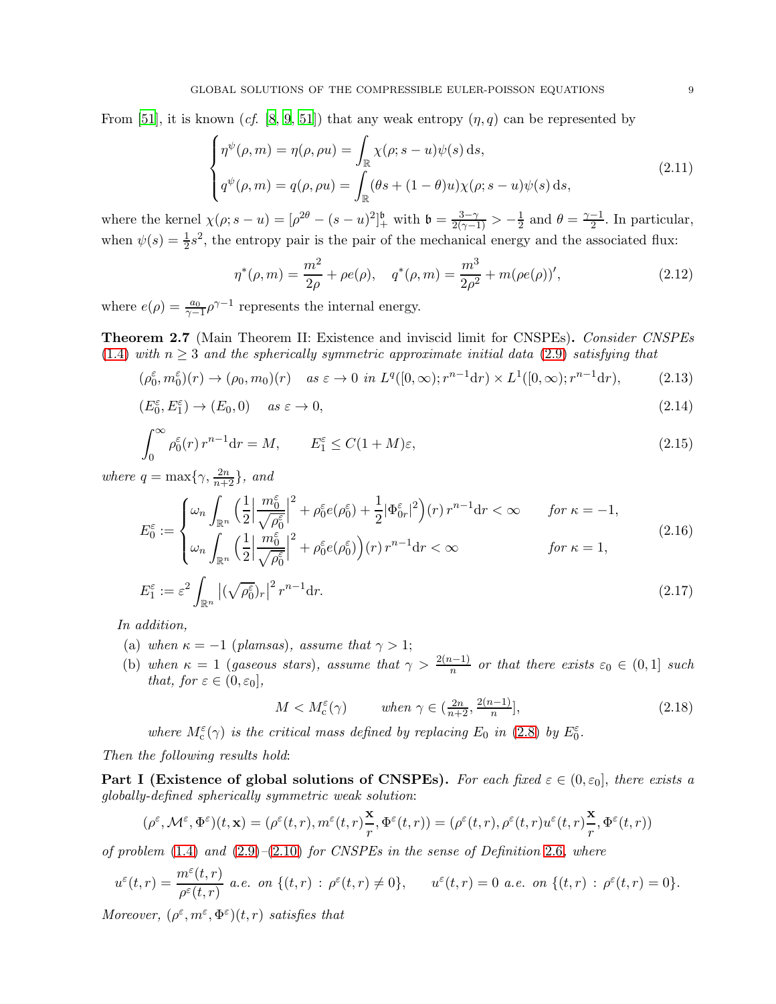From [51], it is known (cf. [\[8,](#page-54-5) [9,](#page-54-16) 51]) that any weak entropy  $(\eta, q)$  can be represented by

$$
\begin{cases}\n\eta^{\psi}(\rho,m) = \eta(\rho,\rho u) = \int_{\mathbb{R}} \chi(\rho;s-u)\psi(s) ds, \\
q^{\psi}(\rho,m) = q(\rho,\rho u) = \int_{\mathbb{R}} (\theta s + (1-\theta)u)\chi(\rho;s-u)\psi(s) ds,\n\end{cases}
$$
\n(2.11)

where the kernel  $\chi(\rho; s - u) = [\rho^{2\theta} - (s - u)^2]_+^b$  with  $\mathfrak{b} = \frac{3 - \gamma}{2(\gamma - 1)} > -\frac{1}{2}$  $\frac{1}{2}$  and  $\theta = \frac{\gamma - 1}{2}$ . In particular, when  $\psi(s) = \frac{1}{2}s^2$ , the entropy pair is the pair of the mechanical energy and the associated flux:

<span id="page-8-2"></span><span id="page-8-0"></span>
$$
\eta^*(\rho, m) = \frac{m^2}{2\rho} + \rho e(\rho), \quad q^*(\rho, m) = \frac{m^3}{2\rho^2} + m(\rho e(\rho))', \tag{2.12}
$$

where  $e(\rho) = \frac{a_0}{\gamma - 1} \rho^{\gamma - 1}$  represents the internal energy.

<span id="page-8-1"></span>Theorem 2.7 (Main Theorem II: Existence and inviscid limit for CNSPEs). Consider CNSPEs [\(1.4\)](#page-1-3) with  $n \geq 3$  and the spherically symmetric approximate initial data [\(2.9\)](#page-7-0) satisfying that

$$
(\rho_0^{\varepsilon}, m_0^{\varepsilon})(r) \to (\rho_0, m_0)(r) \quad as \ \varepsilon \to 0 \ \ in \ L^q([0, \infty); r^{n-1}dr) \times L^1([0, \infty); r^{n-1}dr), \tag{2.13}
$$

$$
(E_0^{\varepsilon}, E_1^{\varepsilon}) \to (E_0, 0) \quad \text{as } \varepsilon \to 0,
$$
\n
$$
(2.14)
$$

$$
\int_0^\infty \rho_0^\varepsilon(r) r^{n-1} dr = M, \qquad E_1^\varepsilon \le C(1+M)\varepsilon,\tag{2.15}
$$

where  $q = \max\{\gamma, \frac{2n}{n+2}\},\ and$ 

$$
E_0^{\varepsilon} := \begin{cases} \omega_n \int_{\mathbb{R}^n} \left( \frac{1}{2} \Big| \frac{m_0^{\varepsilon}}{\sqrt{\rho_0^{\varepsilon}}} \Big|^2 + \rho_0^{\varepsilon} e(\rho_0^{\varepsilon}) + \frac{1}{2} |\Phi_{0r}^{\varepsilon}|^2 \right) (r) r^{n-1} dr < \infty & \text{for } \kappa = -1, \\ \omega_n \int_{\mathbb{R}^n} \left( \frac{1}{2} \Big| \frac{m_0^{\varepsilon}}{\sqrt{\rho_0^{\varepsilon}}} \Big|^2 + \rho_0^{\varepsilon} e(\rho_0^{\varepsilon}) \right) (r) r^{n-1} dr < \infty & \text{for } \kappa = 1, \end{cases}
$$
(2.16)

$$
E_1^{\varepsilon} := \varepsilon^2 \int_{\mathbb{R}^n} \left| (\sqrt{\rho_0^{\varepsilon}})_r \right|^2 r^{n-1} dr. \tag{2.17}
$$

In addition,

- (a) when  $\kappa = -1$  (plamsas), assume that  $\gamma > 1$ ;
- (b) when  $\kappa = 1$  (gaseous stars), assume that  $\gamma > \frac{2(n-1)}{n}$  or that there exists  $\varepsilon_0 \in (0,1]$  such that, for  $\varepsilon \in (0, \varepsilon_0]$ ,

<span id="page-8-5"></span><span id="page-8-4"></span><span id="page-8-3"></span>
$$
M < M_c^{\varepsilon}(\gamma) \qquad \text{when } \gamma \in \left(\frac{2n}{n+2}, \frac{2(n-1)}{n}\right],\tag{2.18}
$$

where  $M_c^{\varepsilon}(\gamma)$  is the critical mass defined by replacing  $E_0$  in [\(2.8\)](#page-6-0) by  $E_0^{\varepsilon}$ .

Then the following results hold:

Part I (Existence of global solutions of CNSPEs). For each fixed  $\varepsilon \in (0, \varepsilon_0]$ , there exists a globally-defined spherically symmetric weak solution:

$$
(\rho^\varepsilon,{\mathcal M}^\varepsilon,\Phi^\varepsilon)(t,{\bf x})=(\rho^\varepsilon(t,r),m^\varepsilon(t,r)\frac{{\bf x}}{r},\Phi^\varepsilon(t,r))=(\rho^\varepsilon(t,r),\rho^\varepsilon(t,r)u^\varepsilon(t,r)\frac{{\bf x}}{r},\Phi^\varepsilon(t,r))
$$

of problem  $(1.4)$  and  $(2.9)$ – $(2.10)$  for CNSPEs in the sense of Definition [2.6](#page-7-2), where

$$
u^{\varepsilon}(t,r)=\frac{m^{\varepsilon}(t,r)}{\rho^{\varepsilon}(t,r)}\ a.e.\ \ on\ \{(t,r)\ : \ \rho^{\varepsilon}(t,r)\neq 0\},\qquad u^{\varepsilon}(t,r)=0\ a.e.\ \ on\ \{(t,r)\ : \ \rho^{\varepsilon}(t,r)=0\}.
$$

Moreover,  $(\rho^{\varepsilon}, m^{\varepsilon}, \Phi^{\varepsilon})(t, r)$  satisfies that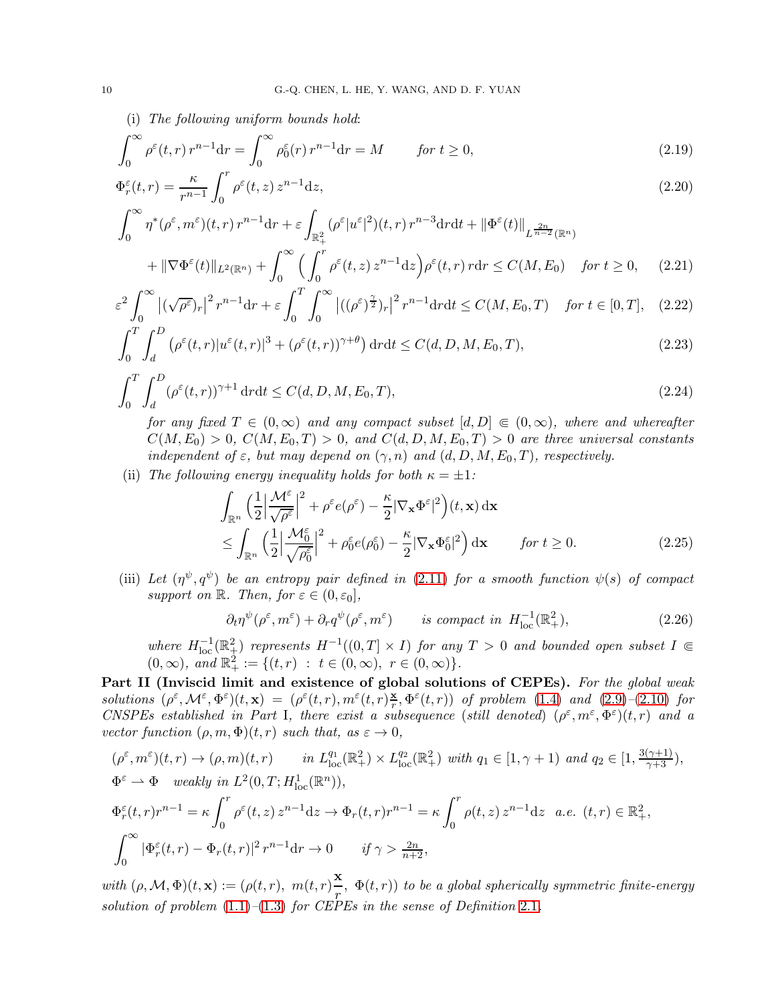(i) The following uniform bounds hold:

$$
\int_0^\infty \rho^\varepsilon(t, r) r^{n-1} dr = \int_0^\infty \rho_0^\varepsilon(r) r^{n-1} dr = M \qquad \text{for } t \ge 0,
$$
\n(2.19)

$$
\Phi_r^{\varepsilon}(t,r) = \frac{\kappa}{r^{n-1}} \int_0^r \rho^{\varepsilon}(t,z) z^{n-1} dz,
$$
\n
$$
\int_0^\infty \rho^{\varepsilon}(t,z) \, dz
$$
\n(2.20)

$$
\int_0^\infty \eta^*(\rho^\varepsilon, m^\varepsilon)(t, r) r^{n-1} dr + \varepsilon \int_{\mathbb{R}_+^2} (\rho^\varepsilon |u^\varepsilon|^2)(t, r) r^{n-3} dr dt + \left\| \Phi^\varepsilon(t) \right\|_{L^{\frac{2n}{n-2}}(\mathbb{R}^n)}
$$
  
+  $\|\nabla \Phi^\varepsilon(t)\|_{L^2(\mathbb{R}^n)} + \int_0^\infty \left( \int_0^r \rho^\varepsilon(t, z) z^{n-1} dz \right) \rho^\varepsilon(t, r) r dr \le C(M, E_0) \quad \text{for } t \ge 0,$  (2.21)

$$
\varepsilon^2 \int_0^\infty \left| (\sqrt{\rho^{\varepsilon}})_r \right|^2 r^{n-1} \mathrm{d}r + \varepsilon \int_0^T \int_0^\infty \left| ((\rho^{\varepsilon})^{\frac{\gamma}{2}})_r \right|^2 r^{n-1} \mathrm{d}r \mathrm{d}t \le C(M, E_0, T) \quad \text{for } t \in [0, T], \quad (2.22)
$$

$$
\int_0^T \int_d^D \left( \rho^{\varepsilon}(t,r) |u^{\varepsilon}(t,r)|^3 + (\rho^{\varepsilon}(t,r))^{\gamma+\theta} \right) dr dt \le C(d, D, M, E_0, T), \tag{2.23}
$$

$$
\int_0^T \int_d^D (\rho^{\varepsilon}(t,r))^{\gamma+1} \, \mathrm{d}r \mathrm{d}t \le C(d, D, M, E_0, T),\tag{2.24}
$$

for any fixed  $T \in (0,\infty)$  and any compact subset  $[d, D] \in (0,\infty)$ , where and whereafter  $C(M, E_0) > 0$ ,  $C(M, E_0, T) > 0$ , and  $C(d, D, M, E_0, T) > 0$  are three universal constants independent of  $\varepsilon$ , but may depend on  $(\gamma, n)$  and  $(d, D, M, E_0, T)$ , respectively.

(ii) The following energy inequality holds for both  $\kappa = \pm 1$ :

$$
\int_{\mathbb{R}^n} \left(\frac{1}{2} \left| \frac{\mathcal{M}^{\varepsilon}}{\sqrt{\rho^{\varepsilon}}}\right|^2 + \rho^{\varepsilon} e(\rho^{\varepsilon}) - \frac{\kappa}{2} |\nabla_{\mathbf{x}} \Phi^{\varepsilon}|^2\right) (t, \mathbf{x}) \, d\mathbf{x} \n\leq \int_{\mathbb{R}^n} \left(\frac{1}{2} \left| \frac{\mathcal{M}^{\varepsilon}_{0}}{\sqrt{\rho^{\varepsilon}_{0}}}\right|^2 + \rho^{\varepsilon}_{0} e(\rho^{\varepsilon}_{0}) - \frac{\kappa}{2} |\nabla_{\mathbf{x}} \Phi^{\varepsilon}_{0}|^2\right) d\mathbf{x} \qquad \text{for } t \geq 0.
$$
\n(2.25)

(iii) Let  $(\eta^{\psi}, q^{\psi})$  be an entropy pair defined in [\(2.11\)](#page-8-0) for a smooth function  $\psi(s)$  of compact support on  $\mathbb{R}$ . Then, for  $\varepsilon \in (0, \varepsilon_0]$ ,

$$
\partial_t \eta^{\psi}(\rho^{\varepsilon}, m^{\varepsilon}) + \partial_r q^{\psi}(\rho^{\varepsilon}, m^{\varepsilon}) \qquad is \ compact \ in \ H^{-1}_{\text{loc}}(\mathbb{R}^2_+), \tag{2.26}
$$

where  $H^{-1}_{loc}(\mathbb{R}^2_+)$  represents  $H^{-1}((0,T] \times I)$  for any  $T > 0$  and bounded open subset  $I \in$  $(0, \infty)$ , and  $\mathbb{R}^2_+ := \{(t, r) : t \in (0, \infty), r \in (0, \infty)\}.$ 

Part II (Inviscid limit and existence of global solutions of CEPEs). For the global weak solutions  $(\rho^{\varepsilon}, \mathcal{M}^{\varepsilon}, \Phi^{\varepsilon})(t, \mathbf{x}) = (\rho^{\varepsilon}(t, r), m^{\varepsilon}(t, r))_{r}^{\mathbf{x}}$  $(\frac{\mathbf{x}}{r}, \Phi^{\varepsilon}(t, r))$  of problem [\(1.4\)](#page-1-3) and [\(2.9\)](#page-7-0)-[\(2.10\)](#page-7-1) for CNSPEs established in Part I, there exist a subsequence (still denoted)  $(\rho^{\varepsilon}, m^{\varepsilon}, \Phi^{\varepsilon})(t,r)$  and a vector function  $(\rho, m, \Phi)(t, r)$  such that, as  $\varepsilon \to 0$ ,

$$
(\rho^{\varepsilon}, m^{\varepsilon})(t, r) \to (\rho, m)(t, r) \qquad in \ L_{loc}^{q_1}(\mathbb{R}^2_+) \times L_{loc}^{q_2}(\mathbb{R}^2_+) \text{ with } q_1 \in [1, \gamma + 1) \text{ and } q_2 \in [1, \frac{3(\gamma + 1)}{\gamma + 3}),
$$
  
\n
$$
\Phi^{\varepsilon} \to \Phi \quad weakly \text{ in } L^2(0, T; H_{loc}^1(\mathbb{R}^n)),
$$
  
\n
$$
\Phi_r^{\varepsilon}(t, r)r^{n-1} = \kappa \int_0^r \rho^{\varepsilon}(t, z) z^{n-1} dz \to \Phi_r(t, r)r^{n-1} = \kappa \int_0^r \rho(t, z) z^{n-1} dz \quad a.e. \ (t, r) \in \mathbb{R}^2_+,
$$
  
\n
$$
\int_0^\infty |\Phi_r^{\varepsilon}(t, r) - \Phi_r(t, r)|^2 r^{n-1} dr \to 0 \qquad if \ \gamma > \frac{2n}{n+2},
$$

with  $(\rho, \mathcal{M}, \Phi)(t, \mathbf{x}) := (\rho(t, r), m(t, r))\frac{\mathbf{x}}{r}$  $\frac{d\mathbf{r}}{dx}$ ,  $\Phi(t,r)$ ) to be a global spherically symmetric finite-energy solution of problem  $(1.1)$ – $(1.3)$  for CEPEs in the sense of Definition [2.1](#page-5-3).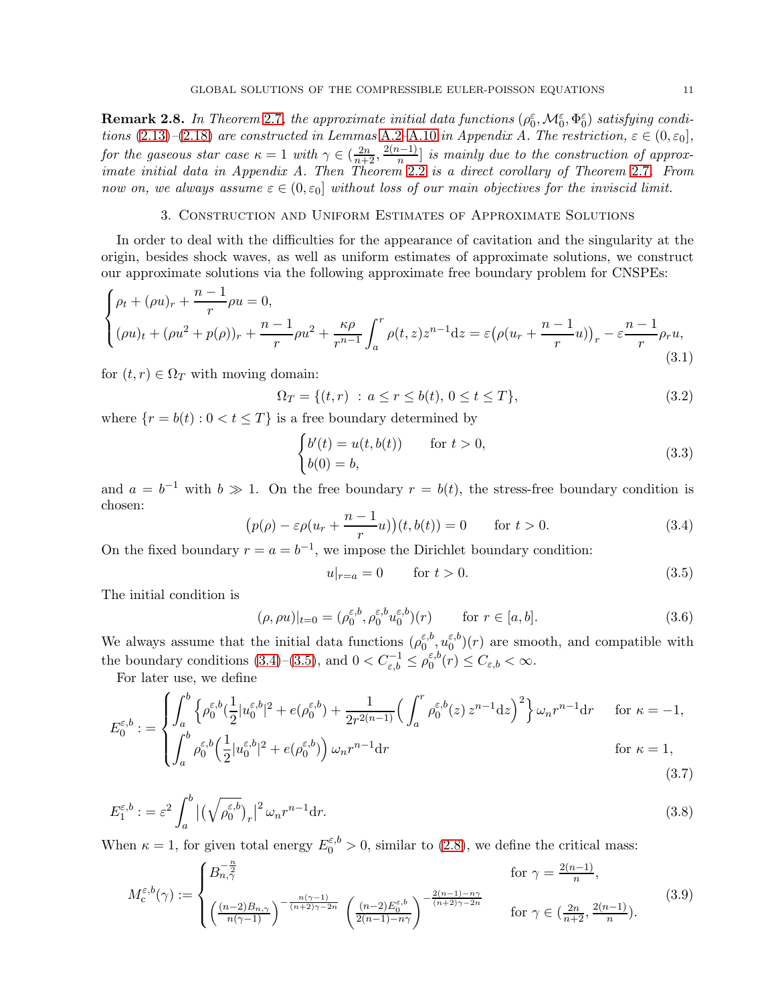<span id="page-10-8"></span>**Remark 2.8.** In Theorem [2.7](#page-8-1), the approximate initial data functions  $(\rho_0^{\varepsilon}, \mathcal{M}_0^{\varepsilon}, \Phi_0^{\varepsilon})$  satisfying condi-tions [\(2.13\)](#page-8-2)–[\(2.18\)](#page-8-3) are constructed in Lemmas [A.2](#page-49-0)[–A.10](#page-53-0) in Appendix A. The restriction,  $\varepsilon \in (0,\varepsilon_0]$ , for the gaseous star case  $\kappa = 1$  with  $\gamma \in (\frac{2n}{n+2}, \frac{2(n-1)}{n}]$  is mainly due to the construction of approximate initial data in Appendix A. Then Theorem [2.2](#page-6-1) is a direct corollary of Theorem [2.7](#page-8-1). From now on, we always assume  $\varepsilon \in (0, \varepsilon_0]$  without loss of our main objectives for the inviscid limit.

### 3. Construction and Uniform Estimates of Approximate Solutions

<span id="page-10-0"></span>In order to deal with the difficulties for the appearance of cavitation and the singularity at the origin, besides shock waves, as well as uniform estimates of approximate solutions, we construct our approximate solutions via the following approximate free boundary problem for CNSPEs:

<span id="page-10-1"></span>
$$
\begin{cases} \rho_t + (\rho u)_r + \frac{n-1}{r} \rho u = 0, \\ (\rho u)_t + (\rho u^2 + p(\rho))_r + \frac{n-1}{r} \rho u^2 + \frac{\kappa \rho}{r^{n-1}} \int_a^r \rho(t, z) z^{n-1} dz = \varepsilon \big( \rho (u_r + \frac{n-1}{r} u) \big)_r - \varepsilon \frac{n-1}{r} \rho_r u, \end{cases} \tag{3.1}
$$

for  $(t, r) \in \Omega_T$  with moving domain:

<span id="page-10-5"></span>
$$
\Omega_T = \{(t, r) : a \le r \le b(t), 0 \le t \le T\},\tag{3.2}
$$

where  $\{r = b(t) : 0 < t \leq T\}$  is a free boundary determined by

<span id="page-10-3"></span>
$$
\begin{cases}\nb'(t) = u(t, b(t)) & \text{for } t > 0, \\
b(0) = b,\n\end{cases}
$$
\n(3.3)

and  $a = b^{-1}$  with  $b \gg 1$ . On the free boundary  $r = b(t)$ , the stress-free boundary condition is chosen:

<span id="page-10-4"></span>
$$
\left(p(\rho) - \varepsilon \rho(u_r + \frac{n-1}{r}u)\right)(t, b(t)) = 0 \quad \text{for } t > 0.
$$
\n(3.4)

On the fixed boundary  $r = a = b^{-1}$ , we impose the Dirichlet boundary condition:

<span id="page-10-10"></span><span id="page-10-9"></span><span id="page-10-7"></span><span id="page-10-6"></span>
$$
u|_{r=a} = 0 \qquad \text{for } t > 0. \tag{3.5}
$$

The initial condition is

<span id="page-10-2"></span>
$$
(\rho, \rho u)|_{t=0} = (\rho_0^{\varepsilon, b}, \rho_0^{\varepsilon, b} u_0^{\varepsilon, b})(r) \quad \text{for } r \in [a, b].
$$
 (3.6)

We always assume that the initial data functions  $(\rho_0^{\varepsilon,b})$  $_{0}^{\varepsilon ,b},u_{0}^{\varepsilon ,b}$  $\binom{\varepsilon,0}{0}(r)$  are smooth, and compatible with the boundary conditions [\(3.4\)](#page-10-4)–[\(3.5\)](#page-10-6), and  $0 < C_{\varepsilon,b}^{-1} \le \rho_0^{\varepsilon,b}$  $C_{\varepsilon,b}^{E,0}(r) \leq C_{\varepsilon,b} < \infty.$ 

For later use, we define

$$
E_0^{\varepsilon, b} := \begin{cases} \int_a^b \left\{ \rho_0^{\varepsilon, b} (\frac{1}{2} |u_0^{\varepsilon, b}|^2 + e(\rho_0^{\varepsilon, b}) + \frac{1}{2r^{2(n-1)}} \Big( \int_a^r \rho_0^{\varepsilon, b}(z) z^{n-1} dz \Big)^2 \right\} \omega_n r^{n-1} dr & \text{for } \kappa = -1, \\ \int_a^b \rho_0^{\varepsilon, b} (\frac{1}{2} |u_0^{\varepsilon, b}|^2 + e(\rho_0^{\varepsilon, b}) \Big) \omega_n r^{n-1} dr & \text{for } \kappa = 1, \end{cases}
$$
\n
$$
(3.7)
$$

$$
E_1^{\varepsilon,b} := \varepsilon^2 \int_a^b \left| \left( \sqrt{\rho_0^{\varepsilon,b}} \right)_r \right|^2 \omega_n r^{n-1} dr. \tag{3.8}
$$

When  $\kappa = 1$ , for given total energy  $E_0^{\varepsilon, b} > 0$ , similar to [\(2.8\)](#page-6-0), we define the critical mass:

$$
M_c^{\varepsilon,b}(\gamma) := \begin{cases} B_{n,\gamma}^{-\frac{n}{2}} & \text{for } \gamma = \frac{2(n-1)}{n}, \\ \left(\frac{(n-2)B_{n,\gamma}}{n(\gamma-1)}\right)^{-\frac{n(\gamma-1)}{(n+2)\gamma-2n}} \left(\frac{(n-2)E_0^{\varepsilon,b}}{2(n-1)-n\gamma}\right)^{-\frac{2(n-1)-n\gamma}{(n+2)\gamma-2n}} & \text{for } \gamma \in (\frac{2n}{n+2}, \frac{2(n-1)}{n}). \end{cases}
$$
(3.9)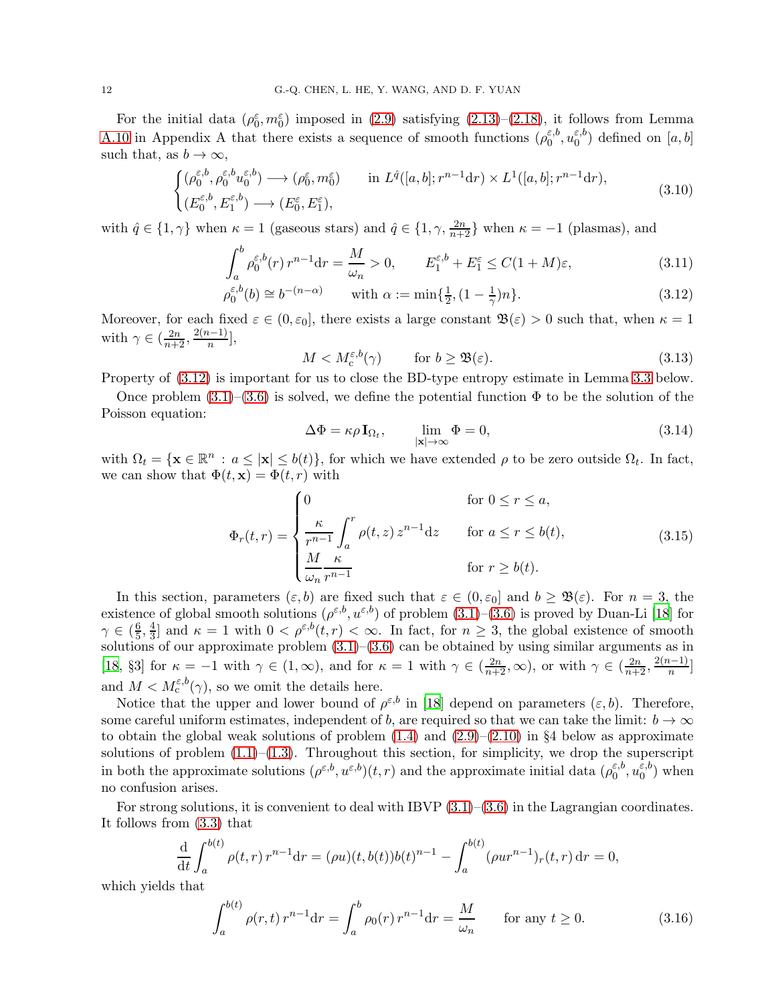For the initial data  $(\rho_0^{\varepsilon}, m_0^{\varepsilon})$  imposed in [\(2.9\)](#page-7-0) satisfying [\(2.13\)](#page-8-2)–[\(2.18\)](#page-8-3), it follows from Lemma [A.10](#page-53-0) in Appendix A that there exists a sequence of smooth functions  $(\rho_0^{\varepsilon,b})$  $_0^{\varepsilon,b},u_0^{\varepsilon,b}$  $\binom{1}{0}$  defined on  $[a, b]$ such that, as  $b \to \infty$ ,

$$
\begin{cases}\n(\rho_0^{\varepsilon,b}, \rho_0^{\varepsilon,b} u_0^{\varepsilon,b}) \longrightarrow (\rho_0^{\varepsilon}, m_0^{\varepsilon}) & \text{in } L^{\hat{q}}([a, b]; r^{n-1} dr) \times L^1([a, b]; r^{n-1} dr), \\
(E_0^{\varepsilon,b}, E_1^{\varepsilon,b}) \longrightarrow (E_0^{\varepsilon}, E_1^{\varepsilon}),\n\end{cases} \tag{3.10}
$$

with  $\hat{q} \in \{1, \gamma\}$  when  $\kappa = 1$  (gaseous stars) and  $\hat{q} \in \{1, \gamma, \frac{2n}{n+2}\}\$  when  $\kappa = -1$  (plasmas), and

$$
\int_{a}^{b} \rho_0^{\varepsilon, b}(r) r^{n-1} dr = \frac{M}{\omega_n} > 0, \qquad E_1^{\varepsilon, b} + E_1^{\varepsilon} \le C(1 + M)\varepsilon,
$$
\n(3.11)

$$
\rho_0^{\varepsilon, b}(b) \cong b^{-(n-\alpha)} \qquad \text{with } \alpha := \min\{\frac{1}{2}, (1 - \frac{1}{\gamma})n\}. \tag{3.12}
$$

Moreover, for each fixed  $\varepsilon \in (0, \varepsilon_0]$ , there exists a large constant  $\mathfrak{B}(\varepsilon) > 0$  such that, when  $\kappa = 1$ with  $\gamma \in \left(\frac{2n}{n+2}, \frac{2(n-1)}{n}\right],$ 

<span id="page-11-5"></span><span id="page-11-3"></span><span id="page-11-0"></span>
$$
M < M_c^{\varepsilon, b}(\gamma) \qquad \text{for } b \ge \mathfrak{B}(\varepsilon). \tag{3.13}
$$

Property of [\(3.12\)](#page-11-0) is important for us to close the BD-type entropy estimate in Lemma [3.3](#page-17-0) below.

Once problem  $(3.1)$ – $(3.6)$  is solved, we define the potential function  $\Phi$  to be the solution of the Poisson equation:

<span id="page-11-2"></span>
$$
\Delta \Phi = \kappa \rho \mathbf{I}_{\Omega_t}, \qquad \lim_{|\mathbf{x}| \to \infty} \Phi = 0,
$$
\n(3.14)

with  $\Omega_t = \{ \mathbf{x} \in \mathbb{R}^n : a \leq |\mathbf{x}| \leq b(t) \}$ , for which we have extended  $\rho$  to be zero outside  $\Omega_t$ . In fact, we can show that  $\Phi(t, \mathbf{x}) = \Phi(t, r)$  with

<span id="page-11-1"></span>
$$
\Phi_r(t,r) = \begin{cases}\n0 & \text{for } 0 \le r \le a, \\
\frac{\kappa}{r^{n-1}} \int_a^r \rho(t,z) z^{n-1} dz & \text{for } a \le r \le b(t), \\
\frac{M}{\omega_n} \frac{\kappa}{r^{n-1}} & \text{for } r \ge b(t).\n\end{cases}
$$
\n(3.15)

In this section, parameters  $(\varepsilon, b)$  are fixed such that  $\varepsilon \in (0, \varepsilon_0]$  and  $b \geq \mathfrak{B}(\varepsilon)$ . For  $n = 3$ , the existence of global smooth solutions  $(\rho^{\varepsilon,b}, u^{\varepsilon,b})$  of problem  $(3.1)-(3.6)$  $(3.1)-(3.6)$  is proved by Duan-Li [\[18](#page-55-14)] for  $\gamma \in (\frac{6}{5}$  $\frac{6}{5}, \frac{4}{3}$  $\frac{4}{3}$  and  $\kappa = 1$  with  $0 < \rho^{\varepsilon,b}(t,r) < \infty$ . In fact, for  $n \geq 3$ , the global existence of smooth solutions of our approximate problem  $(3.1)$ – $(3.6)$  can be obtained by using similar arguments as in [\[18,](#page-55-14) §3] for  $\kappa = -1$  with  $\gamma \in (1, \infty)$ , and for  $\kappa = 1$  with  $\gamma \in (\frac{2n}{n+2}, \infty)$ , or with  $\gamma \in (\frac{2n}{n+2}, \frac{2(n-1)}{n}]$ and  $M < M_{\rm c}^{\varepsilon, b}(\gamma)$ , so we omit the details here.

Notice that the upper and lower bound of  $\rho^{\varepsilon,b}$  in [\[18\]](#page-55-14) depend on parameters  $(\varepsilon,b)$ . Therefore, some careful uniform estimates, independent of b, are required so that we can take the limit:  $b \to \infty$ to obtain the global weak solutions of problem  $(1.4)$  and  $(2.9)$ – $(2.10)$  in §4 below as approximate solutions of problem  $(1.1)$ – $(1.3)$ . Throughout this section, for simplicity, we drop the superscript in both the approximate solutions  $(\rho^{\varepsilon,b}, u^{\varepsilon,b})(t,r)$  and the approximate initial data  $(\rho_0^{\varepsilon,b})$  $_0^{\varepsilon,b},u_0^{\varepsilon,b}$  $_0^{\epsilon, \theta}$  when no confusion arises.

For strong solutions, it is convenient to deal with IBVP  $(3.1)$ – $(3.6)$  in the Lagrangian coordinates. It follows from [\(3.3\)](#page-10-3) that

$$
\frac{d}{dt} \int_{a}^{b(t)} \rho(t,r) r^{n-1} dr = (\rho u)(t, b(t))b(t)^{n-1} - \int_{a}^{b(t)} (\rho u r^{n-1})_r(t,r) dr = 0,
$$

which yields that

<span id="page-11-4"></span>
$$
\int_{a}^{b(t)} \rho(r,t) r^{n-1} dr = \int_{a}^{b} \rho_0(r) r^{n-1} dr = \frac{M}{\omega_n} \quad \text{for any } t \ge 0.
$$
 (3.16)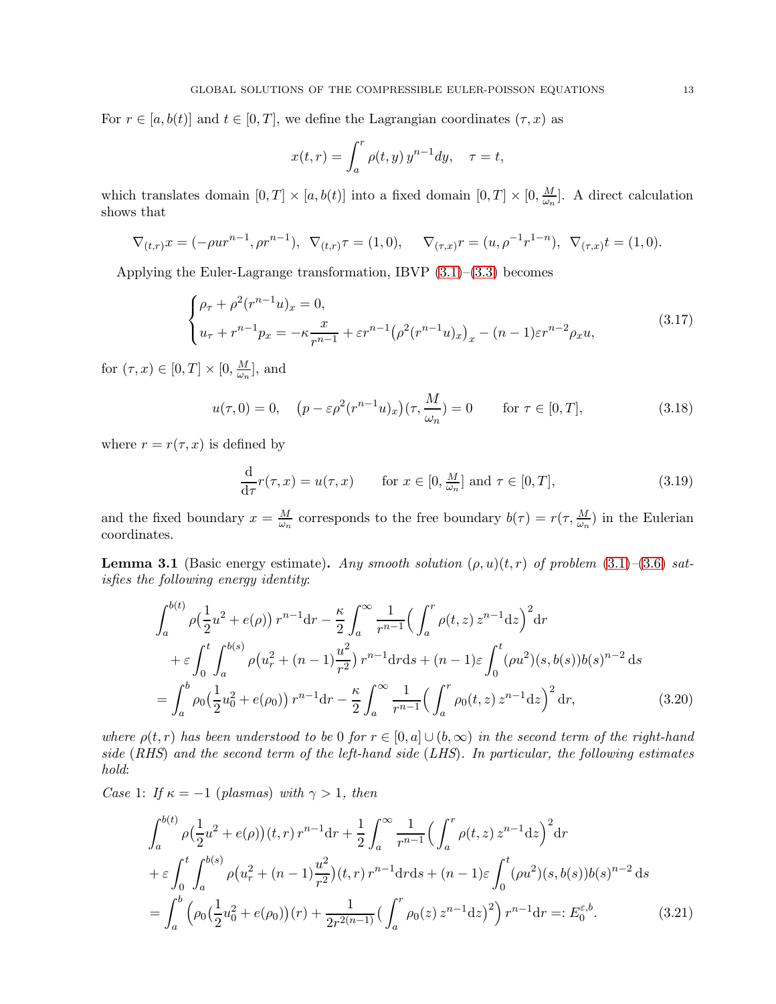For  $r \in [a, b(t)]$  and  $t \in [0, T]$ , we define the Lagrangian coordinates  $(\tau, x)$  as

$$
x(t,r) = \int_a^r \rho(t,y) y^{n-1} dy, \quad \tau = t,
$$

which translates domain  $[0, T] \times [a, b(t)]$  into a fixed domain  $[0, T] \times [0, \frac{M}{\omega_n}]$  $\frac{M}{\omega_n}$ . A direct calculation shows that

$$
\nabla_{(t,r)} x = (-\rho u r^{n-1}, \rho r^{n-1}), \ \nabla_{(t,r)} \tau = (1,0), \quad \nabla_{(\tau,x)} r = (u, \rho^{-1} r^{1-n}), \ \nabla_{(\tau,x)} t = (1,0).
$$

Applying the Euler-Lagrange transformation, IBVP [\(3.1\)](#page-10-1)–[\(3.3\)](#page-10-3) becomes

<span id="page-12-0"></span>
$$
\begin{cases} \rho_{\tau} + \rho^2 (r^{n-1} u)_x = 0, \\ u_{\tau} + r^{n-1} p_x = -\kappa \frac{x}{r^{n-1}} + \varepsilon r^{n-1} (\rho^2 (r^{n-1} u)_x)_x - (n-1) \varepsilon r^{n-2} \rho_x u, \end{cases}
$$
(3.17)

for  $(\tau, x) \in [0, T] \times [0, \frac{M}{\omega_n}]$  $\frac{M}{\omega_n}$ , and

<span id="page-12-1"></span>
$$
u(\tau,0) = 0, \quad \left(p - \varepsilon \rho^2 (r^{n-1} u)_x\right)(\tau, \frac{M}{\omega_n}) = 0 \qquad \text{for } \tau \in [0,T],
$$
\n(3.18)

where  $r = r(\tau, x)$  is defined by

<span id="page-12-3"></span><span id="page-12-2"></span>
$$
\frac{\mathrm{d}}{\mathrm{d}\tau}r(\tau,x) = u(\tau,x) \qquad \text{for } x \in [0, \frac{M}{\omega_n}] \text{ and } \tau \in [0,T], \tag{3.19}
$$

and the fixed boundary  $x = \frac{M}{\omega}$  $\frac{M}{\omega_n}$  corresponds to the free boundary  $b(\tau) = r(\tau, \frac{M}{\omega_n})$  in the Eulerian coordinates.

<span id="page-12-5"></span>**Lemma 3.1** (Basic energy estimate). Any smooth solution  $(\rho, u)(t, r)$  of problem [\(3.1\)](#page-10-1)–[\(3.6\)](#page-10-2) satisfies the following energy identity:

$$
\int_{a}^{b(t)} \rho\left(\frac{1}{2}u^{2} + e(\rho)\right) r^{n-1} dr - \frac{\kappa}{2} \int_{a}^{\infty} \frac{1}{r^{n-1}} \left(\int_{a}^{r} \rho(t, z) z^{n-1} dz\right)^{2} dr
$$
  
+  $\varepsilon \int_{0}^{t} \int_{a}^{b(s)} \rho\left(u_{r}^{2} + (n-1)\frac{u^{2}}{r^{2}}\right) r^{n-1} dr ds + (n-1)\varepsilon \int_{0}^{t} (\rho u^{2})(s, b(s)) b(s)^{n-2} ds$   
=  $\int_{a}^{b} \rho_{0} \left(\frac{1}{2}u_{0}^{2} + e(\rho_{0})\right) r^{n-1} dr - \frac{\kappa}{2} \int_{a}^{\infty} \frac{1}{r^{n-1}} \left(\int_{a}^{r} \rho_{0}(t, z) z^{n-1} dz\right)^{2} dr,$  (3.20)

where  $\rho(t,r)$  has been understood to be 0 for  $r \in [0,a] \cup (b,\infty)$  in the second term of the right-hand side (RHS) and the second term of the left-hand side (LHS). In particular, the following estimates hold:

Case 1: If  $\kappa = -1$  (plasmas) with  $\gamma > 1$ , then

<span id="page-12-4"></span>
$$
\int_{a}^{b(t)} \rho \left(\frac{1}{2}u^{2} + e(\rho)\right)(t, r) r^{n-1} dr + \frac{1}{2} \int_{a}^{\infty} \frac{1}{r^{n-1}} \left(\int_{a}^{r} \rho(t, z) z^{n-1} dz\right)^{2} dr
$$
  
+  $\varepsilon \int_{0}^{t} \int_{a}^{b(s)} \rho \left(u_{r}^{2} + (n-1)\frac{u^{2}}{r^{2}}\right)(t, r) r^{n-1} dr ds + (n-1)\varepsilon \int_{0}^{t} (\rho u^{2})(s, b(s)) b(s)^{n-2} ds$   
=  $\int_{a}^{b} \left(\rho_{0} \left(\frac{1}{2}u_{0}^{2} + e(\rho_{0})\right)(r) + \frac{1}{2r^{2(n-1)}} \left(\int_{a}^{r} \rho_{0}(z) z^{n-1} dz\right)^{2}\right) r^{n-1} dr =: E_{0}^{\varepsilon, b}.$  (3.21)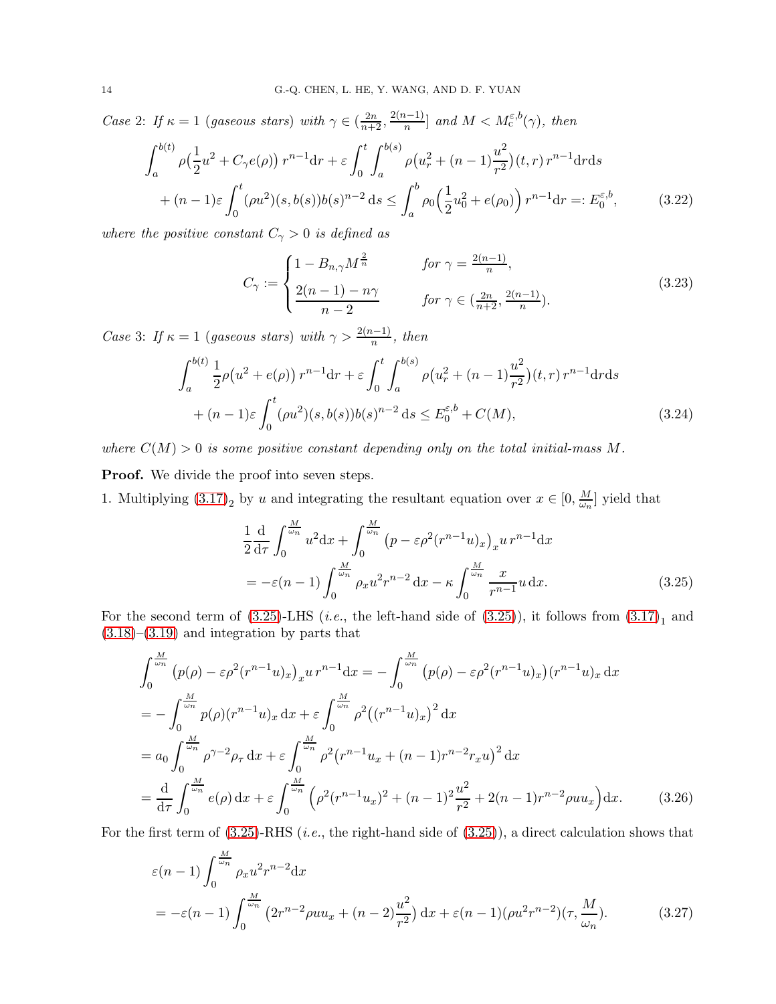Case 2: If  $\kappa = 1$  (gaseous stars) with  $\gamma \in (\frac{2n}{n+2}, \frac{2(n-1)}{n}]$  and  $M < M_{\rm c}^{\varepsilon, b}(\gamma)$ , then

$$
\int_{a}^{b(t)} \rho\left(\frac{1}{2}u^2 + C_{\gamma}e(\rho)\right) r^{n-1} dr + \varepsilon \int_{0}^{t} \int_{a}^{b(s)} \rho\left(u_r^2 + (n-1)\frac{u^2}{r^2}\right)(t, r) r^{n-1} dr ds
$$
  
+  $(n-1)\varepsilon \int_{0}^{t} (\rho u^2)(s, b(s))b(s)^{n-2} ds \le \int_{a}^{b} \rho_0\left(\frac{1}{2}u_0^2 + e(\rho_0)\right) r^{n-1} dr =: E_0^{\varepsilon, b},$  (3.22)

where the positive constant  $C_{\gamma} > 0$  is defined as

<span id="page-13-3"></span>
$$
C_{\gamma} := \begin{cases} 1 - B_{n,\gamma} M^{\frac{2}{n}} & \text{for } \gamma = \frac{2(n-1)}{n}, \\ \frac{2(n-1) - n\gamma}{n-2} & \text{for } \gamma \in (\frac{2n}{n+2}, \frac{2(n-1)}{n}). \end{cases}
$$
(3.23)

Case 3: If  $\kappa = 1$  (gaseous stars) with  $\gamma > \frac{2(n-1)}{n}$ , then

$$
\int_{a}^{b(t)} \frac{1}{2} \rho(u^2 + e(\rho)) r^{n-1} dr + \varepsilon \int_{0}^{t} \int_{a}^{b(s)} \rho(u_r^2 + (n-1)\frac{u^2}{r^2})(t, r) r^{n-1} dr ds
$$
  
+  $(n-1)\varepsilon \int_{0}^{t} (\rho u^2)(s, b(s)) b(s)^{n-2} ds \le E_0^{\varepsilon, b} + C(M),$  (3.24)

where  $C(M) > 0$  is some positive constant depending only on the total initial-mass M.

Proof. We divide the proof into seven steps.

1. Multiplying  $(3.17)_2$  by u and integrating the resultant equation over  $x \in [0, \frac{M}{\omega_n}]$  $\frac{M}{\omega_n}$  yield that

<span id="page-13-2"></span><span id="page-13-1"></span><span id="page-13-0"></span>
$$
\frac{1}{2}\frac{d}{d\tau}\int_{0}^{\frac{M}{\omega_{n}}}u^{2}dx + \int_{0}^{\frac{M}{\omega_{n}}} (p - \varepsilon\rho^{2}(r^{n-1}u)_{x})_{x}u r^{n-1}dx
$$
\n
$$
= -\varepsilon(n-1)\int_{0}^{\frac{M}{\omega_{n}}} \rho_{x}u^{2}r^{n-2}dx - \kappa\int_{0}^{\frac{M}{\omega_{n}}} \frac{x}{r^{n-1}}u dx.
$$
\n(3.25)

For the second term of  $(3.25)$ -LHS (*i.e.*, the left-hand side of  $(3.25)$ ), it follows from  $(3.17)<sub>1</sub>$  and  $(3.18)$ – $(3.19)$  and integration by parts that

$$
\int_{0}^{\frac{M}{\omega_{n}}} \left( p(\rho) - \varepsilon \rho^{2} (r^{n-1} u)_{x} \right)_{x} u r^{n-1} dx = -\int_{0}^{\frac{M}{\omega_{n}}} \left( p(\rho) - \varepsilon \rho^{2} (r^{n-1} u)_{x} \right) (r^{n-1} u)_{x} dx
$$
  
\n
$$
= -\int_{0}^{\frac{M}{\omega_{n}}} p(\rho) (r^{n-1} u)_{x} dx + \varepsilon \int_{0}^{\frac{M}{\omega_{n}}} \rho^{2} \left( (r^{n-1} u)_{x} \right)^{2} dx
$$
  
\n
$$
= a_{0} \int_{0}^{\frac{M}{\omega_{n}}} \rho^{\gamma - 2} \rho_{\tau} dx + \varepsilon \int_{0}^{\frac{M}{\omega_{n}}} \rho^{2} (r^{n-1} u_{x} + (n-1) r^{n-2} r_{x} u)^{2} dx
$$
  
\n
$$
= \frac{d}{d\tau} \int_{0}^{\frac{M}{\omega_{n}}} e(\rho) dx + \varepsilon \int_{0}^{\frac{M}{\omega_{n}}} \left( \rho^{2} (r^{n-1} u_{x})^{2} + (n-1)^{2} \frac{u^{2}}{r^{2}} + 2(n-1) r^{n-2} \rho u u_{x} \right) dx.
$$
 (3.26)

For the first term of  $(3.25)$ -RHS (*i.e.*, the right-hand side of  $(3.25)$ ), a direct calculation shows that

$$
\varepsilon(n-1) \int_0^{\frac{M}{\omega_n}} \rho_x u^2 r^{n-2} \mathrm{d}x \n= -\varepsilon(n-1) \int_0^{\frac{M}{\omega_n}} \left( 2r^{n-2} \rho u u_x + (n-2) \frac{u^2}{r^2} \right) \mathrm{d}x + \varepsilon(n-1) (\rho u^2 r^{n-2}) (\tau, \frac{M}{\omega_n}).
$$
\n(3.27)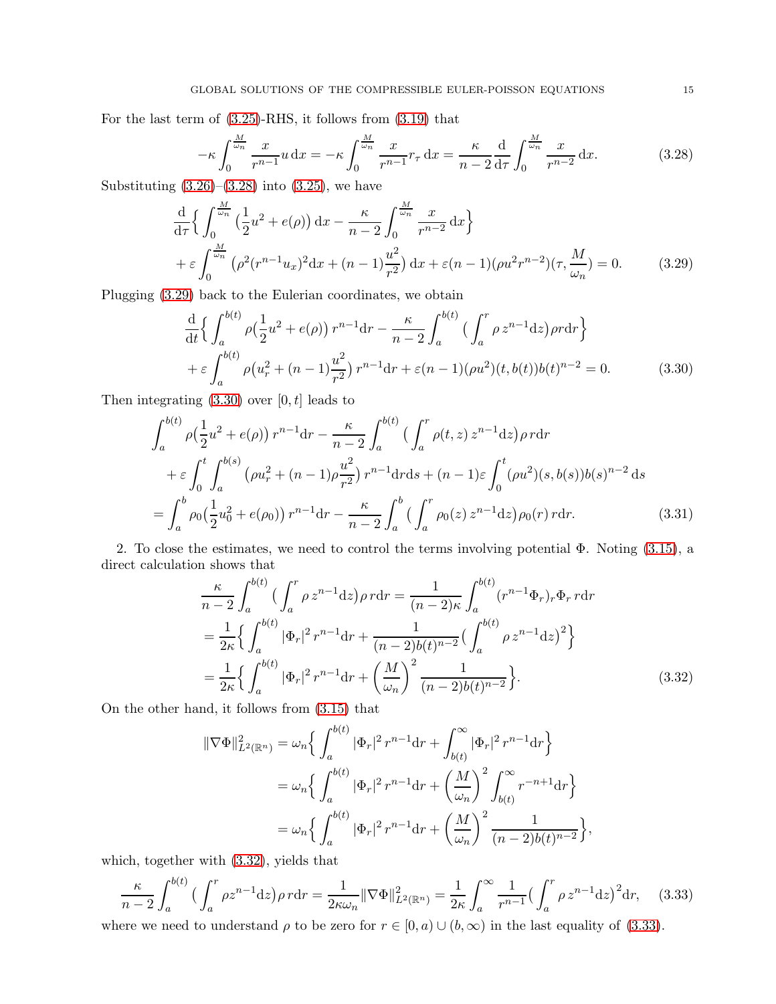For the last term of [\(3.25\)](#page-13-0)-RHS, it follows from [\(3.19\)](#page-12-2) that

<span id="page-14-1"></span><span id="page-14-0"></span>
$$
-\kappa \int_0^{\frac{M}{\omega_n}} \frac{x}{r^{n-1}} u \, \mathrm{d}x = -\kappa \int_0^{\frac{M}{\omega_n}} \frac{x}{r^{n-1}} r_\tau \, \mathrm{d}x = \frac{\kappa}{n-2} \frac{\mathrm{d}}{\mathrm{d}\tau} \int_0^{\frac{M}{\omega_n}} \frac{x}{r^{n-2}} \, \mathrm{d}x. \tag{3.28}
$$

Substituting  $(3.26)$ – $(3.28)$  into  $(3.25)$ , we have

$$
\frac{d}{d\tau} \Big\{ \int_0^{\frac{M}{\omega_n}} \left( \frac{1}{2} u^2 + e(\rho) \right) dx - \frac{\kappa}{n-2} \int_0^{\frac{M}{\omega_n}} \frac{x}{r^{n-2}} dx \Big\} + \varepsilon \int_0^{\frac{M}{\omega_n}} \left( \rho^2 (r^{n-1} u_x)^2 dx + (n-1) \frac{u^2}{r^2} \right) dx + \varepsilon (n-1) (\rho u^2 r^{n-2}) (\tau, \frac{M}{\omega_n}) = 0.
$$
 (3.29)

Plugging [\(3.29\)](#page-14-1) back to the Eulerian coordinates, we obtain

<span id="page-14-2"></span>
$$
\frac{\mathrm{d}}{\mathrm{d}t} \Big\{ \int_{a}^{b(t)} \rho \big( \frac{1}{2} u^2 + e(\rho) \big) r^{n-1} \mathrm{d}r - \frac{\kappa}{n-2} \int_{a}^{b(t)} \big( \int_{a}^{r} \rho z^{n-1} \mathrm{d}z \big) \rho r \mathrm{d}r \Big\} + \varepsilon \int_{a}^{b(t)} \rho \big( u_r^2 + (n-1)\frac{u^2}{r^2} \big) r^{n-1} \mathrm{d}r + \varepsilon (n-1) (\rho u^2) (t, b(t)) b(t)^{n-2} = 0. \tag{3.30}
$$

Then integrating  $(3.30)$  over  $[0, t]$  leads to

$$
\int_{a}^{b(t)} \rho\left(\frac{1}{2}u^{2} + e(\rho)\right) r^{n-1} dr - \frac{\kappa}{n-2} \int_{a}^{b(t)} \left(\int_{a}^{r} \rho(t, z) z^{n-1} dz\right) \rho r dr
$$
  
+  $\varepsilon \int_{0}^{t} \int_{a}^{b(s)} \left(\rho u_{r}^{2} + (n-1)\rho \frac{u^{2}}{r^{2}}\right) r^{n-1} dr ds + (n-1)\varepsilon \int_{0}^{t} (\rho u^{2})(s, b(s)) b(s)^{n-2} ds$   
=  $\int_{a}^{b} \rho_{0} \left(\frac{1}{2}u_{0}^{2} + e(\rho_{0})\right) r^{n-1} dr - \frac{\kappa}{n-2} \int_{a}^{b} \left(\int_{a}^{r} \rho_{0}(z) z^{n-1} dz\right) \rho_{0}(r) r dr.$  (3.31)

2. To close the estimates, we need to control the terms involving potential  $\Phi$ . Noting [\(3.15\)](#page-11-1), a direct calculation shows that

<span id="page-14-5"></span>
$$
\frac{\kappa}{n-2} \int_{a}^{b(t)} \left( \int_{a}^{r} \rho z^{n-1} dz \right) \rho r dr = \frac{1}{(n-2)\kappa} \int_{a}^{b(t)} (r^{n-1} \Phi_{r})_{r} \Phi_{r} r dr \n= \frac{1}{2\kappa} \left\{ \int_{a}^{b(t)} |\Phi_{r}|^{2} r^{n-1} dr + \frac{1}{(n-2)b(t)^{n-2}} \left( \int_{a}^{b(t)} \rho z^{n-1} dz \right)^{2} \right\} \n= \frac{1}{2\kappa} \left\{ \int_{a}^{b(t)} |\Phi_{r}|^{2} r^{n-1} dr + \left( \frac{M}{\omega_{n}} \right)^{2} \frac{1}{(n-2)b(t)^{n-2}} \right\}.
$$
\n(3.32)

On the other hand, it follows from [\(3.15\)](#page-11-1) that

<span id="page-14-4"></span><span id="page-14-3"></span>
$$
\begin{split} \|\nabla \Phi\|_{L^{2}(\mathbb{R}^{n})}^{2} &= \omega_{n} \Big\{ \int_{a}^{b(t)} |\Phi_{r}|^{2} r^{n-1} \mathrm{d}r + \int_{b(t)}^{\infty} |\Phi_{r}|^{2} r^{n-1} \mathrm{d}r \Big\} \\ &= \omega_{n} \Big\{ \int_{a}^{b(t)} |\Phi_{r}|^{2} r^{n-1} \mathrm{d}r + \left(\frac{M}{\omega_{n}}\right)^{2} \int_{b(t)}^{\infty} r^{-n+1} \mathrm{d}r \Big\} \\ &= \omega_{n} \Big\{ \int_{a}^{b(t)} |\Phi_{r}|^{2} r^{n-1} \mathrm{d}r + \left(\frac{M}{\omega_{n}}\right)^{2} \frac{1}{(n-2)b(t)^{n-2}} \Big\}, \end{split}
$$

which, together with [\(3.32\)](#page-14-3), yields that

$$
\frac{\kappa}{n-2} \int_{a}^{b(t)} \left( \int_{a}^{r} \rho z^{n-1} dz \right) \rho r dr = \frac{1}{2\kappa \omega_n} \|\nabla \Phi\|_{L^2(\mathbb{R}^n)}^2 = \frac{1}{2\kappa} \int_{a}^{\infty} \frac{1}{r^{n-1}} \left( \int_{a}^{r} \rho z^{n-1} dz \right)^2 dr, \quad (3.33)
$$

where we need to understand  $\rho$  to be zero for  $r \in [0, a) \cup (b, \infty)$  in the last equality of [\(3.33\)](#page-14-4).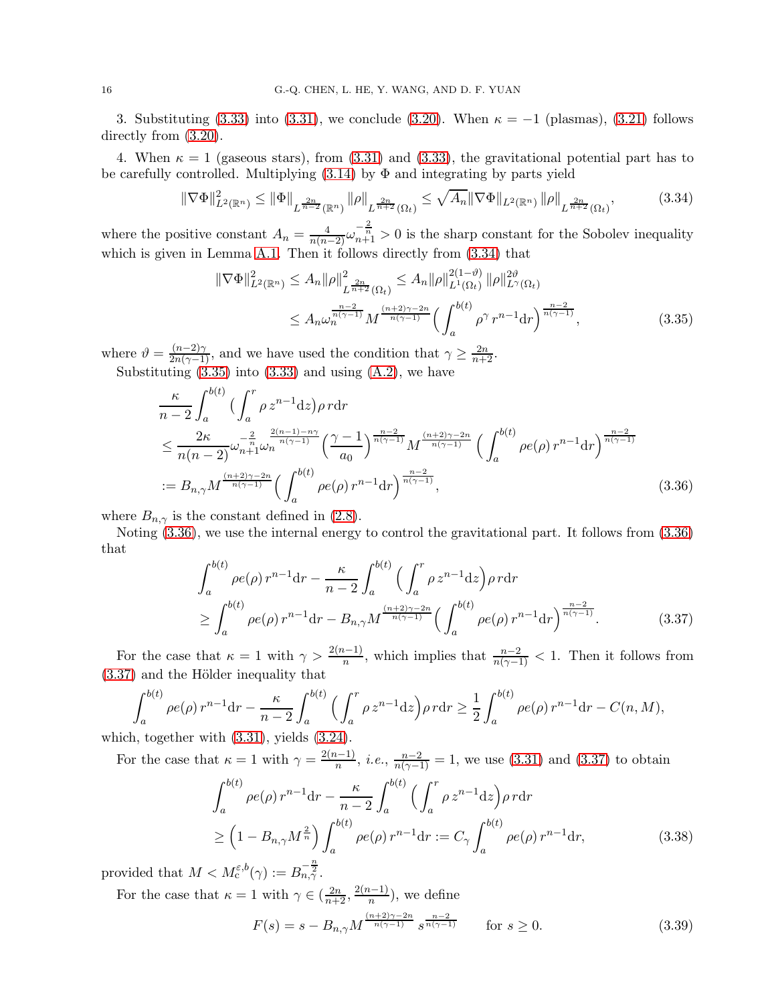3. Substituting [\(3.33\)](#page-14-4) into [\(3.31\)](#page-14-5), we conclude [\(3.20\)](#page-12-3). When  $\kappa = -1$  (plasmas), [\(3.21\)](#page-12-4) follows directly from  $(3.20)$ .

4. When  $\kappa = 1$  (gaseous stars), from [\(3.31\)](#page-14-5) and [\(3.33\)](#page-14-4), the gravitational potential part has to be carefully controlled. Multiplying  $(3.14)$  by  $\Phi$  and integrating by parts yield

$$
\|\nabla\Phi\|_{L^{2}(\mathbb{R}^{n})}^{2} \leq \|\Phi\|_{L^{\frac{2n}{n-2}}(\mathbb{R}^{n})}\|\rho\|_{L^{\frac{2n}{n+2}}(\Omega_{t})} \leq \sqrt{A_{n}}\|\nabla\Phi\|_{L^{2}(\mathbb{R}^{n})}\|\rho\|_{L^{\frac{2n}{n+2}}(\Omega_{t})},\tag{3.34}
$$

where the positive constant  $A_n = \frac{4}{n(n-2)} \omega_{n+1}^{-\frac{2}{n}} > 0$  is the sharp constant for the Sobolev inequality which is given in Lemma [A.1.](#page-48-1) Then it follows directly from  $(3.34)$  that

<span id="page-15-1"></span><span id="page-15-0"></span>
$$
\|\nabla\Phi\|_{L^{2}(\mathbb{R}^{n})}^{2} \leq A_{n} \|\rho\|_{L^{\frac{2n}{n+2}}(\Omega_{t})}^{2} \leq A_{n} \|\rho\|_{L^{1}(\Omega_{t})}^{2(1-\vartheta)} \|\rho\|_{L^{\gamma}(\Omega_{t})}^{2\vartheta}
$$

$$
\leq A_{n} \omega_{n}^{\frac{n-2}{n(\gamma-1)}} M^{\frac{(n+2)\gamma-2n}{n(\gamma-1)}} \Big(\int_{a}^{b(t)} \rho^{\gamma} r^{n-1} dr\Big)^{\frac{n-2}{n(\gamma-1)}}, \tag{3.35}
$$

where  $\vartheta = \frac{(n-2)\gamma}{2n(\gamma-1)}$ , and we have used the condition that  $\gamma \ge \frac{2n}{n+2}$ . Substituting  $(3.35)$  into  $(3.33)$  and using  $(A.2)$ , we have

$$
\frac{\kappa}{n-2} \int_{a}^{b(t)} \left( \int_{a}^{r} \rho z^{n-1} dz \right) \rho r dr
$$
\n
$$
\leq \frac{2\kappa}{n(n-2)} \omega_{n+1}^{-\frac{2}{n}} \omega_n^{-\frac{2(n-1)-n\gamma}{n(\gamma-1)}} \left( \frac{\gamma-1}{a_0} \right)^{\frac{n-2}{n(\gamma-1)}} M^{\frac{(n+2)\gamma-2n}{n(\gamma-1)}} \left( \int_{a}^{b(t)} \rho e(\rho) r^{n-1} dr \right)^{\frac{n-2}{n(\gamma-1)}}
$$
\n
$$
:= B_{n,\gamma} M^{\frac{(n+2)\gamma-2n}{n(\gamma-1)}} \left( \int_{a}^{b(t)} \rho e(\rho) r^{n-1} dr \right)^{\frac{n-2}{n(\gamma-1)}}, \tag{3.36}
$$

where  $B_{n,\gamma}$  is the constant defined in [\(2.8\)](#page-6-0).

Noting [\(3.36\)](#page-15-2), we use the internal energy to control the gravitational part. It follows from [\(3.36\)](#page-15-2) that

<span id="page-15-3"></span><span id="page-15-2"></span>
$$
\int_{a}^{b(t)} \rho e(\rho) r^{n-1} dr - \frac{\kappa}{n-2} \int_{a}^{b(t)} \left( \int_{a}^{r} \rho z^{n-1} dz \right) \rho r dr
$$
  
\n
$$
\geq \int_{a}^{b(t)} \rho e(\rho) r^{n-1} dr - B_{n,\gamma} M^{\frac{(n+2)\gamma - 2n}{n(\gamma - 1)}} \left( \int_{a}^{b(t)} \rho e(\rho) r^{n-1} dr \right)^{\frac{n-2}{n(\gamma - 1)}}.
$$
 (3.37)

For the case that  $\kappa = 1$  with  $\gamma > \frac{2(n-1)}{n}$ , which implies that  $\frac{n-2}{n(\gamma-1)} < 1$ . Then it follows from  $(3.37)$  and the Hölder inequality that

$$
\int_{a}^{b(t)} \rho e(\rho) r^{n-1} dr - \frac{\kappa}{n-2} \int_{a}^{b(t)} \left( \int_{a}^{r} \rho z^{n-1} dz \right) \rho r dr \ge \frac{1}{2} \int_{a}^{b(t)} \rho e(\rho) r^{n-1} dr - C(n, M),
$$
  
h together with (3.31) yields (3.24)

which, together with [\(3.31\)](#page-14-5), yields [\(3.24\)](#page-13-2).

For the case that  $\kappa = 1$  with  $\gamma = \frac{2(n-1)}{n}$ , *i.e.*,  $\frac{n-2}{n(\gamma-1)} = 1$ , we use [\(3.31\)](#page-14-5) and [\(3.37\)](#page-15-3) to obtain

$$
\int_{a}^{b(t)} \rho e(\rho) r^{n-1} dr - \frac{\kappa}{n-2} \int_{a}^{b(t)} \left( \int_{a}^{r} \rho z^{n-1} dz \right) \rho r dr
$$
  
\n
$$
\geq \left( 1 - B_{n,\gamma} M^{\frac{2}{n}} \right) \int_{a}^{b(t)} \rho e(\rho) r^{n-1} dr := C_{\gamma} \int_{a}^{b(t)} \rho e(\rho) r^{n-1} dr,
$$
\n(3.38)

provided that  $M < M_c^{\varepsilon, b}(\gamma) := B_{n, \gamma}^{-\frac{n}{2}}$ .

For the case that  $\kappa = 1$  with  $\gamma \in (\frac{2n}{n+2}, \frac{2(n-1)}{n})$ , we define

<span id="page-15-4"></span>
$$
F(s) = s - B_{n,\gamma} M^{\frac{(n+2)\gamma - 2n}{n(\gamma - 1)}} s^{\frac{n-2}{n(\gamma - 1)}} \qquad \text{for } s \ge 0.
$$
 (3.39)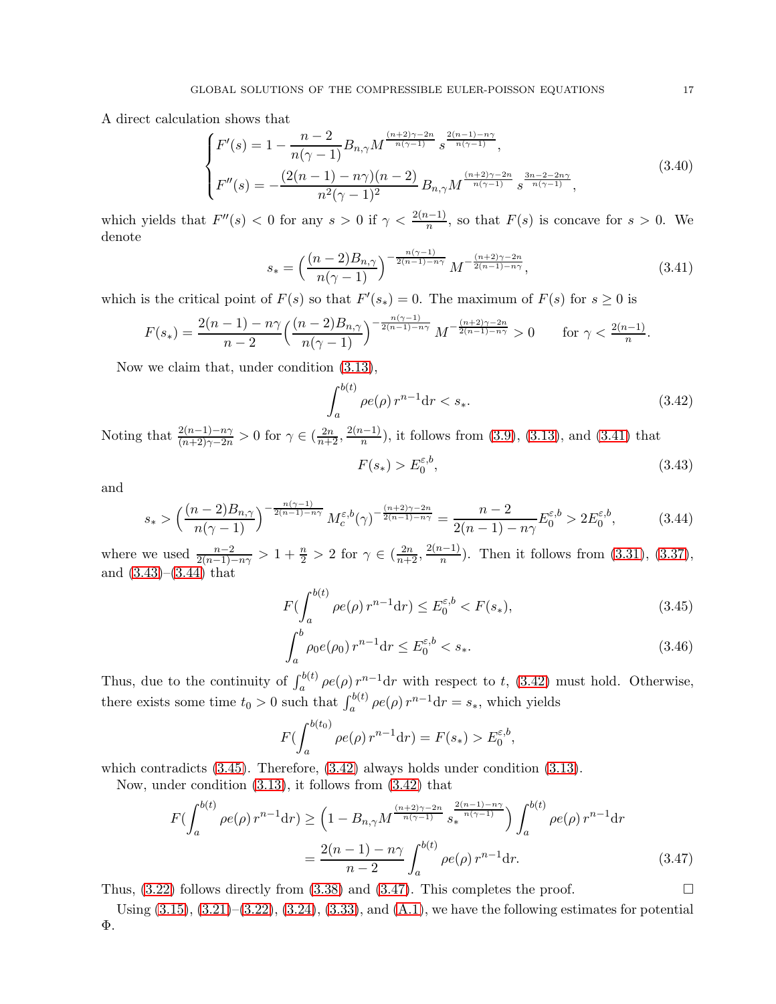A direct calculation shows that

$$
\begin{cases}\nF'(s) = 1 - \frac{n-2}{n(\gamma-1)} B_{n,\gamma} M^{\frac{(n+2)\gamma - 2n}{n(\gamma-1)}} s^{\frac{2(n-1)-n\gamma}{n(\gamma-1)}}, \\
F''(s) = -\frac{(2(n-1)-n\gamma)(n-2)}{n^2(\gamma-1)^2} B_{n,\gamma} M^{\frac{(n+2)\gamma - 2n}{n(\gamma-1)}} s^{\frac{3n-2-2n\gamma}{n(\gamma-1)}},\n\end{cases}
$$
\n(3.40)

which yields that  $F''(s) < 0$  for any  $s > 0$  if  $\gamma < \frac{2(n-1)}{n}$ , so that  $F(s)$  is concave for  $s > 0$ . We denote

$$
s_* = \left(\frac{(n-2)B_{n,\gamma}}{n(\gamma-1)}\right)^{-\frac{n(\gamma-1)}{2(n-1)-n\gamma}} M^{-\frac{(n+2)\gamma-2n}{2(n-1)-n\gamma}},\tag{3.41}
$$

which is the critical point of  $F(s)$  so that  $F'(s_*) = 0$ . The maximum of  $F(s)$  for  $s \geq 0$  is

$$
F(s_*) = \frac{2(n-1) - n\gamma}{n-2} \left(\frac{(n-2)B_{n,\gamma}}{n(\gamma-1)}\right)^{-\frac{n(\gamma-1)}{2(n-1)-n\gamma}} M^{-\frac{(n+2)\gamma - 2n}{2(n-1)-n\gamma}} > 0 \quad \text{for } \gamma < \frac{2(n-1)}{n}
$$

Now we claim that, under condition [\(3.13\)](#page-11-3),

<span id="page-16-3"></span>
$$
\int_{a}^{b(t)} \rho e(\rho) r^{n-1} dr < s_*.\tag{3.42}
$$

Noting that  $\frac{2(n-1)-n\gamma}{(n+2)\gamma-2n} > 0$  for  $\gamma \in (\frac{2n}{n+2}, \frac{2(n-1)}{n})$ , it follows from [\(3.9\)](#page-10-7), [\(3.13\)](#page-11-3), and [\(3.41\)](#page-16-0) that

<span id="page-16-1"></span>
$$
F(s_*) > E_0^{\varepsilon, b},\tag{3.43}
$$

and

$$
s_* > \left(\frac{(n-2)B_{n,\gamma}}{n(\gamma-1)}\right)^{-\frac{n(\gamma-1)}{2(n-1)-n\gamma}} M_c^{\varepsilon, b}(\gamma)^{-\frac{(n+2)\gamma-2n}{2(n-1)-n\gamma}} = \frac{n-2}{2(n-1)-n\gamma} E_0^{\varepsilon, b} > 2E_0^{\varepsilon, b},\tag{3.44}
$$

where we used  $\frac{n-2}{2(n-1)-n\gamma} > 1 + \frac{n}{2} > 2$  for  $\gamma \in (\frac{2n}{n+2}, \frac{2(n-1)}{n})$ . Then it follows from [\(3.31\)](#page-14-5), [\(3.37\)](#page-15-3), and  $(3.43)$ – $(3.44)$  that

$$
F(\int_{a}^{b(t)} \rho e(\rho) r^{n-1} dr) \le E_0^{\varepsilon, b} < F(s_*),\tag{3.45}
$$

$$
\int_{a}^{b} \rho_0 e(\rho_0) r^{n-1} dr \le E_0^{\varepsilon, b} < s_*. \tag{3.46}
$$

Thus, due to the continuity of  $\int_a^{b(t)} \rho e(\rho) r^{n-1} dr$  with respect to t, [\(3.42\)](#page-16-3) must hold. Otherwise, there exists some time  $t_0 > 0$  such that  $\int_a^{b(t)} \rho e(\rho) r^{n-1} dr = s_*$ , which yields

<span id="page-16-5"></span>
$$
F(\int_{a}^{b(t_0)} \rho e(\rho) r^{n-1} dr) = F(s_*) > E_0^{\varepsilon, b},
$$

which contradicts  $(3.45)$ . Therefore,  $(3.42)$  always holds under condition  $(3.13)$ .

Now, under condition [\(3.13\)](#page-11-3), it follows from [\(3.42\)](#page-16-3) that

$$
F\left(\int_{a}^{b(t)} \rho e(\rho) r^{n-1} dr\right) \ge \left(1 - B_{n,\gamma} M^{\frac{(n+2)\gamma - 2n}{n(\gamma - 1)}} s_*^{\frac{2(n-1) - n\gamma}{n(\gamma - 1)}}\right) \int_{a}^{b(t)} \rho e(\rho) r^{n-1} dr
$$

$$
= \frac{2(n-1) - n\gamma}{n-2} \int_{a}^{b(t)} \rho e(\rho) r^{n-1} dr. \tag{3.47}
$$

Thus,  $(3.22)$  follows directly from  $(3.38)$  and  $(3.47)$ . This completes the proof.

Using  $(3.15)$ ,  $(3.21)$ – $(3.22)$ ,  $(3.24)$ ,  $(3.33)$ , and  $(A.1)$ , we have the following estimates for potential Φ.

<span id="page-16-4"></span><span id="page-16-2"></span><span id="page-16-0"></span>.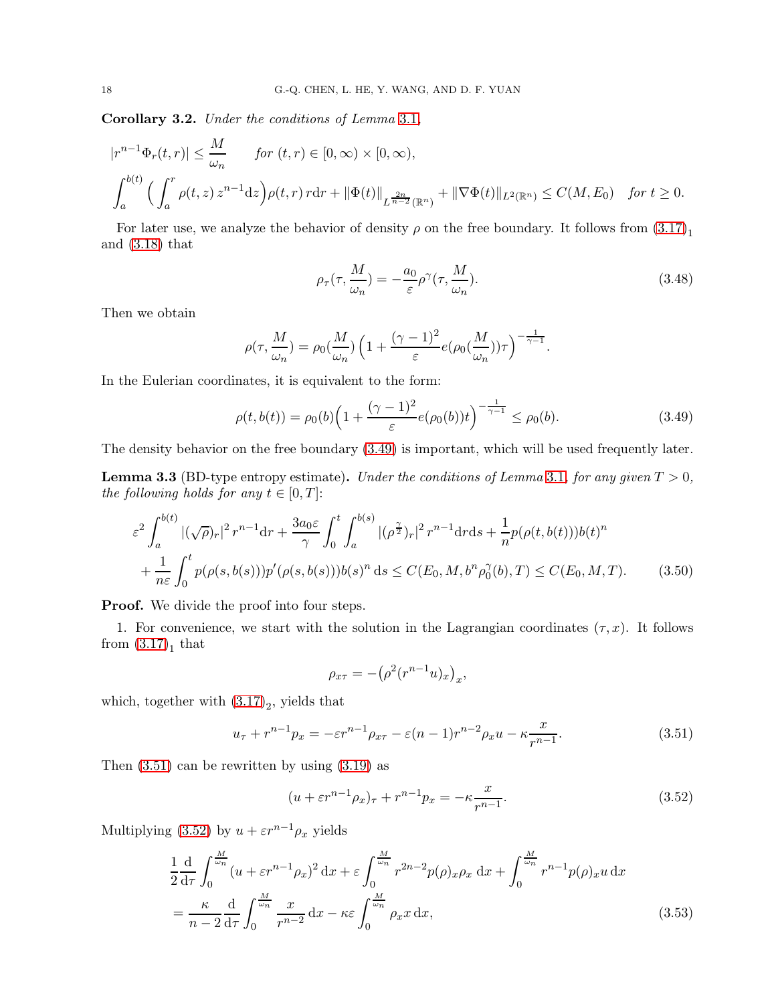<span id="page-17-7"></span>Corollary 3.2. Under the conditions of Lemma [3.1](#page-12-5),

$$
|r^{n-1}\Phi_r(t,r)| \le \frac{M}{\omega_n} \quad \text{for } (t,r) \in [0,\infty) \times [0,\infty),
$$
  

$$
\int_a^{b(t)} \left( \int_a^r \rho(t,z) \, z^{n-1} \, dz \right) \rho(t,r) \, r \, dr + \|\Phi(t)\|_{L^{\frac{2n}{n-2}}(\mathbb{R}^n)} + \|\nabla \Phi(t)\|_{L^2(\mathbb{R}^n)} \le C(M,E_0) \quad \text{for } t \ge 0.
$$

For later use, we analyze the behavior of density  $\rho$  on the free boundary. It follows from  $(3.17)<sub>1</sub>$ and [\(3.18\)](#page-12-1) that

<span id="page-17-4"></span><span id="page-17-1"></span>
$$
\rho_{\tau}(\tau, \frac{M}{\omega_n}) = -\frac{a_0}{\varepsilon} \rho^{\gamma}(\tau, \frac{M}{\omega_n}).
$$
\n(3.48)

Then we obtain

$$
\rho(\tau, \frac{M}{\omega_n}) = \rho_0(\frac{M}{\omega_n}) \left( 1 + \frac{(\gamma - 1)^2}{\varepsilon} e(\rho_0(\frac{M}{\omega_n})) \tau \right)^{-\frac{1}{\gamma - 1}}.
$$

In the Eulerian coordinates, it is equivalent to the form:

$$
\rho(t, b(t)) = \rho_0(b) \left( 1 + \frac{(\gamma - 1)^2}{\varepsilon} e(\rho_0(b))t \right)^{-\frac{1}{\gamma - 1}} \le \rho_0(b). \tag{3.49}
$$

The density behavior on the free boundary [\(3.49\)](#page-17-1) is important, which will be used frequently later.

<span id="page-17-0"></span>**Lemma 3.3** (BD-type entropy estimate). Under the conditions of Lemma [3.1](#page-12-5), for any given  $T > 0$ , the following holds for any  $t \in [0, T]$ :

$$
\varepsilon^{2} \int_{a}^{b(t)} |(\sqrt{\rho})_{r}|^{2} r^{n-1} dr + \frac{3 a_{0} \varepsilon}{\gamma} \int_{0}^{t} \int_{a}^{b(s)} |(\rho^{\frac{\gamma}{2}})_{r}|^{2} r^{n-1} dr ds + \frac{1}{n} p(\rho(t, b(t))) b(t)^{n} + \frac{1}{n \varepsilon} \int_{0}^{t} p(\rho(s, b(s))) p'(\rho(s, b(s))) b(s)^{n} ds \le C(E_{0}, M, b^{n} \rho_{0}^{\gamma}(b), T) \le C(E_{0}, M, T).
$$
 (3.50)

Proof. We divide the proof into four steps.

1. For convenience, we start with the solution in the Lagrangian coordinates  $(\tau, x)$ . It follows from  $(3.17)<sub>1</sub>$  that

<span id="page-17-6"></span><span id="page-17-3"></span><span id="page-17-2"></span>
$$
\rho_{x\tau} = -(\rho^2(r^{n-1}u)_x)_x,
$$

which, together with  $(3.17)_2$ , yields that

$$
u_{\tau} + r^{n-1} p_x = -\varepsilon r^{n-1} \rho_{x\tau} - \varepsilon (n-1) r^{n-2} \rho_x u - \kappa \frac{x}{r^{n-1}}.
$$
 (3.51)

Then  $(3.51)$  can be rewritten by using  $(3.19)$  as

<span id="page-17-5"></span>
$$
(u + \varepsilon r^{n-1} \rho_x)_\tau + r^{n-1} p_x = -\kappa \frac{x}{r^{n-1}}.
$$
\n(3.52)

Multiplying [\(3.52\)](#page-17-3) by  $u + \varepsilon r^{n-1} \rho_x$  yields

$$
\frac{1}{2}\frac{d}{d\tau}\int_{0}^{\frac{M}{\omega n}}(u+\varepsilon r^{n-1}\rho_{x})^{2} dx + \varepsilon \int_{0}^{\frac{M}{\omega n}} r^{2n-2}p(\rho)_{x}\rho_{x} dx + \int_{0}^{\frac{M}{\omega n}} r^{n-1}p(\rho)_{x}u dx
$$

$$
= \frac{\kappa}{n-2}\frac{d}{d\tau}\int_{0}^{\frac{M}{\omega n}} \frac{x}{r^{n-2}} dx - \kappa \varepsilon \int_{0}^{\frac{M}{\omega n}} \rho_{x}x dx, \qquad (3.53)
$$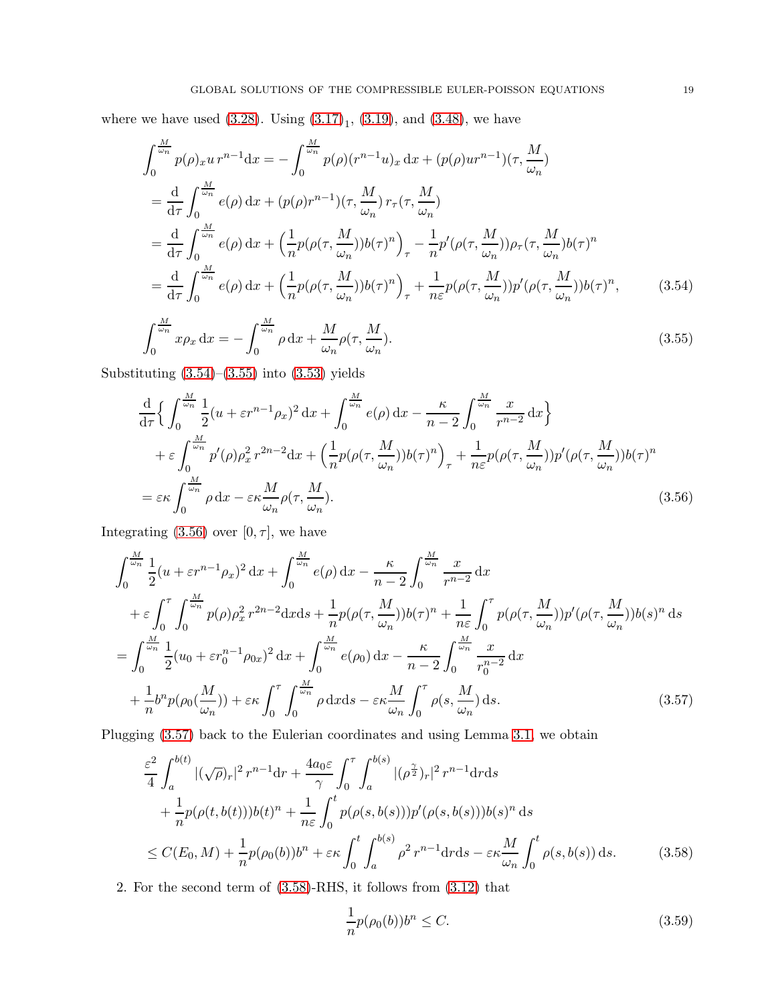where we have used  $(3.28)$ . Using  $(3.17)<sub>1</sub>$ ,  $(3.19)$ , and  $(3.48)$ , we have

$$
\int_{0}^{\frac{M}{\omega_{n}}} p(\rho)_{x} u r^{n-1} dx = -\int_{0}^{\frac{M}{\omega_{n}}} p(\rho) (r^{n-1} u)_{x} dx + (p(\rho) u r^{n-1}) (\tau, \frac{M}{\omega_{n}})
$$
\n
$$
= \frac{d}{d\tau} \int_{0}^{\frac{M}{\omega_{n}}} e(\rho) dx + (p(\rho) r^{n-1}) (\tau, \frac{M}{\omega_{n}}) r_{\tau} (\tau, \frac{M}{\omega_{n}})
$$
\n
$$
= \frac{d}{d\tau} \int_{0}^{\frac{M}{\omega_{n}}} e(\rho) dx + \left( \frac{1}{n} p(\rho(\tau, \frac{M}{\omega_{n}})) b(\tau)^{n} \right)_{\tau} - \frac{1}{n} p'(\rho(\tau, \frac{M}{\omega_{n}})) \rho_{\tau} (\tau, \frac{M}{\omega_{n}}) b(\tau)^{n}
$$
\n
$$
= \frac{d}{d\tau} \int_{0}^{\frac{M}{\omega_{n}}} e(\rho) dx + \left( \frac{1}{n} p(\rho(\tau, \frac{M}{\omega_{n}})) b(\tau)^{n} \right)_{\tau} + \frac{1}{n \varepsilon} p(\rho(\tau, \frac{M}{\omega_{n}})) p'(\rho(\tau, \frac{M}{\omega_{n}})) b(\tau)^{n}, \qquad (3.54)
$$
\n
$$
\int_{\frac{M}{\omega_{n}}}^{\frac{M}{\omega_{n}}} \int_{0}^{\frac{M}{\omega_{n}}} \int_{0}^{\frac{M}{\omega_{n}}} e(\rho) dx + \int_{0}^{\frac{M}{\omega_{n}}} \int_{0}^{\frac{M}{\omega_{n}}} e(\rho(\tau, \frac{M}{\omega_{n}})) b(\tau)^{n}, \qquad (3.55)
$$

<span id="page-18-2"></span><span id="page-18-1"></span>
$$
\int_0^{\frac{\pi}{\omega_n}} x \rho_x \, dx = -\int_0^{\frac{\pi}{\omega_n}} \rho \, dx + \frac{M}{\omega_n} \rho(\tau, \frac{M}{\omega_n}).
$$
\n(3.55)

Substituting  $(3.54)$ – $(3.55)$  into  $(3.53)$  yields

$$
\frac{\mathrm{d}}{\mathrm{d}\tau} \Big\{ \int_0^{\frac{M}{\omega_n}} \frac{1}{2} (u + \varepsilon r^{n-1} \rho_x)^2 \, \mathrm{d}x + \int_0^{\frac{M}{\omega_n}} e(\rho) \, \mathrm{d}x - \frac{\kappa}{n-2} \int_0^{\frac{M}{\omega_n}} \frac{x}{r^{n-2}} \, \mathrm{d}x \Big\} \n+ \varepsilon \int_0^{\frac{M}{\omega_n}} p'(\rho) \rho_x^2 r^{2n-2} \mathrm{d}x + \left( \frac{1}{n} p(\rho(\tau, \frac{M}{\omega_n})) b(\tau)^n \right)_\tau + \frac{1}{n\varepsilon} p(\rho(\tau, \frac{M}{\omega_n})) p'(\rho(\tau, \frac{M}{\omega_n})) b(\tau)^n \n= \varepsilon \kappa \int_0^{\frac{M}{\omega_n}} \rho \, \mathrm{d}x - \varepsilon \kappa \frac{M}{\omega_n} \rho(\tau, \frac{M}{\omega_n}).
$$
\n(3.56)

Integrating [\(3.56\)](#page-18-3) over [0,  $\tau$ ], we have

$$
\int_{0}^{\frac{M}{\omega_{n}}} \frac{1}{2} (u + \varepsilon r^{n-1} \rho_{x})^{2} dx + \int_{0}^{\frac{M}{\omega_{n}}} e(\rho) dx - \frac{\kappa}{n-2} \int_{0}^{\frac{M}{\omega_{n}}} \frac{x}{r^{n-2}} dx \n+ \varepsilon \int_{0}^{\tau} \int_{0}^{\frac{M}{\omega_{n}}} p(\rho) \rho_{x}^{2} r^{2n-2} dx ds + \frac{1}{n} p(\rho(\tau, \frac{M}{\omega_{n}})) b(\tau)^{n} + \frac{1}{n \varepsilon} \int_{0}^{\tau} p(\rho(\tau, \frac{M}{\omega_{n}})) p'(\rho(\tau, \frac{M}{\omega_{n}})) b(s)^{n} ds \n= \int_{0}^{\frac{M}{\omega_{n}}} \frac{1}{2} (u_{0} + \varepsilon r_{0}^{n-1} \rho_{0x})^{2} dx + \int_{0}^{\frac{M}{\omega_{n}}} e(\rho_{0}) dx - \frac{\kappa}{n-2} \int_{0}^{\frac{M}{\omega_{n}}} \frac{x}{r_{0}^{n-2}} dx \n+ \frac{1}{n} b^{n} p(\rho_{0}(\frac{M}{\omega_{n}})) + \varepsilon \kappa \int_{0}^{\tau} \int_{0}^{\frac{M}{\omega_{n}}} \rho dx ds - \varepsilon \kappa \frac{M}{\omega_{n}} \int_{0}^{\tau} \rho(s, \frac{M}{\omega_{n}}) ds.
$$
\n(3.57)

Plugging [\(3.57\)](#page-18-4) back to the Eulerian coordinates and using Lemma [3.1,](#page-12-5) we obtain

$$
\frac{\varepsilon^{2}}{4} \int_{a}^{b(t)} |(\sqrt{\rho})_{r}|^{2} r^{n-1} dr + \frac{4a_{0}\varepsilon}{\gamma} \int_{0}^{\tau} \int_{a}^{b(s)} |(\rho^{\frac{\gamma}{2}})_{r}|^{2} r^{n-1} dr ds \n+ \frac{1}{n} p(\rho(t, b(t))) b(t)^{n} + \frac{1}{n\varepsilon} \int_{0}^{t} p(\rho(s, b(s))) p'(\rho(s, b(s))) b(s)^{n} ds \n\leq C(E_{0}, M) + \frac{1}{n} p(\rho_{0}(b)) b^{n} + \varepsilon \kappa \int_{0}^{t} \int_{a}^{b(s)} \rho^{2} r^{n-1} dr ds - \varepsilon \kappa \frac{M}{\omega_{n}} \int_{0}^{t} \rho(s, b(s)) ds.
$$
\n(3.58)

2. For the second term of [\(3.58\)](#page-18-0)-RHS, it follows from [\(3.12\)](#page-11-0) that

<span id="page-18-5"></span><span id="page-18-4"></span><span id="page-18-3"></span><span id="page-18-0"></span>
$$
\frac{1}{n}p(\rho_0(b))b^n \le C. \tag{3.59}
$$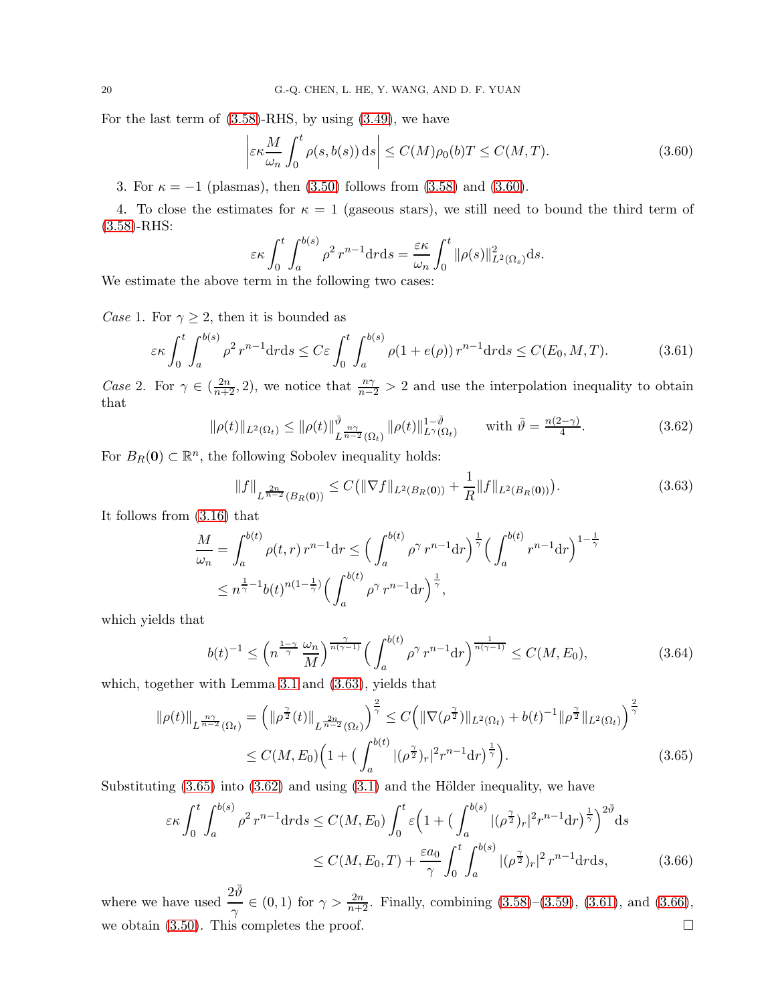For the last term of  $(3.58)$ -RHS, by using  $(3.49)$ , we have

<span id="page-19-0"></span>
$$
\left| \varepsilon \kappa \frac{M}{\omega_n} \int_0^t \rho(s, b(s)) \, ds \right| \le C(M) \rho_0(b) T \le C(M, T). \tag{3.60}
$$

3. For  $\kappa = -1$  (plasmas), then [\(3.50\)](#page-17-6) follows from [\(3.58\)](#page-18-0) and [\(3.60\)](#page-19-0).

4. To close the estimates for  $\kappa = 1$  (gaseous stars), we still need to bound the third term of [\(3.58\)](#page-18-0)-RHS:

<span id="page-19-4"></span>
$$
\varepsilon \kappa \int_0^t \int_a^{b(s)} \rho^2 r^{n-1} dr ds = \frac{\varepsilon \kappa}{\omega_n} \int_0^t ||\rho(s)||^2_{L^2(\Omega_s)} ds.
$$

We estimate the above term in the following two cases:

*Case* 1. For  $\gamma \geq 2$ , then it is bounded as

$$
\varepsilon \kappa \int_0^t \int_a^{b(s)} \rho^2 r^{n-1} dr ds \le C \varepsilon \int_0^t \int_a^{b(s)} \rho(1 + e(\rho)) r^{n-1} dr ds \le C(E_0, M, T). \tag{3.61}
$$

Case 2. For  $\gamma \in (\frac{2n}{n+2}, 2)$ , we notice that  $\frac{n\gamma}{n-2} > 2$  and use the interpolation inequality to obtain that

$$
\|\rho(t)\|_{L^{2}(\Omega_{t})} \le \|\rho(t)\|_{L^{\frac{n\gamma}{n-2}}(\Omega_{t})}^{\bar{\vartheta}} \|\rho(t)\|_{L^{\gamma}(\Omega_{t})}^{1-\bar{\vartheta}} \quad \text{with } \bar{\vartheta} = \frac{n(2-\gamma)}{4}.
$$
 (3.62)

For  $B_R(\mathbf{0}) \subset \mathbb{R}^n$ , the following Sobolev inequality holds:

<span id="page-19-3"></span><span id="page-19-1"></span>
$$
||f||_{L^{\frac{2n}{n-2}}(B_R(\mathbf{0}))} \le C(||\nabla f||_{L^2(B_R(\mathbf{0}))} + \frac{1}{R}||f||_{L^2(B_R(\mathbf{0}))}).
$$
\n(3.63)

It follows from [\(3.16\)](#page-11-4) that

$$
\frac{M}{\omega_n} = \int_a^{b(t)} \rho(t, r) r^{n-1} dr \le \left( \int_a^{b(t)} \rho^\gamma r^{n-1} dr \right)^{\frac{1}{\gamma}} \left( \int_a^{b(t)} r^{n-1} dr \right)^{1-\frac{1}{\gamma}}
$$
\n
$$
\le n^{\frac{1}{\gamma}-1} b(t)^{n(1-\frac{1}{\gamma})} \left( \int_a^{b(t)} \rho^\gamma r^{n-1} dr \right)^{\frac{1}{\gamma}},
$$

which yields that

<span id="page-19-6"></span><span id="page-19-2"></span>
$$
b(t)^{-1} \le \left(n^{\frac{1-\gamma}{\gamma}} \frac{\omega_n}{M}\right)^{\frac{\gamma}{n(\gamma-1)}} \left(\int_a^{b(t)} \rho^\gamma r^{n-1} dr\right)^{\frac{1}{n(\gamma-1)}} \le C(M, E_0),\tag{3.64}
$$

which, together with Lemma [3.1](#page-12-5) and [\(3.63\)](#page-19-1), yields that

$$
\|\rho(t)\|_{L^{\frac{n\gamma}{n-2}}(\Omega_t)} = \left(\|\rho^{\frac{\gamma}{2}}(t)\|_{L^{\frac{2n}{n-2}}(\Omega_t)}\right)^{\frac{2}{\gamma}} \le C\left(\|\nabla(\rho^{\frac{\gamma}{2}})\|_{L^2(\Omega_t)} + b(t)^{-1}\|\rho^{\frac{\gamma}{2}}\|_{L^2(\Omega_t)}\right)^{\frac{2}{\gamma}}
$$
  
 
$$
\le C(M, E_0)\left(1 + \left(\int_a^{b(t)} |(\rho^{\frac{\gamma}{2}})_r|^2 r^{n-1} dr\right)^{\frac{1}{\gamma}}\right). \tag{3.65}
$$

Substituting  $(3.65)$  into  $(3.62)$  and using  $(3.1)$  and the Hölder inequality, we have

<span id="page-19-5"></span>
$$
\varepsilon \kappa \int_0^t \int_a^{b(s)} \rho^2 r^{n-1} dr ds \le C(M, E_0) \int_0^t \varepsilon \Big( 1 + \big( \int_a^{b(s)} |(\rho^2)^2| r^{n-1} dr \big)^{\frac{1}{\gamma}} \Big)^{2\bar{\vartheta}} ds
$$
  
 
$$
\le C(M, E_0, T) + \frac{\varepsilon a_0}{\gamma} \int_0^t \int_a^{b(s)} |(\rho^2)^2| r^{n-1} dr ds, \tag{3.66}
$$

where we have used  $\frac{2\bar{\vartheta}}{\gamma} \in (0,1)$  for  $\gamma > \frac{2n}{n+2}$ . Finally, combining [\(3.58\)](#page-18-0)–[\(3.59\)](#page-18-5), [\(3.61\)](#page-19-4), and [\(3.66\)](#page-19-5), we obtain  $(3.50)$ . This completes the proof.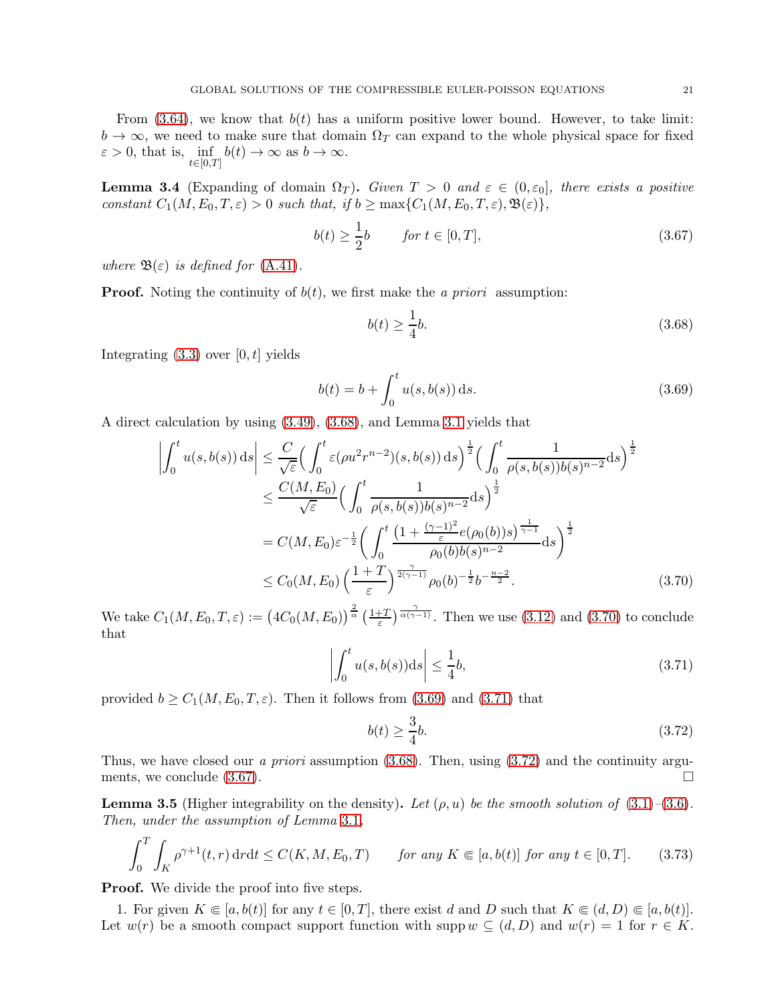From  $(3.64)$ , we know that  $b(t)$  has a uniform positive lower bound. However, to take limit:  $b \to \infty$ , we need to make sure that domain  $\Omega_T$  can expand to the whole physical space for fixed  $\varepsilon > 0$ , that is,  $\inf_{t \in [0,T]} b(t) \to \infty$  as  $b \to \infty$ .  $t \in [0,T]$ 

<span id="page-20-0"></span>**Lemma 3.4** (Expanding of domain  $\Omega_T$ ). Given  $T > 0$  and  $\varepsilon \in (0, \varepsilon_0]$ , there exists a positive constant  $C_1(M, E_0, T, \varepsilon) > 0$  such that, if  $b \ge \max\{C_1(M, E_0, T, \varepsilon), \mathfrak{B}(\varepsilon)\},$ 

$$
b(t) \ge \frac{1}{2}b \qquad \text{for } t \in [0, T], \tag{3.67}
$$

where  $\mathfrak{B}(\varepsilon)$  is defined for [\(A.41\)](#page-53-1).

**Proof.** Noting the continuity of  $b(t)$ , we first make the a priori assumption:

<span id="page-20-6"></span><span id="page-20-3"></span><span id="page-20-1"></span>
$$
b(t) \ge \frac{1}{4}b.\tag{3.68}
$$

Integrating  $(3.3)$  over  $[0, t]$  yields

$$
b(t) = b + \int_0^t u(s, b(s)) \, ds. \tag{3.69}
$$

A direct calculation by using [\(3.49\)](#page-17-1), [\(3.68\)](#page-20-1), and Lemma [3.1](#page-12-5) yields that

$$
\left| \int_{0}^{t} u(s,b(s)) ds \right| \leq \frac{C}{\sqrt{\varepsilon}} \Big( \int_{0}^{t} \varepsilon (\rho u^{2} r^{n-2}) (s,b(s)) ds \Big)^{\frac{1}{2}} \Big( \int_{0}^{t} \frac{1}{\rho(s,b(s))b(s)^{n-2}} ds \Big)^{\frac{1}{2}}
$$
  

$$
\leq \frac{C(M,E_{0})}{\sqrt{\varepsilon}} \Big( \int_{0}^{t} \frac{1}{\rho(s,b(s))b(s)^{n-2}} ds \Big)^{\frac{1}{2}}
$$
  

$$
= C(M,E_{0}) \varepsilon^{-\frac{1}{2}} \Big( \int_{0}^{t} \frac{\left(1 + \frac{(\gamma - 1)^{2}}{\varepsilon} e(\rho_{0}(b))s\right)^{\frac{1}{\gamma - 1}}}{\rho_{0}(b)b(s)^{n-2}} ds \Big)^{\frac{1}{2}}
$$
  

$$
\leq C_{0}(M,E_{0}) \left( \frac{1 + T}{\varepsilon} \right)^{\frac{\gamma}{2(\gamma - 1)}} \rho_{0}(b)^{-\frac{1}{2}} b^{-\frac{n-2}{2}}.
$$
 (3.70)

We take  $C_1(M, E_0, T, \varepsilon) := (4C_0(M, E_0))^{\frac{2}{\alpha}} \left(\frac{1+T}{\varepsilon}\right)^{\frac{\gamma}{\alpha(\gamma-1)}}$ . Then we use [\(3.12\)](#page-11-0) and [\(3.70\)](#page-20-2) to conclude that

$$
\left| \int_0^t u(s, b(s)) \mathrm{d}s \right| \le \frac{1}{4}b,\tag{3.71}
$$

provided  $b \geq C_1(M, E_0, T, \varepsilon)$ . Then it follows from [\(3.69\)](#page-20-3) and [\(3.71\)](#page-20-4) that

<span id="page-20-7"></span><span id="page-20-5"></span><span id="page-20-4"></span><span id="page-20-2"></span>
$$
b(t) \ge \frac{3}{4}b.\tag{3.72}
$$

Thus, we have closed our a priori assumption  $(3.68)$ . Then, using  $(3.72)$  and the continuity arguments, we conclude  $(3.67)$ .

<span id="page-20-8"></span>**Lemma 3.5** (Higher integrability on the density). Let  $(\rho, u)$  be the smooth solution of  $(3.1)$ – $(3.6)$ . Then, under the assumption of Lemma [3.1](#page-12-5),

$$
\int_0^T \int_K \rho^{\gamma+1}(t, r) \, dr \, dt \le C(K, M, E_0, T) \qquad \text{for any } K \in [a, b(t)] \text{ for any } t \in [0, T]. \tag{3.73}
$$

**Proof.** We divide the proof into five steps.

1. For given  $K \subseteq [a, b(t)]$  for any  $t \in [0, T]$ , there exist d and D such that  $K \subseteq (d, D) \subseteq [a, b(t)]$ . Let  $w(r)$  be a smooth compact support function with supp  $w \subseteq (d, D)$  and  $w(r) = 1$  for  $r \in K$ .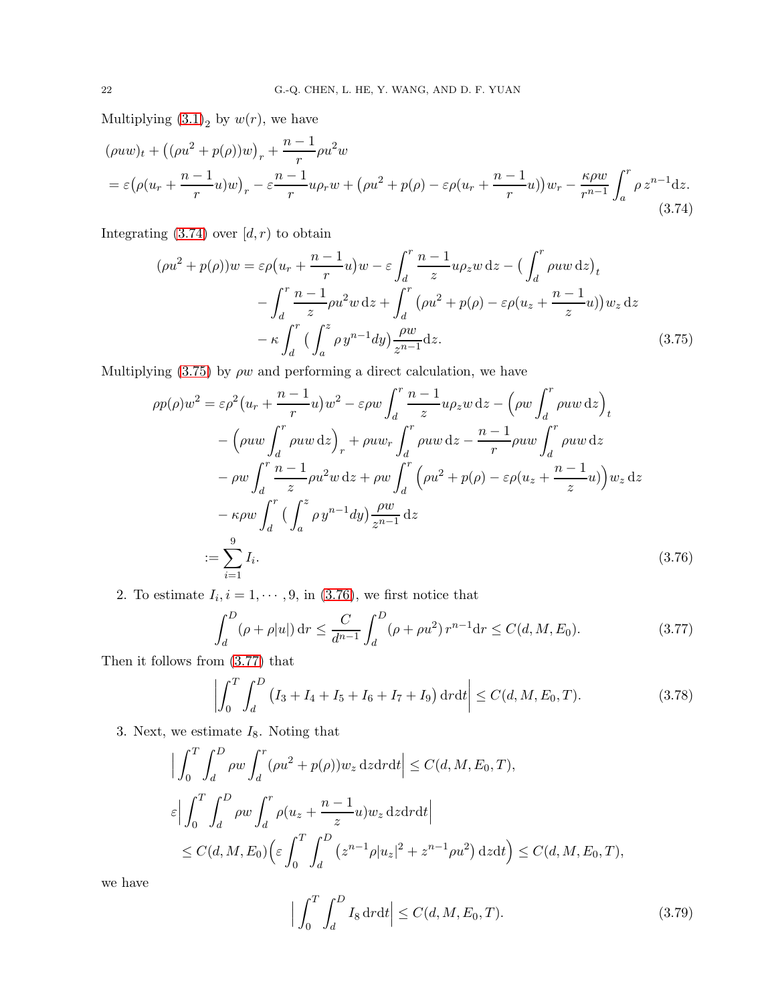Multiplying  $(3.1)<sub>2</sub>$  by  $w(r)$ , we have

$$
(\rho uw)_t + ((\rho u^2 + p(\rho))w)_r + \frac{n-1}{r}\rho u^2 w
$$
  
=  $\varepsilon \left(\rho (u_r + \frac{n-1}{r}u)w\right)_r - \varepsilon \frac{n-1}{r}u\rho_r w + (\rho u^2 + p(\rho) - \varepsilon \rho (u_r + \frac{n-1}{r}u))w_r - \frac{\kappa \rho w}{r^{n-1}} \int_a^r \rho z^{n-1} dz.$  (3.74)

Integrating  $(3.74)$  over  $[d, r)$  to obtain

<span id="page-21-0"></span>
$$
(\rho u^2 + p(\rho))w = \varepsilon \rho (u_r + \frac{n-1}{r}u)w - \varepsilon \int_d^r \frac{n-1}{z} u \rho_z w \,dz - \left(\int_d^r \rho u w \,dz\right)_t
$$

$$
- \int_d^r \frac{n-1}{z} \rho u^2 w \,dz + \int_d^r \left(\rho u^2 + p(\rho) - \varepsilon \rho (u_z + \frac{n-1}{z}u)\right) w_z \,dz
$$

$$
- \kappa \int_d^r \left(\int_a^z \rho y^{n-1} dy\right) \frac{\rho w}{z^{n-1}} dz. \tag{3.75}
$$

Multiplying [\(3.75\)](#page-21-1) by  $\rho w$  and performing a direct calculation, we have

<span id="page-21-1"></span>
$$
\rho p(\rho) w^2 = \varepsilon \rho^2 (u_r + \frac{n-1}{r} u) w^2 - \varepsilon \rho w \int_d^r \frac{n-1}{z} u \rho_z w \,dz - \left(\rho w \int_d^r \rho u w \,dz\right)_t
$$
  

$$
- \left(\rho u w \int_d^r \rho u w \,dz\right)_r + \rho u w_r \int_d^r \rho u w \,dz - \frac{n-1}{r} \rho u w \int_d^r \rho u w \,dz
$$
  

$$
- \rho w \int_d^r \frac{n-1}{z} \rho u^2 w \,dz + \rho w \int_d^r \left(\rho u^2 + p(\rho) - \varepsilon \rho (u_z + \frac{n-1}{z} u)\right) w_z \,dz
$$
  

$$
- \kappa \rho w \int_d^r \left(\int_a^z \rho y^{n-1} dy\right) \frac{\rho w}{z^{n-1}} dz
$$
  

$$
:= \sum_{i=1}^9 I_i.
$$
 (3.76)

2. To estimate  $I_i, i = 1, \dots, 9$ , in [\(3.76\)](#page-21-2), we first notice that

<span id="page-21-3"></span><span id="page-21-2"></span>
$$
\int_{d}^{D} (\rho + \rho |u|) dr \leq \frac{C}{d^{n-1}} \int_{d}^{D} (\rho + \rho u^{2}) r^{n-1} dr \leq C(d, M, E_{0}).
$$
\n(3.77)

Then it follows from [\(3.77\)](#page-21-3) that

$$
\left| \int_0^T \int_d^D (I_3 + I_4 + I_5 + I_6 + I_7 + I_9) \, \mathrm{d}r \mathrm{d}t \right| \le C(d, M, E_0, T). \tag{3.78}
$$

3. Next, we estimate  $I_8$ . Noting that

$$
\left| \int_0^T \int_d^D \rho w \int_d^r (\rho u^2 + p(\rho)) w_z \, dz dr dt \right| \le C(d, M, E_0, T),
$$
  

$$
\varepsilon \left| \int_0^T \int_d^D \rho w \int_d^r \rho (u_z + \frac{n-1}{z} u) w_z \, dz dr dt \right|
$$
  

$$
\le C(d, M, E_0) \left( \varepsilon \int_0^T \int_d^D (z^{n-1} \rho |u_z|^2 + z^{n-1} \rho u^2) \, dz dt \right) \le C(d, M, E_0, T),
$$

we have

<span id="page-21-5"></span><span id="page-21-4"></span>
$$
\left| \int_0^T \int_d^D I_8 \, \mathrm{d}r \mathrm{d}t \right| \le C(d, M, E_0, T). \tag{3.79}
$$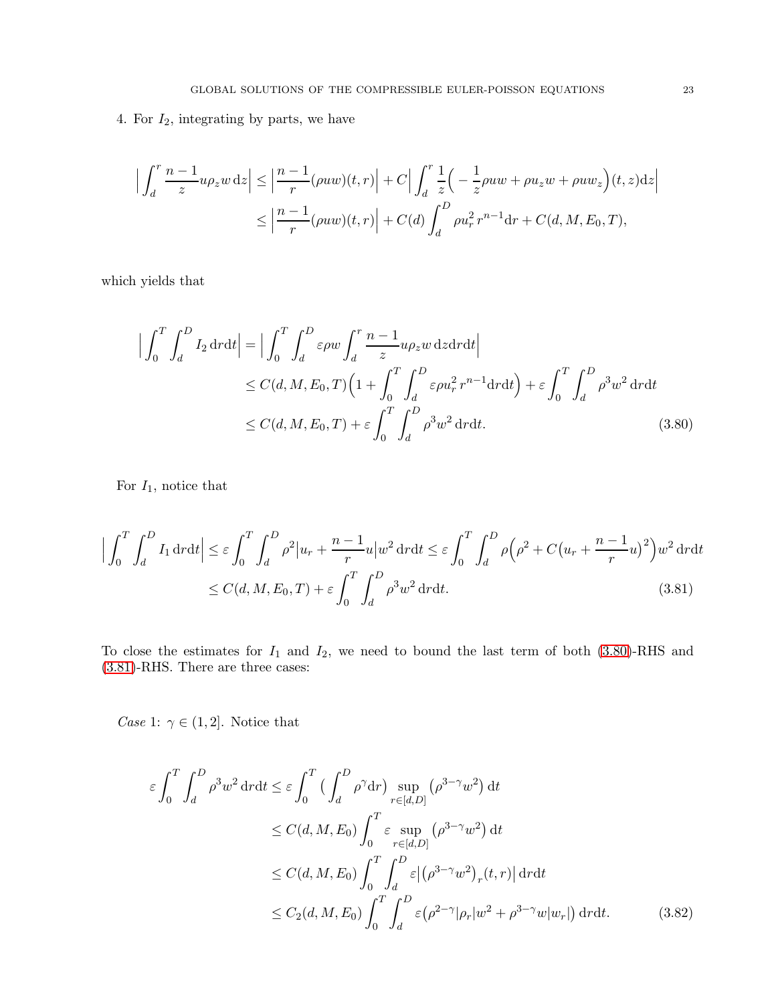4. For  $I_2$ , integrating by parts, we have

$$
\left| \int_d^r \frac{n-1}{z} u \rho_z w \,dz \right| \le \left| \frac{n-1}{r} (\rho u w)(t, r) \right| + C \left| \int_d^r \frac{1}{z} \left( -\frac{1}{z} \rho u w + \rho u_z w + \rho u w_z \right)(t, z) dz \right|
$$
  

$$
\le \left| \frac{n-1}{r} (\rho u w)(t, r) \right| + C(d) \int_d^D \rho u_r^2 r^{n-1} dr + C(d, M, E_0, T),
$$

which yields that

<span id="page-22-0"></span>
$$
\left| \int_0^T \int_d^D I_2 \, \mathrm{d}r \mathrm{d}t \right| = \left| \int_0^T \int_d^D \varepsilon \rho w \int_d^r \frac{n-1}{z} u \rho_z w \, \mathrm{d}z \mathrm{d}r \mathrm{d}t \right|
$$
  
\n
$$
\leq C(d, M, E_0, T) \left( 1 + \int_0^T \int_d^D \varepsilon \rho u_r^2 \, r^{n-1} \mathrm{d}r \mathrm{d}t \right) + \varepsilon \int_0^T \int_d^D \rho^3 w^2 \, \mathrm{d}r \mathrm{d}t
$$
  
\n
$$
\leq C(d, M, E_0, T) + \varepsilon \int_0^T \int_d^D \rho^3 w^2 \, \mathrm{d}r \mathrm{d}t.
$$
 (3.80)

For  $I_1$ , notice that

$$
\left| \int_0^T \int_d^D I_1 \, \mathrm{d}r \mathrm{d}t \right| \leq \varepsilon \int_0^T \int_d^D \rho^2 |u_r + \frac{n-1}{r} u| w^2 \, \mathrm{d}r \mathrm{d}t \leq \varepsilon \int_0^T \int_d^D \rho \Big( \rho^2 + C \big( u_r + \frac{n-1}{r} u \big)^2 \Big) w^2 \, \mathrm{d}r \mathrm{d}t
$$
\n
$$
\leq C(d, M, E_0, T) + \varepsilon \int_0^T \int_d^D \rho^3 w^2 \, \mathrm{d}r \mathrm{d}t. \tag{3.81}
$$

To close the estimates for  $I_1$  and  $I_2$ , we need to bound the last term of both [\(3.80\)](#page-22-0)-RHS and [\(3.81\)](#page-22-1)-RHS. There are three cases:

*Case* 1:  $\gamma \in (1, 2]$ . Notice that

<span id="page-22-2"></span><span id="page-22-1"></span>
$$
\varepsilon \int_0^T \int_d^D \rho^3 w^2 dr dt \le \varepsilon \int_0^T \left( \int_d^D \rho^\gamma dr \right) \sup_{r \in [d,D]} (\rho^{3-\gamma} w^2) dt
$$
  
\n
$$
\le C(d, M, E_0) \int_0^T \varepsilon \sup_{r \in [d,D]} (\rho^{3-\gamma} w^2) dt
$$
  
\n
$$
\le C(d, M, E_0) \int_0^T \int_d^D \varepsilon |(\rho^{3-\gamma} w^2)_r(t, r)| dr dt
$$
  
\n
$$
\le C_2(d, M, E_0) \int_0^T \int_d^D \varepsilon (\rho^{2-\gamma} |\rho_r| w^2 + \rho^{3-\gamma} w |w_r|) dr dt.
$$
 (3.82)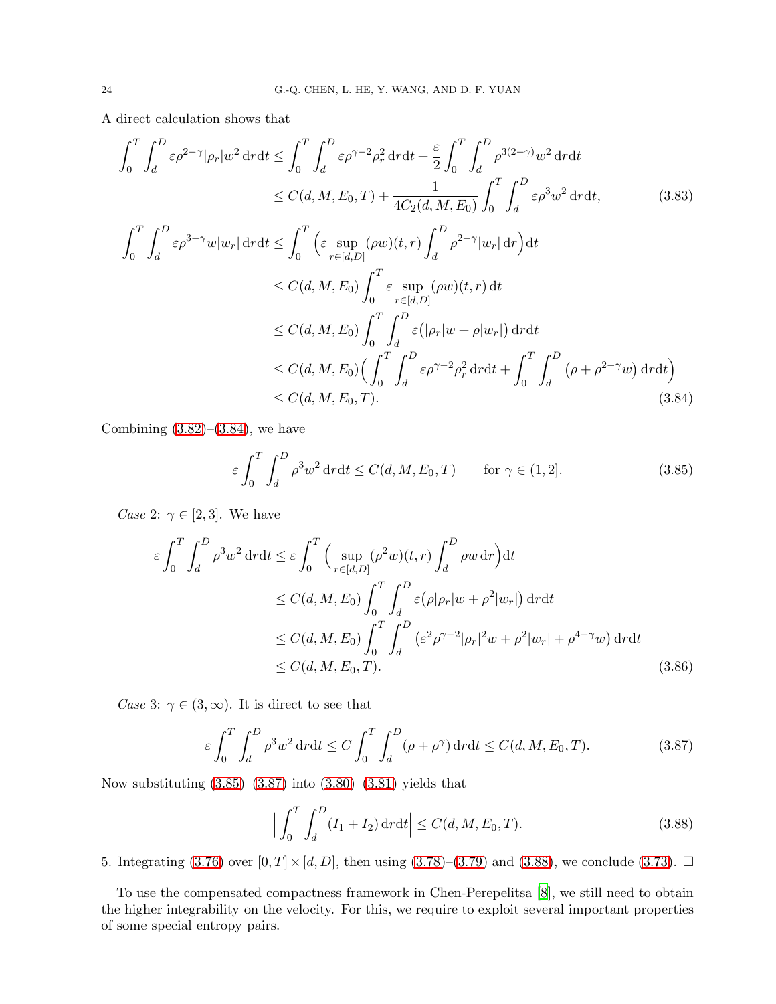A direct calculation shows that

$$
\int_{0}^{T} \int_{d}^{D} \varepsilon \rho^{2-\gamma} |\rho_{r}| w^{2} \, \mathrm{d}r \, \mathrm{d}t \leq \int_{0}^{T} \int_{d}^{D} \varepsilon \rho^{\gamma-2} \rho_{r}^{2} \, \mathrm{d}r \, \mathrm{d}t + \frac{\varepsilon}{2} \int_{0}^{T} \int_{d}^{D} \rho^{3(2-\gamma)} w^{2} \, \mathrm{d}r \, \mathrm{d}t
$$
\n
$$
\leq C(d, M, E_{0}, T) + \frac{1}{4C_{2}(d, M, E_{0})} \int_{0}^{T} \int_{d}^{D} \varepsilon \rho^{3} w^{2} \, \mathrm{d}r \, \mathrm{d}t, \qquad (3.83)
$$
\n
$$
\int_{0}^{T} \int_{d}^{D} \varepsilon \rho^{3-\gamma} w |w_{r}| \, \mathrm{d}r \, \mathrm{d}t \leq \int_{0}^{T} \left( \varepsilon \sup_{r \in [d, D]} (\rho w)(t, r) \int_{d}^{D} \rho^{2-\gamma} |w_{r}| \, \mathrm{d}r \right) \mathrm{d}t
$$
\n
$$
\leq C(d, M, E_{0}) \int_{0}^{T} \varepsilon \sup_{r \in [d, D]} (\rho w)(t, r) \, \mathrm{d}t
$$
\n
$$
\leq C(d, M, E_{0}) \int_{0}^{T} \int_{d}^{D} \varepsilon (|\rho_{r}| w + \rho |w_{r}|) \, \mathrm{d}r \, \mathrm{d}t
$$
\n
$$
\leq C(d, M, E_{0}) \left( \int_{0}^{T} \int_{d}^{D} \varepsilon \rho^{\gamma-2} \rho_{r}^{2} \, \mathrm{d}r \, \mathrm{d}t + \int_{0}^{T} \int_{d}^{D} (\rho + \rho^{2-\gamma} w) \, \mathrm{d}r \, \mathrm{d}t \right)
$$
\n
$$
\leq C(d, M, E_{0}, T). \qquad (3.84)
$$

Combining  $(3.82)$ – $(3.84)$ , we have

<span id="page-23-1"></span><span id="page-23-0"></span>
$$
\varepsilon \int_0^T \int_d^D \rho^3 w^2 dr dt \le C(d, M, E_0, T) \qquad \text{for } \gamma \in (1, 2]. \tag{3.85}
$$

*Case* 2:  $\gamma \in [2, 3]$ . We have

$$
\varepsilon \int_0^T \int_d^D \rho^3 w^2 \, \mathrm{d}r \, \mathrm{d}t \le \varepsilon \int_0^T \Big( \sup_{r \in [d,D]} (\rho^2 w)(t,r) \int_d^D \rho w \, \mathrm{d}r \Big) \mathrm{d}t
$$
  
\n
$$
\le C(d, M, E_0) \int_0^T \int_d^D \varepsilon (\rho |\rho_r| w + \rho^2 |w_r|) \, \mathrm{d}r \, \mathrm{d}t
$$
  
\n
$$
\le C(d, M, E_0) \int_0^T \int_d^D (\varepsilon^2 \rho^{\gamma-2} |\rho_r|^2 w + \rho^2 |w_r| + \rho^{4-\gamma} w) \, \mathrm{d}r \, \mathrm{d}t
$$
  
\n
$$
\le C(d, M, E_0, T). \tag{3.86}
$$

Case 3:  $\gamma \in (3,\infty)$ . It is direct to see that

$$
\varepsilon \int_0^T \int_d^D \rho^3 w^2 \, \mathrm{d}r \mathrm{d}t \le C \int_0^T \int_d^D (\rho + \rho^\gamma) \, \mathrm{d}r \mathrm{d}t \le C(d, M, E_0, T). \tag{3.87}
$$

Now substituting  $(3.85)$ – $(3.87)$  into  $(3.80)$ – $(3.81)$  yields that

<span id="page-23-3"></span><span id="page-23-2"></span>
$$
\left| \int_{0}^{T} \int_{d}^{D} (I_{1} + I_{2}) \, \mathrm{d}r \mathrm{d}t \right| \le C(d, M, E_{0}, T). \tag{3.88}
$$

5. Integrating  $(3.76)$  over  $[0, T] \times [d, D]$ , then using  $(3.78)$ – $(3.79)$  and  $(3.88)$ , we conclude  $(3.73)$ .  $\Box$ 

To use the compensated compactness framework in Chen-Perepelitsa [\[8](#page-54-5)], we still need to obtain the higher integrability on the velocity. For this, we require to exploit several important properties of some special entropy pairs.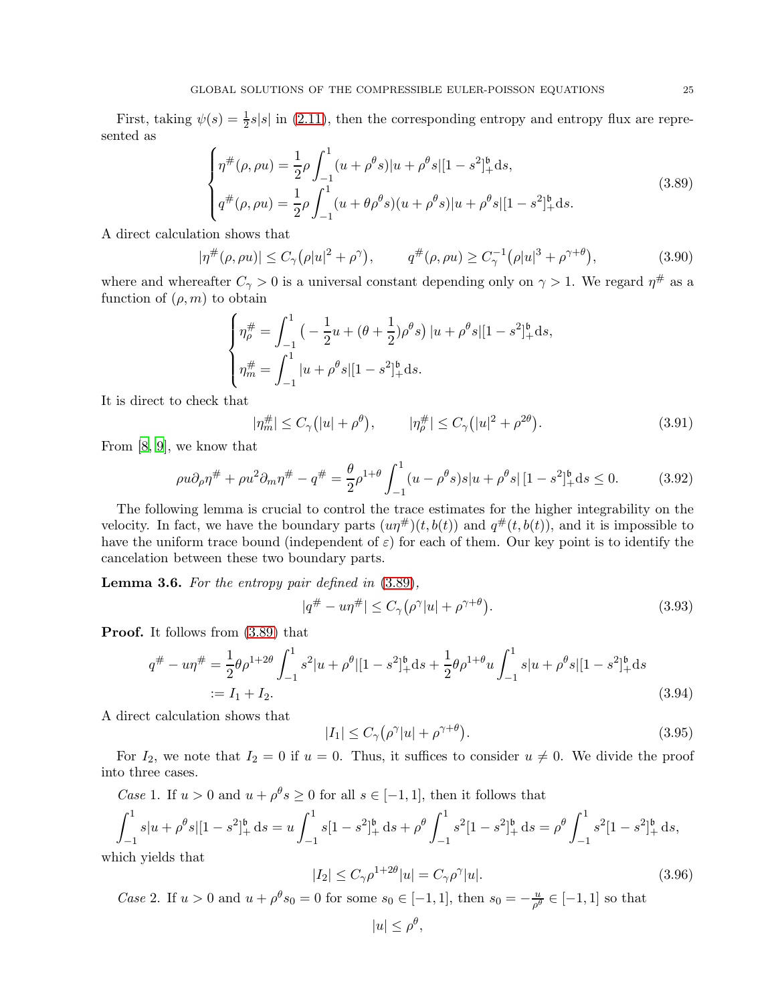First, taking  $\psi(s) = \frac{1}{2}s|s|$  in [\(2.11\)](#page-8-0), then the corresponding entropy and entropy flux are represented as

<span id="page-24-0"></span>
$$
\begin{cases}\n\eta^{\#}(\rho,\rho u) = \frac{1}{2}\rho \int_{-1}^{1} (u+\rho^{\theta}s)|u+\rho^{\theta}s|[1-s^{2}]_{+}^{\mathfrak{b}}ds, \\
q^{\#}(\rho,\rho u) = \frac{1}{2}\rho \int_{-1}^{1} (u+\theta\rho^{\theta}s)(u+\rho^{\theta}s)|u+\rho^{\theta}s|[1-s^{2}]_{+}^{\mathfrak{b}}ds.\n\end{cases}
$$
\n(3.89)

A direct calculation shows that

$$
|\eta^{\#}(\rho, \rho u)| \le C_{\gamma}(\rho |u|^2 + \rho^{\gamma}), \qquad q^{\#}(\rho, \rho u) \ge C_{\gamma}^{-1}(\rho |u|^3 + \rho^{\gamma+\theta}), \tag{3.90}
$$

where and whereafter  $C_{\gamma} > 0$  is a universal constant depending only on  $\gamma > 1$ . We regard  $\eta^{\#}$  as a function of  $(\rho, m)$  to obtain

<span id="page-24-6"></span>
$$
\begin{cases} \eta_{\rho}^{\#} = \int_{-1}^{1} \left( -\frac{1}{2} u + (\theta + \frac{1}{2}) \rho^{\theta} s \right) |u + \rho^{\theta} s| [1 - s^2]_{+}^{6} \mathrm{d} s, \\ \eta_{m}^{\#} = \int_{-1}^{1} |u + \rho^{\theta} s| [1 - s^2]_{+}^{6} \mathrm{d} s. \end{cases}
$$

It is direct to check that

$$
|\eta_m^{\#}| \le C_\gamma (|u| + \rho^\theta), \qquad |\eta_\rho^{\#}| \le C_\gamma (|u|^2 + \rho^{2\theta}). \tag{3.91}
$$

From [\[8](#page-54-5), [9](#page-54-16)], we know that

$$
\rho u \partial_{\rho} \eta^{\#} + \rho u^{2} \partial_{m} \eta^{\#} - q^{\#} = \frac{\theta}{2} \rho^{1+\theta} \int_{-1}^{1} (u - \rho^{\theta} s) s |u + \rho^{\theta} s| [1 - s^{2}]_{+}^{b} ds \le 0.
$$
 (3.92)

The following lemma is crucial to control the trace estimates for the higher integrability on the velocity. In fact, we have the boundary parts  $(u\eta^{\#})(t, b(t))$  and  $q^{\#}(t, b(t))$ , and it is impossible to have the uniform trace bound (independent of  $\varepsilon$ ) for each of them. Our key point is to identify the cancelation between these two boundary parts.

<span id="page-24-4"></span>**Lemma 3.6.** For the entropy pair defined in  $(3.89)$ ,

<span id="page-24-5"></span><span id="page-24-3"></span><span id="page-24-2"></span>
$$
|q^{\#} - u\eta^{\#}| \le C_{\gamma}(\rho^{\gamma}|u| + \rho^{\gamma+\theta}). \tag{3.93}
$$

Proof. It follows from [\(3.89\)](#page-24-0) that

$$
q^{\#} - u\eta^{\#} = \frac{1}{2}\theta\rho^{1+2\theta} \int_{-1}^{1} s^2|u+\rho^{\theta}|[1-s^2]_+^{\mathfrak{b}}ds + \frac{1}{2}\theta\rho^{1+\theta}u \int_{-1}^{1} s|u+\rho^{\theta}s|[1-s^2]_+^{\mathfrak{b}}ds
$$
  
:=  $I_1 + I_2.$  (3.94)

A direct calculation shows that

<span id="page-24-1"></span>
$$
|I_1| \le C_\gamma (\rho^\gamma |u| + \rho^{\gamma+\theta}). \tag{3.95}
$$

For  $I_2$ , we note that  $I_2 = 0$  if  $u = 0$ . Thus, it suffices to consider  $u \neq 0$ . We divide the proof into three cases.

Case 1. If  $u > 0$  and  $u + \rho^{\theta} s \ge 0$  for all  $s \in [-1, 1]$ , then it follows that

$$
\int_{-1}^{1} s|u + \rho^{\theta}s|[1 - s^2]_+^{\mathfrak{b}} ds = u \int_{-1}^{1} s[1 - s^2]_+^{\mathfrak{b}} ds + \rho^{\theta} \int_{-1}^{1} s^2[1 - s^2]_+^{\mathfrak{b}} ds = \rho^{\theta} \int_{-1}^{1} s^2[1 - s^2]_+^{\mathfrak{b}} ds,
$$
  
which yields that

which yields that

$$
|I_2| \le C_\gamma \rho^{1+2\theta} |u| = C_\gamma \rho^\gamma |u|. \tag{3.96}
$$

*Case* 2. If  $u > 0$  and  $u + \rho^{\theta} s_0 = 0$  for some  $s_0 \in [-1, 1]$ , then  $s_0 = -\frac{u}{\rho^{\theta}} \in [-1, 1]$  so that

$$
|u| \le \rho^{\theta},
$$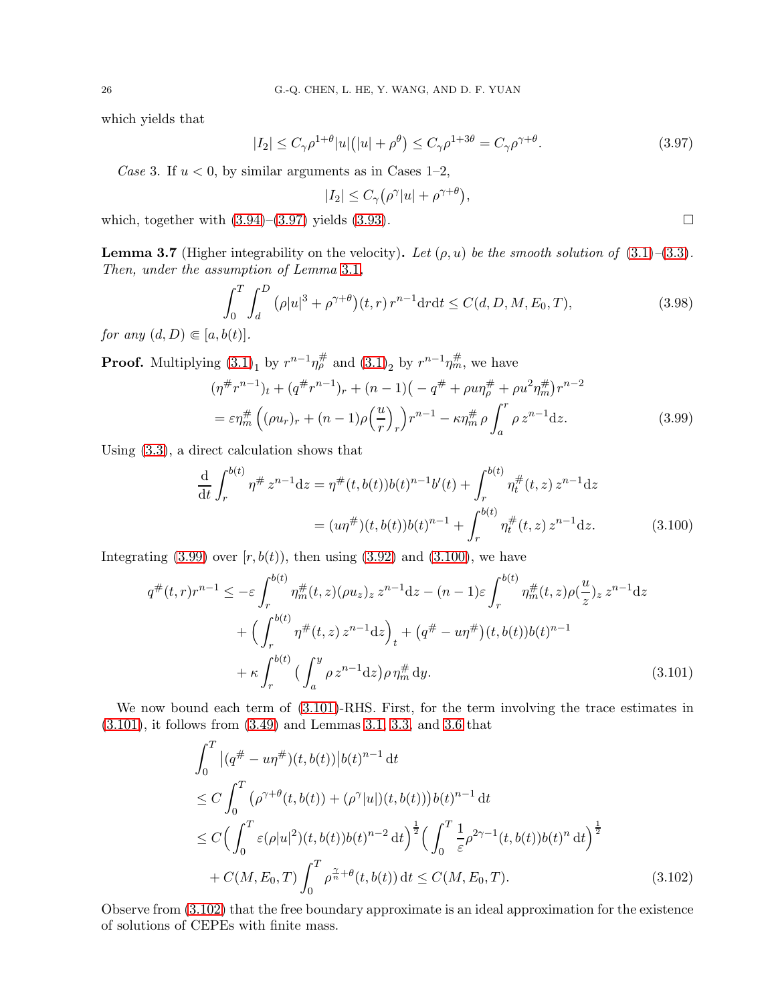which yields that

$$
|I_2| \le C_\gamma \rho^{1+\theta} |u| \left( |u| + \rho^{\theta} \right) \le C_\gamma \rho^{1+3\theta} = C_\gamma \rho^{\gamma+\theta}.
$$
 (3.97)

Case 3. If  $u < 0$ , by similar arguments as in Cases 1-2,

$$
|I_2| \leq C_{\gamma}(\rho^{\gamma}|u| + \rho^{\gamma+\theta}),
$$

which, together with  $(3.94)$ – $(3.97)$  yields  $(3.93)$ .

<span id="page-25-0"></span>**Lemma 3.7** (Higher integrability on the velocity). Let  $(\rho, u)$  be the smooth solution of  $(3.1)$ – $(3.3)$ . Then, under the assumption of Lemma [3.1](#page-12-5),

$$
\int_0^T \int_d^D (\rho |u|^3 + \rho^{\gamma+\theta})(t, r) r^{n-1} dr dt \le C(d, D, M, E_0, T),
$$
\n(3.98)

for any  $(d, D) \in [a, b(t)].$ 

**Proof.** Multiplying  $(3.1)_1$  by  $r^{n-1}\eta_p^{\#}$  and  $(3.1)_2$  by  $r^{n-1}\eta_m^{\#}$ , we have

$$
(\eta^{\#}r^{n-1})_t + (q^{\#}r^{n-1})_r + (n-1)(-q^{\#} + \rho u \eta^{\#}_{\rho} + \rho u^2 \eta^{\#}_{m})r^{n-2}
$$
  
=  $\varepsilon \eta^{\#}_{m} ((\rho u_r)_r + (n-1)\rho \left(\frac{u}{r}\right)_r)r^{n-1} - \kappa \eta^{\#}_{m} \rho \int_a^r \rho z^{n-1}dz.$  (3.99)

Using [\(3.3\)](#page-10-3), a direct calculation shows that

$$
\frac{d}{dt} \int_{r}^{b(t)} \eta^{\#} z^{n-1} dz = \eta^{\#}(t, b(t)) b(t)^{n-1} b'(t) + \int_{r}^{b(t)} \eta^{\#}_{t}(t, z) z^{n-1} dz
$$
\n
$$
= (u\eta^{\#})(t, b(t)) b(t)^{n-1} + \int_{r}^{b(t)} \eta^{\#}_{t}(t, z) z^{n-1} dz. \tag{3.100}
$$

Integrating  $(3.99)$  over  $[r, b(t)]$ , then using  $(3.92)$  and  $(3.100)$ , we have

$$
q^{\#}(t,r)r^{n-1} \leq -\varepsilon \int_{r}^{b(t)} \eta_m^{\#}(t,z)(\rho u_z)_{z} z^{n-1} dz - (n-1)\varepsilon \int_{r}^{b(t)} \eta_m^{\#}(t,z)\rho(\frac{u}{z})_{z} z^{n-1} dz + \Big(\int_{r}^{b(t)} \eta^{\#}(t,z) z^{n-1} dz\Big)_{t} + \Big(q^{\#} - u\eta^{\#}\Big)(t,b(t))b(t)^{n-1} + \kappa \int_{r}^{b(t)} \Big(\int_{a}^{y} \rho z^{n-1} dz\Big) \rho \eta_m^{\#} dy.
$$
 (3.101)

We now bound each term of  $(3.101)$ -RHS. First, for the term involving the trace estimates in [\(3.101\)](#page-25-4), it follows from [\(3.49\)](#page-17-1) and Lemmas [3.1,](#page-12-5) [3.3,](#page-17-0) and [3.6](#page-24-4) that

<span id="page-25-5"></span>
$$
\int_{0}^{T} |(q^{\#} - u\eta^{\#})(t, b(t))|b(t)^{n-1} dt
$$
\n
$$
\leq C \int_{0}^{T} (\rho^{\gamma+\theta}(t, b(t)) + (\rho^{\gamma}|u|)(t, b(t)))b(t)^{n-1} dt
$$
\n
$$
\leq C \Big(\int_{0}^{T} \varepsilon(\rho|u|^{2})(t, b(t))b(t)^{n-2} dt\Big)^{\frac{1}{2}} \Big(\int_{0}^{T} \frac{1}{\varepsilon} \rho^{2\gamma-1}(t, b(t))b(t)^{n} dt\Big)^{\frac{1}{2}}
$$
\n
$$
+ C(M, E_{0}, T) \int_{0}^{T} \rho^{\frac{\gamma}{n}+\theta}(t, b(t)) dt \leq C(M, E_{0}, T). \tag{3.102}
$$

Observe from [\(3.102\)](#page-25-5) that the free boundary approximate is an ideal approximation for the existence of solutions of CEPEs with finite mass.

<span id="page-25-6"></span><span id="page-25-4"></span><span id="page-25-3"></span><span id="page-25-2"></span><span id="page-25-1"></span>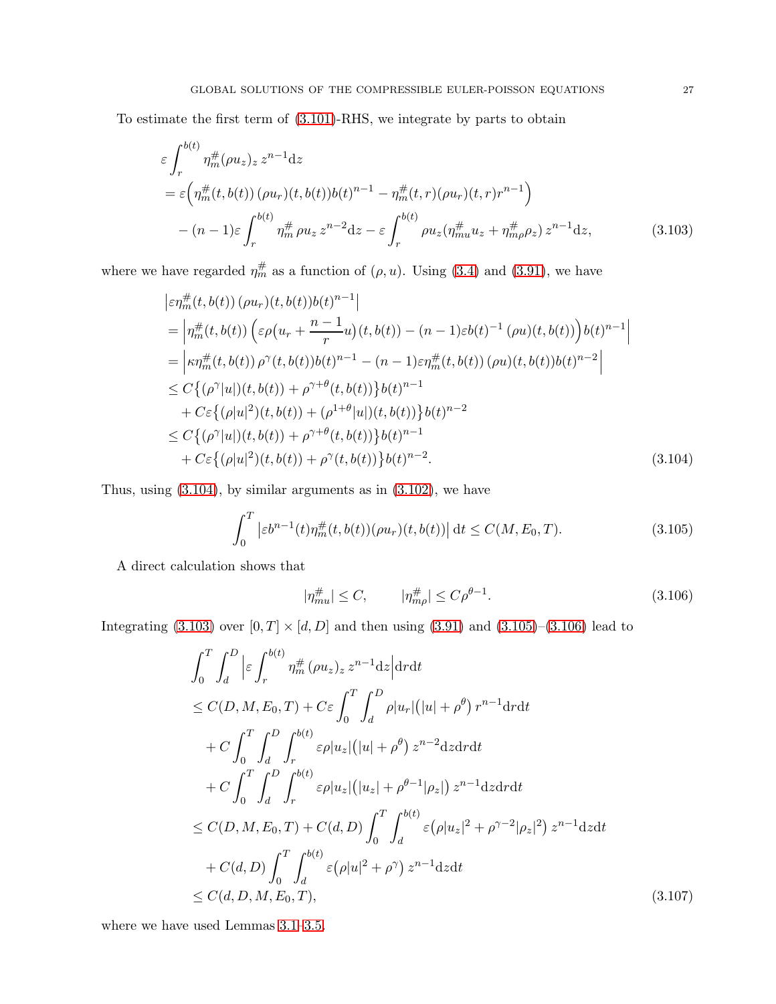To estimate the first term of [\(3.101\)](#page-25-4)-RHS, we integrate by parts to obtain

$$
\varepsilon \int_{r}^{b(t)} \eta_{m}^{\#}(\rho u_{z})_{z} z^{n-1} dz
$$
\n
$$
= \varepsilon \Big( \eta_{m}^{\#}(t, b(t)) \left( \rho u_{r} \right)(t, b(t)) b(t)^{n-1} - \eta_{m}^{\#}(t, r) (\rho u_{r}) (t, r) r^{n-1} \Big)
$$
\n
$$
- (n-1) \varepsilon \int_{r}^{b(t)} \eta_{m}^{\#} \rho u_{z} z^{n-2} dz - \varepsilon \int_{r}^{b(t)} \rho u_{z} (\eta_{mu}^{\#} u_{z} + \eta_{m}^{\#} \rho_{z}) z^{n-1} dz, \tag{3.103}
$$

where we have regarded  $\eta_m^{\#}$  as a function of  $(\rho, u)$ . Using [\(3.4\)](#page-10-4) and [\(3.91\)](#page-24-5), we have

<span id="page-26-1"></span>
$$
\begin{split}\n&|\varepsilon\eta_m^{\#}(t,b(t))\,(\rho u_r)(t,b(t))b(t)^{n-1}| \\
&= \left|\eta_m^{\#}(t,b(t))\left(\varepsilon\rho\big(u_r + \frac{n-1}{r}u\big)(t,b(t)) - (n-1)\varepsilon b(t)^{-1}\,(\rho u)(t,b(t))\right)b(t)^{n-1}\right| \\
&= \left|\kappa\eta_m^{\#}(t,b(t))\,\rho^{\gamma}(t,b(t))b(t)^{n-1} - (n-1)\varepsilon\eta_m^{\#}(t,b(t))\,(\rho u)(t,b(t))b(t)^{n-2}\right| \\
&\leq C\left\{(\rho^{\gamma}|u|)(t,b(t)) + \rho^{\gamma+\theta}(t,b(t))\right\}b(t)^{n-1} \\
&+ C\varepsilon\left\{(\rho|u|^2)(t,b(t)) + (\rho^{1+\theta}|u|)(t,b(t))\right\}b(t)^{n-2} \\
&\leq C\left\{(\rho^{\gamma}|u|)(t,b(t)) + \rho^{\gamma+\theta}(t,b(t))\right\}b(t)^{n-1} \\
&+ C\varepsilon\left\{(\rho|u|^2)(t,b(t)) + \rho^{\gamma}(t,b(t))\right\}b(t)^{n-2}.\n\end{split} \tag{3.104}
$$

Thus, using [\(3.104\)](#page-26-0), by similar arguments as in [\(3.102\)](#page-25-5), we have

$$
\int_0^T \left| \varepsilon b^{n-1}(t) \eta_m^\#(t, b(t)) (\rho u_r)(t, b(t)) \right| dt \le C(M, E_0, T). \tag{3.105}
$$

A direct calculation shows that

<span id="page-26-4"></span><span id="page-26-3"></span><span id="page-26-2"></span><span id="page-26-0"></span>
$$
|\eta_{mu}^{\#}| \le C, \qquad |\eta_{m\rho}^{\#}| \le C\rho^{\theta - 1}.
$$
 (3.106)

Integrating [\(3.103\)](#page-26-1) over  $[0, T] \times [d, D]$  and then using [\(3.91\)](#page-24-5) and [\(3.105\)](#page-26-2)–[\(3.106\)](#page-26-3) lead to

$$
\int_{0}^{T} \int_{d}^{D} \left| \varepsilon \int_{r}^{b(t)} \eta_{m}^{\#}(\rho u_{z})_{z} z^{n-1} \mathrm{d}z \right| \mathrm{d}r \mathrm{d}t \n\leq C(D, M, E_{0}, T) + C \varepsilon \int_{0}^{T} \int_{d}^{D} \rho |u_{r}| (|u| + \rho^{\theta}) r^{n-1} \mathrm{d}r \mathrm{d}t \n+ C \int_{0}^{T} \int_{d}^{D} \int_{r}^{b(t)} \varepsilon \rho |u_{z}| (|u| + \rho^{\theta}) z^{n-2} \mathrm{d}z \mathrm{d}r \mathrm{d}t \n+ C \int_{0}^{T} \int_{d}^{D} \int_{r}^{b(t)} \varepsilon \rho |u_{z}| (|u_{z}| + \rho^{\theta-1} |\rho_{z}|) z^{n-1} \mathrm{d}z \mathrm{d}r \mathrm{d}t \n\leq C(D, M, E_{0}, T) + C(d, D) \int_{0}^{T} \int_{d}^{b(t)} \varepsilon (\rho |u_{z}|^{2} + \rho^{\gamma-2} |\rho_{z}|^{2}) z^{n-1} \mathrm{d}z \mathrm{d}t \n+ C(d, D) \int_{0}^{T} \int_{d}^{b(t)} \varepsilon (\rho |u|^{2} + \rho^{\gamma}) z^{n-1} \mathrm{d}z \mathrm{d}t \n\leq C(d, D, M, E_{0}, T), \qquad (3.107)
$$

where we have used Lemmas [3.1–](#page-12-5)[3.5.](#page-10-6)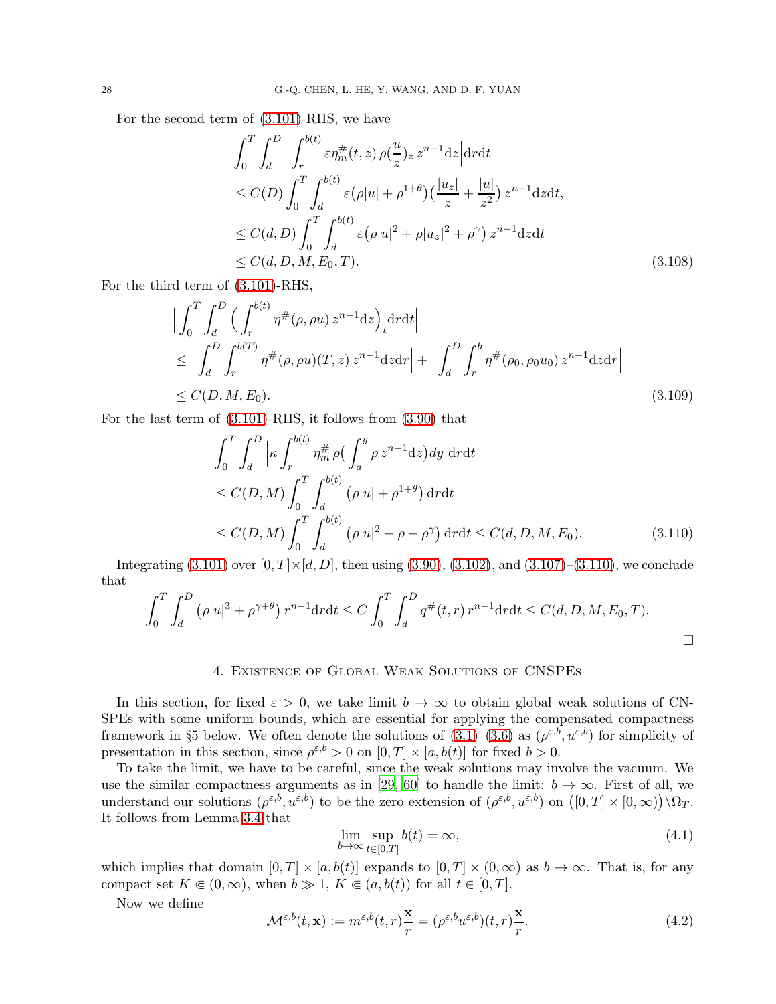For the second term of [\(3.101\)](#page-25-4)-RHS, we have

$$
\int_{0}^{T} \int_{d}^{D} \Big| \int_{r}^{b(t)} \varepsilon \eta_{m}^{\#}(t, z) \, \rho(\frac{u}{z})_{z} \, z^{n-1} \mathrm{d}z \Big| \mathrm{d}r \mathrm{d}t
$$
\n
$$
\leq C(D) \int_{0}^{T} \int_{d}^{b(t)} \varepsilon (\rho |u| + \rho^{1+\theta}) \left(\frac{|u_{z}|}{z} + \frac{|u|}{z^{2}}\right) z^{n-1} \mathrm{d}z \mathrm{d}t,
$$
\n
$$
\leq C(d, D) \int_{0}^{T} \int_{d}^{b(t)} \varepsilon (\rho |u|^{2} + \rho |u_{z}|^{2} + \rho^{\gamma}) \, z^{n-1} \mathrm{d}z \mathrm{d}t
$$
\n
$$
\leq C(d, D, M, E_{0}, T).
$$
\n(3.108)

For the third term of [\(3.101\)](#page-25-4)-RHS,

$$
\left| \int_{0}^{T} \int_{d}^{D} \left( \int_{r}^{b(t)} \eta^{\#}(\rho, \rho u) z^{n-1} \mathrm{d}z \right) d\tau \mathrm{d}t \right|
$$
  
\n
$$
\leq \left| \int_{d}^{D} \int_{r}^{b(T)} \eta^{\#}(\rho, \rho u)(T, z) z^{n-1} \mathrm{d}z \mathrm{d}r \right| + \left| \int_{d}^{D} \int_{r}^{b} \eta^{\#}(\rho_{0}, \rho_{0} u_{0}) z^{n-1} \mathrm{d}z \mathrm{d}r \right|
$$
  
\n
$$
\leq C(D, M, E_{0}). \tag{3.109}
$$

For the last term of [\(3.101\)](#page-25-4)-RHS, it follows from [\(3.90\)](#page-24-6) that

$$
\int_0^T \int_d^D \left| \kappa \int_r^{b(t)} \eta_m^{\#} \rho \left( \int_a^y \rho z^{n-1} dz \right) dy \right| dr dt
$$
  
\n
$$
\leq C(D, M) \int_0^T \int_d^{b(t)} (\rho |u| + \rho^{1+\theta}) dr dt
$$
  
\n
$$
\leq C(D, M) \int_0^T \int_d^{b(t)} (\rho |u|^2 + \rho + \rho^{\gamma}) dr dt \leq C(d, D, M, E_0).
$$
 (3.110)

Integrating  $(3.101)$  over  $[0, T] \times [d, D]$ , then using  $(3.90), (3.102),$  $(3.90), (3.102),$  $(3.90), (3.102),$  and  $(3.107)$ – $(3.110),$  $(3.110),$  we conclude that

$$
\int_0^T \int_d^D (\rho |u|^3 + \rho^{\gamma+\theta}) r^{n-1} dr dt \le C \int_0^T \int_d^D q^{\#}(t, r) r^{n-1} dr dt \le C(d, D, M, E_0, T).
$$

### 4. Existence of Global Weak Solutions of CNSPEs

<span id="page-27-0"></span>In this section, for fixed  $\varepsilon > 0$ , we take limit  $b \to \infty$  to obtain global weak solutions of CN-SPEs with some uniform bounds, which are essential for applying the compensated compactness framework in §5 below. We often denote the solutions of  $(3.1)$ – $(3.6)$  as  $(\rho^{\varepsilon,b}, u^{\varepsilon,b})$  for simplicity of presentation in this section, since  $\rho^{\varepsilon,b} > 0$  on  $[0,T] \times [a,b(t)]$  for fixed  $b > 0$ .

To take the limit, we have to be careful, since the weak solutions may involve the vacuum. We use the similar compactness arguments as in [29, [60](#page-56-17)] to handle the limit:  $b \to \infty$ . First of all, we understand our solutions  $(\rho^{\varepsilon,b}, u^{\varepsilon,b})$  to be the zero extension of  $(\rho^{\varepsilon,b}, u^{\varepsilon,b})$  on  $([0, T] \times [0, \infty)) \setminus \Omega_T$ . It follows from Lemma [3.4](#page-20-0) that

<span id="page-27-2"></span><span id="page-27-1"></span>
$$
\lim_{b \to \infty} \sup_{t \in [0,T]} b(t) = \infty,
$$
\n(4.1)

which implies that domain  $[0, T] \times [a, b(t)]$  expands to  $[0, T] \times (0, \infty)$  as  $b \to \infty$ . That is, for any compact set  $K \in (0, \infty)$ , when  $b \gg 1$ ,  $K \in (a, b(t))$  for all  $t \in [0, T]$ .

Now we define

<span id="page-27-3"></span>
$$
\mathcal{M}^{\varepsilon,b}(t,\mathbf{x}) := m^{\varepsilon,b}(t,r)\frac{\mathbf{x}}{r} = (\rho^{\varepsilon,b}u^{\varepsilon,b})(t,r)\frac{\mathbf{x}}{r}.
$$
\n(4.2)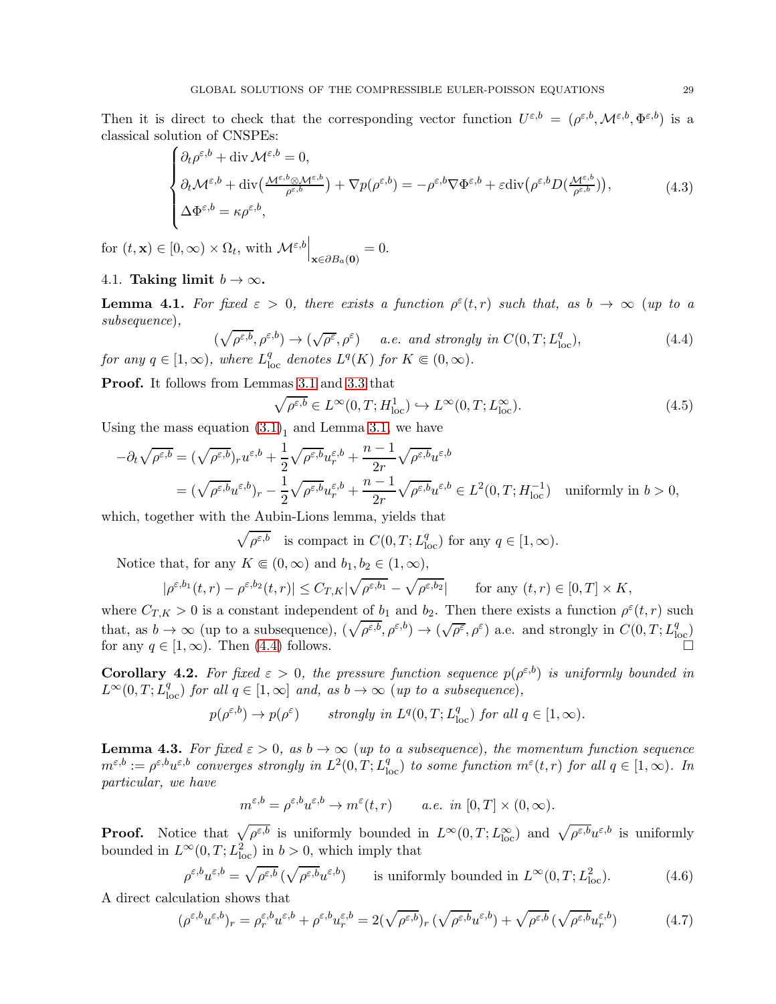Then it is direct to check that the corresponding vector function  $U^{\varepsilon,b} = (\rho^{\varepsilon,b}, \mathcal{M}^{\varepsilon,b}, \Phi^{\varepsilon,b})$  is a classical solution of CNSPEs:

$$
\begin{cases} \partial_t \rho^{\varepsilon,b} + \text{div}\,\mathcal{M}^{\varepsilon,b} = 0, \\ \partial_t \mathcal{M}^{\varepsilon,b} + \text{div}\big(\frac{\mathcal{M}^{\varepsilon,b} \otimes \mathcal{M}^{\varepsilon,b}}{\rho^{\varepsilon,b}}\big) + \nabla p(\rho^{\varepsilon,b}) = -\rho^{\varepsilon,b} \nabla \Phi^{\varepsilon,b} + \varepsilon \text{div}\big(\rho^{\varepsilon,b} D(\frac{\mathcal{M}^{\varepsilon,b}}{\rho^{\varepsilon,b}})\big), \\ \Delta \Phi^{\varepsilon,b} = \kappa \rho^{\varepsilon,b}, \end{cases} \tag{4.3}
$$

for  $(t, \mathbf{x}) \in [0, \infty) \times \Omega_t$ , with  $\mathcal{M}^{\varepsilon, b}\Big|_{\mathbf{x} \in \partial B_a(\mathbf{0})}$  $= 0.$ 

4.1. Taking limit  $b \to \infty$ .

<span id="page-28-5"></span>**Lemma 4.1.** For fixed  $\varepsilon > 0$ , there exists a function  $\rho^{\varepsilon}(t,r)$  such that, as  $b \to \infty$  (up to a subsequence),

$$
(\sqrt{\rho^{\varepsilon,b}}, \rho^{\varepsilon,b}) \to (\sqrt{\rho^{\varepsilon}}, \rho^{\varepsilon}) \quad a.e. \text{ and strongly in } C(0,T; L_{loc}^q),
$$
  
for any  $q \in [1, \infty)$ , where  $L_{loc}^q$  denotes  $L^q(K)$  for  $K \in (0, \infty)$ . (4.4)

Proof. It follows from Lemmas [3.1](#page-12-5) and [3.3](#page-17-0) that

<span id="page-28-6"></span><span id="page-28-3"></span><span id="page-28-0"></span>
$$
\sqrt{\rho^{\varepsilon,b}} \in L^{\infty}(0,T;H_{\text{loc}}^1) \hookrightarrow L^{\infty}(0,T;L_{\text{loc}}^{\infty}).
$$
\n(4.5)

Using the mass equation  $(3.1)<sub>1</sub>$  and Lemma [3.1,](#page-12-5) we have

$$
-\partial_t \sqrt{\rho^{\varepsilon,b}} = (\sqrt{\rho^{\varepsilon,b}})_r u^{\varepsilon,b} + \frac{1}{2} \sqrt{\rho^{\varepsilon,b}} u_r^{\varepsilon,b} + \frac{n-1}{2r} \sqrt{\rho^{\varepsilon,b}} u^{\varepsilon,b}
$$
  
=  $(\sqrt{\rho^{\varepsilon,b}} u^{\varepsilon,b})_r - \frac{1}{2} \sqrt{\rho^{\varepsilon,b}} u_r^{\varepsilon,b} + \frac{n-1}{2r} \sqrt{\rho^{\varepsilon,b}} u^{\varepsilon,b} \in L^2(0,T;H_{\text{loc}}^{-1})$  uniformly in  $b > 0$ ,

which, together with the Aubin-Lions lemma, yields that

$$
\sqrt{\rho^{\varepsilon,b}}
$$
 is compact in  $C(0,T; L^q_{loc})$  for any  $q \in [1, \infty)$ .

Notice that, for any  $K \in (0, \infty)$  and  $b_1, b_2 \in (1, \infty)$ ,

$$
|\rho^{\varepsilon,b_1}(t,r) - \rho^{\varepsilon,b_2}(t,r)| \leq C_{T,K} |\sqrt{\rho^{\varepsilon,b_1}} - \sqrt{\rho^{\varepsilon,b_2}}| \quad \text{for any } (t,r) \in [0,T] \times K,
$$

where  $C_{T,K} > 0$  is a constant independent of  $b_1$  and  $b_2$ . Then there exists a function  $\rho^{\varepsilon}(t,r)$  such that, as  $b \to \infty$  (up to a subsequence),  $(\sqrt{\rho^{\varepsilon,b}}, \rho^{\varepsilon,b}) \to (\sqrt{\rho^{\varepsilon}}, \rho^{\varepsilon})$  a.e. and strongly in  $C(0,T; L^q_{loc})$ for any  $q \in [1,\infty)$ . Then  $(4.4)$  follows.

<span id="page-28-7"></span>**Corollary 4.2.** For fixed  $\varepsilon > 0$ , the pressure function sequence  $p(\rho^{\varepsilon,b})$  is uniformly bounded in  $L^{\infty}(0,T; L^{q}_{loc})$  for all  $q \in [1,\infty]$  and, as  $b \to \infty$  (up to a subsequence),

$$
p(\rho^{\varepsilon,b}) \to p(\rho^{\varepsilon})
$$
 strongly in  $L^q(0,T; L^q_{loc})$  for all  $q \in [1,\infty)$ .

<span id="page-28-4"></span>**Lemma 4.3.** For fixed  $\varepsilon > 0$ , as  $b \to \infty$  (up to a subsequence), the momentum function sequence  $m^{\varepsilon,b} := \rho^{\varepsilon,b} u^{\varepsilon,b}$  converges strongly in  $L^2(0,T; L^q_{loc})$  to some function  $m^{\varepsilon}(t,r)$  for all  $q \in [1,\infty)$ . In particular, we have

<span id="page-28-2"></span><span id="page-28-1"></span>
$$
m^{\varepsilon,b} = \rho^{\varepsilon,b} u^{\varepsilon,b} \to m^{\varepsilon}(t,r) \qquad a.e. \quad in \ [0,T] \times (0,\infty).
$$

**Proof.** Notice that  $\sqrt{\rho^{\varepsilon,b}}$  is uniformly bounded in  $L^{\infty}(0,T;L^{\infty}_{loc})$  and  $\sqrt{\rho^{\varepsilon,b}}u^{\varepsilon,b}$  is uniformly bounded in  $L^{\infty}(0,T; L^2_{loc})$  in  $b > 0$ , which imply that

$$
\rho^{\varepsilon, b} u^{\varepsilon, b} = \sqrt{\rho^{\varepsilon, b}} \left( \sqrt{\rho^{\varepsilon, b}} u^{\varepsilon, b} \right) \qquad \text{is uniformly bounded in } L^{\infty}(0, T; L^{2}_{\text{loc}}). \tag{4.6}
$$

A direct calculation shows that

$$
(\rho^{\varepsilon,b}u^{\varepsilon,b})_r = \rho^{\varepsilon,b}_r u^{\varepsilon,b} + \rho^{\varepsilon,b} u^{\varepsilon,b}_r = 2(\sqrt{\rho^{\varepsilon,b}})_r (\sqrt{\rho^{\varepsilon,b}}u^{\varepsilon,b}) + \sqrt{\rho^{\varepsilon,b}} (\sqrt{\rho^{\varepsilon,b}}u^{\varepsilon,b}_r) \tag{4.7}
$$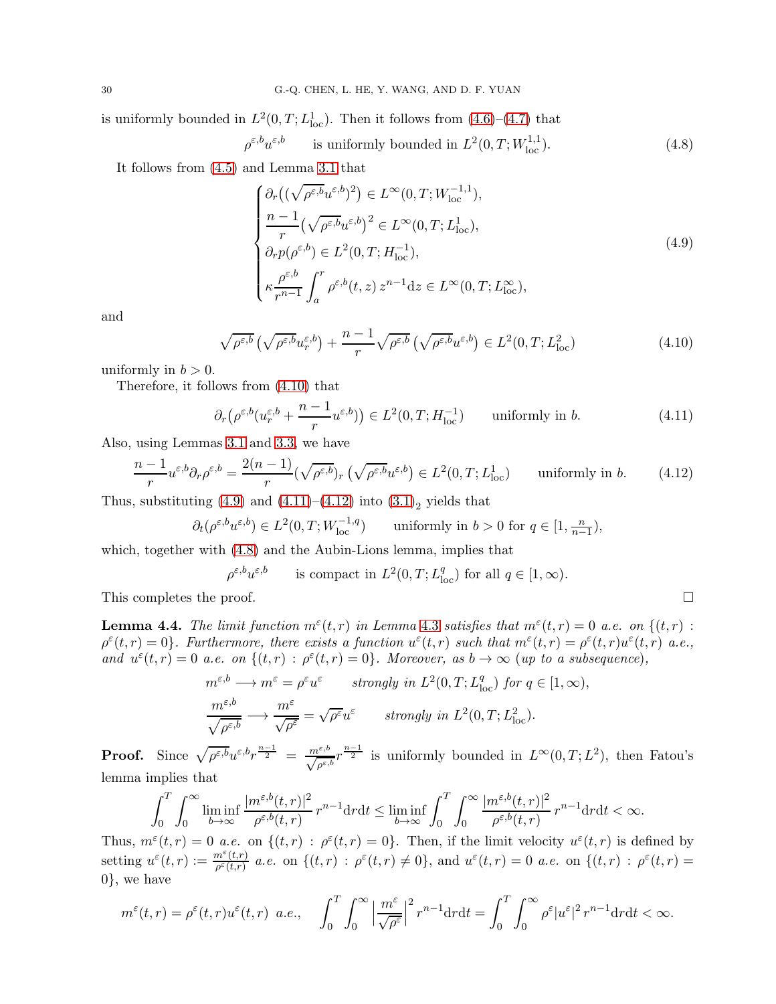is uniformly bounded in  $L^2(0,T;L^1_{loc})$ . Then it follows from  $(4.6)-(4.7)$  $(4.6)-(4.7)$  that

$$
\rho^{\varepsilon, b} u^{\varepsilon, b} \qquad \text{is uniformly bounded in } L^2(0, T; W^{1,1}_{\text{loc}}). \tag{4.8}
$$

It follows from [\(4.5\)](#page-28-3) and Lemma [3.1](#page-12-5) that

<span id="page-29-4"></span>
$$
\begin{cases}\n\partial_r\left((\sqrt{\rho^{\varepsilon,b}}u^{\varepsilon,b})^2\right) \in L^\infty(0,T;W_{\text{loc}}^{-1,1}), \\
\frac{n-1}{r}(\sqrt{\rho^{\varepsilon,b}}u^{\varepsilon,b})^2 \in L^\infty(0,T;L^1_{\text{loc}}), \\
\partial_r p(\rho^{\varepsilon,b}) \in L^2(0,T;H_{\text{loc}}^{-1}), \\
\kappa \frac{\rho^{\varepsilon,b}}{r^{n-1}} \int_a^r \rho^{\varepsilon,b}(t,z) z^{n-1} dz \in L^\infty(0,T;L^\infty_{\text{loc}}),\n\end{cases} \tag{4.9}
$$

and

$$
\sqrt{\rho^{\varepsilon,b}} \left( \sqrt{\rho^{\varepsilon,b}} u^{\varepsilon,b}_r \right) + \frac{n-1}{r} \sqrt{\rho^{\varepsilon,b}} \left( \sqrt{\rho^{\varepsilon,b}} u^{\varepsilon,b} \right) \in L^2(0,T;L^2_{\text{loc}})
$$
\n(4.10)

uniformly in  $b > 0$ .

Therefore, it follows from [\(4.10\)](#page-29-0) that

$$
\partial_r \left( \rho^{\varepsilon, b} (u_r^{\varepsilon, b} + \frac{n-1}{r} u^{\varepsilon, b}) \right) \in L^2(0, T; H_{\text{loc}}^{-1}) \qquad \text{uniformly in } b. \tag{4.11}
$$

Also, using Lemmas [3.1](#page-12-5) and [3.3,](#page-17-0) we have

$$
\frac{n-1}{r}u^{\varepsilon,b}\partial_r\rho^{\varepsilon,b} = \frac{2(n-1)}{r}(\sqrt{\rho^{\varepsilon,b}})_r\left(\sqrt{\rho^{\varepsilon,b}}u^{\varepsilon,b}\right) \in L^2(0,T;L^1_{loc}) \qquad \text{uniformly in } b. \tag{4.12}
$$

Thus, substituting  $(4.9)$  and  $(4.11)$ – $(4.12)$  into  $(3.1)<sub>2</sub>$  yields that

$$
\partial_t(\rho^{\varepsilon,b}u^{\varepsilon,b}) \in L^2(0,T;W^{-1,q}_{\text{loc}}) \qquad \text{uniformly in } b > 0 \text{ for } q \in [1,\tfrac{n}{n-1}),
$$

which, together with  $(4.8)$  and the Aubin-Lions lemma, implies that

$$
\rho^{\varepsilon,b}u^{\varepsilon,b} \qquad \text{is compact in } L^2(0,T;L^q_{\text{loc}}) \text{ for all } q \in [1,\infty).
$$

This completes the proof.

<span id="page-29-5"></span>**Lemma 4.4.** The limit function  $m^{\epsilon}(t,r)$  in Lemma [4.3](#page-28-4) satisfies that  $m^{\epsilon}(t,r) = 0$  a.e. on  $\{(t,r)$ :  $\rho^{\varepsilon}(t,r) = 0$ . Furthermore, there exists a function  $u^{\varepsilon}(t,r)$  such that  $m^{\varepsilon}(t,r) = \rho^{\varepsilon}(t,r)u^{\varepsilon}(t,r)$  a.e., and  $u^{\varepsilon}(t,r) = 0$  a.e. on  $\{(t,r) : \rho^{\varepsilon}(t,r) = 0\}$ . Moreover, as  $b \to \infty$  (up to a subsequence),

$$
m^{\varepsilon,b} \longrightarrow m^{\varepsilon} = \rho^{\varepsilon} u^{\varepsilon} \qquad strongly \ in \ L^{2}(0,T;L^{q}_{\text{loc}}) \ for \ q \in [1,\infty),
$$
  

$$
\frac{m^{\varepsilon,b}}{\sqrt{\rho^{\varepsilon,b}}} \longrightarrow \frac{m^{\varepsilon}}{\sqrt{\rho^{\varepsilon}}} = \sqrt{\rho^{\varepsilon}} u^{\varepsilon} \qquad strongly \ in \ L^{2}(0,T;L^{2}_{\text{loc}}).
$$

**Proof.** Since  $\sqrt{\rho^{\varepsilon,b}} u^{\varepsilon,b} r^{\frac{n-1}{2}} = \frac{m^{\varepsilon,b}}{\sqrt{\rho^{\varepsilon,b}}} r^{\frac{n-1}{2}}$  is uniformly bounded in  $L^{\infty}(0,T;L^2)$ , then Fatou's lemma implies that

$$
\int_0^T \int_0^\infty \liminf_{b \to \infty} \frac{|m^{\varepsilon, b}(t, r)|^2}{\rho^{\varepsilon, b}(t, r)} r^{n-1} dr dt \le \liminf_{b \to \infty} \int_0^T \int_0^\infty \frac{|m^{\varepsilon, b}(t, r)|^2}{\rho^{\varepsilon, b}(t, r)} r^{n-1} dr dt < \infty.
$$

Thus,  $m^{\varepsilon}(t,r) = 0$  *a.e.* on  $\{(t,r) : \rho^{\varepsilon}(t,r) = 0\}$ . Then, if the limit velocity  $u^{\varepsilon}(t,r)$  is defined by setting  $u^{\varepsilon}(t,r) := \frac{m^{\varepsilon}(t,r)}{e^{\varepsilon}(t,r)}$  $\frac{n^{\varepsilon}(t,r)}{\rho^{\varepsilon}(t,r)}$  a.e. on  $\{(t,r) : \rho^{\varepsilon}(t,r) \neq 0\}$ , and  $u^{\varepsilon}(t,r) = 0$  a.e. on  $\{(t,r) : \rho^{\varepsilon}(t,r) = 0\}$ 0}, we have

$$
m^{\varepsilon}(t,r) = \rho^{\varepsilon}(t,r)u^{\varepsilon}(t,r) \quad a.e., \quad \int_{0}^{T} \int_{0}^{\infty} \left| \frac{m^{\varepsilon}}{\sqrt{\rho^{\varepsilon}}} \right|^{2} r^{n-1} dr dt = \int_{0}^{T} \int_{0}^{\infty} \rho^{\varepsilon} |u^{\varepsilon}|^{2} r^{n-1} dr dt < \infty.
$$

<span id="page-29-3"></span><span id="page-29-2"></span><span id="page-29-1"></span><span id="page-29-0"></span>
$$
\Box
$$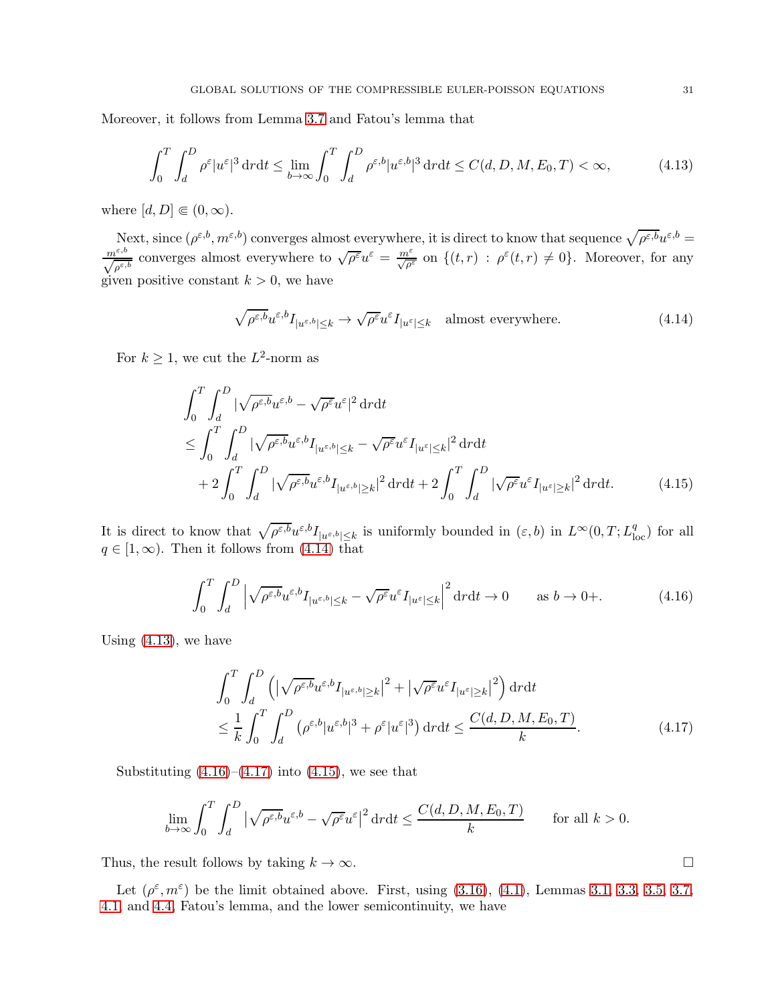Moreover, it follows from Lemma [3.7](#page-25-0) and Fatou's lemma that

$$
\int_0^T \int_d^D \rho^{\varepsilon} |u^{\varepsilon}|^3 \, \mathrm{d}r \mathrm{d}t \le \lim_{b \to \infty} \int_0^T \int_d^D \rho^{\varepsilon, b} |u^{\varepsilon, b}|^3 \, \mathrm{d}r \mathrm{d}t \le C(d, D, M, E_0, T) < \infty,\tag{4.13}
$$

where  $[d, D] \in (0, \infty)$ .

Next, since  $(\rho^{\varepsilon,b}, m^{\varepsilon,b})$  converges almost everywhere, it is direct to know that sequence  $\sqrt{\rho^{\varepsilon,b}}u^{\varepsilon,b}$  $\frac{m^{\varepsilon,b}}{\sqrt{\rho^{\varepsilon,b}}}$  converges almost everywhere to  $\sqrt{\rho^{\varepsilon}}u^{\varepsilon} = \frac{m^{\varepsilon}}{\sqrt{\rho^{\varepsilon}}}$  on  $\{(t,r) : \rho^{\varepsilon}(t,r) \neq 0\}$ . Moreover, for any given positive constant  $k > 0$ , we have

<span id="page-30-1"></span><span id="page-30-0"></span>
$$
\sqrt{\rho^{\varepsilon,b}} u^{\varepsilon,b} I_{|u^{\varepsilon,b}| \leq k} \to \sqrt{\rho^{\varepsilon}} u^{\varepsilon} I_{|u^{\varepsilon}| \leq k} \quad \text{almost everywhere.} \tag{4.14}
$$

For  $k \geq 1$ , we cut the  $L^2$ -norm as

$$
\int_{0}^{T} \int_{d}^{D} |\sqrt{\rho^{\varepsilon,b}} u^{\varepsilon,b} - \sqrt{\rho^{\varepsilon}} u^{\varepsilon}|^{2} \, \mathrm{d}x \, \mathrm{d}x
$$
\n
$$
\leq \int_{0}^{T} \int_{d}^{D} |\sqrt{\rho^{\varepsilon,b}} u^{\varepsilon,b} I_{|u^{\varepsilon,b}| \leq k} - \sqrt{\rho^{\varepsilon}} u^{\varepsilon} I_{|u^{\varepsilon}| \leq k}|^{2} \, \mathrm{d}x \, \mathrm{d}x
$$
\n
$$
+ 2 \int_{0}^{T} \int_{d}^{D} |\sqrt{\rho^{\varepsilon,b}} u^{\varepsilon,b} I_{|u^{\varepsilon,b}| \geq k}|^{2} \, \mathrm{d}x \, \mathrm{d}x + 2 \int_{0}^{T} \int_{d}^{D} |\sqrt{\rho^{\varepsilon} u^{\varepsilon}} I_{|u^{\varepsilon}| \geq k}|^{2} \, \mathrm{d}x \, \mathrm{d}x. \tag{4.15}
$$

It is direct to know that  $\sqrt{\rho^{\varepsilon,b}}u^{\varepsilon,b}I_{|u^{\varepsilon,b}|\leq k}$  is uniformly bounded in  $(\varepsilon,b)$  in  $L^{\infty}(0,T;L^q_{\text{loc}})$  for all  $q \in [1,\infty)$ . Then it follows from [\(4.14\)](#page-30-0) that

$$
\int_0^T \int_d^D \left| \sqrt{\rho^{\varepsilon,b}} u^{\varepsilon,b} I_{|u^{\varepsilon,b}| \le k} - \sqrt{\rho^{\varepsilon}} u^{\varepsilon} I_{|u^{\varepsilon}| \le k} \right|^2 \mathrm{d}r \mathrm{d}t \to 0 \qquad \text{as } b \to 0+.
$$
 (4.16)

Using  $(4.13)$ , we have

$$
\int_{0}^{T} \int_{d}^{D} \left( \left| \sqrt{\rho^{\varepsilon,b}} u^{\varepsilon,b} I_{|u^{\varepsilon,b}| \geq k} \right|^{2} + \left| \sqrt{\rho^{\varepsilon}} u^{\varepsilon} I_{|u^{\varepsilon}| \geq k} \right|^{2} \right) \mathrm{d}r \mathrm{d}t
$$
\n
$$
\leq \frac{1}{k} \int_{0}^{T} \int_{d}^{D} \left( \rho^{\varepsilon,b} |u^{\varepsilon,b}|^{3} + \rho^{\varepsilon} |u^{\varepsilon}|^{3} \right) \mathrm{d}r \mathrm{d}t \leq \frac{C(d, D, M, E_{0}, T)}{k}.
$$
\n(4.17)

Substituting  $(4.16)$ – $(4.17)$  into  $(4.15)$ , we see that

$$
\lim_{b \to \infty} \int_0^T \int_d^D \left| \sqrt{\rho^{\varepsilon,b}} u^{\varepsilon,b} - \sqrt{\rho^{\varepsilon}} u^{\varepsilon} \right|^2 dr dt \le \frac{C(d,D,M,E_0,T)}{k} \quad \text{for all } k > 0.
$$

Thus, the result follows by taking  $k \to \infty$ .

Let  $(\rho^{\varepsilon}, m^{\varepsilon})$  be the limit obtained above. First, using [\(3.16\)](#page-11-4), [\(4.1\)](#page-27-2), Lemmas [3.1,](#page-12-5) [3.3,](#page-17-0) [3.5,](#page-20-8) [3.7,](#page-25-0) [4.1,](#page-28-5) and [4.4,](#page-29-5) Fatou's lemma, and the lower semicontinuity, we have

<span id="page-30-4"></span><span id="page-30-3"></span><span id="page-30-2"></span>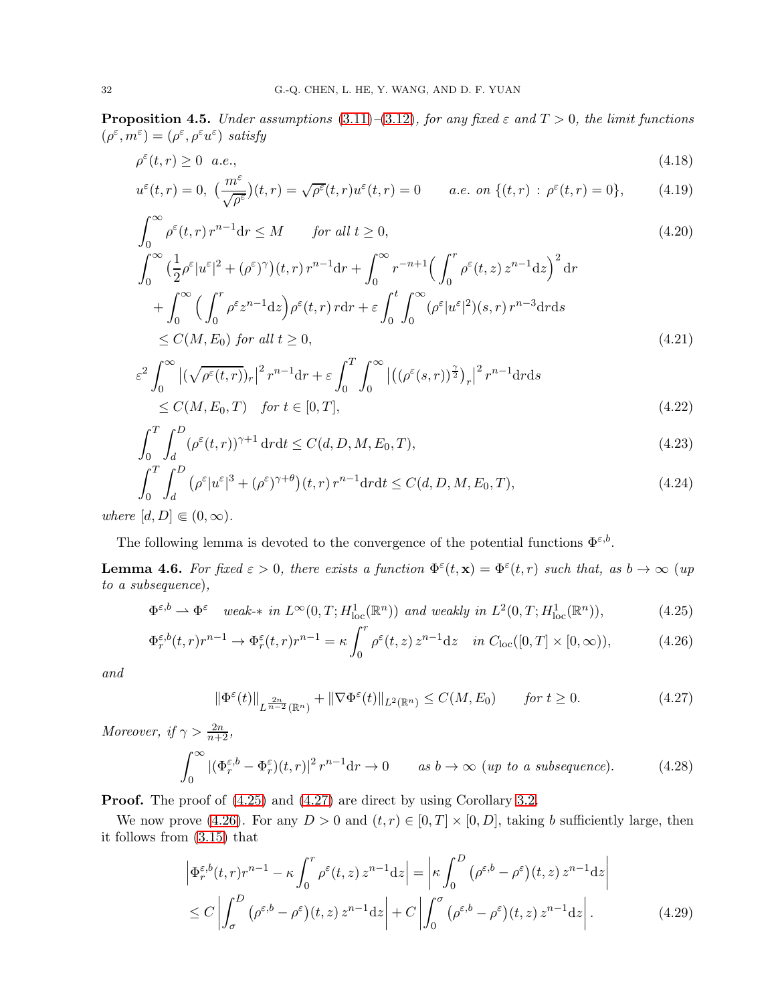<span id="page-31-8"></span>**Proposition 4.5.** Under assumptions [\(3.11\)](#page-11-5)–[\(3.12\)](#page-11-0), for any fixed  $\varepsilon$  and  $T > 0$ , the limit functions  $(\rho^{\varepsilon}, m^{\varepsilon}) = (\rho^{\varepsilon}, \rho^{\varepsilon} u^{\varepsilon})$  satisfy

<span id="page-31-3"></span>
$$
\rho^{\varepsilon}(t,r) \ge 0 \quad a.e., \tag{4.18}
$$

$$
u^{\varepsilon}(t,r) = 0, \ \left(\frac{m^{\varepsilon}}{\sqrt{\rho^{\varepsilon}}}\right)(t,r) = \sqrt{\rho^{\varepsilon}}(t,r)u^{\varepsilon}(t,r) = 0 \qquad a.e. \ on \ \{(t,r) \,:\, \rho^{\varepsilon}(t,r) = 0\},\tag{4.19}
$$

$$
\int_0^\infty \rho^{\varepsilon}(t, r) r^{n-1} dr \le M \qquad \text{for all } t \ge 0,
$$
\n
$$
\int_0^\infty \left(\frac{1}{2}\rho^{\varepsilon} |u^{\varepsilon}|^2 + (\rho^{\varepsilon})^{\gamma}\right)(t, r) r^{n-1} dr + \int_0^\infty r^{-n+1} \left(\int_0^r \rho^{\varepsilon}(t, z) z^{n-1} dz\right)^2 dr
$$
\n(4.20)

<span id="page-31-7"></span><span id="page-31-6"></span>
$$
\int_0^{\infty} \left(\frac{1}{2}\rho^{\epsilon} |u^{\epsilon}|^2 + (\rho^{\epsilon})^{\epsilon}\right) (t, r) r^{\epsilon \epsilon} dr + \int_0^{\infty} \left(\int_0^r \rho^{\epsilon} (t, z) \rho^{\epsilon} (t, z) \right) dr
$$
  
+ 
$$
\int_0^{\infty} \left(\int_0^r \rho^{\epsilon} z^{n-1} dz\right) \rho^{\epsilon} (t, r) r dr + \varepsilon \int_0^t \int_0^{\infty} (\rho^{\epsilon} |u^{\epsilon}|^2) (s, r) r^{n-3} dr ds
$$
  

$$
\leq C(M, E_0) \text{ for all } t \geq 0,
$$
 (4.21)

$$
\varepsilon^{2} \int_{0}^{\infty} \left| (\sqrt{\rho^{\varepsilon}(t,r)})_{r} \right|^{2} r^{n-1} dr + \varepsilon \int_{0}^{T} \int_{0}^{\infty} \left| \left( (\rho^{\varepsilon}(s,r))_{2}^{2} \right)_{r} \right|^{2} r^{n-1} dr ds
$$
\n
$$
\leq C(M, E_{0}, T) \quad \text{for } t \in [0, T], \tag{4.22}
$$

$$
\int_{0}^{T} \int_{d}^{D} (\rho^{\varepsilon}(t, r))^{\gamma+1} \, dr dt \le C(d, D, M, E_0, T), \tag{4.23}
$$

$$
\int_0^T \int_d^D \left( \rho^{\varepsilon} |u^{\varepsilon}|^3 + (\rho^{\varepsilon})^{\gamma+\theta} \right) (t, r) r^{n-1} dr dt \le C(d, D, M, E_0, T), \tag{4.24}
$$

where  $[d, D] \in (0, \infty)$ .

The following lemma is devoted to the convergence of the potential functions  $\Phi^{\varepsilon,b}$ .

<span id="page-31-11"></span>**Lemma 4.6.** For fixed  $\varepsilon > 0$ , there exists a function  $\Phi^{\varepsilon}(t, \mathbf{x}) = \Phi^{\varepsilon}(t, r)$  such that, as  $b \to \infty$  (up to a subsequence),

$$
\Phi^{\varepsilon,b} \rightharpoonup \Phi^{\varepsilon} \quad weak-* in \ L^{\infty}(0,T; H^1_{\text{loc}}(\mathbb{R}^n)) \ and \ weakly \ in \ L^2(0,T; H^1_{\text{loc}}(\mathbb{R}^n)), \tag{4.25}
$$

$$
\Phi_r^{\varepsilon,b}(t,r)r^{n-1} \to \Phi_r^{\varepsilon}(t,r)r^{n-1} = \kappa \int_0^r \rho^{\varepsilon}(t,z) z^{n-1} dz \quad in \ C_{\text{loc}}([0,T] \times [0,\infty)), \tag{4.26}
$$

and

<span id="page-31-10"></span><span id="page-31-9"></span><span id="page-31-5"></span><span id="page-31-2"></span><span id="page-31-1"></span><span id="page-31-0"></span>
$$
\|\Phi^{\varepsilon}(t)\|_{L^{\frac{2n}{n-2}}(\mathbb{R}^n)} + \|\nabla\Phi^{\varepsilon}(t)\|_{L^2(\mathbb{R}^n)} \le C(M, E_0) \qquad \text{for } t \ge 0. \tag{4.27}
$$

Moreover, if  $\gamma > \frac{2n}{n+2}$ ,

$$
\int_0^\infty |(\Phi_r^{\varepsilon,b} - \Phi_r^{\varepsilon})(t,r)|^2 r^{n-1} dr \to 0 \qquad \text{as } b \to \infty \text{ (up to a subsequence).} \tag{4.28}
$$

**Proof.** The proof of  $(4.25)$  and  $(4.27)$  are direct by using Corollary [3.2.](#page-17-7)

We now prove [\(4.26\)](#page-31-2). For any  $D > 0$  and  $(t, r) \in [0, T] \times [0, D]$ , taking b sufficiently large, then it follows from [\(3.15\)](#page-11-1) that

<span id="page-31-4"></span>
$$
\left| \Phi_r^{\varepsilon,b}(t,r)r^{n-1} - \kappa \int_0^r \rho^{\varepsilon}(t,z) z^{n-1} dz \right| = \left| \kappa \int_0^D (\rho^{\varepsilon,b} - \rho^{\varepsilon})(t,z) z^{n-1} dz \right|
$$
  
\n
$$
\leq C \left| \int_{\sigma}^D (\rho^{\varepsilon,b} - \rho^{\varepsilon})(t,z) z^{n-1} dz \right| + C \left| \int_0^{\sigma} (\rho^{\varepsilon,b} - \rho^{\varepsilon})(t,z) z^{n-1} dz \right|. \tag{4.29}
$$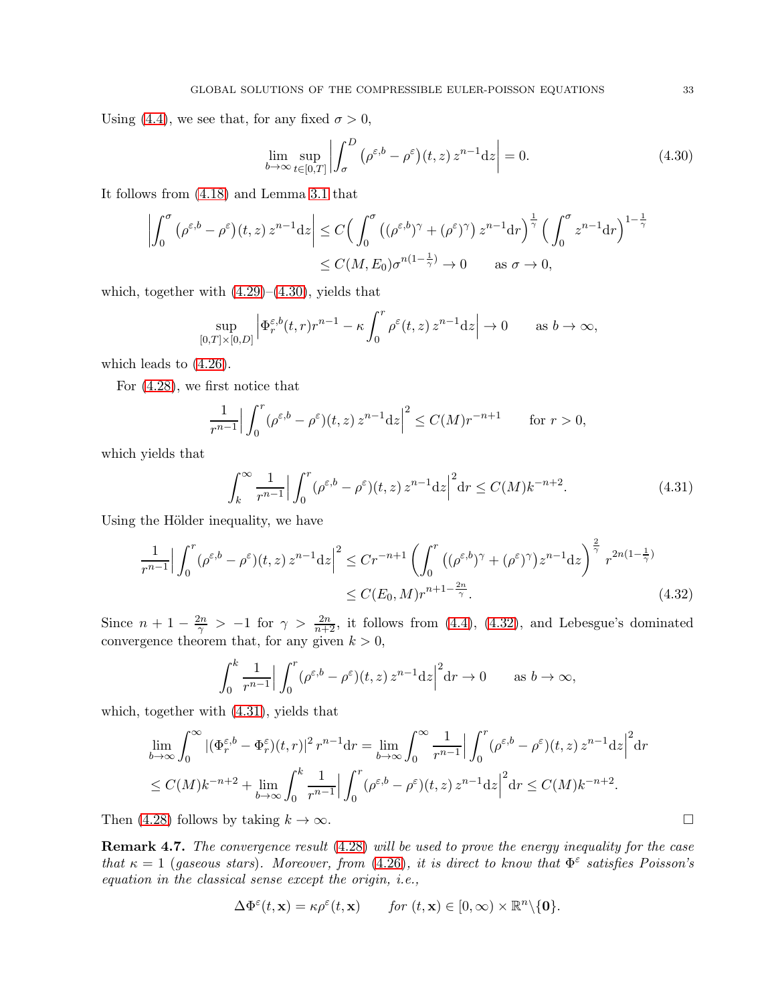Using [\(4.4\)](#page-28-0), we see that, for any fixed  $\sigma > 0$ ,

<span id="page-32-0"></span>
$$
\lim_{b \to \infty} \sup_{t \in [0,T]} \left| \int_{\sigma}^{D} \left( \rho^{\varepsilon, b} - \rho^{\varepsilon} \right) (t, z) z^{n-1} \mathrm{d} z \right| = 0. \tag{4.30}
$$

It follows from [\(4.18\)](#page-31-3) and Lemma [3.1](#page-12-5) that

$$
\left| \int_0^{\sigma} (\rho^{\varepsilon,b} - \rho^{\varepsilon})(t, z) z^{n-1} dz \right| \le C \left( \int_0^{\sigma} ((\rho^{\varepsilon,b})^{\gamma} + (\rho^{\varepsilon})^{\gamma}) z^{n-1} dr \right)^{\frac{1}{\gamma}} \left( \int_0^{\sigma} z^{n-1} dr \right)^{1-\frac{1}{\gamma}}
$$
  

$$
\le C(M, E_0) \sigma^{n(1-\frac{1}{\gamma})} \to 0 \quad \text{as } \sigma \to 0,
$$

which, together with  $(4.29)$ – $(4.30)$ , yields that

$$
\sup_{[0,T] \times [0,D]} \left| \Phi_r^{\varepsilon,b}(t,r) r^{n-1} - \kappa \int_0^r \rho^{\varepsilon}(t,z) z^{n-1} \mathrm{d} z \right| \to 0 \quad \text{as } b \to \infty,
$$

which leads to [\(4.26\)](#page-31-2).

For [\(4.28\)](#page-31-5), we first notice that

$$
\frac{1}{r^{n-1}} \Big| \int_0^r (\rho^{\varepsilon, b} - \rho^{\varepsilon})(t, z) z^{n-1} dz \Big|^2 \le C(M) r^{-n+1} \qquad \text{for } r > 0,
$$

which yields that

$$
\int_{k}^{\infty} \frac{1}{r^{n-1}} \Big| \int_{0}^{r} (\rho^{\varepsilon,b} - \rho^{\varepsilon})(t,z) z^{n-1} dz \Big|^{2} dr \le C(M) k^{-n+2}.
$$
 (4.31)

Using the Hölder inequality, we have

$$
\frac{1}{r^{n-1}} \Big| \int_0^r (\rho^{\varepsilon,b} - \rho^{\varepsilon})(t,z) z^{n-1} dz \Big|^2 \le Cr^{-n+1} \left( \int_0^r \left( (\rho^{\varepsilon,b})^{\gamma} + (\rho^{\varepsilon})^{\gamma} \right) z^{n-1} dz \right)^{\frac{2}{\gamma}} r^{2n(1-\frac{1}{\gamma})}
$$
  

$$
\le C(E_0, M) r^{n+1-\frac{2n}{\gamma}}.
$$
 (4.32)

Since  $n+1-\frac{2n}{\gamma} > -1$  for  $\gamma > \frac{2n}{n+2}$ , it follows from [\(4.4\)](#page-28-0), [\(4.32\)](#page-32-1), and Lebesgue's dominated convergence theorem that, for any given  $k > 0$ ,

$$
\int_0^k \frac{1}{r^{n-1}} \Big| \int_0^r (\rho^{\varepsilon,b} - \rho^{\varepsilon})(t,z) z^{n-1} dz \Big|^2 dr \to 0 \quad \text{as } b \to \infty,
$$

which, together with [\(4.31\)](#page-32-2), yields that

$$
\lim_{b \to \infty} \int_0^\infty |(\Phi_r^{\varepsilon, b} - \Phi_r^{\varepsilon})(t, r)|^2 r^{n-1} dr = \lim_{b \to \infty} \int_0^\infty \frac{1}{r^{n-1}} \Big| \int_0^r (\rho^{\varepsilon, b} - \rho^{\varepsilon})(t, z) z^{n-1} dz \Big|^2 dr
$$
\n
$$
\leq C(M) k^{-n+2} + \lim_{b \to \infty} \int_0^k \frac{1}{r^{n-1}} \Big| \int_0^r (\rho^{\varepsilon, b} - \rho^{\varepsilon})(t, z) z^{n-1} dz \Big|^2 dr \leq C(M) k^{-n+2}.
$$

Then [\(4.28\)](#page-31-5) follows by taking  $k \to \infty$ .

Remark 4.7. The convergence result [\(4.28\)](#page-31-5) will be used to prove the energy inequality for the case that  $\kappa = 1$  (gaseous stars). Moreover, from [\(4.26\)](#page-31-2), it is direct to know that  $\Phi^{\varepsilon}$  satisfies Poisson's equation in the classical sense except the origin, i.e.,

$$
\Delta \Phi^{\varepsilon}(t, \mathbf{x}) = \kappa \rho^{\varepsilon}(t, \mathbf{x}) \quad \text{for } (t, \mathbf{x}) \in [0, \infty) \times \mathbb{R}^n \setminus \{0\}.
$$

<span id="page-32-2"></span><span id="page-32-1"></span>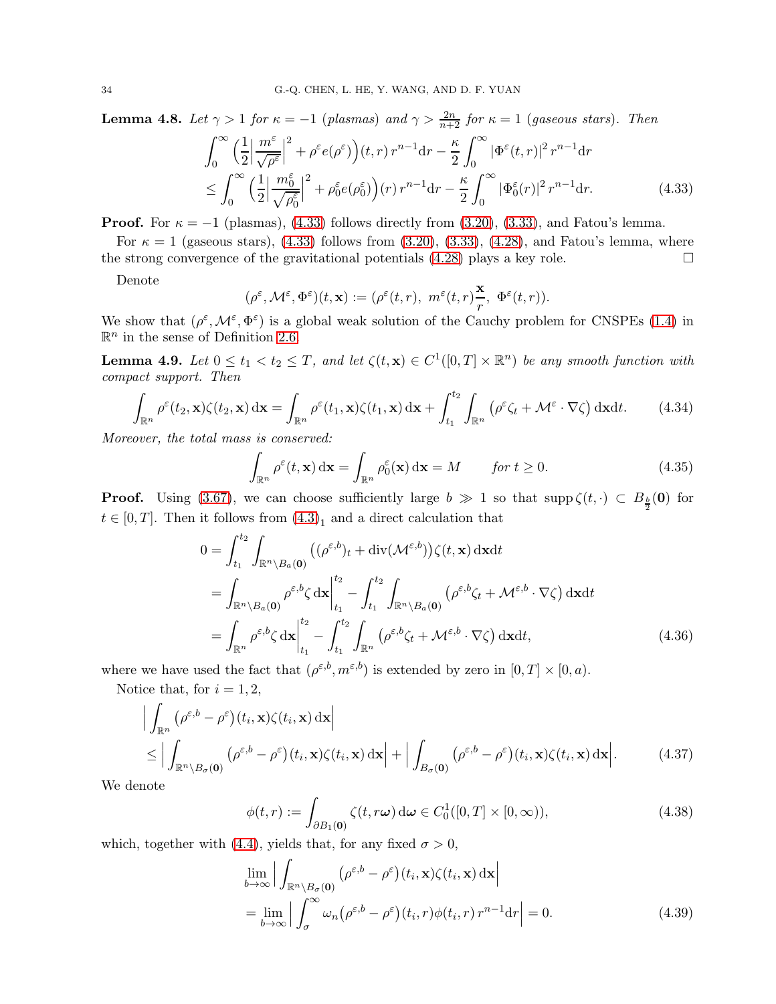<span id="page-33-7"></span>**Lemma 4.8.** Let  $\gamma > 1$  for  $\kappa = -1$  (plasmas) and  $\gamma > \frac{2n}{n+2}$  for  $\kappa = 1$  (gaseous stars). Then  $\int^{\infty}$ 0  $(1)$ 2  $\begin{array}{c} \begin{array}{c} \begin{array}{c} \end{array}\\ \begin{array}{c} \end{array} \end{array} \end{array}$  $m^{\varepsilon}$  $\left|\frac{m^{\circ}}{\sqrt{\rho^{\varepsilon}}}\right|$  $\int_{0}^{2} + \rho^{\varepsilon} e(\rho^{\varepsilon}) \Big) (t, r) r^{n-1} dr - \frac{\kappa}{2}$ 2  $\int^{\infty}$  $\int\limits_{0}^{t}|\Phi ^{\varepsilon }(t,r)|^{2}\,r^{n-1}\mathrm{d}r$ ≤  $\int^{\infty}$ 0  $(1)$ 2  $\begin{array}{c} \begin{array}{c} \begin{array}{c} \end{array}\\ \begin{array}{c} \end{array} \end{array} \end{array}$  $m_0^{\varepsilon}$  $\sqrt{ }$  $\overline{0}$  $\rho_0^{\varepsilon}$  $\begin{array}{c} \n\end{array}$  $\int_{0}^{2}+\rho_{0}^{\varepsilon}e(\rho_{0}^{\varepsilon})\Big)(r)\,r^{n-1}\mathrm{d}r-\frac{\kappa}{2}$ 2  $\int^{\infty}$  $|\Phi^\varepsilon_0(r)|^2 \, r^{n-1}$  $(4.33)$ 

**Proof.** For  $\kappa = -1$  (plasmas), [\(4.33\)](#page-33-0) follows directly from [\(3.20\)](#page-12-3), [\(3.33\)](#page-14-4), and Fatou's lemma.

For  $\kappa = 1$  (gaseous stars), [\(4.33\)](#page-33-0) follows from [\(3.20\)](#page-12-3), [\(3.33\)](#page-14-4), [\(4.28\)](#page-31-5), and Fatou's lemma, where the strong convergence of the gravitational potentials  $(4.28)$  plays a key role.

Denote

<span id="page-33-0"></span>
$$
(\rho^\varepsilon,{\mathcal M}^\varepsilon,\Phi^\varepsilon)(t,{\bf x}):=(\rho^\varepsilon(t,r),~m^\varepsilon(t,r)\frac{{\bf x}}{r},~\Phi^\varepsilon(t,r)).
$$

We show that  $(\rho^{\varepsilon}, \mathcal{M}^{\varepsilon}, \Phi^{\varepsilon})$  is a global weak solution of the Cauchy problem for CNSPEs [\(1.4\)](#page-1-3) in  $\mathbb{R}^n$  in the sense of Definition [2.6.](#page-7-2)

<span id="page-33-8"></span>**Lemma 4.9.** Let  $0 \le t_1 < t_2 \le T$ , and let  $\zeta(t, \mathbf{x}) \in C^1([0, T] \times \mathbb{R}^n)$  be any smooth function with compact support. Then

$$
\int_{\mathbb{R}^n} \rho^{\varepsilon}(t_2, \mathbf{x}) \zeta(t_2, \mathbf{x}) \, \mathrm{d}\mathbf{x} = \int_{\mathbb{R}^n} \rho^{\varepsilon}(t_1, \mathbf{x}) \zeta(t_1, \mathbf{x}) \, \mathrm{d}\mathbf{x} + \int_{t_1}^{t_2} \int_{\mathbb{R}^n} \left( \rho^{\varepsilon} \zeta_t + \mathcal{M}^{\varepsilon} \cdot \nabla \zeta \right) \mathrm{d}\mathbf{x} \mathrm{d}t. \tag{4.34}
$$

Moreover, the total mass is conserved:

<span id="page-33-6"></span><span id="page-33-5"></span><span id="page-33-4"></span>
$$
\int_{\mathbb{R}^n} \rho^{\varepsilon}(t, \mathbf{x}) \, \mathrm{d}\mathbf{x} = \int_{\mathbb{R}^n} \rho_0^{\varepsilon}(\mathbf{x}) \, \mathrm{d}\mathbf{x} = M \qquad \text{for } t \ge 0.
$$
\n(4.35)

**Proof.** Using [\(3.67\)](#page-20-6), we can choose sufficiently large  $b \gg 1$  so that  $\text{supp }\zeta(t, \cdot) \subset B_{\frac{b}{2}}(\mathbf{0})$  for  $t \in [0, T]$ . Then it follows from  $(4.3)<sub>1</sub>$  and a direct calculation that

$$
0 = \int_{t_1}^{t_2} \int_{\mathbb{R}^n \setminus B_a(0)} \left( (\rho^{\varepsilon,b})_t + \text{div}(\mathcal{M}^{\varepsilon,b}) \right) \zeta(t, \mathbf{x}) \, \mathrm{d}\mathbf{x} \mathrm{d}t
$$
  
\n
$$
= \int_{\mathbb{R}^n \setminus B_a(0)} \rho^{\varepsilon,b} \zeta \, \mathrm{d}\mathbf{x} \Big|_{t_1}^{t_2} - \int_{t_1}^{t_2} \int_{\mathbb{R}^n \setminus B_a(0)} \left( \rho^{\varepsilon,b} \zeta_t + \mathcal{M}^{\varepsilon,b} \cdot \nabla \zeta \right) \mathrm{d}\mathbf{x} \mathrm{d}t
$$
  
\n
$$
= \int_{\mathbb{R}^n} \rho^{\varepsilon,b} \zeta \, \mathrm{d}\mathbf{x} \Big|_{t_1}^{t_2} - \int_{t_1}^{t_2} \int_{\mathbb{R}^n} \left( \rho^{\varepsilon,b} \zeta_t + \mathcal{M}^{\varepsilon,b} \cdot \nabla \zeta \right) \mathrm{d}\mathbf{x} \mathrm{d}t,
$$
\n(4.36)

where we have used the fact that  $(\rho^{\varepsilon,b}, m^{\varepsilon,b})$  is extended by zero in  $[0, T] \times [0, a)$ .

Notice that, for  $i = 1, 2$ ,

$$
\left| \int_{\mathbb{R}^n} (\rho^{\varepsilon, b} - \rho^{\varepsilon}) (t_i, \mathbf{x}) \zeta(t_i, \mathbf{x}) \, d\mathbf{x} \right|
$$
\n
$$
\leq \left| \int_{\mathbb{R}^n \setminus B_{\sigma}(\mathbf{0})} (\rho^{\varepsilon, b} - \rho^{\varepsilon}) (t_i, \mathbf{x}) \zeta(t_i, \mathbf{x}) \, d\mathbf{x} \right| + \left| \int_{B_{\sigma}(\mathbf{0})} (\rho^{\varepsilon, b} - \rho^{\varepsilon}) (t_i, \mathbf{x}) \zeta(t_i, \mathbf{x}) \, d\mathbf{x} \right|. \tag{4.37}
$$

We denote

<span id="page-33-3"></span><span id="page-33-1"></span>
$$
\phi(t,r) := \int_{\partial B_1(\mathbf{0})} \zeta(t,r\omega) d\omega \in C_0^1([0,T] \times [0,\infty)), \tag{4.38}
$$

which, together with [\(4.4\)](#page-28-0), yields that, for any fixed  $\sigma > 0$ ,

<span id="page-33-2"></span>
$$
\lim_{b \to \infty} \left| \int_{\mathbb{R}^n \setminus B_{\sigma}(0)} (\rho^{\varepsilon, b} - \rho^{\varepsilon}) (t_i, \mathbf{x}) \zeta(t_i, \mathbf{x}) \, d\mathbf{x} \right|
$$
\n
$$
= \lim_{b \to \infty} \left| \int_{\sigma}^{\infty} \omega_n (\rho^{\varepsilon, b} - \rho^{\varepsilon}) (t_i, r) \phi(t_i, r) r^{n-1} dr \right| = 0. \tag{4.39}
$$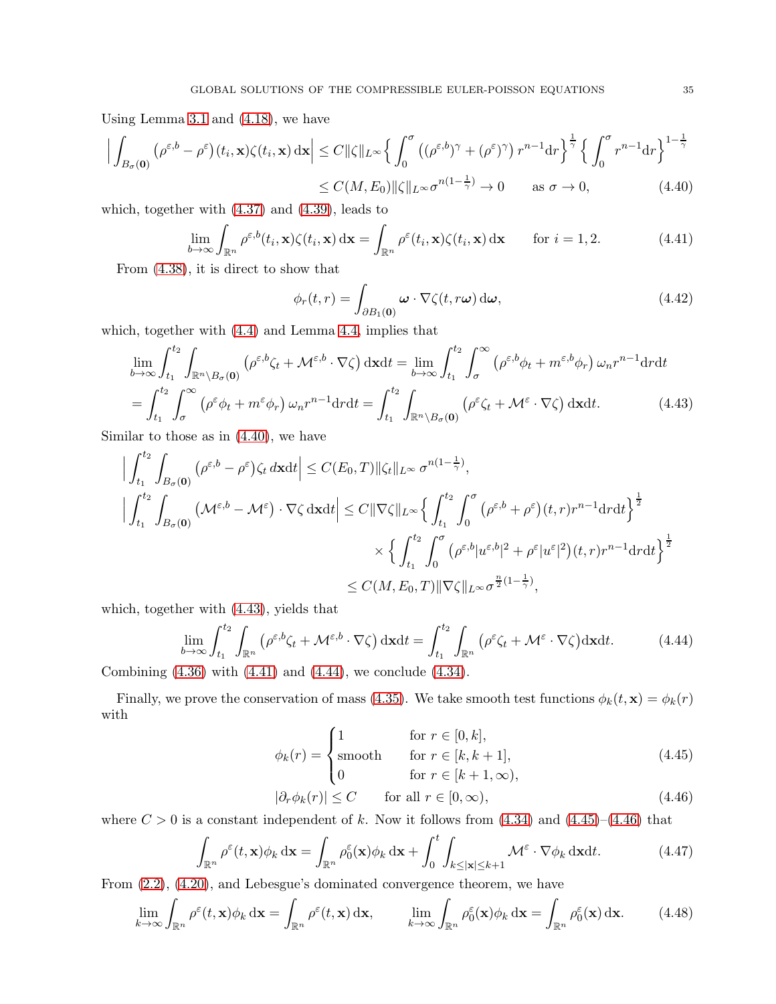Using Lemma [3.1](#page-12-5) and [\(4.18\)](#page-31-3), we have

$$
\left| \int_{B_{\sigma}(\mathbf{0})} \left( \rho^{\varepsilon,b} - \rho^{\varepsilon} \right) (t_i, \mathbf{x}) \zeta(t_i, \mathbf{x}) \, d\mathbf{x} \right| \leq C \|\zeta\|_{L^{\infty}} \left\{ \int_0^{\sigma} \left( (\rho^{\varepsilon,b})^{\gamma} + (\rho^{\varepsilon})^{\gamma} \right) r^{n-1} dr \right\}^{\frac{1}{\gamma}} \left\{ \int_0^{\sigma} r^{n-1} dr \right\}^{1-\frac{1}{\gamma}}
$$
  

$$
\leq C(M, E_0) \|\zeta\|_{L^{\infty}} \sigma^{n(1-\frac{1}{\gamma})} \to 0 \quad \text{as } \sigma \to 0,
$$
 (4.40)

which, together with [\(4.37\)](#page-33-1) and [\(4.39\)](#page-33-2), leads to

$$
\lim_{b \to \infty} \int_{\mathbb{R}^n} \rho^{\varepsilon, b}(t_i, \mathbf{x}) \zeta(t_i, \mathbf{x}) \, \mathrm{d}\mathbf{x} = \int_{\mathbb{R}^n} \rho^{\varepsilon}(t_i, \mathbf{x}) \zeta(t_i, \mathbf{x}) \, \mathrm{d}\mathbf{x} \qquad \text{for } i = 1, 2. \tag{4.41}
$$

From [\(4.38\)](#page-33-3), it is direct to show that

<span id="page-34-8"></span><span id="page-34-2"></span><span id="page-34-1"></span><span id="page-34-0"></span>
$$
\phi_r(t,r) = \int_{\partial B_1(\mathbf{0})} \boldsymbol{\omega} \cdot \nabla \zeta(t,r\boldsymbol{\omega}) \, \mathrm{d}\boldsymbol{\omega},\tag{4.42}
$$

which, together with [\(4.4\)](#page-28-0) and Lemma [4.4,](#page-29-5) implies that

$$
\lim_{b \to \infty} \int_{t_1}^{t_2} \int_{\mathbb{R}^n \setminus B_{\sigma}(\mathbf{0})} (\rho^{\varepsilon, b} \zeta_t + \mathcal{M}^{\varepsilon, b} \cdot \nabla \zeta) \, \mathrm{d} \mathbf{x} \mathrm{d} t = \lim_{b \to \infty} \int_{t_1}^{t_2} \int_{\sigma}^{\infty} (\rho^{\varepsilon, b} \phi_t + m^{\varepsilon, b} \phi_r) \, \omega_n r^{n-1} \mathrm{d} r \mathrm{d} t \n= \int_{t_1}^{t_2} \int_{\sigma}^{\infty} (\rho^{\varepsilon} \phi_t + m^{\varepsilon} \phi_r) \, \omega_n r^{n-1} \mathrm{d} r \mathrm{d} t = \int_{t_1}^{t_2} \int_{\mathbb{R}^n \setminus B_{\sigma}(\mathbf{0})} (\rho^{\varepsilon} \zeta_t + \mathcal{M}^{\varepsilon} \cdot \nabla \zeta) \, \mathrm{d} \mathbf{x} \mathrm{d} t. \tag{4.43}
$$

Similar to those as in [\(4.40\)](#page-34-0), we have

$$
\Big| \int_{t_1}^{t_2} \int_{B_{\sigma}(0)} (\rho^{\varepsilon,b} - \rho^{\varepsilon}) \zeta_t \, d\mathbf{x} dt \Big| \leq C(E_0, T) \|\zeta_t\|_{L^{\infty}} \sigma^{n(1-\frac{1}{\gamma})},
$$
  

$$
\Big| \int_{t_1}^{t_2} \int_{B_{\sigma}(0)} (\mathcal{M}^{\varepsilon,b} - \mathcal{M}^{\varepsilon}) \cdot \nabla \zeta \, d\mathbf{x} dt \Big| \leq C \|\nabla \zeta\|_{L^{\infty}} \Big\{ \int_{t_1}^{t_2} \int_0^{\sigma} (\rho^{\varepsilon,b} + \rho^{\varepsilon}) (t, r) r^{n-1} dr dt \Big\}^{\frac{1}{2}}
$$
  

$$
\times \Big\{ \int_{t_1}^{t_2} \int_0^{\sigma} (\rho^{\varepsilon,b} |u^{\varepsilon,b}|^2 + \rho^{\varepsilon} |u^{\varepsilon}|^2) (t, r) r^{n-1} dr dt \Big\}^{\frac{1}{2}}
$$
  

$$
\leq C(M, E_0, T) \|\nabla \zeta\|_{L^{\infty}} \sigma^{\frac{n}{2}(1-\frac{1}{\gamma})},
$$

which, together with [\(4.43\)](#page-34-1), yields that

$$
\lim_{b \to \infty} \int_{t_1}^{t_2} \int_{\mathbb{R}^n} \left( \rho^{\varepsilon, b} \zeta_t + \mathcal{M}^{\varepsilon, b} \cdot \nabla \zeta \right) d\mathbf{x} dt = \int_{t_1}^{t_2} \int_{\mathbb{R}^n} \left( \rho^{\varepsilon} \zeta_t + \mathcal{M}^{\varepsilon} \cdot \nabla \zeta \right) d\mathbf{x} dt.
$$
 (4.44)

Combining  $(4.36)$  with  $(4.41)$  and  $(4.44)$ , we conclude  $(4.34)$ .

Finally, we prove the conservation of mass [\(4.35\)](#page-33-6). We take smooth test functions  $\phi_k(t, \mathbf{x}) = \phi_k(r)$ with

<span id="page-34-4"></span><span id="page-34-3"></span>
$$
\phi_k(r) = \begin{cases} 1 & \text{for } r \in [0, k], \\ \text{smooth} & \text{for } r \in [k, k+1], \\ 0 & \text{for } r \in [k+1, \infty), \end{cases} \tag{4.45}
$$

<span id="page-34-7"></span><span id="page-34-5"></span>
$$
|\partial_r \phi_k(r)| \le C \qquad \text{for all } r \in [0, \infty), \tag{4.46}
$$

where  $C > 0$  is a constant independent of k. Now it follows from  $(4.34)$  and  $(4.45)$ – $(4.46)$  that

<span id="page-34-6"></span>
$$
\int_{\mathbb{R}^n} \rho^{\varepsilon}(t, \mathbf{x}) \phi_k \, \mathrm{d}\mathbf{x} = \int_{\mathbb{R}^n} \rho_0^{\varepsilon}(\mathbf{x}) \phi_k \, \mathrm{d}\mathbf{x} + \int_0^t \int_{k \le |\mathbf{x}| \le k+1} \mathcal{M}^{\varepsilon} \cdot \nabla \phi_k \, \mathrm{d}\mathbf{x} \mathrm{d}t. \tag{4.47}
$$

From [\(2.2\)](#page-5-2), [\(4.20\)](#page-31-6), and Lebesgue's dominated convergence theorem, we have

$$
\lim_{k \to \infty} \int_{\mathbb{R}^n} \rho^{\varepsilon}(t, \mathbf{x}) \phi_k \, \mathrm{d} \mathbf{x} = \int_{\mathbb{R}^n} \rho^{\varepsilon}(t, \mathbf{x}) \, \mathrm{d} \mathbf{x}, \qquad \lim_{k \to \infty} \int_{\mathbb{R}^n} \rho_0^{\varepsilon}(\mathbf{x}) \phi_k \, \mathrm{d} \mathbf{x} = \int_{\mathbb{R}^n} \rho_0^{\varepsilon}(\mathbf{x}) \, \mathrm{d} \mathbf{x}.
$$
 (4.48)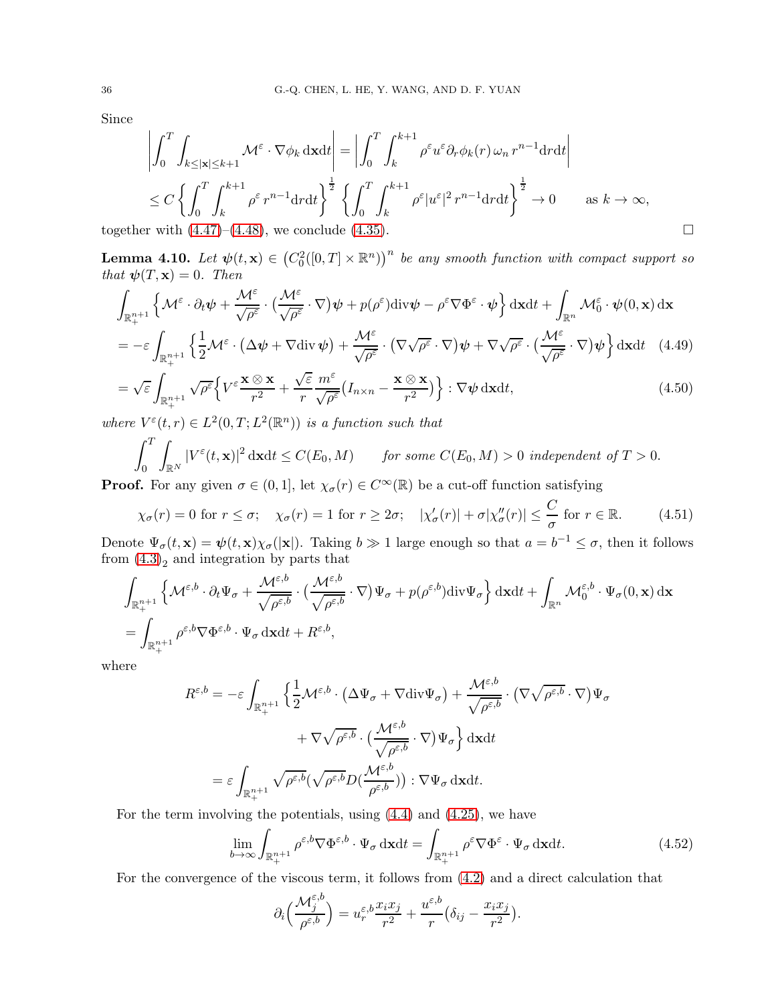Since

$$
\left| \int_0^T \int_{k \le |\mathbf{x}| \le k+1} \mathcal{M}^{\varepsilon} \cdot \nabla \phi_k \, \mathrm{d} \mathbf{x} \mathrm{d} t \right| = \left| \int_0^T \int_k^{k+1} \rho^{\varepsilon} u^{\varepsilon} \partial_r \phi_k(r) \, \omega_n \, r^{n-1} \mathrm{d} r \mathrm{d} t \right|
$$
  
\n
$$
\le C \left\{ \int_0^T \int_k^{k+1} \rho^{\varepsilon} r^{n-1} \mathrm{d} r \mathrm{d} t \right\}^{\frac{1}{2}} \left\{ \int_0^T \int_k^{k+1} \rho^{\varepsilon} |u^{\varepsilon}|^2 \, r^{n-1} \mathrm{d} r \mathrm{d} t \right\}^{\frac{1}{2}} \to 0 \qquad \text{as } k \to \infty,
$$
  
\ntogether with (4.47)-(4.48), we conclude (4.35).

**Lemma 4.10.** Let  $\psi(t, \mathbf{x}) \in (C_0^2([0, T] \times \mathbb{R}^n))^n$  be any smooth function with compact support so that  $\psi(T, \mathbf{x}) = 0$ . Then

$$
\int_{\mathbb{R}_{+}^{n+1}} \left\{ \mathcal{M}^{\varepsilon} \cdot \partial_{t} \psi + \frac{\mathcal{M}^{\varepsilon}}{\sqrt{\rho^{\varepsilon}}} \cdot \left( \frac{\mathcal{M}^{\varepsilon}}{\sqrt{\rho^{\varepsilon}}} \cdot \nabla \right) \psi + p(\rho^{\varepsilon}) \text{div} \psi - \rho^{\varepsilon} \nabla \Phi^{\varepsilon} \cdot \psi \right\} \text{d} \mathbf{x} \text{d} t + \int_{\mathbb{R}^{n}} \mathcal{M}_{0}^{\varepsilon} \cdot \psi(0, \mathbf{x}) \text{d} \mathbf{x}
$$
\n
$$
= -\varepsilon \int_{\mathbb{R}^{n+1}} \left\{ \frac{1}{2} \mathcal{M}^{\varepsilon} \cdot \left( \Delta \psi + \nabla \text{div} \psi \right) + \frac{\mathcal{M}^{\varepsilon}}{\sqrt{\rho^{\varepsilon}}} \cdot \left( \nabla \sqrt{\rho^{\varepsilon}} \cdot \nabla \right) \psi + \nabla \sqrt{\rho^{\varepsilon}} \cdot \left( \frac{\mathcal{M}^{\varepsilon}}{\sqrt{\rho^{\varepsilon}}} \cdot \nabla \right) \psi \right\} \text{d} \mathbf{x} \text{d} t \quad (4.49)
$$

$$
\mathcal{J}_{\mathbb{R}_{+}^{n+1}}(2) \qquad \mathcal{J}_{\rho^{\varepsilon}}(2) \qquad \mathcal{J}_{\rho^{\varepsilon}}(2) \qquad \mathcal{J}_{\rho^{\varepsilon}}(2) \qquad \mathcal{J}_{\rho^{\varepsilon}}(2) \qquad \mathcal{J}_{\rho^{\varepsilon}}(2) \qquad \mathcal{J}_{\rho^{\varepsilon}}(2) \qquad \mathcal{J}_{\rho^{\varepsilon}}(2) \qquad \mathcal{J}_{\rho^{\varepsilon}}(2) \qquad \mathcal{J}_{\rho^{\varepsilon}}(2) \qquad \mathcal{J}_{\rho^{\varepsilon}}(2) \qquad \mathcal{J}_{\rho^{\varepsilon}}(2) \qquad \mathcal{J}_{\rho^{\varepsilon}}(2) \qquad \mathcal{J}_{\rho^{\varepsilon}}(2) \qquad \mathcal{J}_{\rho^{\varepsilon}}(2) \qquad \mathcal{J}_{\rho^{\varepsilon}}(2) \qquad \mathcal{J}_{\rho^{\varepsilon}}(2) \qquad \mathcal{J}_{\rho^{\varepsilon}}(2) \qquad \mathcal{J}_{\rho^{\varepsilon}}(2) \qquad \mathcal{J}_{\rho^{\varepsilon}}(2) \qquad \mathcal{J}_{\rho^{\varepsilon}}(2) \qquad \mathcal{J}_{\rho^{\varepsilon}}(2) \qquad \mathcal{J}_{\rho^{\varepsilon}}(2) \qquad \mathcal{J}_{\rho^{\varepsilon}}(2) \qquad \mathcal{J}_{\rho^{\varepsilon}}(2) \qquad \mathcal{J}_{\rho^{\varepsilon}}(2) \qquad \mathcal{J}_{\rho^{\varepsilon}}(2) \qquad \mathcal{J}_{\rho^{\varepsilon}}(2) \qquad \mathcal{J}_{\rho^{\varepsilon}}(2) \qquad \mathcal{J}_{\rho^{\varepsilon}}(2) \qquad \mathcal{J}_{\rho^{\varepsilon}}(2) \qquad \mathcal{J}_{\rho^{\varepsilon}}(2) \qquad \mathcal{J}_{\rho^{\varepsilon}}(2) \qquad \mathcal{J}_{\rho^{\varepsilon}}(2) \qquad \mathcal{J}_{\rho^{\varepsilon}}(2) \qquad \mathcal{J}_{\rho^{\varepsilon}}(2) \qquad \mathcal{J}_{\rho^{\varepsilon}}(2) \qquad \mathcal{J}_{\rho^{\varepsilon}}(
$$

where  $V^{\varepsilon}(t,r) \in L^2(0,T;L^2(\mathbb{R}^n))$  is a function such that

<span id="page-35-2"></span><span id="page-35-1"></span>
$$
\int_0^T \int_{\mathbb{R}^N} |V^{\varepsilon}(t, \mathbf{x})|^2 \, \mathrm{d}\mathbf{x} \mathrm{d}t \le C(E_0, M) \qquad \text{for some } C(E_0, M) > 0 \text{ independent of } T > 0.
$$

**Proof.** For any given  $\sigma \in (0,1]$ , let  $\chi_{\sigma}(r) \in C^{\infty}(\mathbb{R})$  be a cut-off function satisfying

$$
\chi_{\sigma}(r) = 0 \text{ for } r \le \sigma; \quad \chi_{\sigma}(r) = 1 \text{ for } r \ge 2\sigma; \quad |\chi_{\sigma}'(r)| + \sigma |\chi_{\sigma}''(r)| \le \frac{C}{\sigma} \text{ for } r \in \mathbb{R}.
$$
 (4.51)

Denote  $\Psi_{\sigma}(t, \mathbf{x}) = \psi(t, \mathbf{x}) \chi_{\sigma}(|\mathbf{x}|)$ . Taking  $b \gg 1$  large enough so that  $a = b^{-1} \leq \sigma$ , then it follows from  $(4.3)<sub>2</sub>$  and integration by parts that

$$
\int_{\mathbb{R}_{+}^{n+1}} \left\{ \mathcal{M}^{\varepsilon,b} \cdot \partial_t \Psi_\sigma + \frac{\mathcal{M}^{\varepsilon,b}}{\sqrt{\rho^{\varepsilon,b}}} \cdot \left( \frac{\mathcal{M}^{\varepsilon,b}}{\sqrt{\rho^{\varepsilon,b}}} \cdot \nabla \right) \Psi_\sigma + p(\rho^{\varepsilon,b}) \text{div} \Psi_\sigma \right\} \text{d} \mathbf{x} \text{d} t + \int_{\mathbb{R}^n} \mathcal{M}_0^{\varepsilon,b} \cdot \Psi_\sigma(0,\mathbf{x}) \, \text{d} \mathbf{x}
$$
\n
$$
= \int_{\mathbb{R}_{+}^{n+1}} \rho^{\varepsilon,b} \nabla \Phi^{\varepsilon,b} \cdot \Psi_\sigma \, \text{d} \mathbf{x} \text{d} t + R^{\varepsilon,b},
$$

where

<span id="page-35-3"></span>
$$
R^{\varepsilon,b} = -\varepsilon \int_{\mathbb{R}^{n+1}_+} \left\{ \frac{1}{2} \mathcal{M}^{\varepsilon,b} \cdot \left( \Delta \Psi_{\sigma} + \nabla \text{div} \Psi_{\sigma} \right) + \frac{\mathcal{M}^{\varepsilon,b}}{\sqrt{\rho^{\varepsilon,b}}} \cdot \left( \nabla \sqrt{\rho^{\varepsilon,b}} \cdot \nabla \right) \Psi_{\sigma} \right\}
$$

$$
+ \nabla \sqrt{\rho^{\varepsilon,b}} \cdot \left( \frac{\mathcal{M}^{\varepsilon,b}}{\sqrt{\rho^{\varepsilon,b}}} \cdot \nabla \right) \Psi_{\sigma} \right\} d\mathbf{x} dt
$$

$$
= \varepsilon \int_{\mathbb{R}^{n+1}_+} \sqrt{\rho^{\varepsilon,b}} (\sqrt{\rho^{\varepsilon,b}} D(\frac{\mathcal{M}^{\varepsilon,b}}{\rho^{\varepsilon,b}})) : \nabla \Psi_{\sigma} d\mathbf{x} dt.
$$

For the term involving the potentials, using [\(4.4\)](#page-28-0) and [\(4.25\)](#page-31-0), we have

$$
\lim_{b \to \infty} \int_{\mathbb{R}^{n+1}_+} \rho^{\varepsilon, b} \nabla \Phi^{\varepsilon, b} \cdot \Psi_{\sigma} \, \mathrm{d}x \mathrm{d}t = \int_{\mathbb{R}^{n+1}_+} \rho^{\varepsilon} \nabla \Phi^{\varepsilon} \cdot \Psi_{\sigma} \, \mathrm{d}x \mathrm{d}t. \tag{4.52}
$$

For the convergence of the viscous term, it follows from [\(4.2\)](#page-27-3) and a direct calculation that

<span id="page-35-0"></span>
$$
\partial_i \left( \frac{\mathcal{M}_j^{\varepsilon, b}}{\rho^{\varepsilon, b}} \right) = u_r^{\varepsilon, b} \frac{x_i x_j}{r^2} + \frac{u^{\varepsilon, b}}{r} \left( \delta_{ij} - \frac{x_i x_j}{r^2} \right).
$$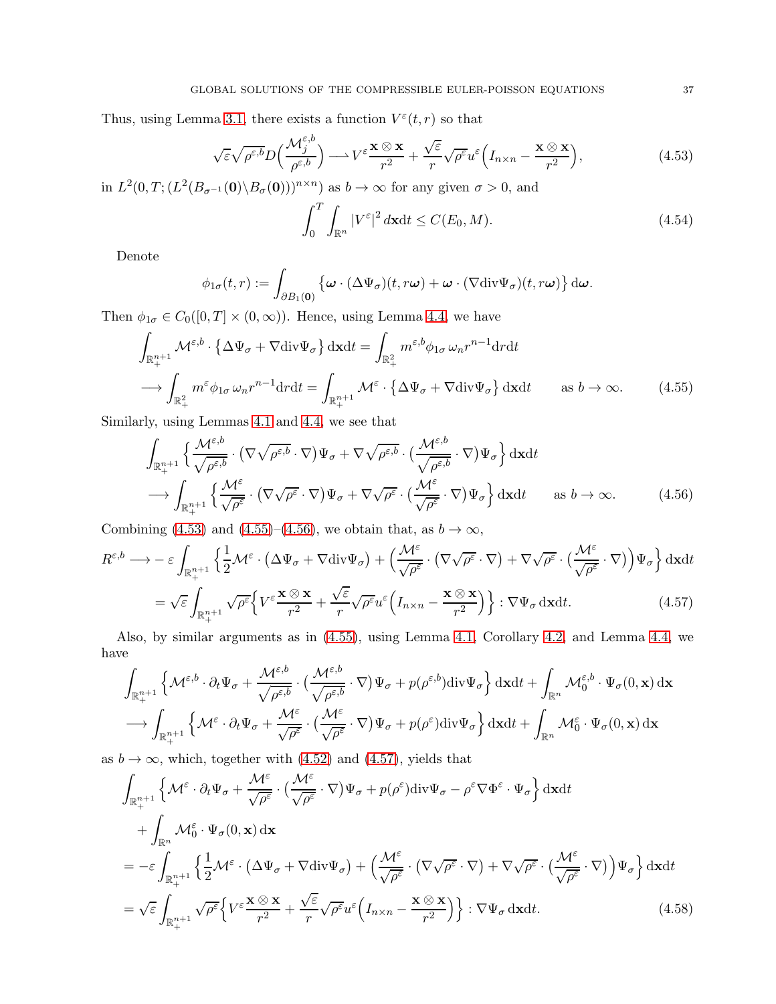Thus, using Lemma [3.1,](#page-12-5) there exists a function  $V^{\varepsilon}(t,r)$  so that

$$
\sqrt{\varepsilon}\sqrt{\rho^{\varepsilon,b}}D\Big(\frac{\mathcal{M}_j^{\varepsilon,b}}{\rho^{\varepsilon,b}}\Big) \longrightarrow V^{\varepsilon}\frac{\mathbf{x}\otimes\mathbf{x}}{r^2} + \frac{\sqrt{\varepsilon}}{r}\sqrt{\rho^{\varepsilon}}u^{\varepsilon}\Big(I_{n\times n} - \frac{\mathbf{x}\otimes\mathbf{x}}{r^2}\Big),\tag{4.53}
$$

in  $L^2(0,T; (L^2(B_{\sigma^{-1}}(\mathbf{0})\setminus B_{\sigma}(\mathbf{0})))^{n\times n})$  as  $b\to\infty$  for any given  $\sigma>0$ , and

<span id="page-36-2"></span><span id="page-36-1"></span><span id="page-36-0"></span>
$$
\int_0^T \int_{\mathbb{R}^n} |V^{\varepsilon}|^2 d\mathbf{x} dt \le C(E_0, M). \tag{4.54}
$$

Denote

$$
\phi_{1\sigma}(t,r) := \int_{\partial B_1(\mathbf{0})} \left\{ \omega \cdot (\Delta \Psi_{\sigma})(t,r\omega) + \omega \cdot (\nabla \text{div} \Psi_{\sigma})(t,r\omega) \right\} d\omega.
$$

Then  $\phi_{1\sigma} \in C_0([0,T] \times (0,\infty))$ . Hence, using Lemma [4.4,](#page-29-5) we have

$$
\int_{\mathbb{R}_{+}^{n+1}} \mathcal{M}^{\varepsilon,b} \cdot \left\{ \Delta \Psi_{\sigma} + \nabla \text{div} \Psi_{\sigma} \right\} d\mathbf{x} dt = \int_{\mathbb{R}_{+}^{2}} m^{\varepsilon,b} \phi_{1\sigma} \omega_{n} r^{n-1} dr dt
$$
\n
$$
\longrightarrow \int_{\mathbb{R}_{+}^{2}} m^{\varepsilon} \phi_{1\sigma} \omega_{n} r^{n-1} dr dt = \int_{\mathbb{R}_{+}^{n+1}} \mathcal{M}^{\varepsilon} \cdot \left\{ \Delta \Psi_{\sigma} + \nabla \text{div} \Psi_{\sigma} \right\} d\mathbf{x} dt \qquad \text{as } b \to \infty. \tag{4.55}
$$

Similarly, using Lemmas [4.1](#page-28-5) and [4.4,](#page-29-5) we see that

$$
\int_{\mathbb{R}_{+}^{n+1}} \left\{ \frac{\mathcal{M}^{\varepsilon,b}}{\sqrt{\rho^{\varepsilon,b}}} \cdot (\nabla \sqrt{\rho^{\varepsilon,b}} \cdot \nabla) \Psi_{\sigma} + \nabla \sqrt{\rho^{\varepsilon,b}} \cdot (\frac{\mathcal{M}^{\varepsilon,b}}{\sqrt{\rho^{\varepsilon,b}}} \cdot \nabla) \Psi_{\sigma} \right\} d\mathbf{x} dt
$$
\n
$$
\longrightarrow \int_{\mathbb{R}_{+}^{n+1}} \left\{ \frac{\mathcal{M}^{\varepsilon}}{\sqrt{\rho^{\varepsilon}}} \cdot (\nabla \sqrt{\rho^{\varepsilon}} \cdot \nabla) \Psi_{\sigma} + \nabla \sqrt{\rho^{\varepsilon}} \cdot (\frac{\mathcal{M}^{\varepsilon}}{\sqrt{\rho^{\varepsilon}}} \cdot \nabla) \Psi_{\sigma} \right\} d\mathbf{x} dt \quad \text{as } b \to \infty. \tag{4.56}
$$

Combining [\(4.53\)](#page-36-0) and [\(4.55\)](#page-36-1)–[\(4.56\)](#page-36-2), we obtain that, as  $b \to \infty$ ,

$$
R^{\varepsilon,b} \longrightarrow -\varepsilon \int_{\mathbb{R}^{n+1}_+} \left\{ \frac{1}{2} \mathcal{M}^{\varepsilon} \cdot (\Delta \Psi_{\sigma} + \nabla \text{div} \Psi_{\sigma}) + \left( \frac{\mathcal{M}^{\varepsilon}}{\sqrt{\rho^{\varepsilon}}} \cdot (\nabla \sqrt{\rho^{\varepsilon}} \cdot \nabla) + \nabla \sqrt{\rho^{\varepsilon}} \cdot (\frac{\mathcal{M}^{\varepsilon}}{\sqrt{\rho^{\varepsilon}}} \cdot \nabla) \right) \Psi_{\sigma} \right\} d\mathbf{x} dt
$$
  
=  $\int_{\mathbb{R}^{n+1}_+} \left\{ \frac{1}{2} \mathcal{M}^{\varepsilon} \cdot (\Delta \Psi_{\sigma} + \nabla \text{div} \Psi_{\sigma}) + (\nabla \sqrt{\rho^{\varepsilon}} \cdot \nabla \times \nabla \times \nabla \times \nabla \times \nabla \times \nabla \times \nabla \times \nabla \times \nabla \times \nabla \times \nabla \times \nabla \times \nabla \times \nabla \times \nabla \times \nabla \times \nabla \times \nabla \times \nabla \times \nabla \times \nabla \times \nabla \times \nabla \times \nabla \times \nabla \times \nabla \times \nabla \times \nabla \times \nabla \times \nabla \times \nabla \times \nabla \times \nabla \times \nabla \times \nabla \times \nabla \times \nabla \times \nabla \times \nabla \times \nabla \times \nabla \times \nabla \times \nabla \times \nabla \times \nabla \times \nabla \times \nabla \times \nabla \times \nabla \times \nabla \times \nabla \times \nabla \times \nabla \times \nabla \times \nabla \times \nabla \times \nabla \times \nabla \times \nabla \times \nabla \times \nabla \times \nabla \times \nabla \times \nabla \times \nabla \times \nabla \times \nabla \times \nabla \times \nabla \times \nabla \times \nabla \times \nabla \times \nabla \times \nabla \times \nabla \times \nabla \times \nabla \times \nabla \times \nab$ 

<span id="page-36-3"></span>
$$
= \sqrt{\varepsilon} \int_{\mathbb{R}^{n+1}_+} \sqrt{\rho^{\varepsilon}} \Big\{ V^{\varepsilon} \frac{\mathbf{x} \otimes \mathbf{x}}{r^2} + \frac{\sqrt{\varepsilon}}{r} \sqrt{\rho^{\varepsilon}} u^{\varepsilon} \Big( I_{n \times n} - \frac{\mathbf{x} \otimes \mathbf{x}}{r^2} \Big) \Big\} : \nabla \Psi_{\sigma} \, \mathrm{d} \mathbf{x} \mathrm{d} t. \tag{4.57}
$$

Also, by similar arguments as in [\(4.55\)](#page-36-1), using Lemma [4.1,](#page-28-5) Corollary [4.2,](#page-28-7) and Lemma [4.4,](#page-29-5) we have

$$
\int_{\mathbb{R}_{+}^{n+1}} \left\{ \mathcal{M}^{\varepsilon,b} \cdot \partial_{t} \Psi_{\sigma} + \frac{\mathcal{M}^{\varepsilon,b}}{\sqrt{\rho^{\varepsilon,b}}} \cdot \left( \frac{\mathcal{M}^{\varepsilon,b}}{\sqrt{\rho^{\varepsilon,b}}} \cdot \nabla \right) \Psi_{\sigma} + p(\rho^{\varepsilon,b}) \text{div} \Psi_{\sigma} \right\} \text{d} \mathbf{x} \text{d} t + \int_{\mathbb{R}^{n}} \mathcal{M}_{0}^{\varepsilon,b} \cdot \Psi_{\sigma}(0,\mathbf{x}) \, \text{d} \mathbf{x} \text{d} t + \int_{\mathbb{R}^{n}} \mathcal{M}_{0}^{\varepsilon,b} \cdot \Psi_{\sigma}(0,\mathbf{x}) \, \text{d} \mathbf{x} \text{d} t + \int_{\mathbb{R}^{n}} \mathcal{M}_{0}^{\varepsilon} \cdot \Psi_{\sigma}(0,\mathbf{x}) \, \text{d} \mathbf{x} \text{d} t + \int_{\mathbb{R}^{n}} \mathcal{M}_{0}^{\varepsilon} \cdot \Psi_{\sigma}(0,\mathbf{x}) \, \text{d} \mathbf{x} \text{d} t + \int_{\mathbb{R}^{n}} \mathcal{M}_{0}^{\varepsilon,b} \cdot \Psi_{\sigma}(0,\mathbf{x}) \, \text{d} \mathbf{x} \text{d} t + \int_{\mathbb{R}^{n}} \mathcal{M}_{0}^{\varepsilon,b} \cdot \Psi_{\sigma}(0,\mathbf{x}) \, \text{d} \mathbf{x} \text{d} t + \int_{\mathbb{R}^{n}} \mathcal{M}_{0}^{\varepsilon,b} \cdot \Psi_{\sigma}(0,\mathbf{x}) \, \text{d} t + \int_{\mathbb{R}^{n}} \mathcal{M}_{0}^{\varepsilon,b} \cdot \Psi_{\sigma}(0,\mathbf{x}) \, \text{d} t + \int_{\mathbb{R}^{n}} \mathcal{M}_{0}^{\varepsilon,b} \cdot \Psi_{\sigma}(0,\mathbf{x}) \, \text{d} t + \int_{\mathbb{R}^{n}} \mathcal{M}_{0}^{\varepsilon,b} \cdot \Psi_{\sigma}(0,\mathbf{x}) \, \text{d} t + \int_{\mathbb{R}^{n}} \mathcal{M}_{0}^{\varepsilon,b} \cdot \Psi_{\sigma}(0,\mathbf{x
$$

as  $b \to \infty$ , which, together with [\(4.52\)](#page-35-0) and [\(4.57\)](#page-36-3), yields that

<span id="page-36-4"></span>
$$
\int_{\mathbb{R}_{+}^{n+1}} \left\{ \mathcal{M}^{\varepsilon} \cdot \partial_{t} \Psi_{\sigma} + \frac{\mathcal{M}^{\varepsilon}}{\sqrt{\rho^{\varepsilon}}} \cdot \left( \frac{\mathcal{M}^{\varepsilon}}{\sqrt{\rho^{\varepsilon}}} \cdot \nabla \right) \Psi_{\sigma} + p(\rho^{\varepsilon}) \text{div} \Psi_{\sigma} - \rho^{\varepsilon} \nabla \Phi^{\varepsilon} \cdot \Psi_{\sigma} \right\} \text{d} \mathbf{x} dt \n+ \int_{\mathbb{R}^{n}} \mathcal{M}_{0}^{\varepsilon} \cdot \Psi_{\sigma}(0, \mathbf{x}) \, \mathrm{d} \mathbf{x} \n= -\varepsilon \int_{\mathbb{R}_{+}^{n+1}} \left\{ \frac{1}{2} \mathcal{M}^{\varepsilon} \cdot \left( \Delta \Psi_{\sigma} + \nabla \text{div} \Psi_{\sigma} \right) + \left( \frac{\mathcal{M}^{\varepsilon}}{\sqrt{\rho^{\varepsilon}}} \cdot \left( \nabla \sqrt{\rho^{\varepsilon}} \cdot \nabla \right) + \nabla \sqrt{\rho^{\varepsilon}} \cdot \left( \frac{\mathcal{M}^{\varepsilon}}{\sqrt{\rho^{\varepsilon}}} \cdot \nabla \right) \right) \Psi_{\sigma} \right\} \text{d} \mathbf{x} dt \n= \sqrt{\varepsilon} \int_{\mathbb{R}_{+}^{n+1}} \sqrt{\rho^{\varepsilon}} \left\{ V^{\varepsilon} \frac{\mathbf{x} \otimes \mathbf{x}}{r^{2}} + \frac{\sqrt{\varepsilon}}{r} \sqrt{\rho^{\varepsilon}} u^{\varepsilon} \left( I_{n \times n} - \frac{\mathbf{x} \otimes \mathbf{x}}{r^{2}} \right) \right\} : \nabla \Psi_{\sigma} \text{d} \mathbf{x} dt. \tag{4.58}
$$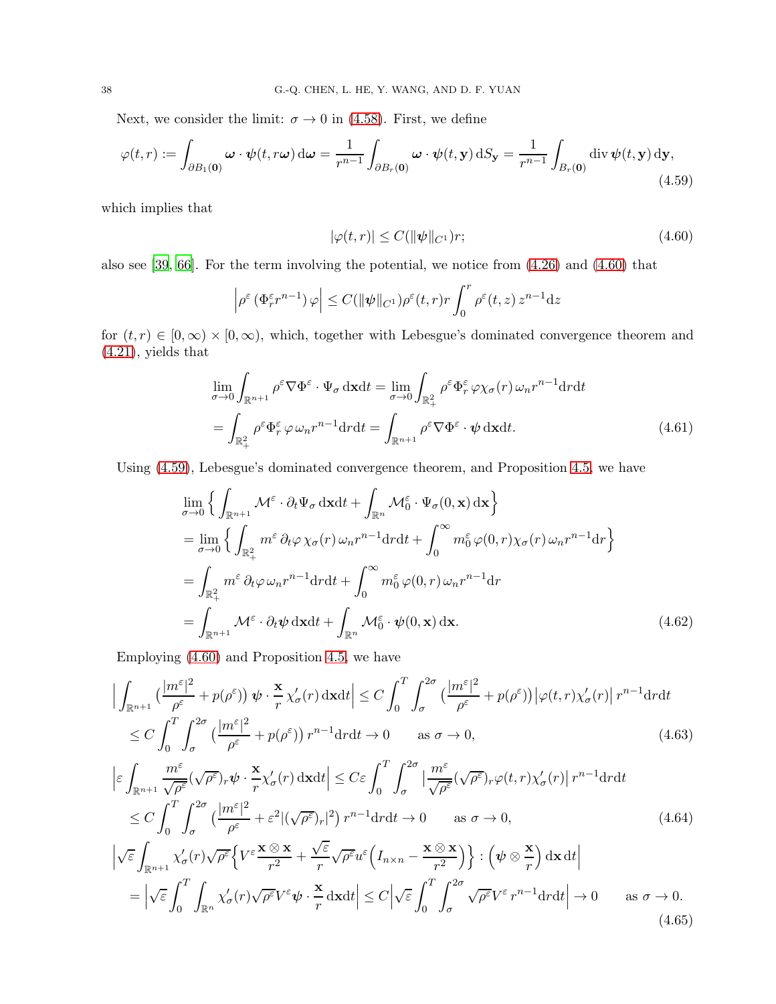Next, we consider the limit:  $\sigma \to 0$  in [\(4.58\)](#page-36-4). First, we define

$$
\varphi(t,r) := \int_{\partial B_1(\mathbf{0})} \omega \cdot \psi(t,r\omega) d\omega = \frac{1}{r^{n-1}} \int_{\partial B_r(\mathbf{0})} \omega \cdot \psi(t,\mathbf{y}) dS_{\mathbf{y}} = \frac{1}{r^{n-1}} \int_{B_r(\mathbf{0})} \operatorname{div} \psi(t,\mathbf{y}) d\mathbf{y},\tag{4.59}
$$

which implies that

<span id="page-37-4"></span><span id="page-37-1"></span><span id="page-37-0"></span>
$$
|\varphi(t,r)| \le C(||\psi||_{C^1})r;\tag{4.60}
$$

also see [\[39](#page-56-10), [66\]](#page-57-8). For the term involving the potential, we notice from [\(4.26\)](#page-31-2) and [\(4.60\)](#page-37-0) that

$$
\left|\rho^{\varepsilon}\left(\Phi_r^{\varepsilon}r^{n-1}\right)\varphi\right| \leq C(\|\psi\|_{C^1})\rho^{\varepsilon}(t,r)r\int_0^r\rho^{\varepsilon}(t,z)\,z^{n-1}\mathrm{d}z
$$

for  $(t, r) \in [0, \infty) \times [0, \infty)$ , which, together with Lebesgue's dominated convergence theorem and [\(4.21\)](#page-31-7), yields that

$$
\lim_{\sigma \to 0} \int_{\mathbb{R}^{n+1}} \rho^{\varepsilon} \nabla \Phi^{\varepsilon} \cdot \Psi_{\sigma} \, \mathrm{d}x \mathrm{d}t = \lim_{\sigma \to 0} \int_{\mathbb{R}^2_+} \rho^{\varepsilon} \Phi^{\varepsilon} \varphi \chi_{\sigma}(r) \, \omega_n r^{n-1} \mathrm{d}r \mathrm{d}t \n= \int_{\mathbb{R}^2_+} \rho^{\varepsilon} \Phi^{\varepsilon} \varphi \, \omega_n r^{n-1} \mathrm{d}r \mathrm{d}t = \int_{\mathbb{R}^{n+1}} \rho^{\varepsilon} \nabla \Phi^{\varepsilon} \cdot \psi \, \mathrm{d}x \mathrm{d}t.
$$
\n(4.61)

Using [\(4.59\)](#page-37-1), Lebesgue's dominated convergence theorem, and Proposition [4.5,](#page-31-8) we have

<span id="page-37-5"></span><span id="page-37-2"></span>
$$
\lim_{\sigma \to 0} \left\{ \int_{\mathbb{R}^{n+1}} \mathcal{M}^{\varepsilon} \cdot \partial_t \Psi_{\sigma} \, \mathrm{d}x \mathrm{d}t + \int_{\mathbb{R}^n} \mathcal{M}_0^{\varepsilon} \cdot \Psi_{\sigma}(0, \mathbf{x}) \, \mathrm{d}\mathbf{x} \right\}
$$
\n
$$
= \lim_{\sigma \to 0} \left\{ \int_{\mathbb{R}_+^2} m^{\varepsilon} \, \partial_t \varphi \, \chi_{\sigma}(r) \, \omega_n r^{n-1} \mathrm{d}r \mathrm{d}t + \int_0^\infty m_0^{\varepsilon} \varphi(0, r) \chi_{\sigma}(r) \, \omega_n r^{n-1} \mathrm{d}r \right\}
$$
\n
$$
= \int_{\mathbb{R}_+^2} m^{\varepsilon} \, \partial_t \varphi \, \omega_n r^{n-1} \mathrm{d}r \mathrm{d}t + \int_0^\infty m_0^{\varepsilon} \varphi(0, r) \, \omega_n r^{n-1} \mathrm{d}r
$$
\n
$$
= \int_{\mathbb{R}^{n+1}} \mathcal{M}^{\varepsilon} \cdot \partial_t \psi \, \mathrm{d}x \mathrm{d}t + \int_{\mathbb{R}^n} \mathcal{M}_0^{\varepsilon} \cdot \psi(0, \mathbf{x}) \, \mathrm{d}\mathbf{x}.\tag{4.62}
$$

Employing [\(4.60\)](#page-37-0) and Proposition [4.5,](#page-31-8) we have

$$
\left| \int_{\mathbb{R}^{n+1}} \left( \frac{|m^{\varepsilon}|^2}{\rho^{\varepsilon}} + p(\rho^{\varepsilon}) \right) \psi \cdot \frac{\mathbf{x}}{r} \chi_{\sigma}'(r) \, \mathrm{d}\mathbf{x} \mathrm{d}t \right| \leq C \int_0^T \int_{\sigma}^{2\sigma} \left( \frac{|m^{\varepsilon}|^2}{\rho^{\varepsilon}} + p(\rho^{\varepsilon}) \right) |\varphi(t, r) \chi_{\sigma}'(r)| \, r^{n-1} \mathrm{d}r \mathrm{d}t
$$
  
\n
$$
\leq C \int_0^T \int_{\sigma}^{2\sigma} \left( \frac{|m^{\varepsilon}|^2}{\rho^{\varepsilon}} + p(\rho^{\varepsilon}) \right) r^{n-1} \mathrm{d}r \mathrm{d}t \to 0 \qquad \text{as } \sigma \to 0,
$$
\n(4.63)

$$
\left| \varepsilon \int_{\mathbb{R}^{n+1}} \frac{m^{\varepsilon}}{\sqrt{\rho^{\varepsilon}}} (\sqrt{\rho^{\varepsilon}}) r \psi \cdot \frac{\mathbf{x}}{r} \chi_{\sigma}'(r) \, \mathrm{d}\mathbf{x} \mathrm{d}t \right| \leq C \varepsilon \int_{0}^{T} \int_{\sigma}^{2\sigma} \left| \frac{m^{\varepsilon}}{\sqrt{\rho^{\varepsilon}}} (\sqrt{\rho^{\varepsilon}}) r \varphi(t, r) \chi_{\sigma}'(r) \right| r^{n-1} \mathrm{d}r \mathrm{d}t
$$
  
 
$$
\leq C \int_{0}^{T} \int_{\sigma}^{2\sigma} \left( \frac{|m^{\varepsilon}|^{2}}{\rho^{\varepsilon}} + \varepsilon^{2} |(\sqrt{\rho^{\varepsilon}}) r|^{2} \right) r^{n-1} \mathrm{d}r \mathrm{d}t \to 0 \qquad \text{as } \sigma \to 0,
$$
 (4.64)

<span id="page-37-3"></span>
$$
\left| \sqrt{\varepsilon} \int_{\mathbb{R}^{n+1}} \chi_{\sigma}'(r) \sqrt{\rho^{\varepsilon}} \left\{ V^{\varepsilon} \frac{\mathbf{x} \otimes \mathbf{x}}{r^2} + \frac{\sqrt{\varepsilon}}{r} \sqrt{\rho^{\varepsilon}} u^{\varepsilon} \left( I_{n \times n} - \frac{\mathbf{x} \otimes \mathbf{x}}{r^2} \right) \right\} : \left( \psi \otimes \frac{\mathbf{x}}{r} \right) \mathrm{d} \mathbf{x} \mathrm{d} t \right|
$$
  
\n
$$
= \left| \sqrt{\varepsilon} \int_{0}^{T} \int_{\mathbb{R}^{n}} \chi_{\sigma}'(r) \sqrt{\rho^{\varepsilon}} V^{\varepsilon} \psi \cdot \frac{\mathbf{x}}{r} \mathrm{d} \mathbf{x} \mathrm{d} t \right| \leq C \left| \sqrt{\varepsilon} \int_{0}^{T} \int_{\sigma}^{2\sigma} \sqrt{\rho^{\varepsilon}} V^{\varepsilon} r^{n-1} \mathrm{d} r \mathrm{d} t \right| \to 0 \quad \text{as } \sigma \to 0. \tag{4.65}
$$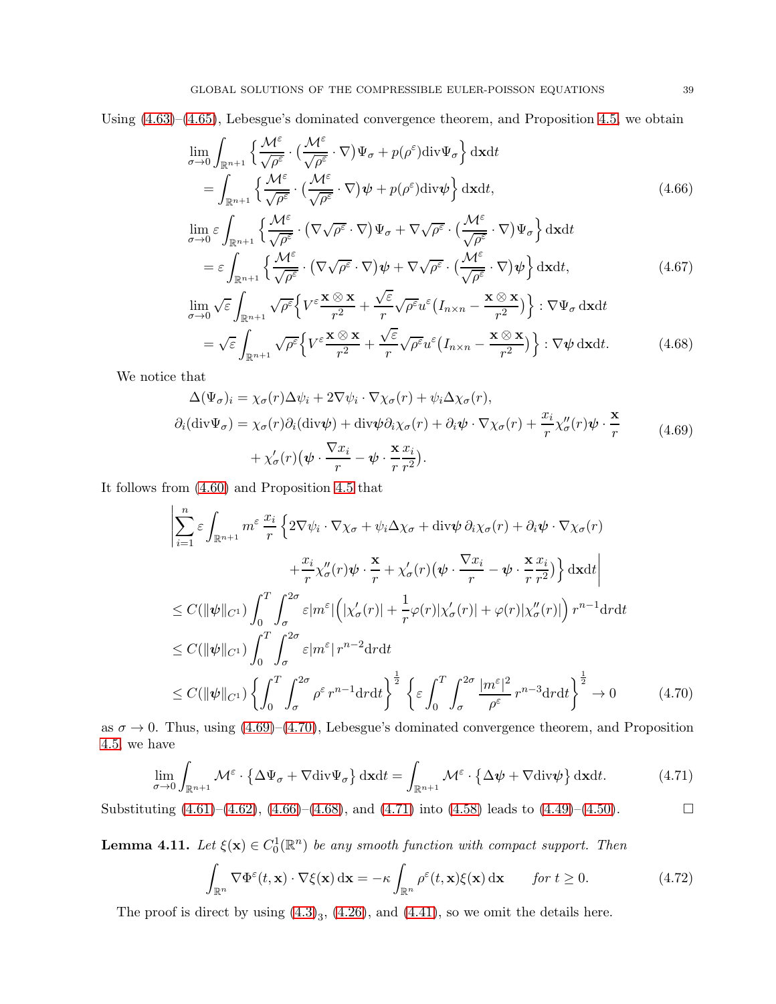Using [\(4.63\)](#page-37-2)–[\(4.65\)](#page-37-3), Lebesgue's dominated convergence theorem, and Proposition [4.5,](#page-31-8) we obtain

$$
\lim_{\sigma \to 0} \int_{\mathbb{R}^{n+1}} \left\{ \frac{\mathcal{M}^{\varepsilon}}{\sqrt{\rho^{\varepsilon}}} \cdot \left( \frac{\mathcal{M}^{\varepsilon}}{\sqrt{\rho^{\varepsilon}}} \cdot \nabla \right) \Psi_{\sigma} + p(\rho^{\varepsilon}) \text{div} \Psi_{\sigma} \right\} d\mathbf{x} dt
$$
\n
$$
= \int_{\mathbb{R}^{n+1}} \left\{ \frac{\mathcal{M}^{\varepsilon}}{\sqrt{\rho^{\varepsilon}}} \cdot \left( \frac{\mathcal{M}^{\varepsilon}}{\sqrt{\rho^{\varepsilon}}} \cdot \nabla \right) \psi + p(\rho^{\varepsilon}) \text{div} \psi \right\} d\mathbf{x} dt, \tag{4.66}
$$

<span id="page-38-2"></span>
$$
\lim_{\sigma \to 0} \varepsilon \int_{\mathbb{R}^{n+1}} \left\{ \frac{\mathcal{M}^{\varepsilon}}{\sqrt{\rho^{\varepsilon}}} \cdot (\nabla \sqrt{\rho^{\varepsilon}} \cdot \nabla) \Psi_{\sigma} + \nabla \sqrt{\rho^{\varepsilon}} \cdot (\frac{\mathcal{M}^{\varepsilon}}{\sqrt{\rho^{\varepsilon}}} \cdot \nabla) \Psi_{\sigma} \right\} d\mathbf{x} dt
$$
\n
$$
= \varepsilon \int_{\mathbb{R}^{n+1}} \left\{ \frac{\mathcal{M}^{\varepsilon}}{\sqrt{\rho^{\varepsilon}}} \cdot (\nabla \sqrt{\rho^{\varepsilon}} \cdot \nabla) \psi + \nabla \sqrt{\rho^{\varepsilon}} \cdot (\frac{\mathcal{M}^{\varepsilon}}{\sqrt{\rho^{\varepsilon}}} \cdot \nabla) \psi \right\} d\mathbf{x} dt, \tag{4.67}
$$

<span id="page-38-3"></span>
$$
\lim_{\sigma \to 0} \sqrt{\varepsilon} \int_{\mathbb{R}^{n+1}} \sqrt{\rho^{\varepsilon}} \Big\{ V^{\varepsilon} \frac{\mathbf{x} \otimes \mathbf{x}}{r^2} + \frac{\sqrt{\varepsilon}}{r} \sqrt{\rho^{\varepsilon}} u^{\varepsilon} \Big( I_{n \times n} - \frac{\mathbf{x} \otimes \mathbf{x}}{r^2} \Big) \Big\} : \nabla \Psi_{\sigma} \, \mathrm{d} \mathbf{x} \mathrm{d} t \n= \sqrt{\varepsilon} \int_{\mathbb{R}^{n+1}} \sqrt{\rho^{\varepsilon}} \Big\{ V^{\varepsilon} \frac{\mathbf{x} \otimes \mathbf{x}}{r^2} + \frac{\sqrt{\varepsilon}}{r} \sqrt{\rho^{\varepsilon}} u^{\varepsilon} \Big( I_{n \times n} - \frac{\mathbf{x} \otimes \mathbf{x}}{r^2} \Big) \Big\} : \nabla \psi \, \mathrm{d} \mathbf{x} \mathrm{d} t. \tag{4.68}
$$

We notice that

<span id="page-38-0"></span>
$$
\Delta(\Psi_{\sigma})_i = \chi_{\sigma}(r)\Delta\psi_i + 2\nabla\psi_i \cdot \nabla\chi_{\sigma}(r) + \psi_i \Delta\chi_{\sigma}(r),
$$
  
\n
$$
\partial_i(\text{div}\Psi_{\sigma}) = \chi_{\sigma}(r)\partial_i(\text{div}\psi) + \text{div}\psi \partial_i\chi_{\sigma}(r) + \partial_i\psi \cdot \nabla\chi_{\sigma}(r) + \frac{x_i}{r}\chi_{\sigma}''(r)\psi \cdot \frac{\mathbf{x}}{r} + \chi_{\sigma}'(r)(\psi \cdot \frac{\nabla x_i}{r} - \psi \cdot \frac{\mathbf{x}}{r}\frac{x_i}{r^2}).
$$
\n(4.69)

It follows from [\(4.60\)](#page-37-0) and Proposition [4.5](#page-31-8) that

$$
\left| \sum_{i=1}^{n} \varepsilon \int_{\mathbb{R}^{n+1}} m^{\varepsilon} \frac{x_i}{r} \left\{ 2 \nabla \psi_i \cdot \nabla \chi_{\sigma} + \psi_i \Delta \chi_{\sigma} + \text{div} \psi \, \partial_i \chi_{\sigma}(r) + \partial_i \psi \cdot \nabla \chi_{\sigma}(r) \right. \right. \\
\left. + \frac{x_i}{r} \chi_{\sigma}''(r) \psi \cdot \frac{\mathbf{x}}{r} + \chi_{\sigma}'(r) \left( \psi \cdot \frac{\nabla x_i}{r} - \psi \cdot \frac{\mathbf{x}}{r} \frac{x_i}{r^2} \right) \right\} \text{d} \mathbf{x} \text{d} t \right| \\
\leq C (\|\psi\|_{C^1}) \int_0^T \int_0^{2\sigma} \varepsilon |m^{\varepsilon}| \left( |\chi_{\sigma}'(r)| + \frac{1}{r} \varphi(r) |\chi_{\sigma}'(r)| + \varphi(r) |\chi_{\sigma}''(r)| \right) r^{n-1} \text{d} r \text{d} t \\
\leq C (\|\psi\|_{C^1}) \int_0^T \int_0^{2\sigma} \varepsilon |m^{\varepsilon}| r^{n-2} \text{d} r \text{d} t \\
\leq C (\|\psi\|_{C^1}) \left\{ \int_0^T \int_{\sigma}^{2\sigma} \rho^{\varepsilon} r^{n-1} \text{d} r \text{d} t \right\}^{\frac{1}{2}} \left\{ \varepsilon \int_0^T \int_{\sigma}^{2\sigma} \frac{|m^{\varepsilon}|^2}{\rho^{\varepsilon}} r^{n-3} \text{d} r \text{d} t \right\}^{\frac{1}{2}} \to 0 \qquad (4.70)
$$
\nThus, using (4.60), (4.70). It becomes equivalent to the same, as the same, and Denveit is

as  $\sigma \to 0$ . Thus, using [\(4.69\)](#page-38-0)–[\(4.70\)](#page-38-1), Lebesgue's dominated convergence theorem, and Proposition [4.5,](#page-31-8) we have

$$
\lim_{\sigma \to 0} \int_{\mathbb{R}^{n+1}} \mathcal{M}^{\varepsilon} \cdot \left\{ \Delta \Psi_{\sigma} + \nabla \text{div} \Psi_{\sigma} \right\} d\mathbf{x} dt = \int_{\mathbb{R}^{n+1}} \mathcal{M}^{\varepsilon} \cdot \left\{ \Delta \psi + \nabla \text{div} \psi \right\} d\mathbf{x} dt. \tag{4.71}
$$

Substituting  $(4.61)$ – $(4.62)$ ,  $(4.66)$ – $(4.68)$ , and  $(4.71)$  into  $(4.58)$  leads to  $(4.49)$ – $(4.50)$ .

**Lemma 4.11.** Let  $\xi(\mathbf{x}) \in C_0^1(\mathbb{R}^n)$  be any smooth function with compact support. Then

<span id="page-38-5"></span><span id="page-38-4"></span><span id="page-38-1"></span>
$$
\int_{\mathbb{R}^n} \nabla \Phi^{\varepsilon}(t, \mathbf{x}) \cdot \nabla \xi(\mathbf{x}) \, \mathrm{d}\mathbf{x} = -\kappa \int_{\mathbb{R}^n} \rho^{\varepsilon}(t, \mathbf{x}) \xi(\mathbf{x}) \, \mathrm{d}\mathbf{x} \qquad \text{for } t \ge 0.
$$
\n(4.72)

The proof is direct by using  $(4.3)_3$ ,  $(4.26)$ , and  $(4.41)$ , so we omit the details here.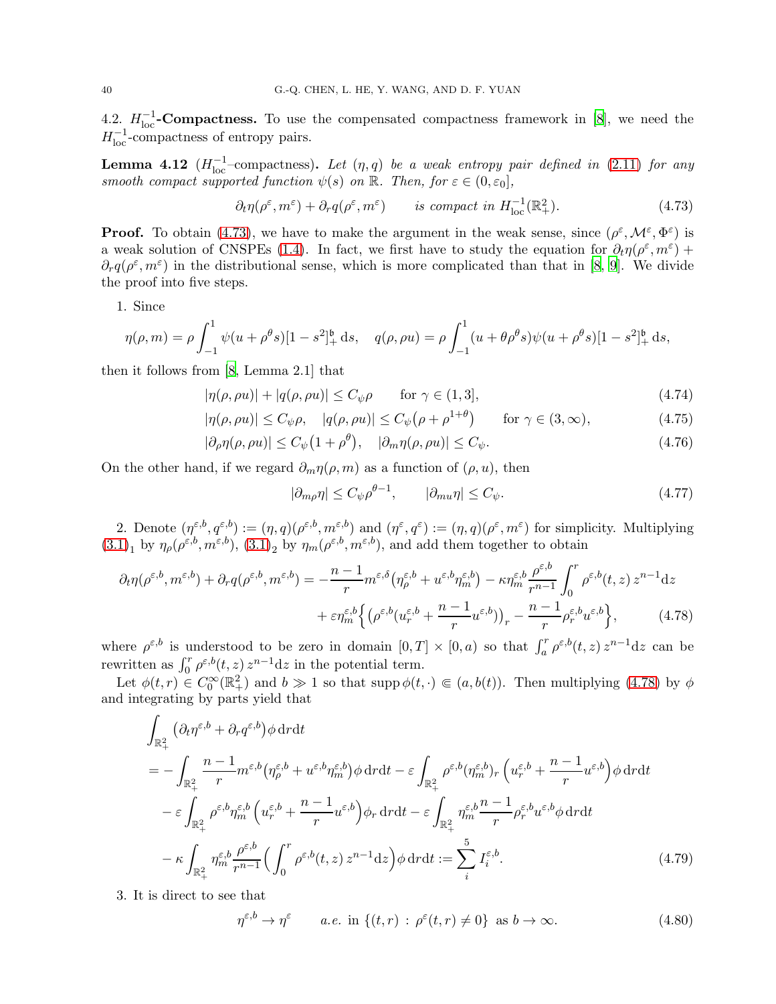4.2.  $H_{\text{loc}}^{-1}$ -Compactness. To use the compensated compactness framework in [\[8](#page-54-5)], we need the  $H_{\text{loc}}^{-1}$ -compactness of entropy pairs.

<span id="page-39-8"></span>**Lemma 4.12**  $(H_{\text{loc}}^{-1}-\text{compactness})$ . Let  $(\eta, q)$  be a weak entropy pair defined in [\(2.11\)](#page-8-0) for any smooth compact supported function  $\psi(s)$  on  $\mathbb{R}$ . Then, for  $\varepsilon \in (0, \varepsilon_0]$ ,

<span id="page-39-0"></span>
$$
\partial_t \eta(\rho^{\varepsilon}, m^{\varepsilon}) + \partial_r q(\rho^{\varepsilon}, m^{\varepsilon}) \qquad \text{is compact in } H^{-1}_{\text{loc}}(\mathbb{R}^2_+). \tag{4.73}
$$

**Proof.** To obtain [\(4.73\)](#page-39-0), we have to make the argument in the weak sense, since  $(\rho^{\varepsilon}, \mathcal{M}^{\varepsilon}, \Phi^{\varepsilon})$  is a weak solution of CNSPEs [\(1.4\)](#page-1-3). In fact, we first have to study the equation for  $\partial_t \eta(\rho^\varepsilon, m^\varepsilon)$  +  $\partial_r q(\rho^{\varepsilon}, m^{\varepsilon})$  in the distributional sense, which is more complicated than that in [\[8](#page-54-5), [9\]](#page-54-16). We divide the proof into five steps.

1. Since

$$
\eta(\rho, m) = \rho \int_{-1}^{1} \psi(u + \rho^{\theta} s)[1 - s^2]_{+}^{6} ds, \quad q(\rho, \rho u) = \rho \int_{-1}^{1} (u + \theta \rho^{\theta} s) \psi(u + \rho^{\theta} s)[1 - s^2]_{+}^{6} ds,
$$

then it follows from [\[8,](#page-54-5) Lemma 2.1] that

$$
|\eta(\rho, \rho u)| + |q(\rho, \rho u)| \le C_{\psi}\rho \qquad \text{for } \gamma \in (1, 3], \tag{4.74}
$$

$$
|\eta(\rho,\rho u)| \le C_{\psi}\rho, \quad |q(\rho,\rho u)| \le C_{\psi}(\rho + \rho^{1+\theta}) \quad \text{for } \gamma \in (3,\infty), \tag{4.75}
$$

$$
|\partial_{\rho}\eta(\rho,\rho u)| \le C_{\psi}\left(1+\rho^{\theta}\right), \quad |\partial_{m}\eta(\rho,\rho u)| \le C_{\psi}.\tag{4.76}
$$

On the other hand, if we regard  $\partial_m \eta(\rho, m)$  as a function of  $(\rho, u)$ , then

<span id="page-39-7"></span><span id="page-39-6"></span><span id="page-39-3"></span><span id="page-39-2"></span><span id="page-39-1"></span>
$$
|\partial_{m\rho}\eta| \le C_{\psi}\rho^{\theta-1}, \qquad |\partial_{mu}\eta| \le C_{\psi}.
$$
 (4.77)

2. Denote  $(\eta^{\varepsilon,b}, q^{\varepsilon,b}) := (\eta, q)(\rho^{\varepsilon,b}, m^{\varepsilon,b})$  and  $(\eta^{\varepsilon}, q^{\varepsilon}) := (\eta, q)(\rho^{\varepsilon}, m^{\varepsilon})$  for simplicity. Multiplying  $(3.1)_1$  $(3.1)_1$  by  $\eta_\rho(\rho^{\varepsilon,b}, m^{\varepsilon,b})$ ,  $(3.1)_2$  by  $\eta_m(\rho^{\varepsilon,b}, m^{\varepsilon,b})$ , and add them together to obtain

$$
\partial_t \eta(\rho^{\varepsilon,b}, m^{\varepsilon,b}) + \partial_r q(\rho^{\varepsilon,b}, m^{\varepsilon,b}) = -\frac{n-1}{r} m^{\varepsilon,\delta} \left( \eta^{\varepsilon,b}_\rho + u^{\varepsilon,b} \eta^{\varepsilon,b}_m \right) - \kappa \eta^{\varepsilon,b}_m \frac{\rho^{\varepsilon,b}}{r^{n-1}} \int_0^r \rho^{\varepsilon,b}(t, z) z^{n-1} dz + \varepsilon \eta^{\varepsilon,b}_m \left\{ \left( \rho^{\varepsilon,b}(u^{\varepsilon,b}_r + \frac{n-1}{r} u^{\varepsilon,b}) \right)_r - \frac{n-1}{r} \rho^{\varepsilon,b}_r u^{\varepsilon,b} \right\}, \tag{4.78}
$$

where  $\rho^{\varepsilon,b}$  is understood to be zero in domain  $[0,T] \times [0,a)$  so that  $\int_a^r \rho^{\varepsilon,b}(t,z) z^{n-1} dz$  can be rewritten as  $\int_0^r \rho^{\varepsilon,b}(t,z) z^{n-1} dz$  in the potential term.

Let  $\phi(t,r) \in C_0^{\infty}(\mathbb{R}^2_+)$  and  $b \gg 1$  so that supp  $\phi(t,\cdot) \in (a,b(t))$ . Then multiplying [\(4.78\)](#page-39-1) by  $\phi$ and integrating by parts yield that

$$
\int_{\mathbb{R}^2_+} \left( \partial_t \eta^{\varepsilon,b} + \partial_r q^{\varepsilon,b} \right) \phi \, \mathrm{d}r \, \mathrm{d}t \n= - \int_{\mathbb{R}^2_+} \frac{n-1}{r} m^{\varepsilon,b} \left( \eta^{\varepsilon,b}_{\rho} + u^{\varepsilon,b} \eta^{\varepsilon,b}_{m} \right) \phi \, \mathrm{d}r \, \mathrm{d}t - \varepsilon \int_{\mathbb{R}^2_+} \rho^{\varepsilon,b} \left( \eta^{\varepsilon,b}_{m} + \frac{n-1}{r} u^{\varepsilon,b} \right) \phi \, \mathrm{d}r \, \mathrm{d}t \n- \varepsilon \int_{\mathbb{R}^2_+} \rho^{\varepsilon,b} \eta^{\varepsilon,b}_{m} \left( u^{\varepsilon,b}_{r} + \frac{n-1}{r} u^{\varepsilon,b} \right) \phi_r \, \mathrm{d}r \, \mathrm{d}t - \varepsilon \int_{\mathbb{R}^2_+} \eta^{\varepsilon,b}_{m} \frac{n-1}{r} \rho^{\varepsilon,b}_{r} u^{\varepsilon,b} \phi \, \mathrm{d}r \, \mathrm{d}t \n- \kappa \int_{\mathbb{R}^2_+} \eta^{\varepsilon,b}_{m} \frac{\rho^{\varepsilon,b}}{r^{n-1}} \left( \int_0^r \rho^{\varepsilon,b}(t,z) \, z^{n-1} \, \mathrm{d}z \right) \phi \, \mathrm{d}r \, \mathrm{d}t := \sum_i^5 I^{\varepsilon,b}_i. \tag{4.79}
$$

3. It is direct to see that

<span id="page-39-5"></span><span id="page-39-4"></span>
$$
\eta^{\varepsilon,b}\to\eta^{\varepsilon}\qquad a.e. \text{ in }\{(t,r)\,:\,\rho^{\varepsilon}(t,r)\neq 0\}\text{ as }b\to\infty. \tag{4.80}
$$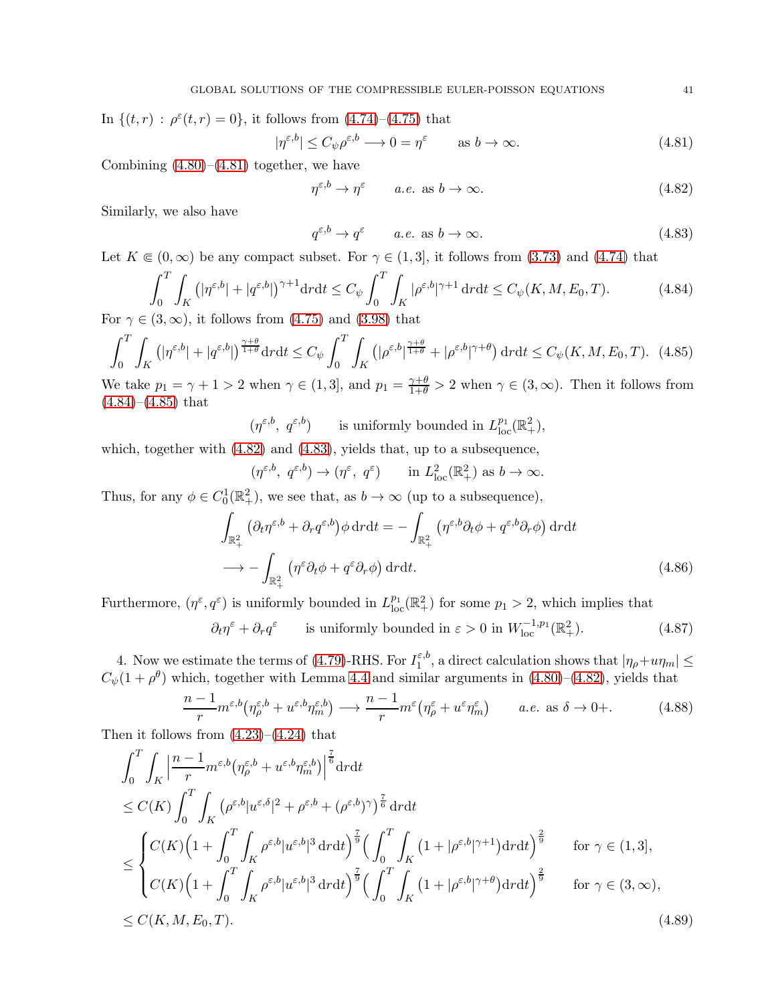In  $\{(t,r) : \rho^{\varepsilon}(t,r) = 0\}$ , it follows from  $(4.74)$ – $(4.75)$  that

$$
|\eta^{\varepsilon,b}| \le C_{\psi}\rho^{\varepsilon,b} \longrightarrow 0 = \eta^{\varepsilon} \qquad \text{as } b \to \infty. \tag{4.81}
$$

Combining  $(4.80)$ – $(4.81)$  together, we have

<span id="page-40-4"></span><span id="page-40-3"></span><span id="page-40-0"></span>
$$
\eta^{\varepsilon,b}\to\eta^{\varepsilon}\qquad a.e. \text{ as } b\to\infty. \tag{4.82}
$$

Similarly, we also have

<span id="page-40-2"></span><span id="page-40-1"></span>
$$
q^{\varepsilon,b} \to q^{\varepsilon} \qquad a.e. \text{ as } b \to \infty. \tag{4.83}
$$

Let  $K \in (0,\infty)$  be any compact subset. For  $\gamma \in (1,3]$ , it follows from  $(3.73)$  and  $(4.74)$  that

$$
\int_0^T \int_K \left( |\eta^{\varepsilon, b}| + |\dot{q}^{\varepsilon, b}| \right)^{\gamma + 1} \mathrm{d}r \mathrm{d}t \le C_\psi \int_0^T \int_K |\rho^{\varepsilon, b}|^{\gamma + 1} \mathrm{d}r \mathrm{d}t \le C_\psi(K, M, E_0, T). \tag{4.84}
$$

For  $\gamma \in (3,\infty)$ , it follows from  $(4.75)$  and  $(3.98)$  that

$$
\int_0^T \int_K \left( |\eta^{\varepsilon, b}| + |\dot{q}^{\varepsilon, b}| \right)^{\frac{\gamma + \theta}{1 + \theta}} \mathrm{d}r \mathrm{d}t \le C_\psi \int_0^T \int_K \left( |\rho^{\varepsilon, b}|^{\frac{\gamma + \theta}{1 + \theta}} + |\rho^{\varepsilon, b}|^{\gamma + \theta} \right) \mathrm{d}r \mathrm{d}t \le C_\psi(K, M, E_0, T). \tag{4.85}
$$

We take  $p_1 = \gamma + 1 > 2$  when  $\gamma \in (1, 3]$ , and  $p_1 = \frac{\gamma + \theta}{1+\theta} > 2$  when  $\gamma \in (3, \infty)$ . Then it follows from  $(4.84)–(4.85)$  $(4.84)–(4.85)$  $(4.84)–(4.85)$  that

 $(\eta^{\varepsilon,b}, \, q^{\varepsilon,b})$  is uniformly bounded in  $L^{p_1}_{loc}(\mathbb{R}^2_+),$ 

which, together with [\(4.82\)](#page-40-3) and [\(4.83\)](#page-40-4), yields that, up to a subsequence,

<span id="page-40-8"></span><span id="page-40-7"></span>
$$
(\eta^{\varepsilon,b}, q^{\varepsilon,b}) \to (\eta^{\varepsilon}, q^{\varepsilon}) \quad \text{in } L^2_{\text{loc}}(\mathbb{R}^2_+) \text{ as } b \to \infty.
$$

Thus, for any  $\phi \in C_0^1(\mathbb{R}^2_+)$ , we see that, as  $b \to \infty$  (up to a subsequence),

$$
\int_{\mathbb{R}^2_+} \left( \partial_t \eta^{\varepsilon, b} + \partial_r q^{\varepsilon, b} \right) \phi \, dr \, dt = - \int_{\mathbb{R}^2_+} \left( \eta^{\varepsilon, b} \partial_t \phi + q^{\varepsilon, b} \partial_r \phi \right) \, dr \, dt
$$
\n
$$
\longrightarrow - \int_{\mathbb{R}^2_+} \left( \eta^{\varepsilon} \partial_t \phi + q^{\varepsilon} \partial_r \phi \right) \, dr \, dt. \tag{4.86}
$$

Furthermore,  $(\eta^{\varepsilon}, q^{\varepsilon})$  is uniformly bounded in  $L_{\text{loc}}^{p_1}(\mathbb{R}^2_+)$  for some  $p_1 > 2$ , which implies that

<span id="page-40-5"></span>
$$
\partial_t \eta^{\varepsilon} + \partial_r q^{\varepsilon}
$$
 is uniformly bounded in  $\varepsilon > 0$  in  $W_{\text{loc}}^{-1,p_1}(\mathbb{R}^2_+).$  (4.87)

4. Now we estimate the terms of [\(4.79\)](#page-39-5)-RHS. For  $I_1^{\varepsilon, b}$  $\int_1^{\epsilon, \theta}$ , a direct calculation shows that  $|\eta_{\rho}+u\eta_m| \leq$  $C_{\psi}(1+\rho^{\theta})$  which, together with Lemma [4.4](#page-29-5) and similar arguments in [\(4.80\)](#page-39-4)–[\(4.82\)](#page-40-3), yields that

<span id="page-40-6"></span>
$$
\frac{n-1}{r}m^{\varepsilon,b}\left(\eta_{\rho}^{\varepsilon,b}+u^{\varepsilon,b}\eta_{m}^{\varepsilon,b}\right)\longrightarrow\frac{n-1}{r}m^{\varepsilon}\left(\eta_{\rho}^{\varepsilon}+u^{\varepsilon}\eta_{m}^{\varepsilon}\right)\qquad a.e.\text{ as }\delta\to 0+.\tag{4.88}
$$

Then it follows from  $(4.23)$ – $(4.24)$  that

$$
\int_{0}^{T} \int_{K} \left| \frac{n-1}{r} m^{\varepsilon,b} \left( \eta_{\rho}^{\varepsilon,b} + u^{\varepsilon,b} \eta_{m}^{\varepsilon,b} \right) \right|^{\frac{7}{6}} \mathrm{d}r \mathrm{d}t
$$
\n
$$
\leq C(K) \int_{0}^{T} \int_{K} \left( \rho^{\varepsilon,b} |u^{\varepsilon,\delta}|^{2} + \rho^{\varepsilon,b} + (\rho^{\varepsilon,b})^{\gamma} \right)^{\frac{7}{6}} \mathrm{d}r \mathrm{d}t
$$
\n
$$
\leq \begin{cases} C(K) \left( 1 + \int_{0}^{T} \int_{K} \rho^{\varepsilon,b} |u^{\varepsilon,b}|^{3} \mathrm{d}r \mathrm{d}t \right)^{\frac{7}{9}} \left( \int_{0}^{T} \int_{K} \left( 1 + |\rho^{\varepsilon,b}|^{\gamma+1} \right) \mathrm{d}r \mathrm{d}t \right)^{\frac{2}{9}} & \text{for } \gamma \in (1,3],\\ C(K) \left( 1 + \int_{0}^{T} \int_{K} \rho^{\varepsilon,b} |u^{\varepsilon,b}|^{3} \mathrm{d}r \mathrm{d}t \right)^{\frac{7}{9}} \left( \int_{0}^{T} \int_{K} \left( 1 + |\rho^{\varepsilon,b}|^{\gamma+\theta} \right) \mathrm{d}r \mathrm{d}t \right)^{\frac{2}{9}} & \text{for } \gamma \in (3,\infty),\\ \leq C(K,M,E_{0},T). \end{cases} \tag{4.89}
$$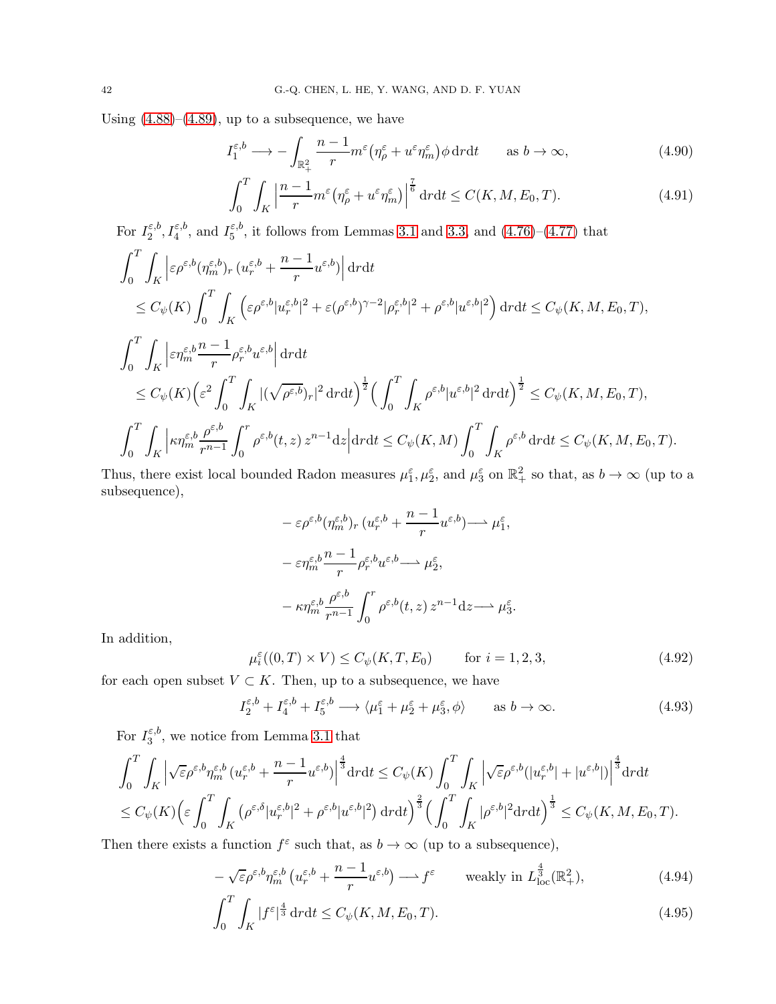Using  $(4.88)$ – $(4.89)$ , up to a subsequence, we have

$$
I_1^{\varepsilon,b} \longrightarrow -\int_{\mathbb{R}_+^2} \frac{n-1}{r} m^{\varepsilon} \left(\eta_\rho^{\varepsilon} + u^{\varepsilon} \eta_m^{\varepsilon}\right) \phi \, \mathrm{d}r \mathrm{d}t \qquad \text{as } b \to \infty,
$$
\n
$$
(4.90)
$$

<span id="page-41-3"></span><span id="page-41-1"></span>
$$
\int_0^T \int_K \left| \frac{n-1}{r} m^\varepsilon \left( \eta_\rho^\varepsilon + u^\varepsilon \eta_m^\varepsilon \right) \right|^{\frac{7}{6}} dr dt \le C(K, M, E_0, T). \tag{4.91}
$$

For  $I_2^{\varepsilon,b}$  $\zeta_2^{\varepsilon,b}, I_4^{\varepsilon,b}, \text{ and } I_5^{\varepsilon,b}$  $\epsilon_5^{\epsilon,0}$ , it follows from Lemmas [3.1](#page-12-5) and [3.3,](#page-17-0) and  $(4.76)-(4.77)$  $(4.76)-(4.77)$  that

$$
\int_{0}^{T} \int_{K} \left| \varepsilon \rho^{\varepsilon,b} (\eta^{\varepsilon,b}_{m})_{r} (u^{\varepsilon,b}_{r} + \frac{n-1}{r} u^{\varepsilon,b}) \right| \mathrm{d}r \mathrm{d}t
$$
\n
$$
\leq C_{\psi}(K) \int_{0}^{T} \int_{K} \left( \varepsilon \rho^{\varepsilon,b} |u^{\varepsilon,b}_{r}|^{2} + \varepsilon (\rho^{\varepsilon,b})^{\gamma-2} |\rho^{\varepsilon,b}_{r}|^{2} + \rho^{\varepsilon,b} |u^{\varepsilon,b}|^{2} \right) \mathrm{d}r \mathrm{d}t \leq C_{\psi}(K, M, E_{0}, T),
$$
\n
$$
\int_{0}^{T} \int_{K} \left| \varepsilon \eta^{\varepsilon,b}_{m} \frac{n-1}{r} \rho^{\varepsilon,b}_{r} u^{\varepsilon,b} \right| \mathrm{d}r \mathrm{d}t
$$
\n
$$
\leq C_{\psi}(K) \Big( \varepsilon^{2} \int_{0}^{T} \int_{K} |(\sqrt{\rho^{\varepsilon,b}})_{r}|^{2} \mathrm{d}r \mathrm{d}t \Big)^{\frac{1}{2}} \Big( \int_{0}^{T} \int_{K} \rho^{\varepsilon,b} |u^{\varepsilon,b}|^{2} \mathrm{d}r \mathrm{d}t \Big)^{\frac{1}{2}} \leq C_{\psi}(K, M, E_{0}, T),
$$
\n
$$
\int_{0}^{T} \int_{K} \left| \kappa \eta^{\varepsilon,b}_{m} \frac{\rho^{\varepsilon,b}}{r^{n-1}} \int_{0}^{r} \rho^{\varepsilon,b}(t, z) z^{n-1} \mathrm{d}z \right| \mathrm{d}r \mathrm{d}t \leq C_{\psi}(K, M) \int_{0}^{T} \int_{K} \rho^{\varepsilon,b} \mathrm{d}r \mathrm{d}t \leq C_{\psi}(K, M, E_{0}, T).
$$

Thus, there exist local bounded Radon measures  $\mu_1^{\varepsilon}$ ,  $\mu_2^{\varepsilon}$ , and  $\mu_3^{\varepsilon}$  on  $\mathbb{R}_+^2$  so that, as  $b \to \infty$  (up to a subsequence),

$$
- \varepsilon \rho^{\varepsilon, b} (\eta_m^{\varepsilon, b})_r (u_r^{\varepsilon, b} + \frac{n-1}{r} u^{\varepsilon, b}) \longrightarrow \mu_1^{\varepsilon},
$$
  

$$
- \varepsilon \eta_m^{\varepsilon, b} \frac{n-1}{r} \rho_r^{\varepsilon, b} u^{\varepsilon, b} \longrightarrow \mu_2^{\varepsilon},
$$
  

$$
- \kappa \eta_m^{\varepsilon, b} \frac{\rho^{\varepsilon, b}}{r^{n-1}} \int_0^r \rho^{\varepsilon, b}(t, z) z^{n-1} dz \longrightarrow \mu_3^{\varepsilon}.
$$

In addition,

<span id="page-41-4"></span><span id="page-41-2"></span>
$$
\mu_i^{\varepsilon}((0,T) \times V) \le C_{\psi}(K,T,E_0) \qquad \text{for } i = 1,2,3,
$$
\n(4.92)

for each open subset  $V \subset K$ . Then, up to a subsequence, we have

$$
I_2^{\varepsilon,b} + I_4^{\varepsilon,b} + I_5^{\varepsilon,b} \longrightarrow \langle \mu_1^{\varepsilon} + \mu_2^{\varepsilon} + \mu_3^{\varepsilon}, \phi \rangle \qquad \text{as } b \to \infty. \tag{4.93}
$$

For  $I_3^{\varepsilon,b}$  $3^{6,0}$ , we notice from Lemma [3.1](#page-12-5) that

$$
\int_0^T \int_K \left| \sqrt{\varepsilon} \rho^{\varepsilon, b} \eta_m^{\varepsilon, b} \left( u_r^{\varepsilon, b} + \frac{n-1}{r} u^{\varepsilon, b} \right) \right|^{\frac{4}{3}} dr dt \le C_\psi(K) \int_0^T \int_K \left| \sqrt{\varepsilon} \rho^{\varepsilon, b} (|u_r^{\varepsilon, b}| + |u^{\varepsilon, b}|) \right|^{\frac{4}{3}} dr dt
$$
  

$$
\le C_\psi(K) \left( \varepsilon \int_0^T \int_K \left( \rho^{\varepsilon, \delta} |u_r^{\varepsilon, b}|^2 + \rho^{\varepsilon, b} |u^{\varepsilon, b}|^2 \right) dr dt \right)^{\frac{2}{3}} \left( \int_0^T \int_K |\rho^{\varepsilon, b}|^2 dr dt \right)^{\frac{1}{3}} \le C_\psi(K, M, E_0, T).
$$

Then there exists a function  $f^{\varepsilon}$  such that, as  $b \to \infty$  (up to a subsequence),

<span id="page-41-0"></span>
$$
-\sqrt{\varepsilon}\rho^{\varepsilon,b}\eta_m^{\varepsilon,b}\left(u_r^{\varepsilon,b}+\frac{n-1}{r}u^{\varepsilon,b}\right)\longrightarrow f^{\varepsilon}\qquad\text{weakly in }L^{\frac{4}{3}}_{\text{loc}}(\mathbb{R}^2_+),\tag{4.94}
$$

<span id="page-41-5"></span>
$$
\int_0^T \int_K |f^\varepsilon|^{\frac{4}{3}} \, \mathrm{d}r \mathrm{d}t \le C_\psi(K, M, E_0, T). \tag{4.95}
$$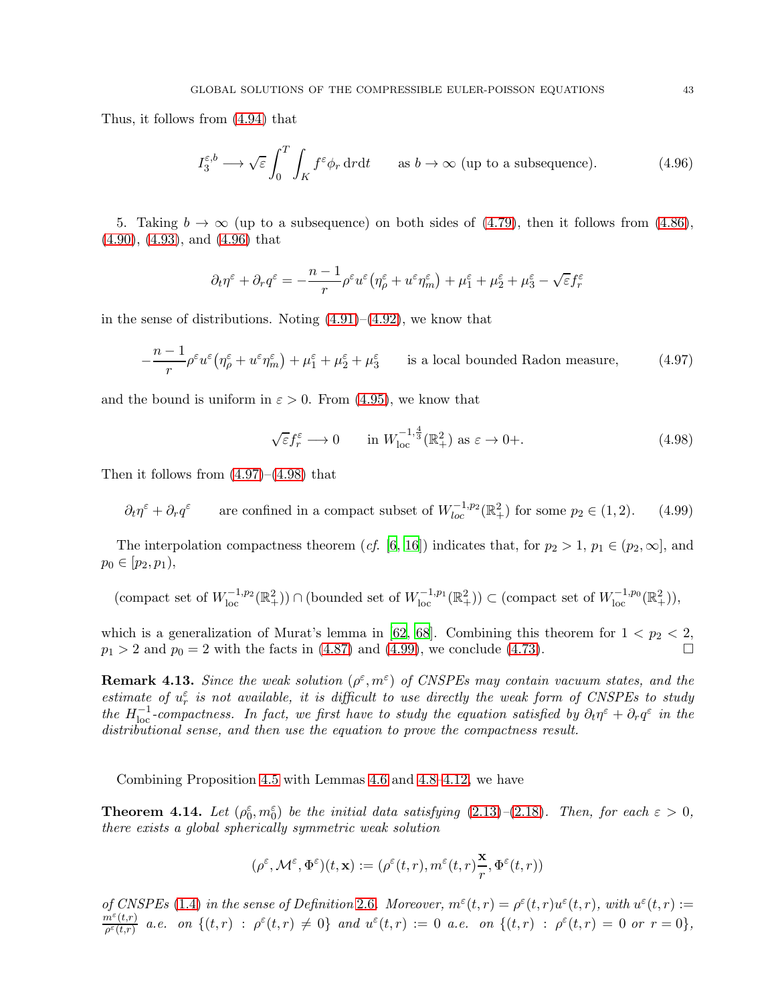Thus, it follows from [\(4.94\)](#page-41-0) that

<span id="page-42-0"></span>
$$
I_3^{\varepsilon,b} \longrightarrow \sqrt{\varepsilon} \int_0^T \int_K f^{\varepsilon} \phi_r \, dr \, dt \qquad \text{as } b \to \infty \text{ (up to a subsequence).} \tag{4.96}
$$

5. Taking  $b \to \infty$  (up to a subsequence) on both sides of [\(4.79\)](#page-39-5), then it follows from [\(4.86\)](#page-40-7), [\(4.90\)](#page-41-1), [\(4.93\)](#page-41-2), and [\(4.96\)](#page-42-0) that

$$
\partial_t \eta^\varepsilon + \partial_r q^\varepsilon = -\frac{n-1}{r} \rho^\varepsilon u^\varepsilon \big( \eta_\rho^\varepsilon + u^\varepsilon \eta_m^\varepsilon \big) + \mu_1^\varepsilon + \mu_2^\varepsilon + \mu_3^\varepsilon - \sqrt{\varepsilon} f_r^\varepsilon
$$

in the sense of distributions. Noting  $(4.91)$ – $(4.92)$ , we know that

$$
-\frac{n-1}{r}\rho^{\varepsilon}u^{\varepsilon}\left(\eta_{\rho}^{\varepsilon}+u^{\varepsilon}\eta_{m}^{\varepsilon}\right)+\mu_{1}^{\varepsilon}+\mu_{2}^{\varepsilon}+\mu_{3}^{\varepsilon} \qquad \text{is a local bounded Radon measure},\tag{4.97}
$$

and the bound is uniform in  $\varepsilon > 0$ . From [\(4.95\)](#page-41-5), we know that

<span id="page-42-3"></span><span id="page-42-2"></span><span id="page-42-1"></span>
$$
\sqrt{\varepsilon} f_r^{\varepsilon} \longrightarrow 0 \qquad \text{in } W_{\text{loc}}^{-1,\frac{4}{3}}(\mathbb{R}^2_+) \text{ as } \varepsilon \to 0+.
$$
 (4.98)

Then it follows from  $(4.97)$ – $(4.98)$  that

 $\partial_t \eta^{\varepsilon} + \partial_r q^{\varepsilon}$  are confined in a compact subset of  $W_{loc}^{-1,p_2}(\mathbb{R}^2_+)$  for some  $p_2 \in (1,2)$ . (4.99)

The interpolation compactness theorem (cf. [\[6](#page-54-4), [16](#page-54-9)]) indicates that, for  $p_2 > 1$ ,  $p_1 \in (p_2, \infty]$ , and  $p_0 \in [p_2, p_1),$ 

$$
(\text{compact set of } W^{-1,p_2}_{loc}(\mathbb{R}^2_+)) \cap (\text{bounded set of } W^{-1,p_1}_{loc}(\mathbb{R}^2_+)) \subset (\text{compact set of } W^{-1,p_0}_{loc}(\mathbb{R}^2_+)),
$$

which is a generalization of Murat's lemma in [62, 68]. Combining this theorem for  $1 < p_2 < 2$ ,  $p_1 > 2$  and  $p_0 = 2$  with the facts in [\(4.87\)](#page-40-8) and [\(4.99\)](#page-42-3), we conclude [\(4.73\)](#page-39-0).

**Remark 4.13.** Since the weak solution  $(\rho^{\varepsilon}, m^{\varepsilon})$  of CNSPEs may contain vacuum states, and the estimate of  $u_r^{\varepsilon}$  is not available, it is difficult to use directly the weak form of CNSPEs to study the  $H_{\text{loc}}^{-1}$ -compactness. In fact, we first have to study the equation satisfied by  $\partial_t \eta^{\varepsilon} + \partial_r q^{\varepsilon}$  in the distributional sense, and then use the equation to prove the compactness result.

Combining Proposition [4.5](#page-31-8) with Lemmas [4.6](#page-31-11) and [4.8](#page-33-7)[–4.12,](#page-39-8) we have

<span id="page-42-4"></span>**Theorem 4.14.** Let  $(\rho_0^{\varepsilon}, m_0^{\varepsilon})$  be the initial data satisfying [\(2.13\)](#page-8-2)–[\(2.18\)](#page-8-3). Then, for each  $\varepsilon > 0$ , there exists a global spherically symmetric weak solution

$$
(\rho^\varepsilon,{\mathcal M}^\varepsilon,\Phi^\varepsilon)(t,{\bf x}):=(\rho^\varepsilon(t,r),m^\varepsilon(t,r)\frac{{\bf x}}{r},\Phi^\varepsilon(t,r))
$$

of CNSPEs [\(1.4\)](#page-1-3) in the sense of Definition [2.6](#page-7-2). Moreover,  $m^{\varepsilon}(t,r) = \rho^{\varepsilon}(t,r)u^{\varepsilon}(t,r)$ , with  $u^{\varepsilon}(t,r) :=$  $m^{\varepsilon}(t,r)$  $\frac{m^{\varepsilon}(t,r)}{\rho^{\varepsilon}(t,r)}$  a.e. on  $\{(t,r) \; : \; \rho^{\varepsilon}(t,r) \neq 0\}$  and  $u^{\varepsilon}(t,r) := 0$  a.e. on  $\{(t,r) \; : \; \rho^{\varepsilon}(t,r) = 0$  or  $r = 0\}$ ,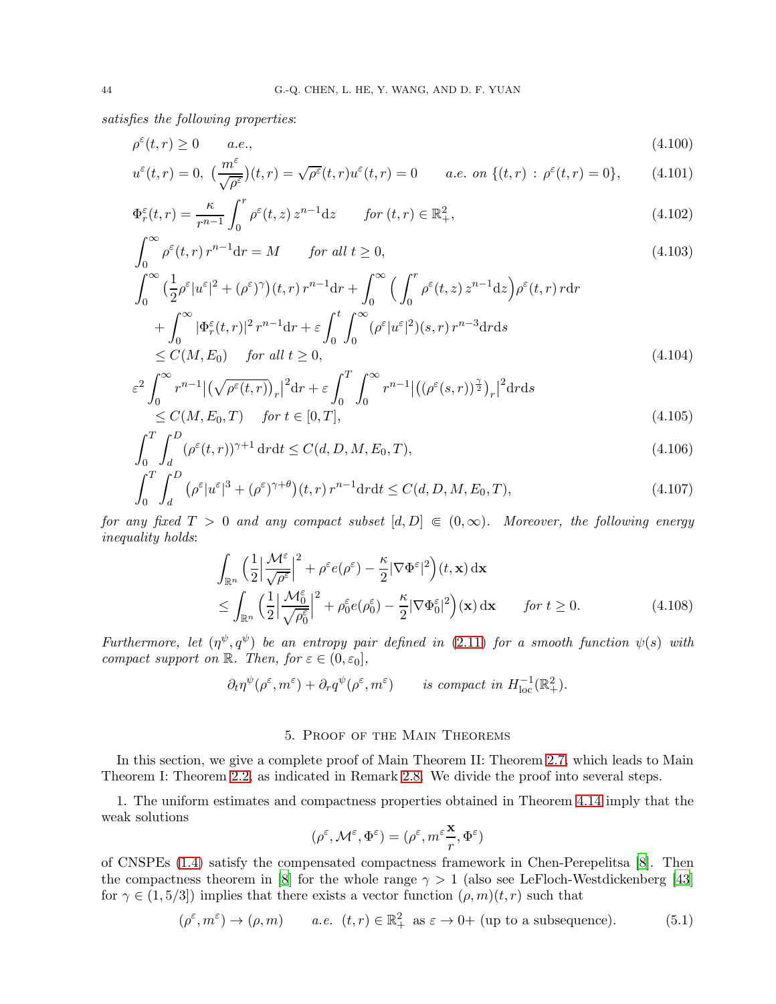satisfies the following properties:

$$
\rho^{\varepsilon}(t,r) \ge 0 \qquad a.e.,\tag{4.100}
$$

$$
u^{\varepsilon}(t,r) = 0, \ \left(\frac{m^{\varepsilon}}{\sqrt{\rho^{\varepsilon}}}\right)(t,r) = \sqrt{\rho^{\varepsilon}}(t,r)u^{\varepsilon}(t,r) = 0 \qquad a.e. \text{ on } \{(t,r) \,:\, \rho^{\varepsilon}(t,r) = 0\},\tag{4.101}
$$

$$
\Phi_r^{\varepsilon}(t,r) = \frac{\kappa}{r^{n-1}} \int_0^r \rho^{\varepsilon}(t,z) z^{n-1} dz \qquad \text{for } (t,r) \in \mathbb{R}^2_+,
$$
\n(4.102)

$$
\int_0^\infty \rho^\varepsilon(t, r) r^{n-1} dr = M \qquad \text{for all } t \ge 0,
$$
\n(4.103)

$$
\int_0^\infty \left(\frac{1}{2}\rho^\varepsilon |u^\varepsilon|^2 + (\rho^\varepsilon)^\gamma\right)(t, r) r^{n-1} dr + \int_0^\infty \left(\int_0^r \rho^\varepsilon(t, z) z^{n-1} dz\right) \rho^\varepsilon(t, r) r dr \n+ \int_0^\infty |\Phi_r^\varepsilon(t, r)|^2 r^{n-1} dr + \varepsilon \int_0^t \int_0^\infty (\rho^\varepsilon |u^\varepsilon|^2)(s, r) r^{n-3} dr ds \n\le C(M, E_0) \quad \text{for all } t \ge 0,
$$
\n(4.104)

$$
\varepsilon^2 \int_0^\infty r^{n-1} \left| \left( \sqrt{\rho^\varepsilon(t,r)} \right)_r \right|^2 dr + \varepsilon \int_0^T \int_0^\infty r^{n-1} \left| \left( \left( \rho^\varepsilon(s,r) \right)_r^2 \right)_r \right|^2 dr ds
$$
\n
$$
\leq C(M, E_0, T) \quad \text{for } t \in [0, T], \tag{4.105}
$$

$$
\int_{0}^{T} \int_{d}^{D} (\rho^{\varepsilon}(t, r))^{\gamma + 1} \, dr \, dt \le C(d, D, M, E_0, T), \tag{4.106}
$$

$$
\int_0^T \int_d^D \left( \rho^{\varepsilon} |u^{\varepsilon}|^3 + (\rho^{\varepsilon})^{\gamma+\theta} \right) (t, r) r^{n-1} dr dt \le C(d, D, M, E_0, T), \tag{4.107}
$$

for any fixed  $T > 0$  and any compact subset  $[d, D] \in (0, \infty)$ . Moreover, the following energy inequality holds:

<span id="page-43-2"></span><span id="page-43-1"></span>
$$
\int_{\mathbb{R}^n} \left(\frac{1}{2} \left| \frac{\mathcal{M}^{\varepsilon}}{\sqrt{\rho^{\varepsilon}}}\right|^2 + \rho^{\varepsilon} e(\rho^{\varepsilon}) - \frac{\kappa}{2} |\nabla \Phi^{\varepsilon}|^2\right) (t, \mathbf{x}) \, \mathrm{d}\mathbf{x} \n\leq \int_{\mathbb{R}^n} \left(\frac{1}{2} \left| \frac{\mathcal{M}^{\varepsilon}_{0}}{\sqrt{\rho^{\varepsilon}_{0}}}\right|^2 + \rho^{\varepsilon}_{0} e(\rho^{\varepsilon}_{0}) - \frac{\kappa}{2} |\nabla \Phi^{\varepsilon}_{0}|^2\right) (\mathbf{x}) \, \mathrm{d}\mathbf{x} \qquad \text{for } t \geq 0.
$$
\n(4.108)

Furthermore, let  $(\eta^{\psi}, q^{\psi})$  be an entropy pair defined in [\(2.11\)](#page-8-0) for a smooth function  $\psi(s)$  with compact support on  $\mathbb{R}$ . Then, for  $\varepsilon \in (0, \varepsilon_0]$ ,

$$
\partial_t \eta^{\psi}(\rho^{\varepsilon}, m^{\varepsilon}) + \partial_r q^{\psi}(\rho^{\varepsilon}, m^{\varepsilon}) \qquad is \ compact \ in \ H^{-1}_{\text{loc}}(\mathbb{R}^2_+).
$$

## <span id="page-43-4"></span>5. Proof of the Main Theorems

<span id="page-43-0"></span>In this section, we give a complete proof of Main Theorem II: Theorem [2.7,](#page-8-1) which leads to Main Theorem I: Theorem [2.2,](#page-6-1) as indicated in Remark [2.8.](#page-10-8) We divide the proof into several steps.

1. The uniform estimates and compactness properties obtained in Theorem [4.14](#page-42-4) imply that the weak solutions

<span id="page-43-3"></span>
$$
(\rho^\varepsilon,{\mathcal M}^\varepsilon,\Phi^\varepsilon)=(\rho^\varepsilon,m^\varepsilon\frac{\mathbf{x}}{r},\Phi^\varepsilon)
$$

of CNSPEs [\(1.4\)](#page-1-3) satisfy the compensated compactness framework in Chen-Perepelitsa [\[8\]](#page-54-5). Then the compactness theorem in [\[8\]](#page-54-5) for the whole range  $\gamma > 1$  (also see LeFloch-Westdickenberg [43] for  $\gamma \in (1, 5/3]$ ) implies that there exists a vector function  $(\rho, m)(t, r)$  such that

$$
(\rho^{\varepsilon}, m^{\varepsilon}) \to (\rho, m) \qquad a.e. \ \ (t, r) \in \mathbb{R}^2_+ \ \text{as} \ \varepsilon \to 0+ \text{ (up to a subsequence).} \tag{5.1}
$$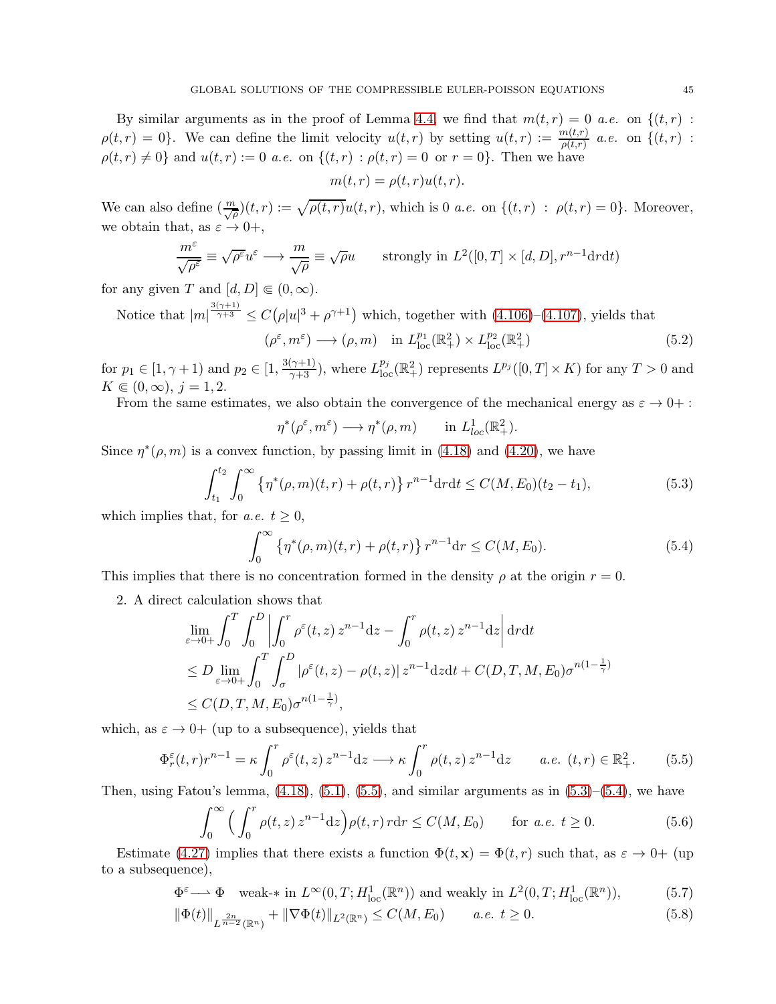By similar arguments as in the proof of Lemma [4.4,](#page-29-5) we find that  $m(t,r) = 0$  a.e. on  $\{(t,r)$ :  $\rho(t,r) = 0$ . We can define the limit velocity  $u(t,r)$  by setting  $u(t,r) := \frac{m(t,r)}{\rho(t,r)}$  a.e. on  $\{(t,r)$ :  $\rho(t, r) \neq 0$ } and  $u(t, r) := 0$  *a.e.* on  $\{(t, r) : \rho(t, r) = 0$  or  $r = 0\}$ . Then we have

<span id="page-44-3"></span>
$$
m(t,r) = \rho(t,r)u(t,r).
$$

We can also define  $(\frac{m}{\sqrt{\rho}})(t,r) := \sqrt{\rho(t,r)}u(t,r)$ , which is 0 *a.e.* on  $\{(t,r) : \rho(t,r) = 0\}$ . Moreover, we obtain that, as  $\varepsilon \to 0^+,$ 

$$
\frac{m^{\varepsilon}}{\sqrt{\rho^{\varepsilon}}}\equiv \sqrt{\rho^{\varepsilon}}u^{\varepsilon} \longrightarrow \frac{m}{\sqrt{\rho}} \equiv \sqrt{\rho}u \qquad \text{strongly in } L^{2}([0, T] \times [d, D], r^{n-1} dr dt)
$$

for any given T and  $[d, D] \in (0, \infty)$ .

Notice that 
$$
|m|^{\frac{3(\gamma+1)}{\gamma+3}} \leq C(\rho|u|^3 + \rho^{\gamma+1})
$$
 which, together with (4.106)–(4.107), yields that  $(\rho^{\varepsilon}, m^{\varepsilon}) \longrightarrow (\rho, m)$  in  $L_{\text{loc}}^{p_1}(\mathbb{R}^2_+) \times L_{\text{loc}}^{p_2}(\mathbb{R}^2_+)$  (5.2)

for  $p_1 \in [1, \gamma + 1)$  and  $p_2 \in [1, \frac{3(\gamma+1)}{\gamma+3})$ , where  $L_{loc}^{p_j}(\mathbb{R}^2_+)$  represents  $L^{p_j}([0, T] \times K)$  for any  $T > 0$  and  $K \in (0, \infty), j = 1, 2.$ 

From the same estimates, we also obtain the convergence of the mechanical energy as  $\varepsilon \to 0+$ :

<span id="page-44-2"></span><span id="page-44-1"></span>
$$
\eta^*(\rho^{\varepsilon}, m^{\varepsilon}) \longrightarrow \eta^*(\rho, m) \quad \text{in } L^1_{loc}(\mathbb{R}^2_+).
$$

Since  $\eta^*(\rho,m)$  is a convex function, by passing limit in [\(4.18\)](#page-31-3) and [\(4.20\)](#page-31-6), we have

$$
\int_{t_1}^{t_2} \int_0^{\infty} \left\{ \eta^*(\rho, m)(t, r) + \rho(t, r) \right\} r^{n-1} dr dt \le C(M, E_0)(t_2 - t_1),
$$
\n(5.3)

which implies that, for *a.e.*  $t \geq 0$ ,

<span id="page-44-0"></span>
$$
\int_0^\infty \left\{ \eta^*(\rho, m)(t, r) + \rho(t, r) \right\} r^{n-1} dr \le C(M, E_0).
$$
 (5.4)

This implies that there is no concentration formed in the density  $\rho$  at the origin  $r = 0$ .

2. A direct calculation shows that

$$
\lim_{\varepsilon \to 0+} \int_0^T \int_0^D \left| \int_0^r \rho^{\varepsilon}(t, z) z^{n-1} dz - \int_0^r \rho(t, z) z^{n-1} dz \right| dr dt
$$
\n
$$
\leq D \lim_{\varepsilon \to 0+} \int_0^T \int_\sigma^D |\rho^{\varepsilon}(t, z) - \rho(t, z)| z^{n-1} dz dt + C(D, T, M, E_0) \sigma^{n(1-\frac{1}{\gamma})}
$$
\n
$$
\leq C(D, T, M, E_0) \sigma^{n(1-\frac{1}{\gamma})},
$$

which, as  $\varepsilon \to 0^+$  (up to a subsequence), yields that

$$
\Phi_r^{\varepsilon}(t,r)r^{n-1} = \kappa \int_0^r \rho^{\varepsilon}(t,z) z^{n-1} dz \longrightarrow \kappa \int_0^r \rho(t,z) z^{n-1} dz \qquad a.e. \ (t,r) \in \mathbb{R}_+^2.
$$
 (5.5)

Then, using Fatou's lemma,  $(4.18)$ ,  $(5.1)$ ,  $(5.5)$ , and similar arguments as in  $(5.3)$ – $(5.4)$ , we have

<span id="page-44-5"></span><span id="page-44-4"></span>
$$
\int_0^\infty \Big( \int_0^r \rho(t, z) z^{n-1} \mathrm{d}z \Big) \rho(t, r) r \mathrm{d}r \le C(M, E_0) \qquad \text{for a.e. } t \ge 0. \tag{5.6}
$$

Estimate [\(4.27\)](#page-31-1) implies that there exists a function  $\Phi(t, \mathbf{x}) = \Phi(t, r)$  such that, as  $\varepsilon \to 0^+$  (up to a subsequence),

$$
\Phi^{\varepsilon} \longrightarrow \Phi \quad \text{weak-* in } L^{\infty}(0,T; H_{\text{loc}}^1(\mathbb{R}^n)) \text{ and weakly in } L^2(0,T; H_{\text{loc}}^1(\mathbb{R}^n)),\tag{5.7}
$$

$$
\|\Phi(t)\|_{L^{\frac{2n}{n-2}}(\mathbb{R}^n)} + \|\nabla\Phi(t)\|_{L^2(\mathbb{R}^n)} \le C(M, E_0) \qquad a.e. \ t \ge 0.
$$
 (5.8)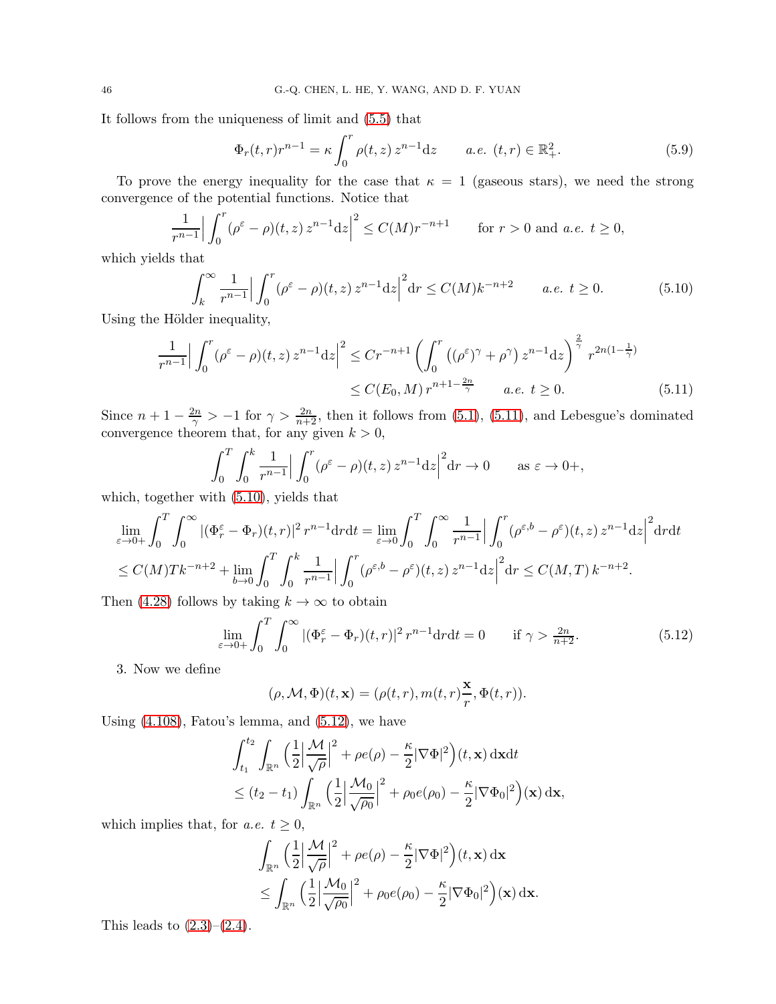It follows from the uniqueness of limit and [\(5.5\)](#page-44-0) that

<span id="page-45-3"></span><span id="page-45-1"></span>
$$
\Phi_r(t,r)r^{n-1} = \kappa \int_0^r \rho(t,z) z^{n-1} dz \qquad a.e. \ (t,r) \in \mathbb{R}^2_+.
$$
 (5.9)

To prove the energy inequality for the case that  $\kappa = 1$  (gaseous stars), we need the strong convergence of the potential functions. Notice that

$$
\frac{1}{r^{n-1}} \Big| \int_0^r (\rho^\varepsilon - \rho)(t, z) z^{n-1} dz \Big|^2 \le C(M) r^{-n+1} \qquad \text{for } r > 0 \text{ and a.e. } t \ge 0,
$$

which yields that

$$
\int_{k}^{\infty} \frac{1}{r^{n-1}} \Big| \int_{0}^{r} (\rho^{\varepsilon} - \rho)(t, z) z^{n-1} dz \Big|^{2} dr \le C(M) k^{-n+2} \qquad a.e. \ t \ge 0.
$$
 (5.10)

Using the Hölder inequality,

$$
\frac{1}{r^{n-1}} \Big| \int_0^r (\rho^\varepsilon - \rho)(t, z) z^{n-1} dz \Big|^2 \le Cr^{-n+1} \left( \int_0^r \left( (\rho^\varepsilon)^\gamma + \rho^\gamma \right) z^{n-1} dz \right)^{\frac{2}{\gamma}} r^{2n(1-\frac{1}{\gamma})}
$$
  

$$
\le C(E_0, M) r^{n+1-\frac{2n}{\gamma}} \qquad a.e. \ t \ge 0.
$$
 (5.11)

Since  $n+1-\frac{2n}{\gamma} > -1$  for  $\gamma > \frac{2n}{n+2}$ , then it follows from [\(5.1\)](#page-43-3), [\(5.11\)](#page-45-0), and Lebesgue's dominated convergence theorem that, for any given  $k > 0$ ,

<span id="page-45-0"></span>
$$
\int_0^T \int_0^k \frac{1}{r^{n-1}} \Big| \int_0^r (\rho^\varepsilon - \rho)(t, z) z^{n-1} dz \Big|^2 dr \to 0 \quad \text{as } \varepsilon \to 0+,
$$

which, together with [\(5.10\)](#page-45-1), yields that

$$
\lim_{\varepsilon \to 0+} \int_0^T \int_0^\infty |(\Phi_r^\varepsilon - \Phi_r)(t, r)|^2 r^{n-1} dr dt = \lim_{\varepsilon \to 0} \int_0^T \int_0^\infty \frac{1}{r^{n-1}} \Big| \int_0^r (\rho^{\varepsilon, b} - \rho^\varepsilon)(t, z) z^{n-1} dz \Big|^2 dr dt
$$
\n
$$
\leq C(M) Tk^{-n+2} + \lim_{b \to 0} \int_0^T \int_0^k \frac{1}{r^{n-1}} \Big| \int_0^r (\rho^{\varepsilon, b} - \rho^\varepsilon)(t, z) z^{n-1} dz \Big|^2 dr \leq C(M, T) k^{-n+2}.
$$

Then [\(4.28\)](#page-31-5) follows by taking  $k \to \infty$  to obtain

<span id="page-45-2"></span>
$$
\lim_{\varepsilon \to 0+} \int_0^T \int_0^\infty |(\Phi_r^\varepsilon - \Phi_r)(t, r)|^2 r^{n-1} dr dt = 0 \quad \text{if } \gamma > \frac{2n}{n+2}.
$$
 (5.12)

3. Now we define

$$
(\rho, \mathcal{M}, \Phi)(t, \mathbf{x}) = (\rho(t, r), m(t, r)\frac{\mathbf{x}}{r}, \Phi(t, r)).
$$

Using  $(4.108)$ , Fatou's lemma, and  $(5.12)$ , we have

$$
\int_{t_1}^{t_2} \int_{\mathbb{R}^n} \left( \frac{1}{2} \left| \frac{\mathcal{M}}{\sqrt{\rho}} \right|^2 + \rho e(\rho) - \frac{\kappa}{2} |\nabla \Phi|^2 \right) (t, \mathbf{x}) \, \mathrm{d}\mathbf{x} \mathrm{d}t
$$
  

$$
\leq (t_2 - t_1) \int_{\mathbb{R}^n} \left( \frac{1}{2} \left| \frac{\mathcal{M}_0}{\sqrt{\rho_0}} \right|^2 + \rho_0 e(\rho_0) - \frac{\kappa}{2} |\nabla \Phi_0|^2 \right) (\mathbf{x}) \, \mathrm{d}\mathbf{x},
$$

which implies that, for *a.e.*  $t \geq 0$ ,

$$
\int_{\mathbb{R}^n} \left(\frac{1}{2} \left| \frac{\mathcal{M}}{\sqrt{\rho}} \right|^2 + \rho e(\rho) - \frac{\kappa}{2} |\nabla \Phi|^2\right) (t, \mathbf{x}) \, \mathrm{d}\mathbf{x} \n\leq \int_{\mathbb{R}^n} \left(\frac{1}{2} \left| \frac{\mathcal{M}_0}{\sqrt{\rho_0}} \right|^2 + \rho_0 e(\rho_0) - \frac{\kappa}{2} |\nabla \Phi_0|^2\right) (\mathbf{x}) \, \mathrm{d}\mathbf{x}.
$$

This leads to  $(2.3)$ – $(2.4)$ .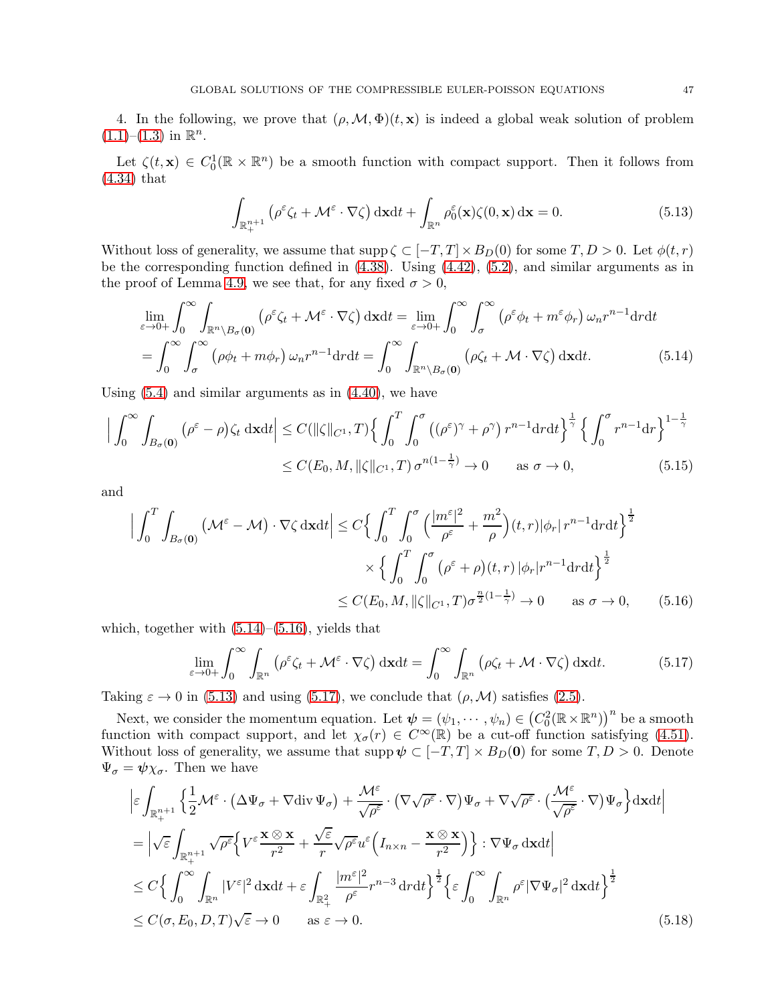4. In the following, we prove that  $(\rho, \mathcal{M}, \Phi)(t, x)$  is indeed a global weak solution of problem  $(1.1)$ – $(1.3)$  in  $\mathbb{R}^n$ .

Let  $\zeta(t, \mathbf{x}) \in C_0^1(\mathbb{R} \times \mathbb{R}^n)$  be a smooth function with compact support. Then it follows from [\(4.34\)](#page-33-5) that

<span id="page-46-2"></span><span id="page-46-0"></span>
$$
\int_{\mathbb{R}_{+}^{n+1}} \left( \rho^{\varepsilon} \zeta_t + \mathcal{M}^{\varepsilon} \cdot \nabla \zeta \right) \mathrm{d} \mathbf{x} \mathrm{d} t + \int_{\mathbb{R}^n} \rho_0^{\varepsilon}(\mathbf{x}) \zeta(0, \mathbf{x}) \, \mathrm{d} \mathbf{x} = 0. \tag{5.13}
$$

Without loss of generality, we assume that  $\text{supp }\zeta \subset [-T,T] \times B_D(0)$  for some  $T, D > 0$ . Let  $\phi(t,r)$ be the corresponding function defined in [\(4.38\)](#page-33-3). Using [\(4.42\)](#page-34-8), [\(5.2\)](#page-44-3), and similar arguments as in the proof of Lemma [4.9,](#page-33-8) we see that, for any fixed  $\sigma > 0$ ,

$$
\lim_{\varepsilon \to 0+} \int_0^\infty \int_{\mathbb{R}^n \setminus B_\sigma(\mathbf{0})} \left( \rho^\varepsilon \zeta_t + \mathcal{M}^\varepsilon \cdot \nabla \zeta \right) d\mathbf{x} dt = \lim_{\varepsilon \to 0+} \int_0^\infty \int_\sigma^\infty \left( \rho^\varepsilon \phi_t + m^\varepsilon \phi_r \right) \omega_n r^{n-1} dr dt
$$
\n
$$
= \int_0^\infty \int_\sigma^\infty \left( \rho \phi_t + m \phi_r \right) \omega_n r^{n-1} dr dt = \int_0^\infty \int_{\mathbb{R}^n \setminus B_\sigma(\mathbf{0})} \left( \rho \zeta_t + \mathcal{M} \cdot \nabla \zeta \right) d\mathbf{x} dt. \tag{5.14}
$$

Using  $(5.4)$  and similar arguments as in  $(4.40)$ , we have

$$
\left| \int_0^\infty \int_{B_\sigma(0)} (\rho^\varepsilon - \rho) \zeta_t \, \mathrm{d}x \mathrm{d}t \right| \le C(\|\zeta\|_{C^1}, T) \left\{ \int_0^T \int_0^\sigma \left( (\rho^\varepsilon)^\gamma + \rho^\gamma \right) r^{n-1} \mathrm{d}r \mathrm{d}t \right\}^{\frac{1}{\gamma}} \left\{ \int_0^\sigma r^{n-1} \mathrm{d}r \right\}^{1-\frac{1}{\gamma}} \le C(E_0, M, \|\zeta\|_{C^1}, T) \sigma^{n(1-\frac{1}{\gamma})} \to 0 \quad \text{as } \sigma \to 0,
$$
 (5.15)

and

$$
\left| \int_{0}^{T} \int_{B_{\sigma}(\mathbf{0})} \left( \mathcal{M}^{\varepsilon} - \mathcal{M} \right) \cdot \nabla \zeta \, \mathrm{d}\mathbf{x} \mathrm{d}t \right| \leq C \left\{ \int_{0}^{T} \int_{0}^{\sigma} \left( \frac{|m^{\varepsilon}|^{2}}{\rho^{\varepsilon}} + \frac{m^{2}}{\rho} \right) (t, r) |\phi_{r}| r^{n-1} \mathrm{d}r \mathrm{d}t \right\}^{\frac{1}{2}} \times \left\{ \int_{0}^{T} \int_{0}^{\sigma} \left( \rho^{\varepsilon} + \rho \right) (t, r) |\phi_{r}| r^{n-1} \mathrm{d}r \mathrm{d}t \right\}^{\frac{1}{2}} \leq C(E_{0}, M, \|\zeta\|_{C^{1}}, T) \sigma^{\frac{n}{2}(1 - \frac{1}{\gamma})} \to 0 \quad \text{as } \sigma \to 0, \tag{5.16}
$$

which, together with  $(5.14)$ – $(5.16)$ , yields that

<span id="page-46-4"></span><span id="page-46-3"></span><span id="page-46-1"></span>
$$
\lim_{\varepsilon \to 0+} \int_0^\infty \int_{\mathbb{R}^n} \left( \rho^\varepsilon \zeta_t + \mathcal{M}^\varepsilon \cdot \nabla \zeta \right) \mathrm{d} \mathbf{x} \mathrm{d} t = \int_0^\infty \int_{\mathbb{R}^n} \left( \rho \zeta_t + \mathcal{M} \cdot \nabla \zeta \right) \mathrm{d} \mathbf{x} \mathrm{d} t. \tag{5.17}
$$

Taking  $\varepsilon \to 0$  in [\(5.13\)](#page-46-2) and using [\(5.17\)](#page-46-3), we conclude that  $(\rho, \mathcal{M})$  satisfies [\(2.5\)](#page-6-2).

Next, we consider the momentum equation. Let  $\psi = (\psi_1, \dots, \psi_n) \in (C_0^2(\mathbb{R} \times \mathbb{R}^n))^n$  be a smooth function with compact support, and let  $\chi_{\sigma}(r) \in C^{\infty}(\mathbb{R})$  be a cut-off function satisfying [\(4.51\)](#page-35-3). Without loss of generality, we assume that  $\text{supp }\psi \subset [-T,T] \times B_D(0)$  for some  $T, D > 0$ . Denote  $\Psi_{\sigma} = \psi \chi_{\sigma}$ . Then we have

$$
\begin{split}\n&\left|\varepsilon \int_{\mathbb{R}_{+}^{n+1}} \left\{ \frac{1}{2} \mathcal{M}^{\varepsilon} \cdot \left( \Delta \Psi_{\sigma} + \nabla \text{div} \, \Psi_{\sigma} \right) + \frac{\mathcal{M}^{\varepsilon}}{\sqrt{\rho^{\varepsilon}}} \cdot \left( \nabla \sqrt{\rho^{\varepsilon}} \cdot \nabla \right) \Psi_{\sigma} + \nabla \sqrt{\rho^{\varepsilon}} \cdot \left( \frac{\mathcal{M}^{\varepsilon}}{\sqrt{\rho^{\varepsilon}}} \cdot \nabla \right) \Psi_{\sigma} \right\} \text{d} \mathbf{x} \text{d} t \right| \\
&= \left| \sqrt{\varepsilon} \int_{\mathbb{R}_{+}^{n+1}} \sqrt{\rho^{\varepsilon}} \left\{ V^{\varepsilon} \frac{\mathbf{x} \otimes \mathbf{x}}{r^2} + \frac{\sqrt{\varepsilon}}{r} \sqrt{\rho^{\varepsilon}} u^{\varepsilon} \left( I_{n \times n} - \frac{\mathbf{x} \otimes \mathbf{x}}{r^2} \right) \right\} : \nabla \Psi_{\sigma} \, \text{d} \mathbf{x} \text{d} t \right| \\
&\leq C \left\{ \int_{0}^{\infty} \int_{\mathbb{R}^{n}} |V^{\varepsilon}|^{2} \, \text{d} \mathbf{x} \text{d} t + \varepsilon \int_{\mathbb{R}_{+}^{2}} \frac{|m^{\varepsilon}|^{2}}{\rho^{\varepsilon}} r^{n-3} \, \text{d} r \text{d} t \right\}^{\frac{1}{2}} \left\{ \varepsilon \int_{0}^{\infty} \int_{\mathbb{R}^{n}} \rho^{\varepsilon} |\nabla \Psi_{\sigma}|^{2} \, \text{d} \mathbf{x} \text{d} t \right\}^{\frac{1}{2}} \\
&\leq C(\sigma, E_{0}, D, T) \sqrt{\varepsilon} \to 0 \qquad \text{as } \varepsilon \to 0.\n\end{split} \tag{5.18}
$$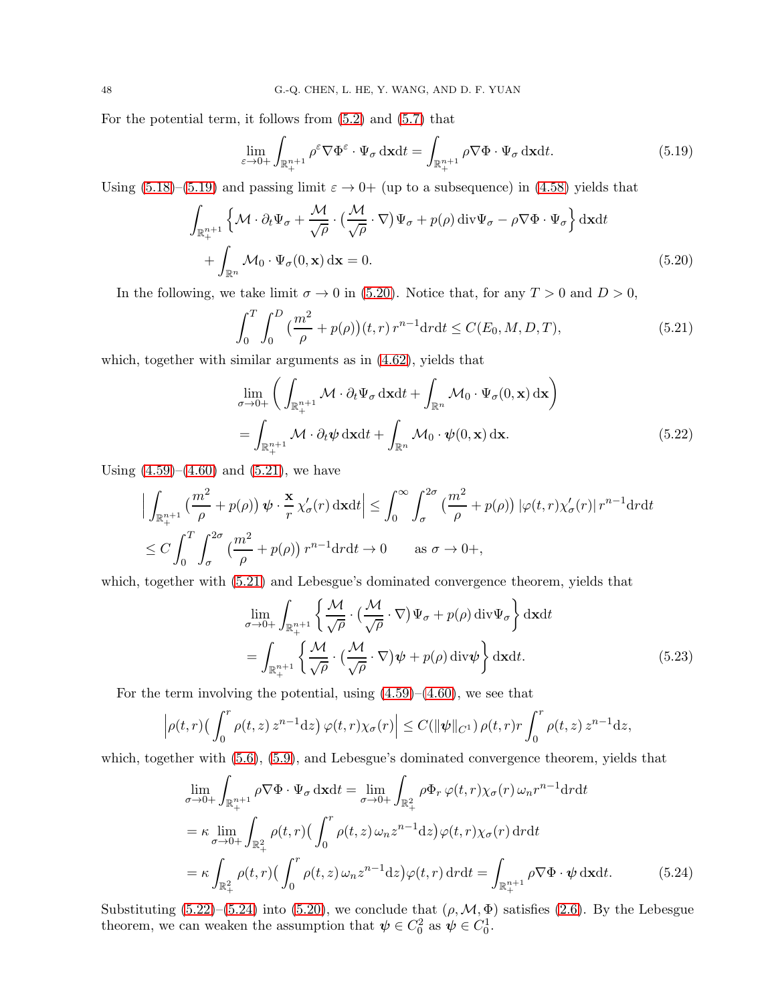For the potential term, it follows from [\(5.2\)](#page-44-3) and [\(5.7\)](#page-44-4) that

<span id="page-47-0"></span>
$$
\lim_{\varepsilon \to 0+} \int_{\mathbb{R}^{n+1}_+} \rho^{\varepsilon} \nabla \Phi^{\varepsilon} \cdot \Psi_{\sigma} \, \mathrm{d}x \mathrm{d}t = \int_{\mathbb{R}^{n+1}_+} \rho \nabla \Phi \cdot \Psi_{\sigma} \, \mathrm{d}x \mathrm{d}t. \tag{5.19}
$$

Using [\(5.18\)](#page-46-4)–[\(5.19\)](#page-47-0) and passing limit  $\varepsilon \to 0+$  (up to a subsequence) in [\(4.58\)](#page-36-4) yields that

$$
\int_{\mathbb{R}_{+}^{n+1}} \left\{ \mathcal{M} \cdot \partial_t \Psi_{\sigma} + \frac{\mathcal{M}}{\sqrt{\rho}} \cdot \left( \frac{\mathcal{M}}{\sqrt{\rho}} \cdot \nabla \right) \Psi_{\sigma} + p(\rho) \operatorname{div} \Psi_{\sigma} - \rho \nabla \Phi \cdot \Psi_{\sigma} \right\} d\mathbf{x} dt + \int_{\mathbb{R}^n} \mathcal{M}_0 \cdot \Psi_{\sigma} (0, \mathbf{x}) d\mathbf{x} = 0.
$$
\n(5.20)

In the following, we take limit  $\sigma \to 0$  in [\(5.20\)](#page-47-1). Notice that, for any  $T > 0$  and  $D > 0$ ,

<span id="page-47-2"></span><span id="page-47-1"></span>
$$
\int_0^T \int_0^D \left(\frac{m^2}{\rho} + p(\rho)\right)(t, r) r^{n-1} dr dt \le C(E_0, M, D, T),\tag{5.21}
$$

which, together with similar arguments as in  $(4.62)$ , yields that

<span id="page-47-3"></span>
$$
\lim_{\sigma \to 0+} \left( \int_{\mathbb{R}^{n+1}_+} \mathcal{M} \cdot \partial_t \Psi_{\sigma} \, \mathrm{d}x \mathrm{d}t + \int_{\mathbb{R}^n} \mathcal{M}_0 \cdot \Psi_{\sigma}(0, \mathbf{x}) \, \mathrm{d}\mathbf{x} \right) \n= \int_{\mathbb{R}^{n+1}_+} \mathcal{M} \cdot \partial_t \psi \, \mathrm{d}x \mathrm{d}t + \int_{\mathbb{R}^n} \mathcal{M}_0 \cdot \psi(0, \mathbf{x}) \, \mathrm{d}\mathbf{x}.
$$
\n(5.22)

Using  $(4.59)$ – $(4.60)$  and  $(5.21)$ , we have

$$
\left| \int_{\mathbb{R}^{n+1}_+} \left( \frac{m^2}{\rho} + p(\rho) \right) \psi \cdot \frac{\mathbf{x}}{r} \chi_{\sigma}'(r) \, \mathrm{d}\mathbf{x} \mathrm{d}t \right| \leq \int_0^{\infty} \int_{\sigma}^{2\sigma} \left( \frac{m^2}{\rho} + p(\rho) \right) |\varphi(t, r) \chi_{\sigma}'(r)| \, r^{n-1} \mathrm{d}r \mathrm{d}t
$$
  

$$
\leq C \int_0^T \int_{\sigma}^{2\sigma} \left( \frac{m^2}{\rho} + p(\rho) \right) r^{n-1} \mathrm{d}r \mathrm{d}t \to 0 \qquad \text{as } \sigma \to 0+,
$$

which, together with [\(5.21\)](#page-47-2) and Lebesgue's dominated convergence theorem, yields that

$$
\lim_{\sigma \to 0+} \int_{\mathbb{R}^{n+1}_+} \left\{ \frac{\mathcal{M}}{\sqrt{\rho}} \cdot \left( \frac{\mathcal{M}}{\sqrt{\rho}} \cdot \nabla \right) \Psi_{\sigma} + p(\rho) \operatorname{div} \Psi_{\sigma} \right\} d\mathbf{x} dt
$$
\n
$$
= \int_{\mathbb{R}^{n+1}_+} \left\{ \frac{\mathcal{M}}{\sqrt{\rho}} \cdot \left( \frac{\mathcal{M}}{\sqrt{\rho}} \cdot \nabla \right) \psi + p(\rho) \operatorname{div} \psi \right\} d\mathbf{x} dt. \tag{5.23}
$$

For the term involving the potential, using  $(4.59)$ – $(4.60)$ , we see that

$$
\left|\rho(t,r)\left(\int_0^r \rho(t,z)\,z^{n-1}\mathrm{d}z\right)\varphi(t,r)\chi_{\sigma}(r)\right| \leq C(\|\psi\|_{C^1})\,\rho(t,r)r\int_0^r \rho(t,z)\,z^{n-1}\mathrm{d}z,
$$

which, together with [\(5.6\)](#page-44-5), [\(5.9\)](#page-45-3), and Lebesgue's dominated convergence theorem, yields that

<span id="page-47-4"></span>
$$
\lim_{\sigma \to 0+} \int_{\mathbb{R}^{n+1}_+} \rho \nabla \Phi \cdot \Psi_{\sigma} \, \mathrm{d}x \mathrm{d}t = \lim_{\sigma \to 0+} \int_{\mathbb{R}^2_+} \rho \Phi_r \, \varphi(t, r) \chi_{\sigma}(r) \, \omega_n r^{n-1} \mathrm{d}r \mathrm{d}t \n= \kappa \lim_{\sigma \to 0+} \int_{\mathbb{R}^2_+} \rho(t, r) \big( \int_0^r \rho(t, z) \, \omega_n z^{n-1} \mathrm{d}z \big) \varphi(t, r) \chi_{\sigma}(r) \, \mathrm{d}r \mathrm{d}t \n= \kappa \int_{\mathbb{R}^2_+} \rho(t, r) \big( \int_0^r \rho(t, z) \, \omega_n z^{n-1} \mathrm{d}z \big) \varphi(t, r) \, \mathrm{d}r \mathrm{d}t = \int_{\mathbb{R}^{n+1}_+} \rho \nabla \Phi \cdot \psi \, \mathrm{d}x \mathrm{d}t. \tag{5.24}
$$

Substituting  $(5.22)$ – $(5.24)$  into  $(5.20)$ , we conclude that  $(\rho, \mathcal{M}, \Phi)$  satisfies  $(2.6)$ . By the Lebesgue theorem, we can weaken the assumption that  $\psi \in C_0^2$  as  $\psi \in C_0^1$ .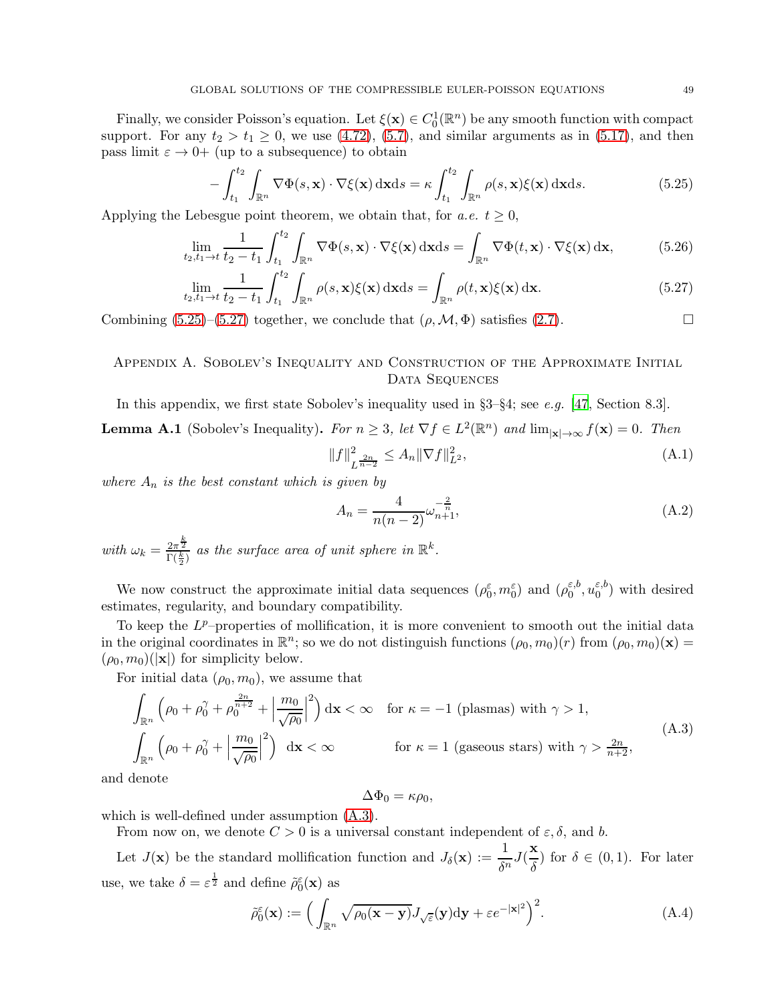Finally, we consider Poisson's equation. Let  $\xi(\mathbf{x}) \in C_0^1(\mathbb{R}^n)$  be any smooth function with compact support. For any  $t_2 > t_1 \geq 0$ , we use [\(4.72\)](#page-38-5), [\(5.7\)](#page-44-4), and similar arguments as in [\(5.17\)](#page-46-3), and then pass limit  $\varepsilon \to 0+$  (up to a subsequence) to obtain

$$
-\int_{t_1}^{t_2} \int_{\mathbb{R}^n} \nabla \Phi(s, \mathbf{x}) \cdot \nabla \xi(\mathbf{x}) \, \mathrm{d}\mathbf{x} \mathrm{d}s = \kappa \int_{t_1}^{t_2} \int_{\mathbb{R}^n} \rho(s, \mathbf{x}) \xi(\mathbf{x}) \, \mathrm{d}\mathbf{x} \mathrm{d}s. \tag{5.25}
$$

Applying the Lebesgue point theorem, we obtain that, for a.e.  $t \geq 0$ ,

$$
\lim_{t_2, t_1 \to t} \frac{1}{t_2 - t_1} \int_{t_1}^{t_2} \int_{\mathbb{R}^n} \nabla \Phi(s, \mathbf{x}) \cdot \nabla \xi(\mathbf{x}) \, \mathrm{d}\mathbf{x} \mathrm{d}s = \int_{\mathbb{R}^n} \nabla \Phi(t, \mathbf{x}) \cdot \nabla \xi(\mathbf{x}) \, \mathrm{d}\mathbf{x},\tag{5.26}
$$

$$
\lim_{t_2, t_1 \to t} \frac{1}{t_2 - t_1} \int_{t_1}^{t_2} \int_{\mathbb{R}^n} \rho(s, \mathbf{x}) \xi(\mathbf{x}) \, \mathrm{d}\mathbf{x} \mathrm{d}s = \int_{\mathbb{R}^n} \rho(t, \mathbf{x}) \xi(\mathbf{x}) \, \mathrm{d}\mathbf{x}.\tag{5.27}
$$

Combining  $(5.25)-(5.27)$  $(5.25)-(5.27)$  together, we conclude that  $(\rho, \mathcal{M}, \Phi)$  satisfies  $(2.7)$ .

# <span id="page-48-0"></span>Appendix A. Sobolev's Inequality and Construction of the Approximate Initial DATA SEQUENCES

<span id="page-48-1"></span>In this appendix, we first state Sobolev's inequality used in  $\S3-\S4$ ; see e.g. [\[47](#page-56-18), Section 8.3]. **Lemma A.1** (Sobolev's Inequality). For  $n \geq 3$ , let  $\nabla f \in L^2(\mathbb{R}^n)$  and  $\lim_{|\mathbf{x}| \to \infty} f(\mathbf{x}) = 0$ . Then

<span id="page-48-5"></span><span id="page-48-4"></span><span id="page-48-3"></span>
$$
||f||_{L^{\frac{2n}{n-2}}}^2 \le A_n ||\nabla f||_{L^2}^2,
$$
\n(A.1)

where  $A_n$  is the best constant which is given by

<span id="page-48-2"></span>
$$
A_n = \frac{4}{n(n-2)} \omega_{n+1}^{-\frac{2}{n}},
$$
\n(A.2)

with  $\omega_k = \frac{2\pi^{\frac{k}{2}}}{\Gamma(\frac{k}{2})}$  as the surface area of unit sphere in  $\mathbb{R}^k$ .

We now construct the approximate initial data sequences  $(\rho_0^{\varepsilon}, m_0^{\varepsilon})$  and  $(\rho_0^{\varepsilon, b})$  $_0^{\varepsilon,b},u_0^{\varepsilon,b}$  $\binom{\varepsilon, o}{0}$  with desired estimates, regularity, and boundary compatibility.

To keep the  $L^p$ -properties of mollification, it is more convenient to smooth out the initial data in the original coordinates in  $\mathbb{R}^n$ ; so we do not distinguish functions  $(\rho_0, m_0)(r)$  from  $(\rho_0, m_0)(\mathbf{x}) =$  $(\rho_0, m_0)(|\mathbf{x}|)$  for simplicity below.

For initial data  $(\rho_0, m_0)$ , we assume that

$$
\int_{\mathbb{R}^n} \left( \rho_0 + \rho_0^{\gamma} + \rho_0^{\frac{2n}{n+2}} + \left| \frac{m_0}{\sqrt{\rho_0}} \right|^2 \right) dx < \infty \quad \text{for } \kappa = -1 \text{ (plasmas) with } \gamma > 1,
$$
\n
$$
\int_{\mathbb{R}^n} \left( \rho_0 + \rho_0^{\gamma} + \left| \frac{m_0}{\sqrt{\rho_0}} \right|^2 \right) dx < \infty \quad \text{for } \kappa = 1 \text{ (gaseous stars) with } \gamma > \frac{2n}{n+2},
$$
\n(A.3)

and denote

<span id="page-48-7"></span><span id="page-48-6"></span>
$$
\Delta\Phi_0 = \kappa\rho_0,
$$

which is well-defined under assumption [\(A.3\)](#page-48-6).

From now on, we denote  $C > 0$  is a universal constant independent of  $\varepsilon, \delta$ , and b.

Let  $J(\mathbf{x})$  be the standard mollification function and  $J_\delta(\mathbf{x}) := \frac{1}{\delta^n} J(\frac{\mathbf{x}}{\delta})$  $\frac{\text{d}}{\delta}$  for  $\delta \in (0,1)$ . For later use, we take  $\delta = \varepsilon^{\frac{1}{2}}$  and define  $\tilde{\rho}_0^{\varepsilon}(\mathbf{x})$  as

$$
\tilde{\rho}_0^{\varepsilon}(\mathbf{x}) := \Big(\int_{\mathbb{R}^n} \sqrt{\rho_0(\mathbf{x} - \mathbf{y})} J_{\sqrt{\varepsilon}}(\mathbf{y}) \mathrm{d}\mathbf{y} + \varepsilon e^{-|\mathbf{x}|^2}\Big)^2. \tag{A.4}
$$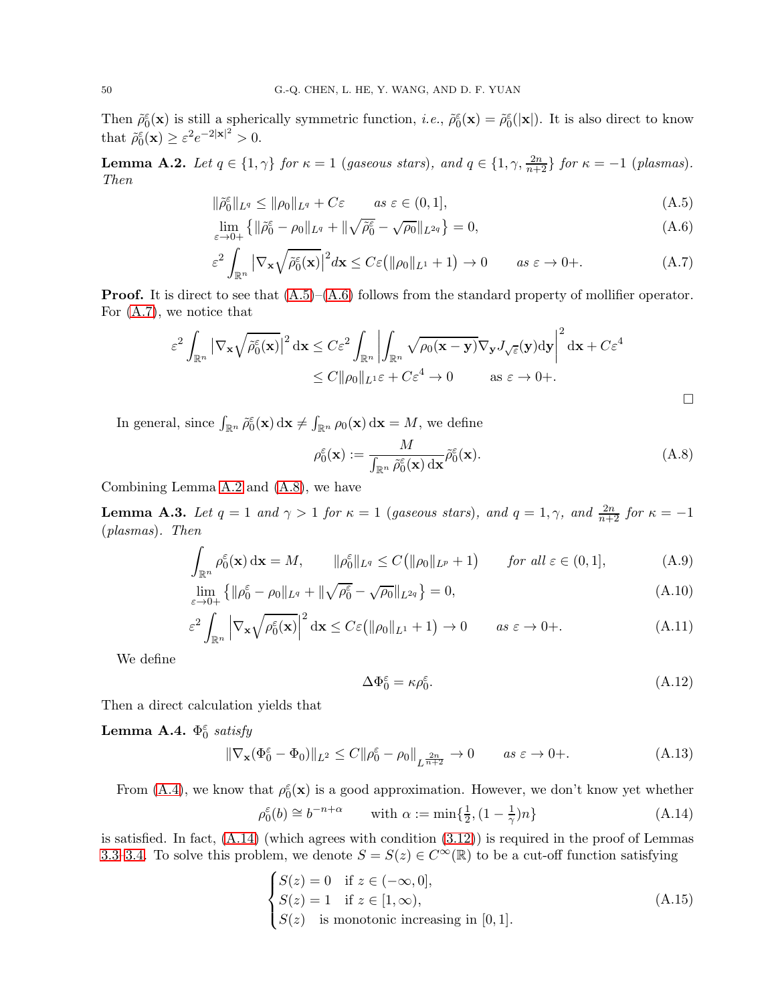Then  $\tilde{\rho}_0^{\varepsilon}(\mathbf{x})$  is still a spherically symmetric function, *i.e.*,  $\tilde{\rho}_0^{\varepsilon}(\mathbf{x}) = \tilde{\rho}_0^{\varepsilon}(|\mathbf{x}|)$ . It is also direct to know that  $\tilde{\rho}_0^{\varepsilon}(\mathbf{x}) \geq \varepsilon^2 e^{-2|\mathbf{x}|^2} > 0.$ 

<span id="page-49-0"></span>**Lemma A.2.** Let  $q \in \{1, \gamma\}$  for  $\kappa = 1$  (gaseous stars), and  $q \in \{1, \gamma, \frac{2n}{n+2}\}$  for  $\kappa = -1$  (plasmas). Then

$$
\|\tilde{\rho}_0^{\varepsilon}\|_{L^q} \le \|\rho_0\|_{L^q} + C\varepsilon \qquad \text{as } \varepsilon \in (0, 1], \tag{A.5}
$$

$$
\lim_{\varepsilon \to 0+} \left\{ \| \tilde{\rho}_0^{\varepsilon} - \rho_0 \|_{L^q} + \| \sqrt{\tilde{\rho}_0^{\varepsilon}} - \sqrt{\rho_0} \|_{L^{2q}} \right\} = 0, \tag{A.6}
$$

$$
\varepsilon^2 \int_{\mathbb{R}^n} |\nabla_{\mathbf{x}} \sqrt{\tilde{\rho}_0^{\varepsilon}(\mathbf{x})}|^2 d\mathbf{x} \le C\varepsilon \left( \|\rho_0\|_{L^1} + 1 \right) \to 0 \qquad as \ \varepsilon \to 0+.
$$
 (A.7)

**Proof.** It is direct to see that  $(A.5)$ – $(A.6)$  follows from the standard property of mollifier operator. For [\(A.7\)](#page-49-3), we notice that

$$
\varepsilon^2 \int_{\mathbb{R}^n} |\nabla_{\mathbf{x}} \sqrt{\tilde{\rho}_0^{\varepsilon}(\mathbf{x})}|^2 d\mathbf{x} \le C \varepsilon^2 \int_{\mathbb{R}^n} \left| \int_{\mathbb{R}^n} \sqrt{\rho_0(\mathbf{x} - \mathbf{y})} \nabla_{\mathbf{y}} J_{\sqrt{\varepsilon}}(\mathbf{y}) d\mathbf{y} \right|^2 d\mathbf{x} + C \varepsilon^4
$$
  

$$
\le C ||\rho_0||_{L^1} \varepsilon + C \varepsilon^4 \to 0 \qquad \text{as } \varepsilon \to 0+
$$

In general, since  $\int_{\mathbb{R}^n} \tilde{\rho}_0^{\varepsilon}(\mathbf{x}) d\mathbf{x} \neq \int_{\mathbb{R}^n} \rho_0(\mathbf{x}) d\mathbf{x} = M$ , we define

<span id="page-49-4"></span><span id="page-49-3"></span><span id="page-49-2"></span><span id="page-49-1"></span>
$$
\rho_0^{\varepsilon}(\mathbf{x}) := \frac{M}{\int_{\mathbb{R}^n} \tilde{\rho}_0^{\varepsilon}(\mathbf{x}) \, \mathrm{d}\mathbf{x}} \tilde{\rho}_0^{\varepsilon}(\mathbf{x}). \tag{A.8}
$$

Combining Lemma [A.2](#page-49-0) and [\(A.8\)](#page-49-4), we have

 $\overline{\phantom{a}}$ 

**Lemma A.3.** Let  $q = 1$  and  $\gamma > 1$  for  $\kappa = 1$  (gaseous stars), and  $q = 1, \gamma$ , and  $\frac{2n}{n+2}$  for  $\kappa = -1$ (plasmas). Then

$$
\int_{\mathbb{R}^n} \rho_0^{\varepsilon}(\mathbf{x}) d\mathbf{x} = M, \qquad \|\rho_0^{\varepsilon}\|_{L^q} \le C \big( \|\rho_0\|_{L^p} + 1 \big) \qquad \text{for all } \varepsilon \in (0, 1], \tag{A.9}
$$

$$
\lim_{\varepsilon \to 0+} \left\{ \|\rho_0^{\varepsilon} - \rho_0\|_{L^q} + \|\sqrt{\rho_0^{\varepsilon}} - \sqrt{\rho_0}\|_{L^{2q}} \right\} = 0, \tag{A.10}
$$

$$
\varepsilon^2 \int_{\mathbb{R}^n} \left| \nabla_{\mathbf{x}} \sqrt{\rho_0^{\varepsilon}(\mathbf{x})} \right|^2 d\mathbf{x} \le C \varepsilon \left( \| \rho_0 \|_{L^1} + 1 \right) \to 0 \qquad \text{as } \varepsilon \to 0+.
$$
 (A.11)

We define

<span id="page-49-7"></span><span id="page-49-6"></span>
$$
\Delta \Phi_0^{\varepsilon} = \kappa \rho_0^{\varepsilon}.
$$
\n(A.12)

Then a direct calculation yields that

Lemma A.4.  $\Phi_0^{\varepsilon}$  satisfy

$$
\|\nabla_{\mathbf{x}}(\Phi_0^{\varepsilon} - \Phi_0)\|_{L^2} \le C \|\rho_0^{\varepsilon} - \rho_0\|_{L^{\frac{2n}{n+2}}} \to 0 \qquad \text{as } \varepsilon \to 0+.
$$
 (A.13)

From [\(A.4\)](#page-48-7), we know that  $\rho_0^{\varepsilon}(\mathbf{x})$  is a good approximation. However, we don't know yet whether

<span id="page-49-5"></span>
$$
\rho_0^{\varepsilon}(b) \cong b^{-n+\alpha} \qquad \text{with } \alpha := \min\{\frac{1}{2}, (1 - \frac{1}{\gamma})n\} \tag{A.14}
$$

is satisfied. In fact,  $(A.14)$  (which agrees with condition  $(3.12)$ ) is required in the proof of Lemmas [3.3](#page-17-0)[–3.4.](#page-20-0) To solve this problem, we denote  $S = S(z) \in C^{\infty}(\mathbb{R})$  to be a cut-off function satisfying

$$
\begin{cases}\nS(z) = 0 & \text{if } z \in (-\infty, 0], \\
S(z) = 1 & \text{if } z \in [1, \infty), \\
S(z) & \text{is monotonic increasing in } [0, 1].\n\end{cases}
$$
\n(A.15)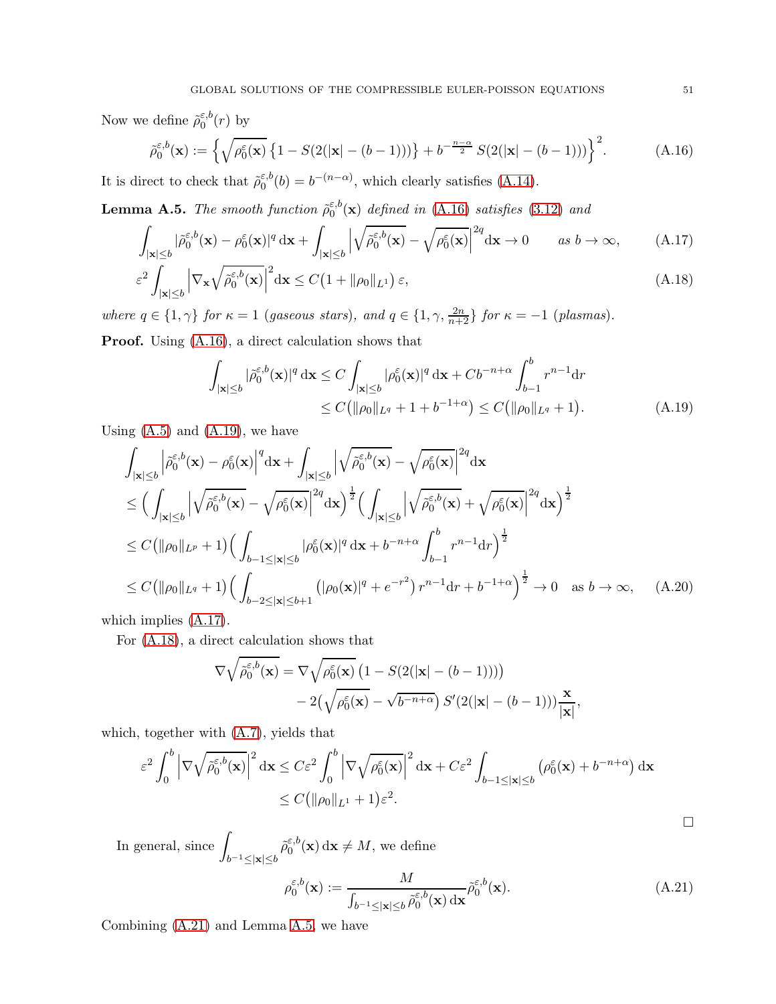Now we define  $\tilde{\rho}_0^{\varepsilon,b}$  $\int_0^{\varepsilon,0}(r)$  by

$$
\tilde{\rho}_0^{\varepsilon,b}(\mathbf{x}) := \left\{ \sqrt{\rho_0^{\varepsilon}(\mathbf{x})} \left\{ 1 - S(2(|\mathbf{x}| - (b-1))) \right\} + b^{-\frac{n-\alpha}{2}} S(2(|\mathbf{x}| - (b-1))) \right\}^2.
$$
\n(A.16)

It is direct to check that  $\tilde{\rho}_0^{\varepsilon, b}$  $\epsilon_0^{6,b}(b) = b^{-(n-\alpha)}$ , which clearly satisfies [\(A.14\)](#page-49-5).

<span id="page-50-5"></span>**Lemma A.5.** The smooth function  $\tilde{\rho}_0^{\varepsilon,b}$  $_{0}^{\varepsilon,0}(\mathbf{x})$  defined in [\(A.16\)](#page-50-0) satisfies [\(3.12\)](#page-11-0) and

$$
\int_{|\mathbf{x}| \le b} |\tilde{\rho}_0^{\varepsilon, b}(\mathbf{x}) - \rho_0^{\varepsilon}(\mathbf{x})|^q \, \mathrm{d}\mathbf{x} + \int_{|\mathbf{x}| \le b} \left| \sqrt{\tilde{\rho}_0^{\varepsilon, b}(\mathbf{x})} - \sqrt{\rho_0^{\varepsilon}(\mathbf{x})} \right|^{2q} \mathrm{d}\mathbf{x} \to 0 \qquad \text{as } b \to \infty,
$$
\n(A.17)\n
$$
\varepsilon^2 \int_{|\mathbf{x}| \le b} \left| \nabla_{\mathbf{x}} \sqrt{\tilde{\rho}_0^{\varepsilon, b}(\mathbf{x})} \right|^2 \mathrm{d}\mathbf{x} \le C \left( 1 + ||\rho_0||_{L^1} \right) \varepsilon,
$$
\n(A.18)

where  $q \in \{1, \gamma\}$  for  $\kappa = 1$  (gaseous stars), and  $q \in \{1, \gamma, \frac{2n}{n+2}\}$  for  $\kappa = -1$  (plasmas).

Proof. Using [\(A.16\)](#page-50-0), a direct calculation shows that

<span id="page-50-3"></span><span id="page-50-2"></span><span id="page-50-0"></span>
$$
\int_{|\mathbf{x}| \le b} |\tilde{\rho}_0^{\varepsilon, b}(\mathbf{x})|^q \, \mathrm{d}\mathbf{x} \le C \int_{|\mathbf{x}| \le b} |\rho_0^{\varepsilon}(\mathbf{x})|^q \, \mathrm{d}\mathbf{x} + Cb^{-n+\alpha} \int_{b-1}^b r^{n-1} \mathrm{d}r
$$
\n
$$
\le C \big( ||\rho_0||_{L^q} + 1 + b^{-1+\alpha} \big) \le C \big( ||\rho_0||_{L^q} + 1 \big). \tag{A.19}
$$

Using  $(A.5)$  and  $(A.19)$ , we have

$$
\int_{|\mathbf{x}| \leq b} \left| \tilde{\rho}_0^{\varepsilon, b}(\mathbf{x}) - \rho_0^{\varepsilon}(\mathbf{x}) \right|^q d\mathbf{x} + \int_{|\mathbf{x}| \leq b} \left| \sqrt{\tilde{\rho}_0^{\varepsilon, b}(\mathbf{x})} - \sqrt{\rho_0^{\varepsilon}(\mathbf{x})} \right|^2 d\mathbf{x} \n\leq \left( \int_{|\mathbf{x}| \leq b} \left| \sqrt{\tilde{\rho}_0^{\varepsilon, b}(\mathbf{x})} - \sqrt{\rho_0^{\varepsilon}(\mathbf{x})} \right|^2 d\mathbf{x} \right)^{\frac{1}{2}} \left( \int_{|\mathbf{x}| \leq b} \left| \sqrt{\tilde{\rho}_0^{\varepsilon, b}(\mathbf{x})} + \sqrt{\rho_0^{\varepsilon}(\mathbf{x})} \right|^2 d\mathbf{x} \right)^{\frac{1}{2}} \n\leq C \left( \|\rho_0\|_{L^p} + 1 \right) \left( \int_{b-1 \leq |\mathbf{x}| \leq b} |\rho_0^{\varepsilon}(\mathbf{x})|^q d\mathbf{x} + b^{-n+\alpha} \int_{b-1}^b r^{n-1} dr \right)^{\frac{1}{2}} \n\leq C \left( \|\rho_0\|_{L^q} + 1 \right) \left( \int_{b-2 \leq |\mathbf{x}| \leq b+1} \left( |\rho_0(\mathbf{x})|^q + e^{-r^2} \right) r^{n-1} dr + b^{-1+\alpha} \right)^{\frac{1}{2}} \to 0 \text{ as } b \to \infty, \quad \text{(A.20)}
$$

which implies [\(A.17\)](#page-50-2).

For [\(A.18\)](#page-50-3), a direct calculation shows that

$$
\nabla \sqrt{\tilde{\rho}_0^{\varepsilon, b}(\mathbf{x})} = \nabla \sqrt{\rho_0^{\varepsilon}(\mathbf{x})} \left( 1 - S(2(|\mathbf{x}| - (b-1))) \right)
$$

$$
- 2(\sqrt{\rho_0^{\varepsilon}(\mathbf{x})} - \sqrt{b^{-n+\alpha}}) S'(2(|\mathbf{x}| - (b-1))) \frac{\mathbf{x}}{|\mathbf{x}|},
$$

which, together with [\(A.7\)](#page-49-3), yields that

$$
\varepsilon^2 \int_0^b \left| \nabla \sqrt{\tilde{\rho}_0^{\varepsilon, b}(\mathbf{x})} \right|^2 d\mathbf{x} \le C \varepsilon^2 \int_0^b \left| \nabla \sqrt{\rho_0^{\varepsilon}(\mathbf{x})} \right|^2 d\mathbf{x} + C \varepsilon^2 \int_{b-1 \le |\mathbf{x}| \le b} \left( \rho_0^{\varepsilon}(\mathbf{x}) + b^{-n+\alpha} \right) d\mathbf{x}
$$
  

$$
\le C \left( \| \rho_0 \|_{L^1} + 1 \right) \varepsilon^2.
$$

In general, since  $\int$  $b^{-1} \leq |\mathbf{x}| \leq b$  $\tilde\rho_0^{\varepsilon,b}$  $_{0}^{\varepsilon,0}(\mathbf{x})\,\mathrm{d}\mathbf{x} \neq M$ , we define

$$
\rho_0^{\varepsilon,b}(\mathbf{x}) := \frac{M}{\int_{b^{-1} \le |\mathbf{x}| \le b} \tilde{\rho}_0^{\varepsilon,b}(\mathbf{x}) \, \mathrm{d}\mathbf{x}} \tilde{\rho}_0^{\varepsilon,b}(\mathbf{x}). \tag{A.21}
$$

Combining [\(A.21\)](#page-50-4) and Lemma [A.5,](#page-50-5) we have

<span id="page-50-4"></span><span id="page-50-1"></span> $\Box$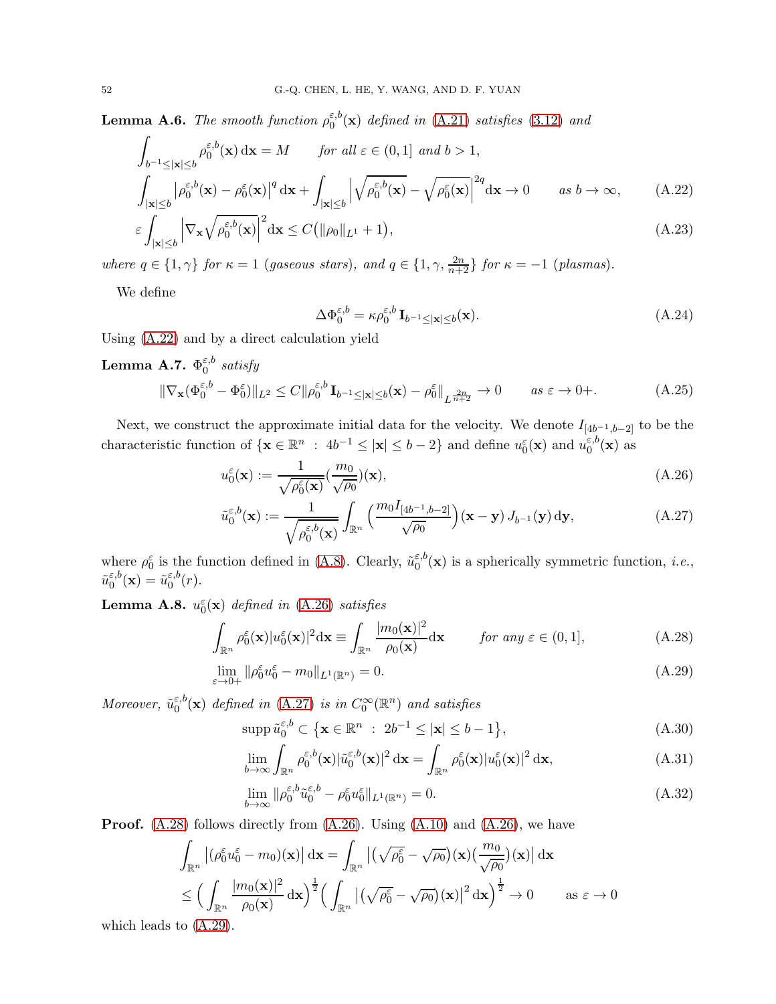**Lemma A.6.** The smooth function  $\rho_0^{\varepsilon,b}$  $_{0}^{\varepsilon,0}(\mathbf{x})$  defined in [\(A.21\)](#page-50-4) satisfies [\(3.12\)](#page-11-0) and

$$
\int_{b^{-1} \leq |\mathbf{x}| \leq b} \rho_0^{\varepsilon, b}(\mathbf{x}) d\mathbf{x} = M \quad \text{for all } \varepsilon \in (0, 1] \text{ and } b > 1,
$$
\n
$$
\int_{|\mathbf{x}| \leq b} |\rho_0^{\varepsilon, b}(\mathbf{x}) - \rho_0^{\varepsilon}(\mathbf{x})|^q d\mathbf{x} + \int_{|\mathbf{x}| \leq b} \left| \sqrt{\rho_0^{\varepsilon, b}(\mathbf{x})} - \sqrt{\rho_0^{\varepsilon}(\mathbf{x})} \right|^{2q} d\mathbf{x} \to 0 \quad \text{as } b \to \infty,
$$
\n(A.22)

$$
\varepsilon \int_{|\mathbf{x}| \le b} \left| \nabla_{\mathbf{x}} \sqrt{\rho_0^{\varepsilon, b}(\mathbf{x})} \right|^2 d\mathbf{x} \le C \left( \| \rho_0 \|_{L^1} + 1 \right), \tag{A.23}
$$

where  $q \in \{1, \gamma\}$  for  $\kappa = 1$  (gaseous stars), and  $q \in \{1, \gamma, \frac{2n}{n+2}\}$  for  $\kappa = -1$  (plasmas).

We define

<span id="page-51-2"></span><span id="page-51-1"></span><span id="page-51-0"></span>
$$
\Delta \Phi_0^{\varepsilon, b} = \kappa \rho_0^{\varepsilon, b} \mathbf{I}_{b^{-1} \le |\mathbf{x}| \le b}(\mathbf{x}). \tag{A.24}
$$

Using [\(A.22\)](#page-51-0) and by a direct calculation yield

**Lemma A.7.** 
$$
\Phi_0^{\varepsilon, b}
$$
 satisfy  
\n
$$
\|\nabla_{\mathbf{x}}(\Phi_0^{\varepsilon, b} - \Phi_0^{\varepsilon})\|_{L^2} \le C \|\rho_0^{\varepsilon, b}\mathbf{I}_{b^{-1} \le |\mathbf{x}| \le b}(\mathbf{x}) - \rho_0^{\varepsilon}\|_{L^{\frac{2n}{n+2}}} \to 0 \quad as \ \varepsilon \to 0+.
$$
\n(A.25)

Next, we construct the approximate initial data for the velocity. We denote  $I_{[4b^{-1},b-2]}$  to be the characteristic function of  $\{x \in \mathbb{R}^n : 4b^{-1} \leq |x| \leq b-2\}$  and define  $u_0^{\varepsilon}(\mathbf{x})$  and  $u_0^{\varepsilon,b}$  $\int_0^{\varepsilon,0}(\mathbf{x})$  as

$$
u_0^{\varepsilon}(\mathbf{x}) := \frac{1}{\sqrt{\rho_0^{\varepsilon}(\mathbf{x})}} \left(\frac{m_0}{\sqrt{\rho_0}}\right)(\mathbf{x}),\tag{A.26}
$$

$$
\tilde{u}_0^{\varepsilon,b}(\mathbf{x}) := \frac{1}{\sqrt{\rho_0^{\varepsilon,b}(\mathbf{x})}} \int_{\mathbb{R}^n} \left( \frac{m_0 I_{[4b^{-1},b-2]}}{\sqrt{\rho_0}} \right) (\mathbf{x} - \mathbf{y}) J_{b^{-1}}(\mathbf{y}) \, \mathrm{d}\mathbf{y},\tag{A.27}
$$

where  $\rho_0^{\varepsilon}$  is the function defined in [\(A.8\)](#page-49-4). Clearly,  $\tilde{u}_0^{\varepsilon,b}$  $e_0^{\varepsilon,0}(\mathbf{x})$  is a spherically symmetric function, *i.e.*,  $\tilde{u}^{\varepsilon,b}_0$  $\tilde{\mathbb{Q}}_0^{\varepsilon,b}(\mathbf{x}) = \tilde{u}_0^{\varepsilon,b}$  $\int_0^{\varepsilon,0}(r).$ 

**Lemma A.8.**  $u_0^{\varepsilon}(\mathbf{x})$  defined in [\(A.26\)](#page-51-1) satisfies

$$
\int_{\mathbb{R}^n} \rho_0^{\varepsilon}(\mathbf{x}) |u_0^{\varepsilon}(\mathbf{x})|^2 d\mathbf{x} \equiv \int_{\mathbb{R}^n} \frac{|m_0(\mathbf{x})|^2}{\rho_0(\mathbf{x})} d\mathbf{x} \qquad \text{for any } \varepsilon \in (0, 1],
$$
\n(A.28)

$$
\lim_{\varepsilon \to 0+} \|\rho_0^{\varepsilon} u_0^{\varepsilon} - m_0\|_{L^1(\mathbb{R}^n)} = 0. \tag{A.29}
$$

Moreover,  $\tilde{u}_0^{\varepsilon,b}$  $_{0}^{\varepsilon,b}({\bf x})$  defined in [\(A.27\)](#page-51-2) is in  $C_0^\infty({\mathbb R}^n)$  and satisfies

<span id="page-51-4"></span><span id="page-51-3"></span>
$$
\operatorname{supp}\tilde{u}_0^{\varepsilon,b} \subset \left\{ \mathbf{x} \in \mathbb{R}^n \ : \ 2b^{-1} \le |\mathbf{x}| \le b - 1 \right\},\tag{A.30}
$$

<span id="page-51-6"></span><span id="page-51-5"></span>
$$
\lim_{b \to \infty} \int_{\mathbb{R}^n} \rho_0^{\varepsilon, b}(\mathbf{x}) |\tilde{u}_0^{\varepsilon, b}(\mathbf{x})|^2 d\mathbf{x} = \int_{\mathbb{R}^n} \rho_0^{\varepsilon}(\mathbf{x}) |u_0^{\varepsilon}(\mathbf{x})|^2 d\mathbf{x},
$$
\n(A.31)

<span id="page-51-7"></span>
$$
\lim_{b \to \infty} \|\rho_0^{\varepsilon, b} \tilde{u}_0^{\varepsilon, b} - \rho_0^{\varepsilon} u_0^{\varepsilon}\|_{L^1(\mathbb{R}^n)} = 0. \tag{A.32}
$$

**Proof.**  $(A.28)$  follows directly from  $(A.26)$ . Using  $(A.10)$  and  $(A.26)$ , we have

$$
\int_{\mathbb{R}^n} \left| (\rho_0^{\varepsilon} u_0^{\varepsilon} - m_0)(\mathbf{x}) \right| d\mathbf{x} = \int_{\mathbb{R}^n} \left| (\sqrt{\rho_0^{\varepsilon}} - \sqrt{\rho_0})(\mathbf{x}) (\frac{m_0}{\sqrt{\rho_0}})(\mathbf{x}) \right| d\mathbf{x}
$$
\n
$$
\leq \left( \int_{\mathbb{R}^n} \frac{|m_0(\mathbf{x})|^2}{\rho_0(\mathbf{x})} d\mathbf{x} \right)^{\frac{1}{2}} \left( \int_{\mathbb{R}^n} \left| (\sqrt{\rho_0^{\varepsilon}} - \sqrt{\rho_0})(\mathbf{x}) \right|^2 d\mathbf{x} \right)^{\frac{1}{2}} \to 0 \qquad \text{as } \varepsilon \to 0
$$

which leads to [\(A.29\)](#page-51-4).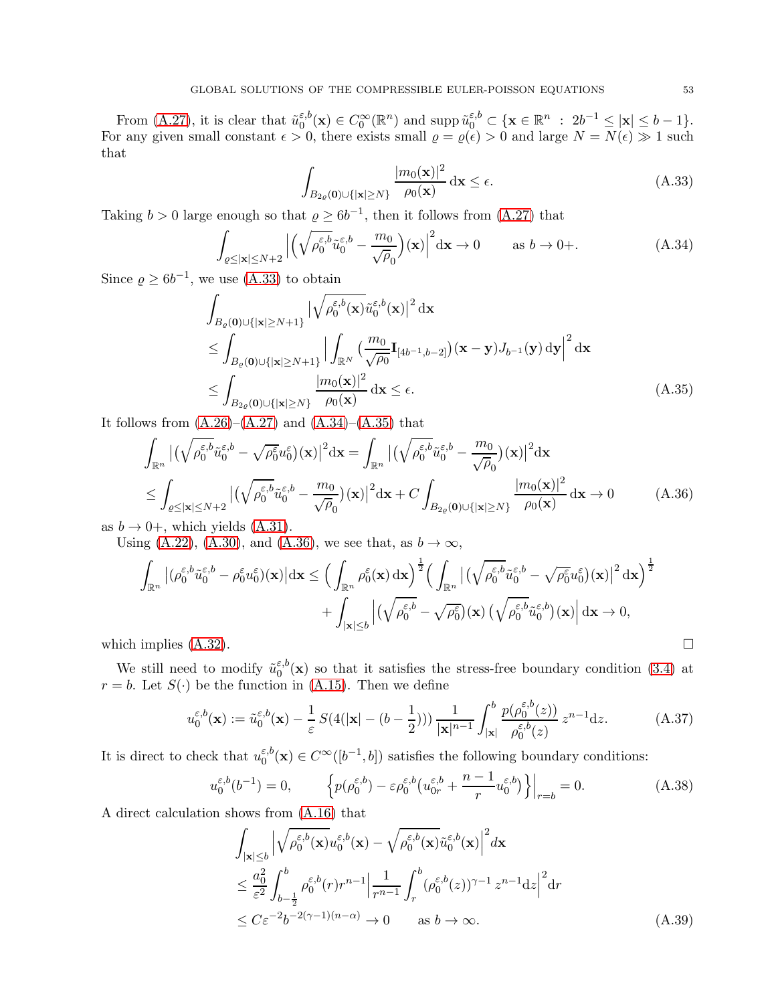From [\(A.27\)](#page-51-2), it is clear that  $\tilde{u}_0^{\varepsilon,b}$  $\epsilon_0^{\varepsilon,b}(\mathbf{x}) \in C_0^{\infty}(\mathbb{R}^n)$  and supp  $\tilde{u}_0^{\varepsilon,b} \subset {\mathbf{x} \in \mathbb{R}^n : 2b^{-1} \leq |\mathbf{x}| \leq b-1}.$ For any given small constant  $\epsilon > 0$ , there exists small  $\varrho = \varrho(\epsilon) > 0$  and large  $N = N(\epsilon) \gg 1$  such that

<span id="page-52-3"></span><span id="page-52-2"></span><span id="page-52-1"></span><span id="page-52-0"></span>
$$
\int_{B_{2\varrho}(\mathbf{0})\cup\{|\mathbf{x}|\geq N\}} \frac{|m_0(\mathbf{x})|^2}{\rho_0(\mathbf{x})} \,\mathrm{d}\mathbf{x} \leq \epsilon.
$$
\n(A.33)

Taking  $b > 0$  large enough so that  $\varrho \ge 6b^{-1}$ , then it follows from  $(A.27)$  that

$$
\int_{\varrho \le |\mathbf{x}| \le N+2} \left| \left( \sqrt{\rho_0^{\varepsilon,b}} \tilde{u}_0^{\varepsilon,b} - \frac{m_0}{\sqrt{\rho_0}} \right) (\mathbf{x}) \right|^2 d\mathbf{x} \to 0 \qquad \text{as } b \to 0+.
$$
\n(A.34)

Since  $\rho \ge 6b^{-1}$ , we use [\(A.33\)](#page-52-0) to obtain

$$
\int_{B_{\varrho}(\mathbf{0})\cup\{|\mathbf{x}|\geq N+1\}} \left|\sqrt{\rho_0^{\varepsilon,b}(\mathbf{x})}\tilde{u}_0^{\varepsilon,b}(\mathbf{x})\right|^2 d\mathbf{x} \n\leq \int_{B_{\varrho}(\mathbf{0})\cup\{|\mathbf{x}|\geq N+1\}} \left|\int_{\mathbb{R}^N} \left(\frac{m_0}{\sqrt{\rho_0}} \mathbf{I}_{[4b^{-1},b-2]}\right) (\mathbf{x}-\mathbf{y}) J_{b^{-1}}(\mathbf{y}) d\mathbf{y}\right|^2 d\mathbf{x} \n\leq \int_{B_{2\varrho}(\mathbf{0})\cup\{|\mathbf{x}|\geq N\}} \frac{|m_0(\mathbf{x})|^2}{\rho_0(\mathbf{x})} d\mathbf{x} \leq \epsilon.
$$
\n(A.35)

It follows from  $(A.26)$ – $(A.27)$  and  $(A.34)$ – $(A.35)$  that

$$
\int_{\mathbb{R}^n} \left| \left( \sqrt{\rho_0^{\varepsilon,b}} \tilde{u}_0^{\varepsilon,b} - \sqrt{\rho_0^{\varepsilon}} u_0^{\varepsilon} \right) (\mathbf{x}) \right|^2 d\mathbf{x} = \int_{\mathbb{R}^n} \left| \left( \sqrt{\rho_0^{\varepsilon,b}} \tilde{u}_0^{\varepsilon,b} - \frac{m_0}{\sqrt{\rho_0}} \right) (\mathbf{x}) \right|^2 d\mathbf{x} \n\leq \int_{\varrho \leq |\mathbf{x}| \leq N+2} \left| \left( \sqrt{\rho_0^{\varepsilon,b}} \tilde{u}_0^{\varepsilon,b} - \frac{m_0}{\sqrt{\rho_0}} \right) (\mathbf{x}) \right|^2 d\mathbf{x} + C \int_{B_{2\varrho}(\mathbf{0}) \cup \{ |\mathbf{x}| \geq N \}} \frac{|m_0(\mathbf{x})|^2}{\rho_0(\mathbf{x})} d\mathbf{x} \to 0
$$
\n(A.36)

as  $b \rightarrow 0^+$ , which yields [\(A.31\)](#page-51-5).

Using [\(A.22\)](#page-51-0), [\(A.30\)](#page-51-6), and [\(A.36\)](#page-52-3), we see that, as  $b \to \infty$ ,

$$
\int_{\mathbb{R}^n} \left| (\rho_0^{\varepsilon,b} \tilde{u}_0^{\varepsilon,b} - \rho_0^{\varepsilon} u_0^{\varepsilon}) (\mathbf{x}) \right| d\mathbf{x} \leq \Big( \int_{\mathbb{R}^n} \rho_0^{\varepsilon} (\mathbf{x}) d\mathbf{x} \Big)^{\frac{1}{2}} \Big( \int_{\mathbb{R}^n} \left| \left( \sqrt{\rho_0^{\varepsilon,b}} \tilde{u}_0^{\varepsilon,b} - \sqrt{\rho_0^{\varepsilon}} u_0^{\varepsilon} \right) (\mathbf{x}) \right|^2 d\mathbf{x} \Big)^{\frac{1}{2}} + \int_{|\mathbf{x}| \leq b} \left| \left( \sqrt{\rho_0^{\varepsilon,b}} - \sqrt{\rho_0^{\varepsilon}} \right) (\mathbf{x}) \left( \sqrt{\rho_0^{\varepsilon,b}} \tilde{u}_0^{\varepsilon,b} \right) (\mathbf{x}) \right| d\mathbf{x} \to 0,
$$
\nwhich implies (A.32).

We still need to modify  $\tilde{u}_0^{\varepsilon,b}$  $\epsilon_0^{\varepsilon,0}(\mathbf{x})$  so that it satisfies the stress-free boundary condition [\(3.4\)](#page-10-4) at  $r = b$ . Let  $S(\cdot)$  be the function in [\(A.15\)](#page-49-7). Then we define

<span id="page-52-5"></span>
$$
u_0^{\varepsilon,b}(\mathbf{x}) := \tilde{u}_0^{\varepsilon,b}(\mathbf{x}) - \frac{1}{\varepsilon} S(4(|\mathbf{x}| - (b - \frac{1}{2}))) \frac{1}{|\mathbf{x}|^{n-1}} \int_{|\mathbf{x}|}^b \frac{p(\rho_0^{\varepsilon,b}(z))}{\rho_0^{\varepsilon,b}(z)} z^{n-1} dz.
$$
 (A.37)

It is direct to check that  $u_0^{\varepsilon,b}$  $C_0^{\varepsilon,b}(\mathbf{x}) \in C^\infty([b^{-1},b])$  satisfies the following boundary conditions:

$$
u_0^{\varepsilon,b}(b^{-1}) = 0, \qquad \left\{ p(\rho_0^{\varepsilon,b}) - \varepsilon \rho_0^{\varepsilon,b}\left(u_{0r}^{\varepsilon,b} + \frac{n-1}{r}u_0^{\varepsilon,b}\right) \right\}\Big|_{r=b} = 0. \tag{A.38}
$$

A direct calculation shows from [\(A.16\)](#page-50-0) that

<span id="page-52-6"></span><span id="page-52-4"></span>
$$
\int_{|\mathbf{x}| \le b} \left| \sqrt{\rho_0^{\varepsilon, b}(\mathbf{x})} u_0^{\varepsilon, b}(\mathbf{x}) - \sqrt{\rho_0^{\varepsilon, b}(\mathbf{x})} \tilde{u}_0^{\varepsilon, b}(\mathbf{x}) \right|^2 d\mathbf{x} \n\le \frac{a_0^2}{\varepsilon^2} \int_{b - \frac{1}{2}}^b \rho_0^{\varepsilon, b}(r) r^{n-1} \left| \frac{1}{r^{n-1}} \int_r^b (\rho_0^{\varepsilon, b}(z))^{\gamma - 1} z^{n-1} dz \right|^2 dr \n\le C \varepsilon^{-2} b^{-2(\gamma - 1)(n - \alpha)} \to 0 \quad \text{as } b \to \infty.
$$
\n(A.39)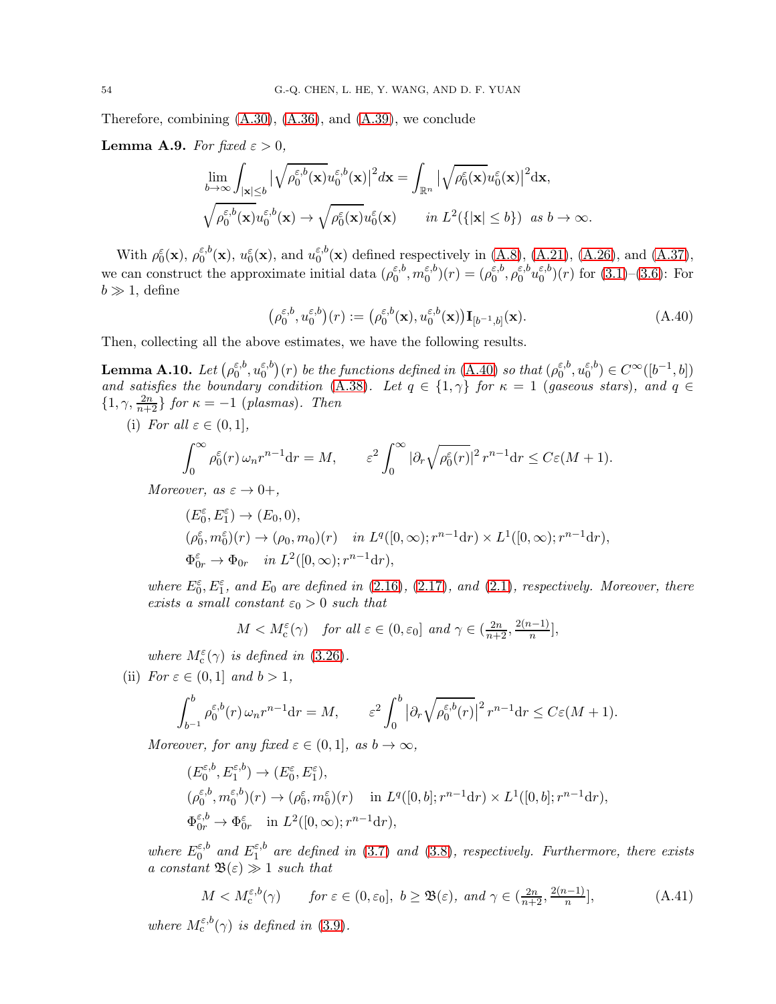Therefore, combining [\(A.30\)](#page-51-6), [\(A.36\)](#page-52-3), and [\(A.39\)](#page-52-4), we conclude

**Lemma A.9.** For fixed  $\varepsilon > 0$ ,

$$
\lim_{b \to \infty} \int_{|\mathbf{x}| \le b} |\sqrt{\rho_0^{\varepsilon,b}(\mathbf{x})} u_0^{\varepsilon,b}(\mathbf{x})|^2 d\mathbf{x} = \int_{\mathbb{R}^n} |\sqrt{\rho_0^{\varepsilon}(\mathbf{x})} u_0^{\varepsilon}(\mathbf{x})|^2 d\mathbf{x},
$$
  

$$
\sqrt{\rho_0^{\varepsilon,b}(\mathbf{x})} u_0^{\varepsilon,b}(\mathbf{x}) \to \sqrt{\rho_0^{\varepsilon}(\mathbf{x})} u_0^{\varepsilon}(\mathbf{x}) \qquad in \ L^2(\{|\mathbf{x}| \le b\}) \ \text{as } b \to \infty.
$$

With  $\rho_0^{\varepsilon}(\mathbf{x}), \rho_0^{\varepsilon, b}$  $u_0^{\varepsilon,b}(\mathbf{x}), u_0^{\varepsilon}(\mathbf{x}), \text{ and } u_0^{\varepsilon,b}$  $_{0}^{\epsilon,0}$ (**x**) defined respectively in [\(A.8\)](#page-49-4), [\(A.21\)](#page-50-4), [\(A.26\)](#page-51-1), and [\(A.37\)](#page-52-5), we can construct the approximate initial data  $(\rho_0^{\varepsilon,b})$  $_{0}^{\varepsilon ,b},m_{0}^{\varepsilon ,b}$  $\binom{\varepsilon, b}{0}(r) = (\rho_0^{\varepsilon, b})$  $_0^{\varepsilon,b},\rho_0^{\varepsilon,b}$  $_{0}^{\varepsilon ,b}u_{0}^{\varepsilon ,b}$  $\binom{5}{0}$  $(r)$  for  $(3.1)$ – $(3.6)$ : For  $b \gg 1$ , define

<span id="page-53-2"></span>
$$
\left(\rho_0^{\varepsilon,b}, u_0^{\varepsilon,b}\right)(r) := \left(\rho_0^{\varepsilon,b}(\mathbf{x}), u_0^{\varepsilon,b}(\mathbf{x})\right) \mathbf{I}_{[b^{-1},b]}(\mathbf{x}).\tag{A.40}
$$

Then, collecting all the above estimates, we have the following results.

<span id="page-53-0"></span> ${\rm Lemma~A.10.}$   $Let \, ( \rho_0^{\varepsilon,b}$  $_0^{\varepsilon,b},u_0^{\varepsilon,b}$  $\binom{\varepsilon, b}{0}(r)$  be the functions defined in [\(A.40\)](#page-53-2) so that  $(\rho_0^{\varepsilon, b})$  $_0^{\varepsilon,b},u_0^{\varepsilon,b}$  $\binom{\varepsilon, b}{0} \in C^{\infty}([b^{-1}, b])$ and satisfies the boundary condition [\(A.38\)](#page-52-6). Let  $q \in \{1, \gamma\}$  for  $\kappa = 1$  (gaseous stars), and  $q \in \{1, \gamma\}$  $\{1, \gamma, \frac{2n}{n+2}\}\$  for  $\kappa = -1$  (plasmas). Then

(i) For all  $\varepsilon \in (0,1]$ ,

$$
\int_0^\infty \rho_0^\varepsilon(r) \,\omega_n r^{n-1} \mathrm{d}r = M, \qquad \varepsilon^2 \int_0^\infty |\partial_r \sqrt{\rho_0^\varepsilon(r)}|^2 \, r^{n-1} \mathrm{d}r \le C\varepsilon (M+1).
$$

Moreover, as  $\varepsilon \to 0^+,$ 

$$
(E_0^{\varepsilon}, E_1^{\varepsilon}) \to (E_0, 0),
$$
  
\n
$$
(\rho_0^{\varepsilon}, m_0^{\varepsilon})(r) \to (\rho_0, m_0)(r) \quad \text{in } L^q([0, \infty); r^{n-1}dr) \times L^1([0, \infty); r^{n-1}dr),
$$
  
\n
$$
\Phi_{0r}^{\varepsilon} \to \Phi_{0r} \quad \text{in } L^2([0, \infty); r^{n-1}dr),
$$

where  $E_0^{\varepsilon}$ ,  $E_1^{\varepsilon}$ , and  $E_0$  are defined in [\(2.16\)](#page-8-4), [\(2.17\)](#page-8-5), and [\(2.1\)](#page-5-1), respectively. Moreover, there exists a small constant  $\varepsilon_0 > 0$  such that

$$
M < M_c^{\varepsilon}(\gamma)
$$
 for all  $\varepsilon \in (0, \varepsilon_0]$  and  $\gamma \in (\frac{2n}{n+2}, \frac{2(n-1)}{n}],$ 

where  $M_c^{\varepsilon}(\gamma)$  is defined in [\(3.26\)](#page-13-1).

(ii) For  $\varepsilon \in (0,1]$  and  $b > 1$ ,

$$
\int_{b^{-1}}^{b} \rho_0^{\varepsilon, b}(r) \,\omega_n r^{n-1} \mathrm{d}r = M, \qquad \varepsilon^2 \int_0^b \left| \partial_r \sqrt{\rho_0^{\varepsilon, b}(r)} \right|^2 r^{n-1} \mathrm{d}r \le C\varepsilon (M+1).
$$

Moreover, for any fixed  $\varepsilon \in (0,1]$ , as  $b \to \infty$ ,

$$
\begin{split} &(E^{\varepsilon,b}_0,E^{\varepsilon,b}_1)\rightarrow (E^{\varepsilon}_0,E^{\varepsilon}_1),\\ &(\rho^{\varepsilon,b}_0,m^{\varepsilon,b}_0)(r)\rightarrow (\rho^{\varepsilon}_0,m^{\varepsilon}_0)(r)\quad\text{ in }L^q([0,b];r^{n-1}\text{\rm d} r)\times L^1([0,b];r^{n-1}\text{\rm d} r),\\ &\Phi^{\varepsilon,b}_{0r}\rightarrow \Phi^{\varepsilon}_{0r}\quad\text{in }L^2([0,\infty);r^{n-1}\text{\rm d} r), \end{split}
$$

where  $E_0^{\varepsilon,b}$  $a_0^{\varepsilon,b}$  and  $E_1^{\varepsilon,b}$  $\int_{1}^{\epsilon,0}$  are defined in [\(3.7\)](#page-10-9) and [\(3.8\)](#page-10-10), respectively. Furthermore, there exists a constant  $\mathfrak{B}(\varepsilon) \gg 1$  such that

<span id="page-53-1"></span>
$$
M < M_{\mathbf{c}}^{\varepsilon, b}(\gamma) \qquad \text{for } \varepsilon \in (0, \varepsilon_0], \ b \ge \mathfrak{B}(\varepsilon), \ and \ \gamma \in \left(\frac{2n}{n+2}, \frac{2(n-1)}{n}\right], \tag{A.41}
$$

where  $M_c^{\varepsilon,b}(\gamma)$  is defined in [\(3.9\)](#page-10-7).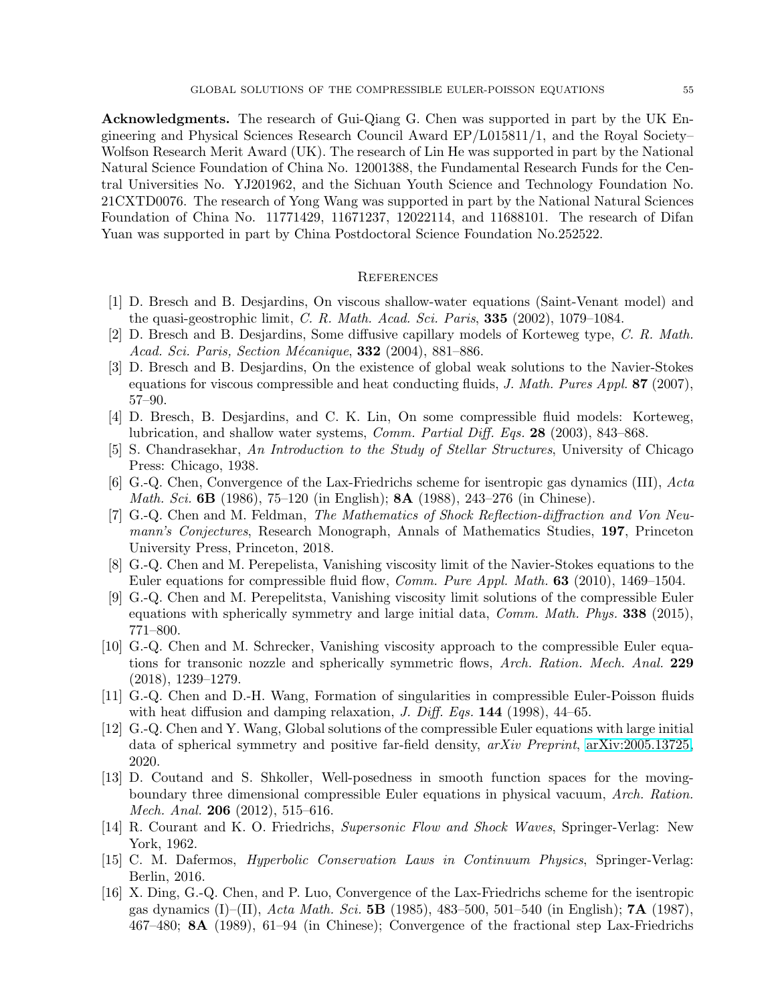Acknowledgments. The research of Gui-Qiang G. Chen was supported in part by the UK Engineering and Physical Sciences Research Council Award EP/L015811/1, and the Royal Society– Wolfson Research Merit Award (UK). The research of Lin He was supported in part by the National Natural Science Foundation of China No. 12001388, the Fundamental Research Funds for the Central Universities No. YJ201962, and the Sichuan Youth Science and Technology Foundation No. 21CXTD0076. The research of Yong Wang was supported in part by the National Natural Sciences Foundation of China No. 11771429, 11671237, 12022114, and 11688101. The research of Difan Yuan was supported in part by China Postdoctoral Science Foundation No.252522.

### <span id="page-54-0"></span>**REFERENCES**

- <span id="page-54-11"></span>[1] D. Bresch and B. Desjardins, On viscous shallow-water equations (Saint-Venant model) and the quasi-geostrophic limit, C. R. Math. Acad. Sci. Paris, 335 (2002), 1079–1084.
- <span id="page-54-12"></span>[2] D. Bresch and B. Desjardins, Some diffusive capillary models of Korteweg type, C. R. Math. Acad. Sci. Paris, Section Mécanique,  $332$  (2004), 881–886.
- <span id="page-54-13"></span>[3] D. Bresch and B. Desjardins, On the existence of global weak solutions to the Navier-Stokes equations for viscous compressible and heat conducting fluids, J. Math. Pures Appl. 87 (2007), 57–90.
- <span id="page-54-10"></span>[4] D. Bresch, B. Desjardins, and C. K. Lin, On some compressible fluid models: Korteweg, lubrication, and shallow water systems, Comm. Partial Diff. Eqs. 28 (2003), 843–868.
- <span id="page-54-14"></span>[5] S. Chandrasekhar, An Introduction to the Study of Stellar Structures, University of Chicago Press: Chicago, 1938.
- <span id="page-54-4"></span>[6] G.-Q. Chen, Convergence of the Lax-Friedrichs scheme for isentropic gas dynamics (III), Acta *Math. Sci.* 6B (1986), 75–120 (in English); 8A (1988), 243–276 (in Chinese).
- <span id="page-54-1"></span>[7] G.-Q. Chen and M. Feldman, The Mathematics of Shock Reflection-diffraction and Von Neumann's Conjectures, Research Monograph, Annals of Mathematics Studies, 197, Princeton University Press, Princeton, 2018.
- <span id="page-54-5"></span>[8] G.-Q. Chen and M. Perepelista, Vanishing viscosity limit of the Navier-Stokes equations to the Euler equations for compressible fluid flow, *Comm. Pure Appl. Math.* **63** (2010), 1469–1504.
- <span id="page-54-16"></span>[9] G.-Q. Chen and M. Perepelitsta, Vanishing viscosity limit solutions of the compressible Euler equations with spherically symmetry and large initial data, *Comm. Math. Phys.* 338 (2015), 771–800.
- <span id="page-54-6"></span>[10] G.-Q. Chen and M. Schrecker, Vanishing viscosity approach to the compressible Euler equations for transonic nozzle and spherically symmetric flows, Arch. Ration. Mech. Anal. 229 (2018), 1239–1279.
- <span id="page-54-3"></span>[11] G.-Q. Chen and D.-H. Wang, Formation of singularities in compressible Euler-Poisson fluids with heat diffusion and damping relaxation, *J. Diff. Eqs.*  $144$  (1998), 44–65.
- <span id="page-54-7"></span>[12] G.-Q. Chen and Y. Wang, Global solutions of the compressible Euler equations with large initial data of spherical symmetry and positive far-field density, arXiv Preprint, [arXiv:2005.13725,](http://arxiv.org/abs/2005.13725) 2020.
- <span id="page-54-8"></span>[13] D. Coutand and S. Shkoller, Well-posedness in smooth function spaces for the movingboundary three dimensional compressible Euler equations in physical vacuum, Arch. Ration. Mech. Anal. 206 (2012), 515–616.
- <span id="page-54-15"></span>[14] R. Courant and K. O. Friedrichs, Supersonic Flow and Shock Waves, Springer-Verlag: New York, 1962.
- <span id="page-54-2"></span>[15] C. M. Dafermos, Hyperbolic Conservation Laws in Continuum Physics, Springer-Verlag: Berlin, 2016.
- <span id="page-54-9"></span>[16] X. Ding, G.-Q. Chen, and P. Luo, Convergence of the Lax-Friedrichs scheme for the isentropic gas dynamics  $(I)$ –(II), Acta Math. Sci. 5B (1985), 483–500, 501–540 (in English); 7A (1987), 467–480; 8A (1989), 61–94 (in Chinese); Convergence of the fractional step Lax-Friedrichs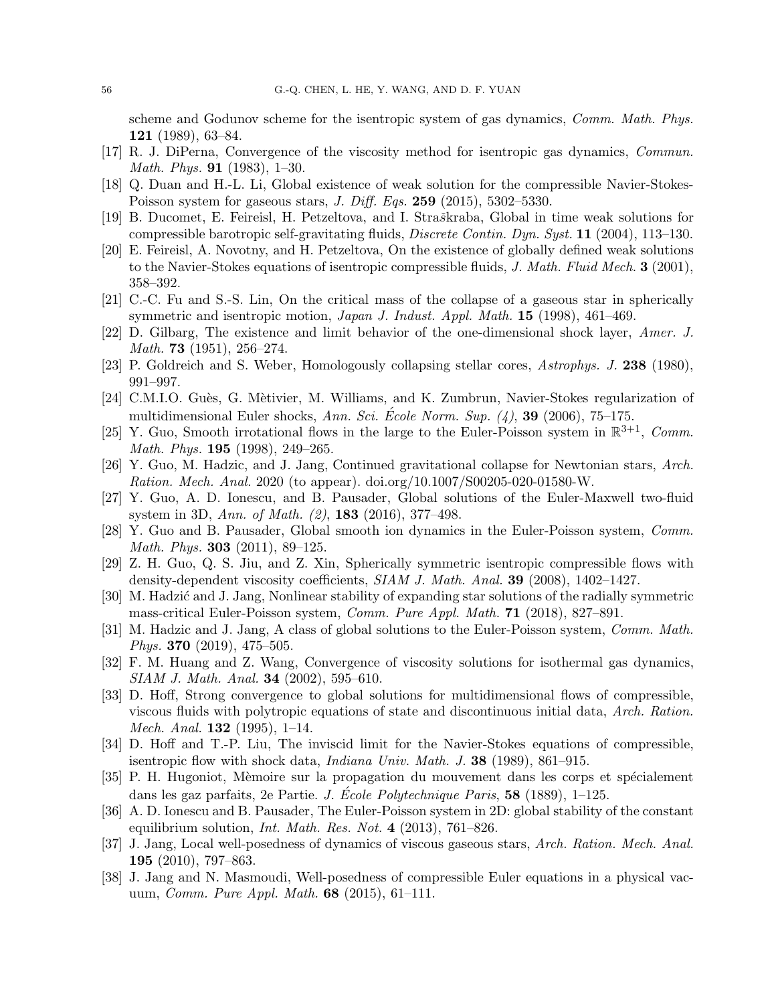scheme and Godunov scheme for the isentropic system of gas dynamics, *Comm. Math. Phys.* 121 (1989), 63–84.

- <span id="page-55-9"></span>[17] R. J. DiPerna, Convergence of the viscosity method for isentropic gas dynamics, Commun. Math. Phys. 91 (1983), 1–30.
- <span id="page-55-14"></span>[18] Q. Duan and H.-L. Li, Global existence of weak solution for the compressible Navier-Stokes-Poisson system for gaseous stars, *J. Diff. Eqs.* **259** (2015), 5302-5330.
- <span id="page-55-12"></span>[19] B. Ducomet, E. Feireisl, H. Petzeltova, and I. Straškraba, Global in time weak solutions for compressible barotropic self-gravitating fluids, Discrete Contin. Dyn. Syst. 11 (2004), 113–130.
- <span id="page-55-15"></span>[20] E. Feireisl, A. Novotny, and H. Petzeltova, On the existence of globally defined weak solutions to the Navier-Stokes equations of isentropic compressible fluids, J. Math. Fluid Mech.  $3$  (2001), 358–392.
- <span id="page-55-5"></span>[21] C.-C. Fu and S.-S. Lin, On the critical mass of the collapse of a gaseous star in spherically symmetric and isentropic motion, Japan J. Indust. Appl. Math. 15 (1998), 461–469.
- [22] D. Gilbarg, The existence and limit behavior of the one-dimensional shock layer, Amer. J. Math. **73** (1951), 256–274.
- <span id="page-55-4"></span>[23] P. Goldreich and S. Weber, Homologously collapsing stellar cores, Astrophys. J. 238 (1980), 991–997.
- <span id="page-55-18"></span>[24] C.M.I.O. Guès, G. Mètivier, M. Williams, and K. Zumbrun, Navier-Stokes regularization of multidimensional Euler shocks, Ann. Sci. École Norm. Sup.  $(4)$ , 39 (2006), 75–175.
- <span id="page-55-0"></span>[25] Y. Guo, Smooth irrotational flows in the large to the Euler-Poisson system in  $\mathbb{R}^{3+1}$ , Comm. Math. Phys. **195** (1998), 249–265.
- <span id="page-55-8"></span>[26] Y. Guo, M. Hadzic, and J. Jang, Continued gravitational collapse for Newtonian stars, Arch. Ration. Mech. Anal. 2020 (to appear). doi.org/10.1007/S00205-020-01580-W.
- <span id="page-55-1"></span>[27] Y. Guo, A. D. Ionescu, and B. Pausader, Global solutions of the Euler-Maxwell two-fluid system in 3D, Ann. of Math. (2), 183 (2016), 377–498.
- <span id="page-55-2"></span>[28] Y. Guo and B. Pausader, Global smooth ion dynamics in the Euler-Poisson system, Comm. Math. Phys. **303** (2011), 89-125.
- [29] Z. H. Guo, Q. S. Jiu, and Z. Xin, Spherically symmetric isentropic compressible flows with density-dependent viscosity coefficients, SIAM J. Math. Anal. 39 (2008), 1402–1427.
- <span id="page-55-6"></span>[30] M. Hadzić and J. Jang, Nonlinear stability of expanding star solutions of the radially symmetric mass-critical Euler-Poisson system, Comm. Pure Appl. Math. 71 (2018), 827–891.
- <span id="page-55-7"></span>[31] M. Hadzic and J. Jang, A class of global solutions to the Euler-Poisson system, Comm. Math. *Phys.* **370** (2019), 475–505.
- <span id="page-55-10"></span>[32] F. M. Huang and Z. Wang, Convergence of viscosity solutions for isothermal gas dynamics, SIAM J. Math. Anal. 34 (2002), 595–610.
- <span id="page-55-16"></span>[33] D. Hoff, Strong convergence to global solutions for multidimensional flows of compressible, viscous fluids with polytropic equations of state and discontinuous initial data, Arch. Ration. Mech. Anal. 132 (1995), 1–14.
- [34] D. Hoff and T.-P. Liu, The inviscid limit for the Navier-Stokes equations of compressible, isentropic flow with shock data, Indiana Univ. Math. J. 38 (1989), 861–915.
- <span id="page-55-17"></span>[35] P. H. Hugoniot, Mèmoire sur la propagation du mouvement dans les corps et spécialement dans les gaz parfaits, 2e Partie. *J. École Polytechnique Paris*,  $58$  (1889), 1–125.
- <span id="page-55-3"></span>[36] A. D. Ionescu and B. Pausader, The Euler-Poisson system in 2D: global stability of the constant equilibrium solution, *Int. Math. Res. Not.*  $4$  (2013), 761–826.
- <span id="page-55-13"></span>[37] J. Jang, Local well-posedness of dynamics of viscous gaseous stars, Arch. Ration. Mech. Anal. 195 (2010), 797–863.
- <span id="page-55-11"></span>[38] J. Jang and N. Masmoudi, Well-posedness of compressible Euler equations in a physical vacuum, *Comm. Pure Appl. Math.*  $68$  (2015), 61–111.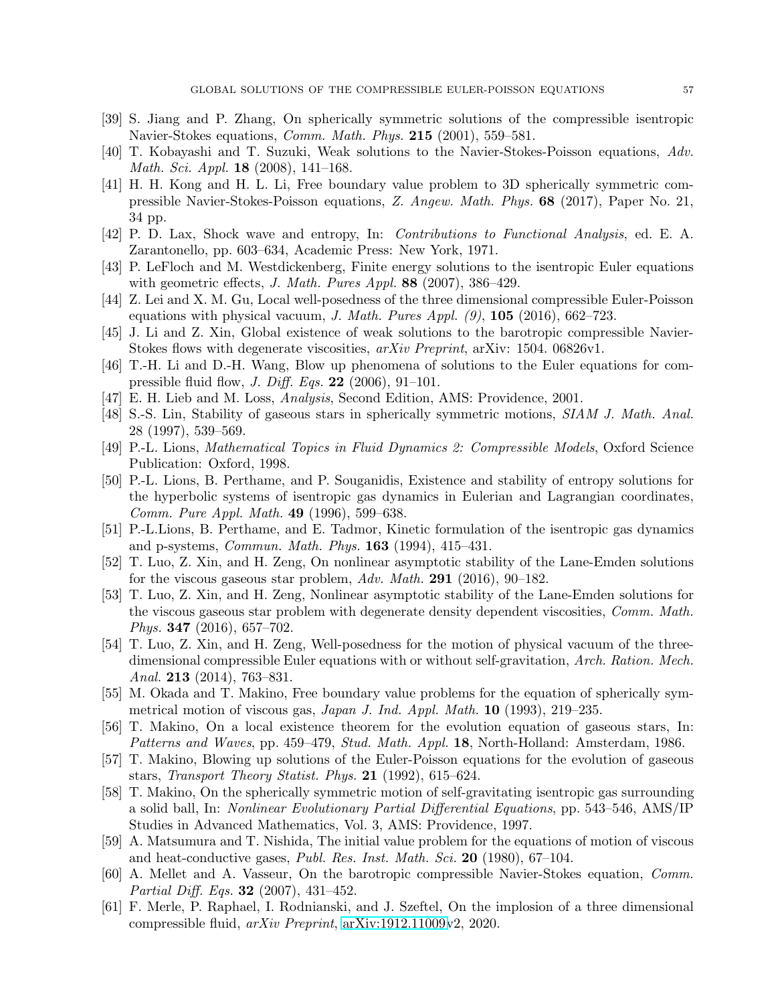- <span id="page-56-10"></span>[39] S. Jiang and P. Zhang, On spherically symmetric solutions of the compressible isentropic Navier-Stokes equations, Comm. Math. Phys. 215 (2001), 559–581.
- <span id="page-56-5"></span>[40] T. Kobayashi and T. Suzuki, Weak solutions to the Navier-Stokes-Poisson equations, Adv. Math. Sci. Appl. 18 (2008), 141–168.
- <span id="page-56-6"></span>[41] H. H. Kong and H. L. Li, Free boundary value problem to 3D spherically symmetric compressible Navier-Stokes-Poisson equations, Z. Angew. Math. Phys. 68 (2017), Paper No. 21, 34 pp.
- [42] P. D. Lax, Shock wave and entropy, In: Contributions to Functional Analysis, ed. E. A. Zarantonello, pp. 603–634, Academic Press: New York, 1971.
- [43] P. LeFloch and M. Westdickenberg, Finite energy solutions to the isentropic Euler equations with geometric effects, J. Math. Pures Appl.  $88$  (2007), 386–429.
- <span id="page-56-1"></span>[44] Z. Lei and X. M. Gu, Local well-posedness of the three dimensional compressible Euler-Poisson equations with physical vacuum, J. Math. Pures Appl.  $(9)$ , 105 (2016), 662–723.
- <span id="page-56-13"></span>[45] J. Li and Z. Xin, Global existence of weak solutions to the barotropic compressible Navier-Stokes flows with degenerate viscosities, arXiv Preprint, arXiv: 1504. 06826v1.
- <span id="page-56-15"></span>[46] T.-H. Li and D.-H. Wang, Blow up phenomena of solutions to the Euler equations for compressible fluid flow, *J. Diff. Eqs.* **22** (2006), 91–101.
- <span id="page-56-18"></span>[47] E. H. Lieb and M. Loss, Analysis, Second Edition, AMS: Providence, 2001.
- <span id="page-56-14"></span>[48] S.-S. Lin, Stability of gaseous stars in spherically symmetric motions, SIAM J. Math. Anal. 28 (1997), 539–569.
- <span id="page-56-11"></span>[49] P.-L. Lions, Mathematical Topics in Fluid Dynamics 2: Compressible Models, Oxford Science Publication: Oxford, 1998.
- [50] P.-L. Lions, B. Perthame, and P. Souganidis, Existence and stability of entropy solutions for the hyperbolic systems of isentropic gas dynamics in Eulerian and Lagrangian coordinates, Comm. Pure Appl. Math. 49 (1996), 599–638.
- [51] P.-L.Lions, B. Perthame, and E. Tadmor, Kinetic formulation of the isentropic gas dynamics and p-systems, Commun. Math. Phys. 163 (1994), 415–431.
- <span id="page-56-8"></span>[52] T. Luo, Z. Xin, and H. Zeng, On nonlinear asymptotic stability of the Lane-Emden solutions for the viscous gaseous star problem, Adv. Math. 291 (2016), 90–182.
- <span id="page-56-9"></span>[53] T. Luo, Z. Xin, and H. Zeng, Nonlinear asymptotic stability of the Lane-Emden solutions for the viscous gaseous star problem with degenerate density dependent viscosities, *Comm. Math.* Phys. 347 (2016), 657–702.
- <span id="page-56-2"></span>[54] T. Luo, Z. Xin, and H. Zeng, Well-posedness for the motion of physical vacuum of the threedimensional compressible Euler equations with or without self-gravitation, Arch. Ration. Mech. Anal. **213** (2014), 763-831.
- <span id="page-56-7"></span>[55] M. Okada and T. Makino, Free boundary value problems for the equation of spherically symmetrical motion of viscous gas, Japan J. Ind. Appl. Math. 10 (1993), 219–235.
- <span id="page-56-3"></span>[56] T. Makino, On a local existence theorem for the evolution equation of gaseous stars, In: Patterns and Waves, pp. 459–479, Stud. Math. Appl. 18, North-Holland: Amsterdam, 1986.
- <span id="page-56-0"></span>[57] T. Makino, Blowing up solutions of the Euler-Poisson equations for the evolution of gaseous stars, Transport Theory Statist. Phys. 21 (1992), 615–624.
- <span id="page-56-4"></span>[58] T. Makino, On the spherically symmetric motion of self-gravitating isentropic gas surrounding a solid ball, In: Nonlinear Evolutionary Partial Differential Equations, pp. 543–546, AMS/IP Studies in Advanced Mathematics, Vol. 3, AMS: Providence, 1997.
- <span id="page-56-12"></span>[59] A. Matsumura and T. Nishida, The initial value problem for the equations of motion of viscous and heat-conductive gases, Publ. Res. Inst. Math. Sci. 20 (1980), 67–104.
- <span id="page-56-17"></span>[60] A. Mellet and A. Vasseur, On the barotropic compressible Navier-Stokes equation, Comm. Partial Diff. Eqs. **32** (2007), 431-452.
- <span id="page-56-16"></span>[61] F. Merle, P. Raphael, I. Rodnianski, and J. Szeftel, On the implosion of a three dimensional compressible fluid, arXiv Preprint, [arXiv:1912.11009v](http://arxiv.org/abs/1912.11009)2, 2020.